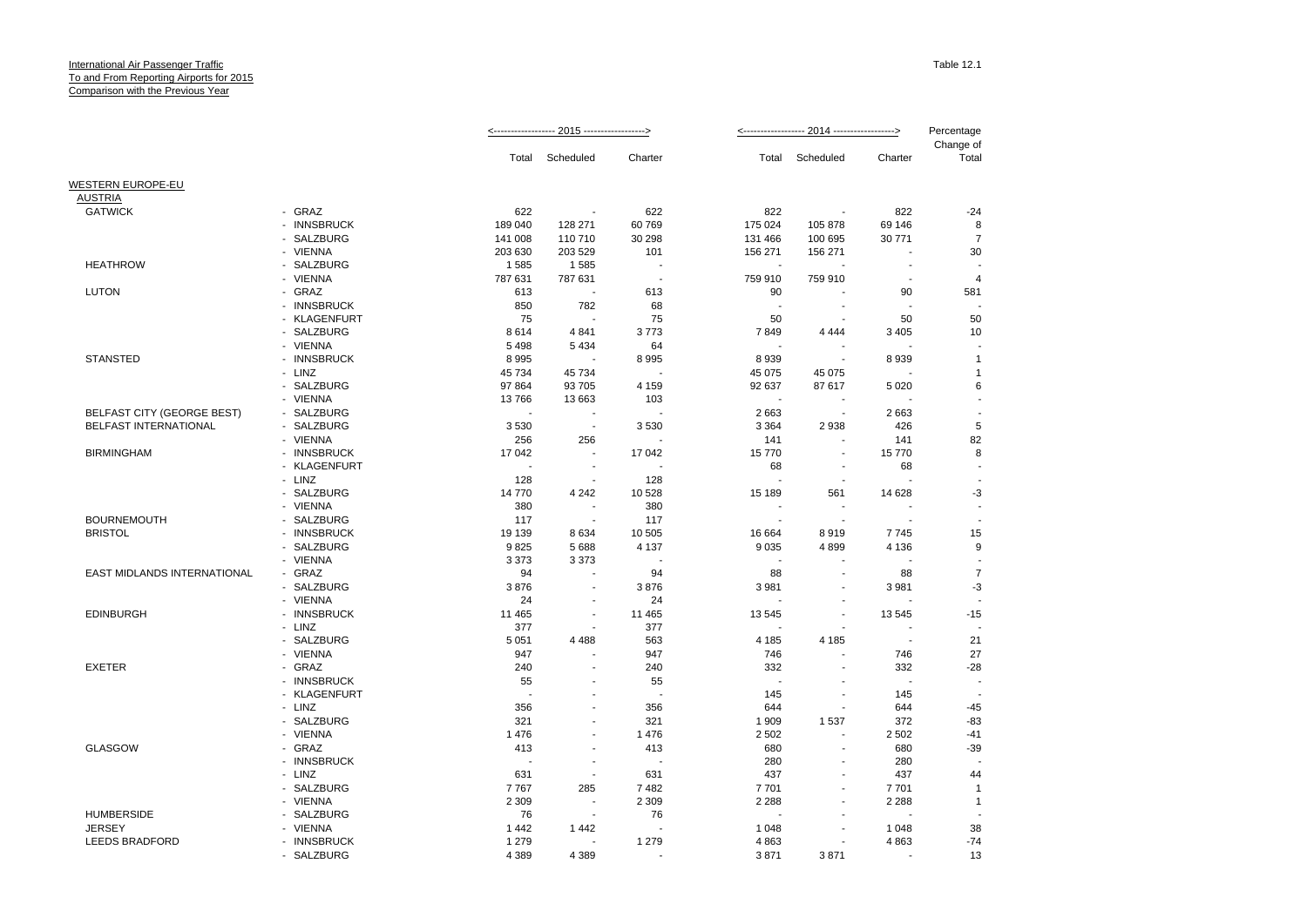|                                      |                                               |               |                          |                          |         |                          |                          | Percentage         |
|--------------------------------------|-----------------------------------------------|---------------|--------------------------|--------------------------|---------|--------------------------|--------------------------|--------------------|
|                                      |                                               | Total         | Scheduled                | Charter                  | Total   | Scheduled                | Charter                  | Change of<br>Total |
| WESTERN EUROPE-EU                    |                                               |               |                          |                          |         |                          |                          |                    |
| <b>AUSTRIA</b>                       |                                               |               |                          |                          |         |                          |                          |                    |
| <b>GATWICK</b>                       | - GRAZ                                        | 622           |                          | 622                      | 822     | $\overline{\phantom{a}}$ | 822                      | $-24$              |
|                                      | <b>INNSBRUCK</b><br>$\overline{a}$            | 189 040       | 128 271                  | 60769                    | 175 024 | 105 878                  | 69 146                   | 8                  |
|                                      | <b>SALZBURG</b>                               | 141 008       | 110 710                  | 30 298                   | 131 466 | 100 695                  | 30 771                   | $\overline{7}$     |
|                                      | - VIENNA                                      | 203 630       | 203 529                  | 101                      | 156 271 | 156 271                  |                          | 30                 |
| <b>HEATHROW</b>                      | SALZBURG                                      | 1585          | 1585                     | ÷                        | ÷.      |                          |                          |                    |
|                                      | - VIENNA                                      | 787 631       | 787 631                  | $\overline{\phantom{a}}$ | 759 910 | 759 910                  | $\overline{\phantom{a}}$ | $\overline{4}$     |
| <b>LUTON</b>                         | - GRAZ                                        | 613           |                          | 613                      | 90      |                          | 90                       | 581                |
|                                      | - INNSBRUCK                                   | 850           | 782                      | 68                       |         |                          |                          |                    |
|                                      | - KLAGENFURT                                  | 75            |                          | 75                       | 50      |                          | 50                       | 50                 |
|                                      | SALZBURG                                      | 8614          | 4841                     | 3773                     | 7849    | 4 4 4 4                  | 3 4 0 5                  | 10                 |
|                                      | - VIENNA                                      | 5 4 9 8       | 5 4 3 4                  | 64                       |         |                          |                          |                    |
| <b>STANSTED</b>                      | - INNSBRUCK                                   | 8995          |                          | 8995                     | 8939    |                          | 8939                     | $\mathbf{1}$       |
|                                      | - LINZ                                        | 45 734        | 45 734                   |                          | 45 075  | 45 075                   |                          | 1                  |
|                                      | - SALZBURG                                    | 97 864        | 93 705                   | 4 1 5 9                  | 92 637  | 87 617                   | 5 0 20                   | 6                  |
|                                      | - VIENNA                                      | 13766         | 13 663                   | 103                      |         |                          |                          |                    |
| BELFAST CITY (GEORGE BEST)           | - SALZBURG                                    |               |                          |                          | 2663    | $\sim$                   | 2663                     |                    |
| <b>BELFAST INTERNATIONAL</b>         | - SALZBURG                                    | 3530          | $\overline{\phantom{a}}$ | 3530                     | 3 3 6 4 | 2938                     | 426                      | 5                  |
|                                      | - VIENNA                                      | 256           | 256                      |                          | 141     | $\blacksquare$           | 141                      | 82                 |
| <b>BIRMINGHAM</b>                    | - INNSBRUCK                                   | 17 042        |                          | 17 042                   | 15770   | $\blacksquare$           | 15770                    | 8                  |
|                                      | <b>KLAGENFURT</b><br>÷.                       | J.            | $\blacksquare$           |                          | 68      | ÷.                       | 68                       |                    |
|                                      | - LINZ                                        | 128           |                          | 128                      |         |                          |                          |                    |
|                                      | - SALZBURG                                    | 14 770        | 4 2 4 2                  | 10 528                   | 15 189  | 561                      | 14 628                   | -3                 |
|                                      | - VIENNA                                      | 380           | ÷,<br>ä,                 | 380                      | J.      |                          |                          |                    |
| <b>BOURNEMOUTH</b><br><b>BRISTOL</b> | SALZBURG<br><b>INNSBRUCK</b><br>$\sim$        | 117<br>19 139 | 8634                     | 117<br>10 505            | 16 664  | 8919                     | 7745                     |                    |
|                                      | <b>SALZBURG</b>                               | 9825          | 5688                     | 4 1 3 7                  | 9 0 3 5 | 4899                     | 4 1 3 6                  | 15<br>9            |
|                                      | - VIENNA                                      | 3 3 7 3       | 3 3 7 3                  | $\overline{\phantom{a}}$ |         |                          |                          |                    |
| <b>EAST MIDLANDS INTERNATIONAL</b>   | - GRAZ                                        | 94            |                          | 94                       | 88      |                          | 88                       | $\overline{7}$     |
|                                      | SALZBURG                                      | 3876          |                          | 3876                     | 3 9 8 1 |                          | 3 9 8 1                  | $-3$               |
|                                      | - VIENNA                                      | 24            |                          | 24                       |         |                          |                          |                    |
| <b>EDINBURGH</b>                     | - INNSBRUCK                                   | 11 4 65       | ä,                       | 11 4 65                  | 13 545  |                          | 13 5 45                  | $-15$              |
|                                      | - LINZ                                        | 377           |                          | 377                      |         | $\overline{a}$           |                          |                    |
|                                      | SALZBURG<br>$\blacksquare$                    | 5 0 5 1       | 4 4 8 8                  | 563                      | 4 1 8 5 | 4 1 8 5                  | $\overline{\phantom{a}}$ | 21                 |
|                                      | - VIENNA                                      | 947           |                          | 947                      | 746     | ÷                        | 746                      | 27                 |
| <b>EXETER</b>                        | - GRAZ                                        | 240           |                          | 240                      | 332     |                          | 332                      | $-28$              |
|                                      | <b>INNSBRUCK</b><br>$\overline{\phantom{0}}$  | 55            |                          | 55                       | ÷.      |                          | ÷                        |                    |
|                                      | <b>KLAGENFURT</b><br>$\overline{\phantom{a}}$ |               |                          |                          | 145     |                          | 145                      |                    |
|                                      | - LINZ                                        | 356           | ÷                        | 356                      | 644     | $\blacksquare$           | 644                      | $-45$              |
|                                      | SALZBURG                                      | 321           |                          | 321                      | 1 9 0 9 | 1537                     | 372                      | $-83$              |
|                                      | - VIENNA                                      | 1 4 7 6       |                          | 1476                     | 2 5 0 2 | ÷.                       | 2 5 0 2                  | $-41$              |
| <b>GLASGOW</b>                       | - GRAZ                                        | 413           | ÷,                       | 413                      | 680     | ÷,                       | 680                      | $-39$              |
|                                      | <b>INNSBRUCK</b>                              |               |                          |                          | 280     | $\overline{a}$           | 280                      |                    |
|                                      | - LINZ                                        | 631           | $\overline{a}$           | 631                      | 437     |                          | 437                      | 44                 |
|                                      | SALZBURG                                      | 7767          | 285                      | 7482                     | 7701    | $\overline{a}$           | 7701                     | $\overline{1}$     |
|                                      | <b>VIENNA</b><br>$\overline{\phantom{0}}$     | 2 3 0 9       | $\blacksquare$           | 2 3 0 9                  | 2 2 8 8 |                          | 2 2 8 8                  | $\overline{1}$     |
| <b>HUMBERSIDE</b>                    | SALZBURG<br>$\overline{\phantom{0}}$          | 76            | $\overline{a}$           | 76                       |         | ٠                        |                          |                    |
| <b>JERSEY</b>                        | - VIENNA                                      | 1442          | 1442                     |                          | 1 0 4 8 |                          | 1 0 4 8                  | 38                 |
| <b>LEEDS BRADFORD</b>                | - INNSBRUCK                                   | 1 2 7 9       | ÷                        | 1 2 7 9                  | 4 8 6 3 | ٠                        | 4 8 6 3                  | $-74$              |
|                                      | - SALZBURG                                    | 4 3 8 9       | 4 3 8 9                  |                          | 3871    | 3871                     |                          | 13                 |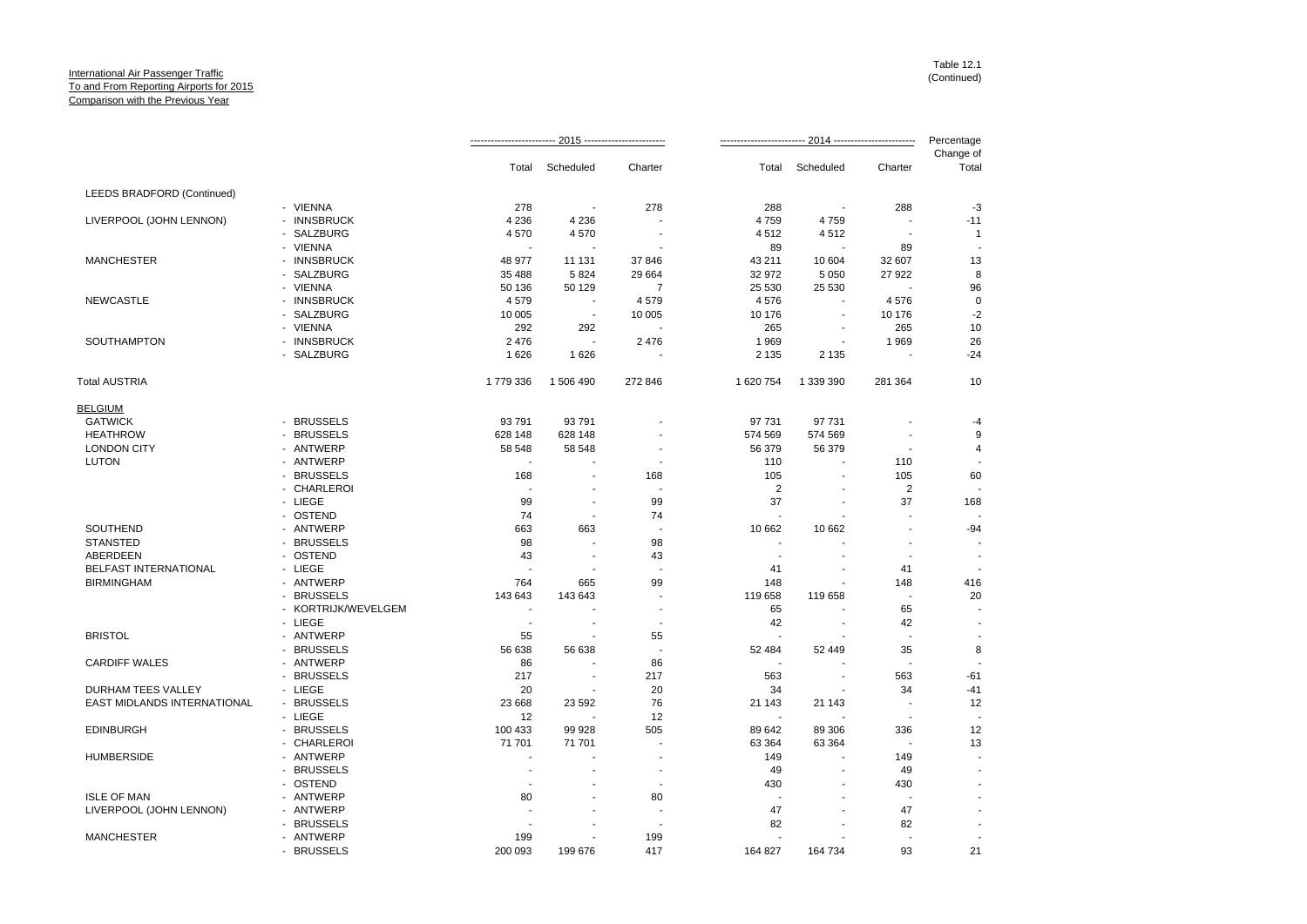|                             |                     |                          | 2015 --------------------- |                          |                          |                          | 2014 ------------------------- | Percentage              |
|-----------------------------|---------------------|--------------------------|----------------------------|--------------------------|--------------------------|--------------------------|--------------------------------|-------------------------|
|                             |                     | Total                    | Scheduled                  | Charter                  | Total                    | Scheduled                | Charter                        | Change of<br>Total      |
| LEEDS BRADFORD (Continued)  |                     |                          |                            |                          |                          |                          |                                |                         |
|                             | - VIENNA            | 278                      | ÷,                         | 278                      | 288                      |                          | 288                            | $-3$                    |
| LIVERPOOL (JOHN LENNON)     | - INNSBRUCK         | 4 2 3 6                  | 4 2 3 6                    |                          | 4759                     | 4759                     |                                | $-11$                   |
|                             | - SALZBURG          | 4570                     | 4570                       |                          | 4512                     | 4512                     | $\overline{\phantom{a}}$       | $\overline{\mathbf{1}}$ |
|                             | - VIENNA            |                          |                            |                          | 89                       |                          | 89                             |                         |
| <b>MANCHESTER</b>           | - INNSBRUCK         | 48 977                   | 11 131                     | 37 846                   | 43 211                   | 10 604                   | 32 607                         | 13                      |
|                             | - SALZBURG          | 35 488                   | 5824                       | 29 664                   | 32 972                   | 5 0 5 0                  | 27 922                         | 8                       |
|                             | - VIENNA            | 50 136                   | 50 129                     | $\overline{7}$           | 25 530                   | 25 530                   |                                | 96                      |
| <b>NEWCASTLE</b>            | - INNSBRUCK         | 4579                     | $\overline{\phantom{a}}$   | 4579                     | 4576                     |                          | 4576                           | $\mathbf 0$             |
|                             | - SALZBURG          | 10 005                   | $\overline{\phantom{a}}$   | 10 005                   | 10 176                   | $\blacksquare$           | 10 176                         | $-2$                    |
|                             | - VIENNA            | 292                      | 292                        |                          | 265                      | ÷.                       | 265                            | 10                      |
| <b>SOUTHAMPTON</b>          | - INNSBRUCK         | 2476                     |                            | 2476                     | 1969                     | $\overline{\phantom{a}}$ | 1969                           | 26                      |
|                             | - SALZBURG          | 1626                     | 1626                       |                          | 2 1 3 5                  | 2 1 3 5                  | $\overline{\phantom{a}}$       | $-24$                   |
| <b>Total AUSTRIA</b>        |                     | 1779336                  | 1 506 490                  | 272 846                  | 1 620 754                | 1 339 390                | 281 364                        | 10                      |
| <b>BELGIUM</b>              |                     |                          |                            |                          |                          |                          |                                |                         |
| <b>GATWICK</b>              | - BRUSSELS          | 93 791                   | 93 791                     |                          | 97 731                   | 97 731                   |                                | $-4$                    |
| <b>HEATHROW</b>             | - BRUSSELS          | 628 148                  | 628 148                    |                          | 574 569                  | 574 569                  |                                | 9                       |
| <b>LONDON CITY</b>          | - ANTWERP           | 58 548                   | 58 548                     |                          | 56 379                   | 56 379                   | ÷,                             | 4                       |
| <b>LUTON</b>                | - ANTWERP           |                          |                            |                          | 110                      |                          | 110                            |                         |
|                             | - BRUSSELS          | 168                      |                            | 168                      | 105                      |                          | 105                            | 60                      |
|                             | - CHARLEROI         | J.                       |                            |                          | 2                        | $\overline{a}$           | $\overline{2}$                 |                         |
|                             | - LIEGE             | 99                       | $\overline{\phantom{a}}$   | 99                       | 37                       |                          | 37                             | 168                     |
|                             | - OSTEND            | 74                       | $\overline{\phantom{a}}$   | 74                       | ÷.                       |                          |                                |                         |
|                             |                     |                          |                            |                          |                          |                          |                                |                         |
| SOUTHEND<br><b>STANSTED</b> | - ANTWERP           | 663<br>98                | 663<br>÷                   |                          | 10 662                   | 10 662                   | ÷.                             | $-94$                   |
|                             | - BRUSSELS          |                          |                            | 98                       |                          |                          |                                |                         |
| ABERDEEN                    | - OSTEND            | 43                       | $\overline{\phantom{a}}$   | 43                       | $\overline{\phantom{a}}$ | $\blacksquare$           | $\overline{\phantom{a}}$       |                         |
| BELFAST INTERNATIONAL       | - LIEGE             |                          |                            |                          | 41                       |                          | 41                             |                         |
| <b>BIRMINGHAM</b>           | - ANTWERP           | 764                      | 665                        | 99                       | 148                      |                          | 148                            | 416                     |
|                             | - BRUSSELS          | 143 643                  | 143 643                    |                          | 119 658                  | 119 658                  | $\overline{\phantom{a}}$       | 20                      |
|                             | - KORTRIJK/WEVELGEM | $\overline{\phantom{a}}$ |                            | $\overline{\phantom{a}}$ | 65                       |                          | 65                             |                         |
|                             | - LIEGE             | $\sim$                   | $\overline{\phantom{a}}$   | $\overline{a}$           | 42                       | $\overline{\phantom{a}}$ | 42                             |                         |
| <b>BRISTOL</b>              | - ANTWERP           | 55                       | ÷,                         | 55                       |                          |                          | J.                             |                         |
|                             | - BRUSSELS          | 56 638                   | 56 638                     |                          | 52 484                   | 52 449                   | 35                             | 8                       |
| <b>CARDIFF WALES</b>        | - ANTWERP           | 86                       |                            | 86                       |                          |                          |                                |                         |
|                             | - BRUSSELS          | 217                      | $\overline{\phantom{a}}$   | 217                      | 563                      | $\overline{a}$           | 563                            | $-61$                   |
| DURHAM TEES VALLEY          | - LIEGE             | 20                       |                            | 20                       | 34                       |                          | 34                             | $-41$                   |
| EAST MIDLANDS INTERNATIONAL | - BRUSSELS          | 23 6 68                  | 23 592                     | 76                       | 21 143                   | 21 143                   | $\overline{\phantom{a}}$       | 12                      |
|                             | - LIEGE             | 12                       |                            | 12                       |                          |                          |                                |                         |
| <b>EDINBURGH</b>            | - BRUSSELS          | 100 433                  | 99 928                     | 505                      | 89 642                   | 89 30 6                  | 336                            | 12                      |
|                             | - CHARLEROI         | 71 701                   | 71 701                     | ÷.                       | 63 3 64                  | 63 3 64                  | ÷                              | 13                      |
| <b>HUMBERSIDE</b>           | - ANTWERP           |                          |                            | $\blacksquare$           | 149                      | ä,                       | 149                            |                         |
|                             | - BRUSSELS          | ÷.                       |                            | $\overline{\phantom{a}}$ | 49                       | ÷                        | 49                             |                         |
|                             | - OSTEND            |                          |                            |                          | 430                      |                          | 430                            |                         |
| <b>ISLE OF MAN</b>          | - ANTWERP           | 80                       | ÷.                         | 80                       |                          | ÷                        | ÷.                             |                         |
| LIVERPOOL (JOHN LENNON)     | - ANTWERP           |                          |                            | ÷,                       | 47                       |                          | 47                             |                         |
|                             | - BRUSSELS          |                          |                            |                          | 82                       |                          | 82                             |                         |
|                             |                     | 199                      |                            | 199                      |                          |                          |                                |                         |
| <b>MANCHESTER</b>           | - ANTWERP           |                          |                            |                          |                          |                          |                                |                         |
|                             | - BRUSSELS          | 200 093                  | 199 676                    | 417                      | 164 827                  | 164 734                  | 93                             | 21                      |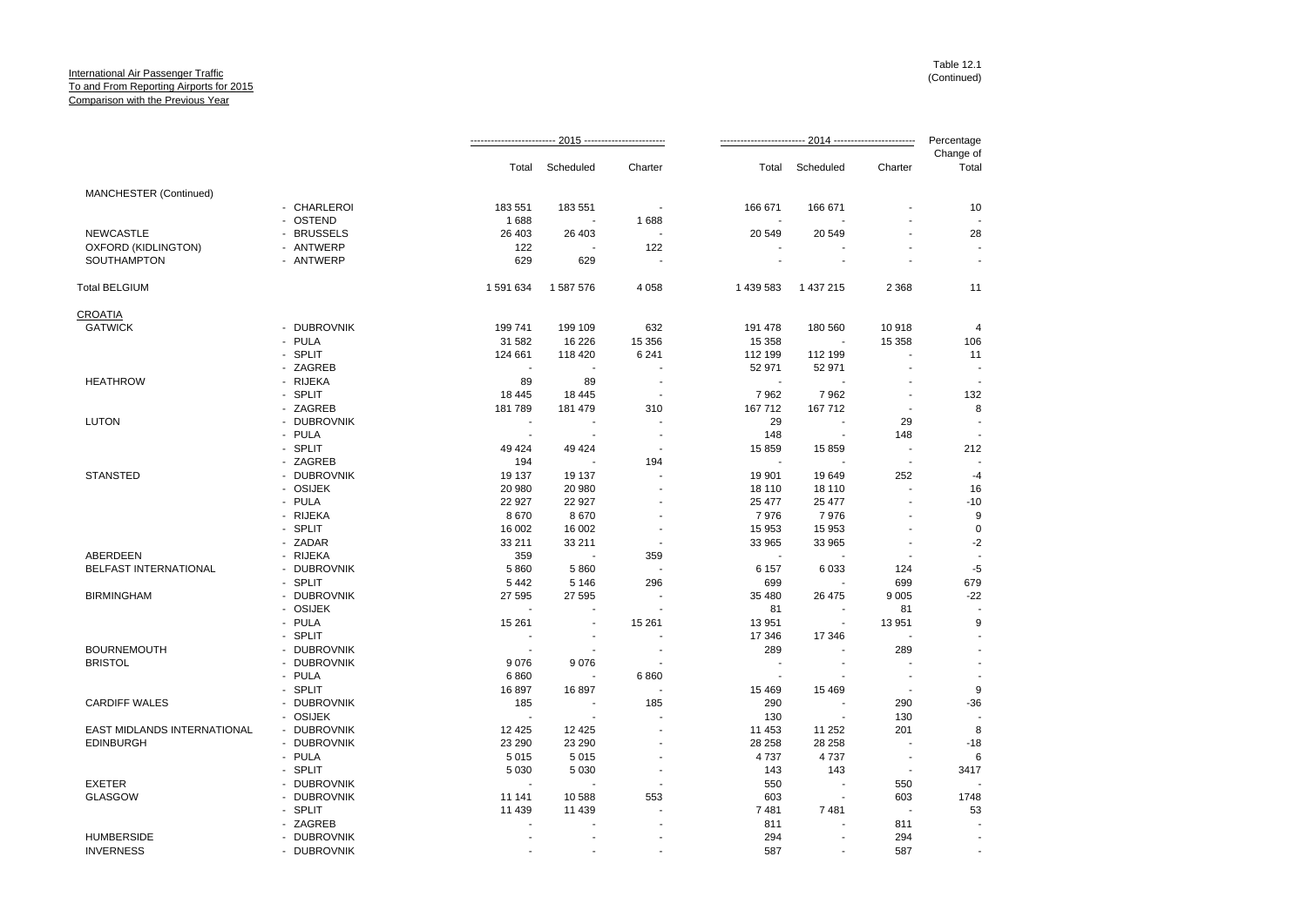|                             |             |                          |                |                          |                          |                          |                | Percentage               |
|-----------------------------|-------------|--------------------------|----------------|--------------------------|--------------------------|--------------------------|----------------|--------------------------|
|                             |             | Total                    | Scheduled      | Charter                  | Total                    | Scheduled                | Charter        | Change of<br>Total       |
| MANCHESTER (Continued)      |             |                          |                |                          |                          |                          |                |                          |
|                             | - CHARLEROI | 183 551                  | 183 551        |                          | 166 671                  | 166 671                  |                | 10                       |
|                             | - OSTEND    | 1688                     |                | 1688                     |                          |                          |                |                          |
| <b>NEWCASTLE</b>            | - BRUSSELS  | 26 403                   | 26 403         |                          | 20 549                   | 20 549                   |                | 28                       |
| OXFORD (KIDLINGTON)         | - ANTWERP   | 122                      |                | 122                      |                          |                          |                |                          |
| <b>SOUTHAMPTON</b>          | - ANTWERP   | 629                      | 629            | ÷.                       | ÷.                       |                          |                | ÷.                       |
| <b>Total BELGIUM</b>        |             | 1 591 634                | 1 587 576      | 4 0 5 8                  | 1 439 583                | 1 437 215                | 2 3 6 8        | 11                       |
| CROATIA                     |             |                          |                |                          |                          |                          |                |                          |
| <b>GATWICK</b>              | - DUBROVNIK | 199 741                  | 199 109        | 632                      | 191 478                  | 180 560                  | 10918          | $\overline{4}$           |
|                             | - PULA      | 31 582                   | 16 226         | 15 356                   | 15 358                   |                          | 15 3 58        | 106                      |
|                             | - SPLIT     | 124 661                  | 118 420        | 6 2 4 1                  | 112 199                  | 112 199                  |                | 11                       |
|                             | - ZAGREB    | $\sim$                   | $\sim$         |                          | 52 971                   | 52 971                   | $\overline{a}$ | $\overline{\phantom{a}}$ |
| <b>HEATHROW</b>             | - RIJEKA    | 89                       | 89             |                          |                          |                          |                |                          |
|                             | - SPLIT     | 18 4 45                  | 18 445         | $\overline{\phantom{a}}$ | 7962                     | 7962                     | $\overline{a}$ | 132                      |
|                             | - ZAGREB    | 181789                   | 181 479        | 310                      | 167 712                  | 167 712                  | $\blacksquare$ | 8                        |
| <b>LUTON</b>                | - DUBROVNIK | ÷.                       |                |                          | 29                       |                          | 29             |                          |
|                             | - PULA      | $\overline{\phantom{a}}$ |                | ٠.                       | 148                      | $\blacksquare$           | 148            |                          |
|                             | - SPLIT     | 49 4 24                  | 49 4 24        |                          | 15 859                   | 15 859                   | $\overline{a}$ | 212                      |
|                             | - ZAGREB    | 194                      |                | 194                      |                          |                          | $\blacksquare$ |                          |
| <b>STANSTED</b>             | - DUBROVNIK | 19 137                   | 19 137         |                          | 19 901                   | 19649                    | 252            | $-4$                     |
|                             | - OSIJEK    | 20 980                   | 20 980         |                          | 18 110                   | 18 110                   |                | 16                       |
|                             | - PULA      | 22 9 27                  | 22 9 27        |                          | 25 477                   | 25 477                   | J.             | $-10$                    |
|                             | - RIJEKA    | 8670                     | 8670           |                          | 7976                     | 7976                     |                | 9                        |
|                             | - SPLIT     | 16 002                   | 16 002         |                          | 15 953                   | 15 953                   |                | $\mathbf 0$              |
|                             | - ZADAR     | 33 211                   | 33 211         |                          | 33 965                   | 33 965                   |                | $-2$                     |
| ABERDEEN                    | - RIJEKA    | 359                      |                | 359                      |                          |                          |                |                          |
| BELFAST INTERNATIONAL       | - DUBROVNIK | 5860                     | 5860           |                          | 6 1 5 7                  | 6 0 3 3                  | 124            | $-5$                     |
|                             | - SPLIT     | 5 4 4 2                  | 5 1 4 6        | 296                      | 699                      |                          | 699            | 679                      |
| <b>BIRMINGHAM</b>           | - DUBROVNIK | 27 595                   | 27 595         |                          | 35 480                   | 26 475                   | 9 0 0 5        | $-22$                    |
|                             | - OSIJEK    |                          |                |                          | 81                       |                          | 81             |                          |
|                             | - PULA      | 15 261                   | $\blacksquare$ | 15 261                   | 13 951                   | $\overline{\phantom{a}}$ | 13 951         | 9                        |
|                             | - SPLIT     |                          |                |                          | 17 346                   | 17 346                   |                |                          |
| <b>BOURNEMOUTH</b>          | - DUBROVNIK | $\blacksquare$           |                |                          | 289                      |                          | 289            | $\overline{\phantom{a}}$ |
|                             |             |                          |                |                          | $\overline{\phantom{a}}$ |                          |                | $\overline{a}$           |
| <b>BRISTOL</b>              | - DUBROVNIK | 9076                     | 9076           |                          |                          |                          |                |                          |
|                             | - PULA      | 6860                     |                | 6860                     |                          |                          |                |                          |
|                             | - SPLIT     | 16897                    | 16897          |                          | 15 4 69                  | 15 4 69                  |                | 9                        |
| <b>CARDIFF WALES</b>        | - DUBROVNIK | 185                      |                | 185                      | 290                      |                          | 290            | $-36$                    |
|                             | - OSIJEK    | $\sim$                   |                |                          | 130                      | $\overline{\phantom{a}}$ | 130            |                          |
| EAST MIDLANDS INTERNATIONAL | - DUBROVNIK | 12 4 25                  | 12 4 25        |                          | 11 453                   | 11 252                   | 201            | 8                        |
| <b>EDINBURGH</b>            | - DUBROVNIK | 23 290                   | 23 290         |                          | 28 25 8                  | 28 258                   | ÷              | $-18$                    |
|                             | - PULA      | 5015                     | 5015           |                          | 4737                     | 4737                     |                | 6                        |
|                             | - SPLIT     | 5 0 3 0                  | 5 0 3 0        |                          | 143                      | 143                      | $\blacksquare$ | 3417                     |
| <b>EXETER</b>               | - DUBROVNIK | $\overline{\phantom{a}}$ |                |                          | 550                      |                          | 550            |                          |
| <b>GLASGOW</b>              | - DUBROVNIK | 11 141                   | 10 588         | 553                      | 603                      |                          | 603            | 1748                     |
|                             | - SPLIT     | 11 439                   | 11 439         |                          | 7481                     | 7481                     |                | 53                       |
|                             | - ZAGREB    | $\sim$                   |                |                          | 811                      |                          | 811            |                          |
| <b>HUMBERSIDE</b>           | - DUBROVNIK |                          |                |                          | 294                      |                          | 294            |                          |
| <b>INVERNESS</b>            | - DUBROVNIK |                          |                |                          | 587                      |                          | 587            |                          |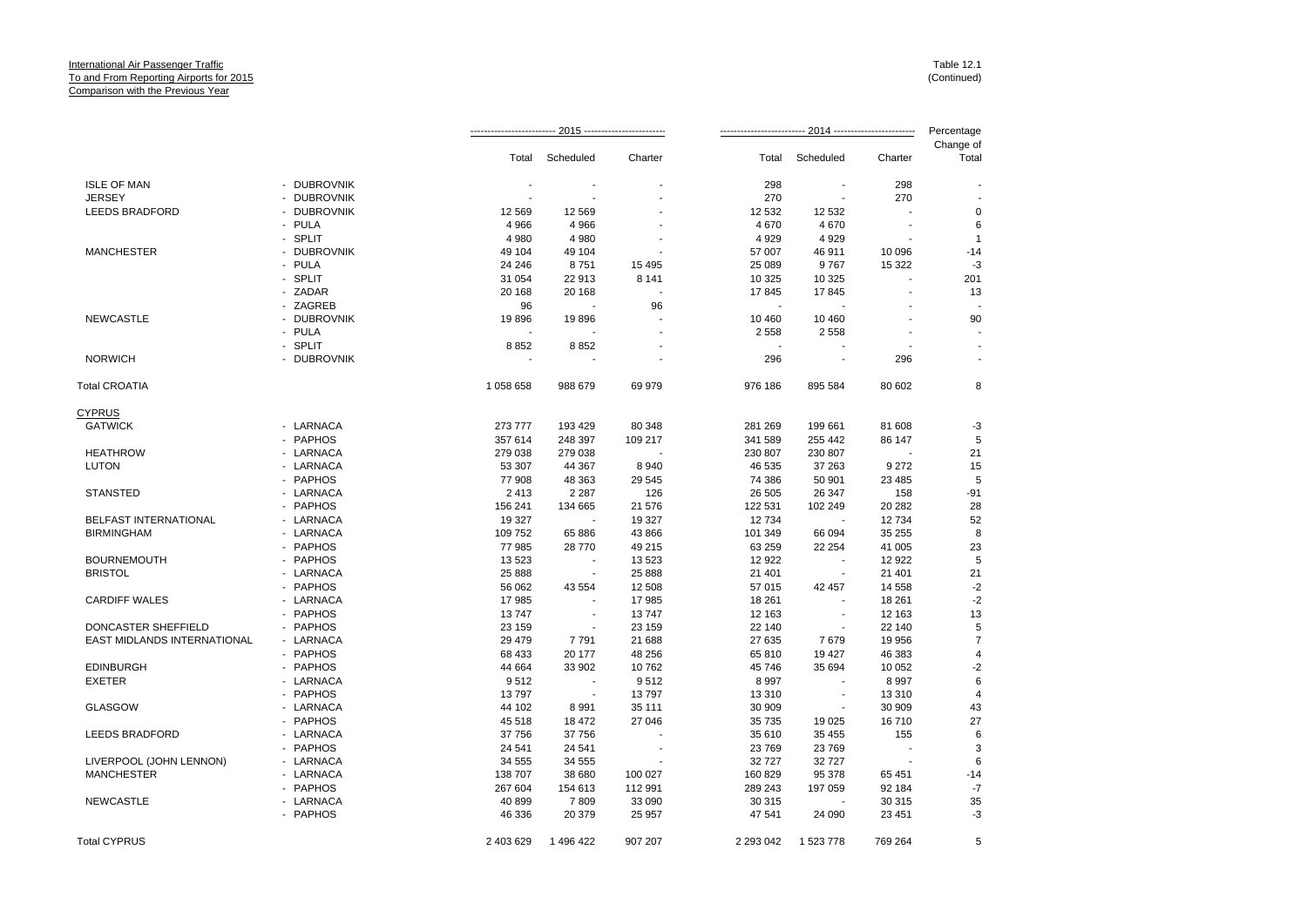|                              |             |           | $2015 -$  |         |           | 2014 ---------           |          | Percentage         |
|------------------------------|-------------|-----------|-----------|---------|-----------|--------------------------|----------|--------------------|
|                              |             | Total     | Scheduled | Charter | Total     | Scheduled                | Charter  | Change of<br>Total |
|                              |             |           |           |         |           |                          |          |                    |
| <b>ISLE OF MAN</b>           | - DUBROVNIK |           |           |         | 298       |                          | 298      |                    |
| <b>JERSEY</b>                | - DUBROVNIK |           |           |         | 270       |                          | 270      |                    |
| <b>LEEDS BRADFORD</b>        | - DUBROVNIK | 12 5 69   | 12 5 69   |         | 12 532    | 12 532                   |          | 0                  |
|                              | - PULA      | 4 9 6 6   | 4 9 6 6   |         | 4 670     | 4670                     |          | 6                  |
|                              | - SPLIT     | 4 9 8 0   | 4 9 8 0   |         | 4 9 2 9   | 4929                     |          | $\overline{1}$     |
| <b>MANCHESTER</b>            | - DUBROVNIK | 49 104    | 49 104    |         | 57 007    | 46 911                   | 10 096   | $-14$              |
|                              | - PULA      | 24 24 6   | 8751      | 15 4 95 | 25 089    | 9767                     | 15 3 22  | $-3$               |
|                              | - SPLIT     | 31 054    | 22 913    | 8 1 4 1 | 10 325    | 10 325                   |          | 201                |
|                              | - ZADAR     | 20 168    | 20 168    |         | 17845     | 17845                    |          | 13                 |
|                              | - ZAGREB    | 96        | $\sim$    | 96      |           |                          |          |                    |
| <b>NEWCASTLE</b>             | - DUBROVNIK | 19896     | 19896     |         | 10 460    | 10 460                   |          | 90                 |
|                              | - PULA      |           |           |         | 2 5 5 8   | 2558                     |          |                    |
|                              | - SPLIT     | 8852      | 8852      |         |           |                          |          |                    |
| <b>NORWICH</b>               | - DUBROVNIK |           |           |         | 296       |                          | 296      |                    |
| <b>Total CROATIA</b>         |             | 1 058 658 | 988 679   | 69 979  | 976 186   | 895 584                  | 80 602   | 8                  |
| <b>CYPRUS</b>                |             |           |           |         |           |                          |          |                    |
| <b>GATWICK</b>               | - LARNACA   | 273 777   | 193 429   | 80 348  | 281 269   | 199 661                  | 81 608   | $-3$               |
|                              | - PAPHOS    | 357 614   | 248 397   | 109 217 | 341 589   | 255 442                  | 86 147   | 5                  |
| <b>HEATHROW</b>              | - LARNACA   | 279 038   | 279 038   |         | 230 807   | 230 807                  |          | 21                 |
| <b>LUTON</b>                 | - LARNACA   | 53 307    | 44 367    | 8940    | 46 535    | 37 263                   | 9 2 7 2  | 15                 |
|                              | - PAPHOS    | 77 908    | 48 363    | 29 545  | 74 386    | 50 901                   | 23 4 8 5 | 5                  |
| <b>STANSTED</b>              | - LARNACA   | 2413      | 2 2 8 7   | 126     | 26 50 5   | 26 347                   | 158      | $-91$              |
|                              | - PAPHOS    | 156 241   | 134 665   | 21 576  | 122 531   | 102 249                  | 20 28 2  | 28                 |
| <b>BELFAST INTERNATIONAL</b> | - LARNACA   | 19 327    |           | 19 327  | 12734     |                          | 12734    | 52                 |
| <b>BIRMINGHAM</b>            | - LARNACA   | 109 752   | 65 886    | 43 866  | 101 349   | 66 094                   | 35 255   | 8                  |
|                              | - PAPHOS    | 77 985    | 28 770    | 49 215  | 63 259    | 22 254                   | 41 005   | 23                 |
| <b>BOURNEMOUTH</b>           | - PAPHOS    | 13 5 23   |           | 13 5 23 | 12 922    |                          | 12 9 22  | 5                  |
| <b>BRISTOL</b>               | - LARNACA   | 25 888    | $\sim$    | 25 888  | 21 401    | $\sim$                   | 21 401   | 21                 |
|                              | - PAPHOS    | 56 062    | 43 554    | 12 508  | 57 015    | 42 457                   | 14 5 58  | $-2$               |
| <b>CARDIFF WALES</b>         | - LARNACA   | 17985     |           | 17 985  | 18 261    |                          | 18 261   | $-2$               |
|                              | - PAPHOS    | 13747     |           | 13747   | 12 163    | ÷.                       | 12 163   | 13                 |
| DONCASTER SHEFFIELD          | - PAPHOS    | 23 159    |           | 23 159  | 22 140    | $\sim$                   | 22 140   | 5                  |
| EAST MIDLANDS INTERNATIONAL  | - LARNACA   | 29 4 79   | 7791      | 21 688  | 27 635    | 7679                     | 19 956   | $\overline{7}$     |
|                              | - PAPHOS    | 68 433    | 20 177    | 48 256  | 65 810    | 19 427                   | 46 383   | $\overline{4}$     |
| <b>EDINBURGH</b>             | - PAPHOS    | 44 664    | 33 902    | 10762   | 45 746    | 35 694                   | 10 052   | $-2$               |
| <b>EXETER</b>                | - LARNACA   | 9512      |           | 9512    | 8 9 9 7   |                          | 8 9 9 7  | 6                  |
|                              | - PAPHOS    | 13797     | $\sim$    | 13797   | 13 310    | $\overline{\phantom{a}}$ | 13 3 10  | $\overline{4}$     |
| <b>GLASGOW</b>               | - LARNACA   | 44 102    | 8991      | 35 111  | 30 909    | $\blacksquare$           | 30 909   | 43                 |
|                              | - PAPHOS    | 45 518    | 18 472    | 27 046  | 35 735    | 19 0 25                  | 16710    | 27                 |
| <b>LEEDS BRADFORD</b>        | - LARNACA   | 37 756    | 37 756    |         | 35 610    | 35 455                   | 155      | 6                  |
|                              | - PAPHOS    | 24 541    | 24 541    |         | 23 769    | 23 769                   |          | 3                  |
| LIVERPOOL (JOHN LENNON)      | - LARNACA   | 34 555    | 34 555    |         | 32 7 27   | 32 727                   | $\sim$   | 6                  |
| <b>MANCHESTER</b>            | - LARNACA   | 138 707   | 38 680    | 100 027 | 160 829   | 95 378                   | 65 451   | $-14$              |
|                              | - PAPHOS    | 267 604   | 154 613   | 112 991 | 289 243   | 197 059                  | 92 184   | $-7$               |
| <b>NEWCASTLE</b>             | - LARNACA   | 40 899    | 7809      | 33 090  | 30 315    |                          | 30 315   | 35                 |
|                              | - PAPHOS    | 46 336    | 20 379    | 25 957  | 47 541    | 24 090                   | 23 4 51  | $-3$               |
| <b>Total CYPRUS</b>          |             | 2 403 629 | 1496422   | 907 207 | 2 293 042 | 1 523 778                | 769 264  | 5                  |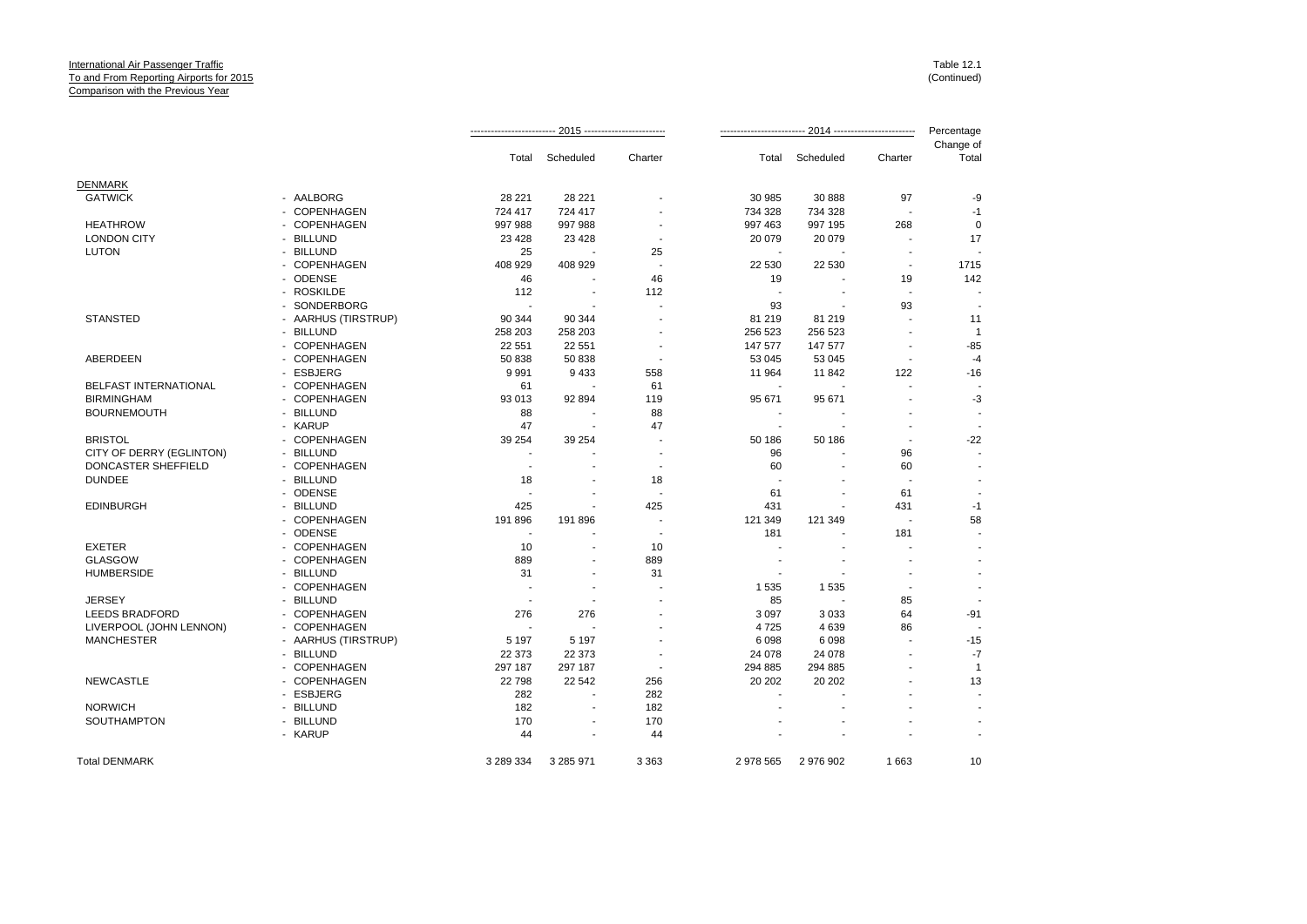|                          |                     |                          |                          |                          |                          |                |                          | Percentage         |
|--------------------------|---------------------|--------------------------|--------------------------|--------------------------|--------------------------|----------------|--------------------------|--------------------|
|                          |                     | Total                    | Scheduled                | Charter                  | Total                    | Scheduled      | Charter                  | Change of<br>Total |
| <b>DENMARK</b>           |                     |                          |                          |                          |                          |                |                          |                    |
| <b>GATWICK</b>           | - AALBORG           | 28 2 21                  | 28 221                   |                          | 30 985                   | 30 888         | 97                       | -9                 |
|                          | - COPENHAGEN        | 724 417                  | 724 417                  |                          | 734 328                  | 734 328        | $\overline{\phantom{a}}$ | $-1$               |
| <b>HEATHROW</b>          | - COPENHAGEN        | 997 988                  | 997 988                  |                          | 997 463                  | 997 195        | 268                      | $\mathbf 0$        |
| <b>LONDON CITY</b>       | - BILLUND           | 23 4 28                  | 23 4 28                  |                          | 20 079                   | 20 079         | ÷.                       | 17                 |
| <b>LUTON</b>             | - BILLUND           | 25                       |                          | 25                       |                          |                | $\overline{\phantom{a}}$ |                    |
|                          | - COPENHAGEN        | 408 929                  | 408 929                  |                          | 22 530                   | 22 530         | $\overline{\phantom{a}}$ | 1715               |
|                          | - ODENSE            | 46                       |                          | 46                       | 19                       |                | 19                       | 142                |
|                          | - ROSKILDE          | 112                      | $\sim$                   | 112                      |                          |                | $\overline{\phantom{a}}$ |                    |
|                          | - SONDERBORG        | ÷,                       |                          |                          | 93                       |                | 93                       |                    |
| <b>STANSTED</b>          | - AARHUS (TIRSTRUP) | 90 344                   | 90 344                   |                          | 81 219                   | 81 219         |                          | 11                 |
|                          | - BILLUND           | 258 203                  | 258 203                  |                          | 256 523                  | 256 523        | ٠                        | $\overline{1}$     |
|                          | - COPENHAGEN        | 22 551                   | 22 5 51                  |                          | 147 577                  | 147 577        | $\overline{\phantom{a}}$ | $-85$              |
| ABERDEEN                 | - COPENHAGEN        | 50 838                   | 50 838                   |                          | 53 045                   | 53 045         | ÷.                       | $-4$               |
|                          | - ESBJERG           | 9991                     | 9 4 3 3                  | 558                      | 11 964                   | 11 842         | 122                      | $-16$              |
| BELFAST INTERNATIONAL    | - COPENHAGEN        | 61                       |                          | 61                       | $\overline{\phantom{a}}$ |                |                          |                    |
| <b>BIRMINGHAM</b>        | - COPENHAGEN        | 93 013                   | 92 894                   | 119                      | 95 671                   | 95 671         |                          | $-3$               |
| <b>BOURNEMOUTH</b>       | - BILLUND           | 88                       | $\overline{\phantom{a}}$ | 88                       | ٠                        |                |                          |                    |
|                          | - KARUP             | 47                       | $\sim$                   | 47                       | ٠                        | $\overline{a}$ | $\overline{\phantom{a}}$ |                    |
| <b>BRISTOL</b>           | - COPENHAGEN        | 39 254                   | 39 254                   | $\overline{a}$           | 50 186                   | 50 186         | $\overline{\phantom{a}}$ | $-22$              |
| CITY OF DERRY (EGLINTON) | - BILLUND           |                          |                          |                          | 96                       |                | 96                       |                    |
| DONCASTER SHEFFIELD      | - COPENHAGEN        | $\sim$                   |                          | $\blacksquare$           | 60                       |                | 60                       |                    |
| <b>DUNDEE</b>            | - BILLUND           | 18                       | ٠                        | 18                       |                          |                |                          |                    |
|                          | - ODENSE            |                          |                          | $\overline{\phantom{a}}$ | 61                       |                | 61                       |                    |
| <b>EDINBURGH</b>         | - BILLUND           | 425                      | ٠                        | 425                      | 431                      | ٠              | 431                      | $-1$               |
|                          | - COPENHAGEN        | 191 896                  | 191 896                  | $\overline{a}$           | 121 349                  | 121 349        | $\overline{\phantom{a}}$ | 58                 |
|                          | - ODENSE            | $\overline{\phantom{a}}$ |                          | . .                      | 181                      |                | 181                      |                    |
| <b>EXETER</b>            | - COPENHAGEN        | 10                       |                          | 10                       |                          |                |                          |                    |
| <b>GLASGOW</b>           | - COPENHAGEN        | 889                      | $\overline{a}$           | 889                      |                          |                |                          |                    |
| <b>HUMBERSIDE</b>        | - BILLUND           | 31                       |                          | 31                       |                          |                |                          |                    |
|                          | - COPENHAGEN        | ÷.                       | ÷                        |                          | 1 5 3 5                  | 1535           | $\overline{\phantom{a}}$ |                    |
| <b>JERSEY</b>            | - BILLUND           | ÷                        | ۰.                       |                          | 85                       |                | 85                       |                    |
| <b>LEEDS BRADFORD</b>    | - COPENHAGEN        | 276                      | 276                      |                          | 3 0 9 7                  | 3 0 3 3        | 64                       | $-91$              |
| LIVERPOOL (JOHN LENNON)  | - COPENHAGEN        | $\overline{\phantom{a}}$ |                          |                          | 4725                     | 4639           | 86                       |                    |
| <b>MANCHESTER</b>        | - AARHUS (TIRSTRUP) | 5 1 9 7                  | 5 1 9 7                  |                          | 6 0 98                   | 6098           |                          | $-15$              |
|                          | - BILLUND           | 22 373                   | 22 373                   |                          | 24 078                   | 24 078         | ٠                        | $-7$               |
|                          | - COPENHAGEN        | 297 187                  | 297 187                  |                          | 294 885                  | 294 885        |                          | $\mathbf{1}$       |
| <b>NEWCASTLE</b>         | - COPENHAGEN        | 22798                    | 22 542                   | 256                      | 20 20 2                  | 20 20 2        |                          | 13                 |
|                          | - ESBJERG           | 282                      | $\sim$                   | 282                      |                          |                |                          |                    |
| <b>NORWICH</b>           | - BILLUND           | 182                      |                          | 182                      |                          |                |                          |                    |
| SOUTHAMPTON              | - BILLUND           | 170                      | $\blacksquare$           | 170                      |                          |                |                          |                    |
|                          | - KARUP             | 44                       |                          | 44                       |                          |                |                          |                    |
| <b>Total DENMARK</b>     |                     | 3 289 334                | 3 285 971                | 3 3 6 3                  | 2 978 565                | 2 976 902      | 1663                     | 10                 |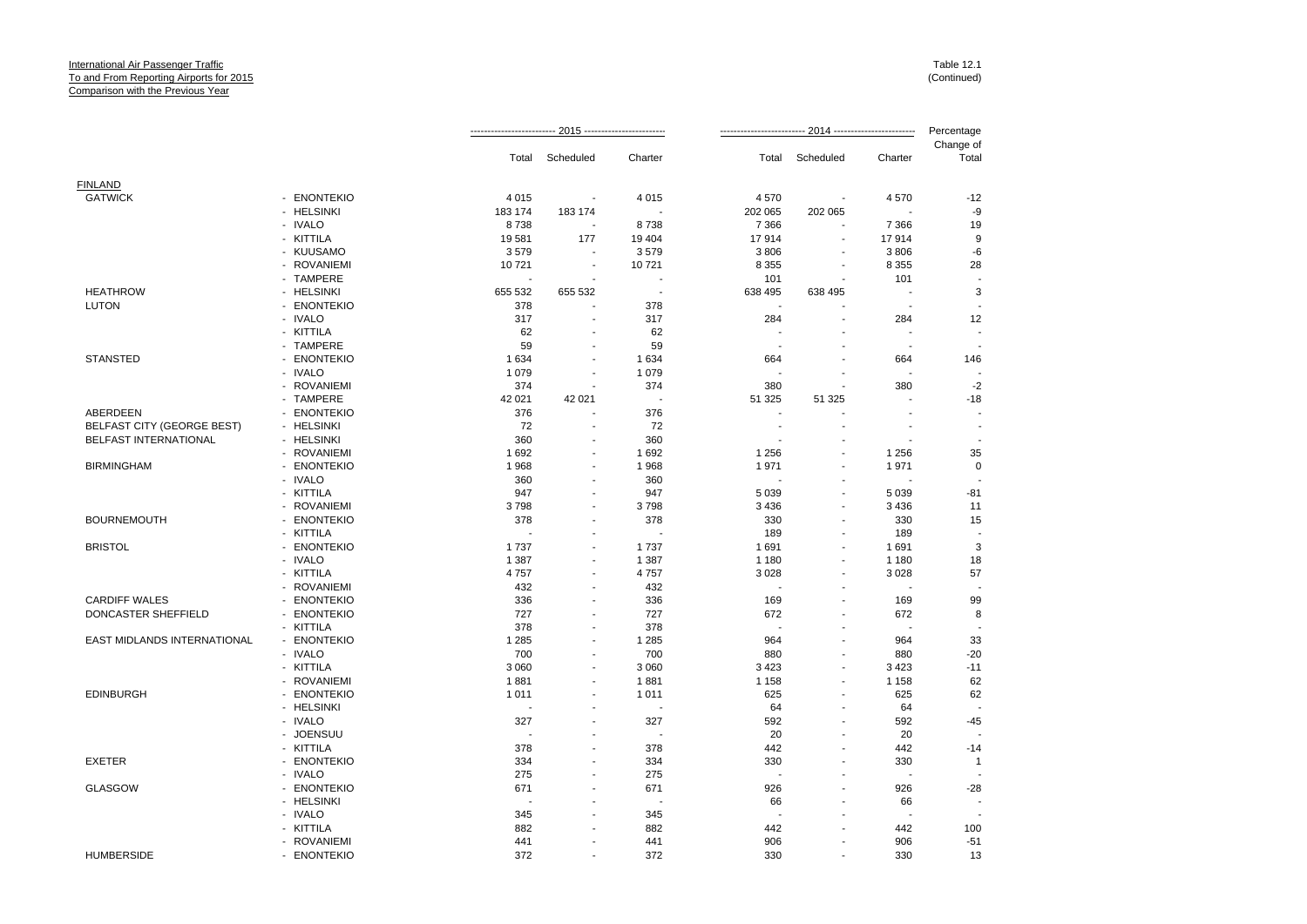|                                   |             | Total                    | Scheduled                | Charter                  | Total   | Scheduled                | Charter                  | Change of<br>Total |
|-----------------------------------|-------------|--------------------------|--------------------------|--------------------------|---------|--------------------------|--------------------------|--------------------|
| <b>FINLAND</b>                    |             |                          |                          |                          |         |                          |                          |                    |
| <b>GATWICK</b>                    | - ENONTEKIO | 4 0 1 5                  |                          | 4 0 1 5                  | 4570    |                          | 4570                     | $-12$              |
|                                   | - HELSINKI  | 183 174                  | 183 174                  |                          | 202 065 | 202 065                  |                          | -9                 |
|                                   | - IVALO     | 8738                     |                          | 8738                     | 7 3 6 6 |                          | 7 3 6 6                  | 19                 |
|                                   | - KITTILA   | 19581                    | 177                      | 19 4 04                  | 17914   | $\tilde{\phantom{a}}$    | 17914                    | 9                  |
|                                   | - KUUSAMO   | 3579                     |                          | 3579                     | 3806    |                          | 3 8 0 6                  | $-6$               |
|                                   | - ROVANIEMI | 10721                    |                          | 10721                    | 8 3 5 5 |                          | 8 3 5 5                  | 28                 |
|                                   | - TAMPERE   |                          |                          | $\overline{\phantom{a}}$ | 101     |                          | 101                      |                    |
| <b>HEATHROW</b>                   | - HELSINKI  | 655 532                  | 655 532                  | $\overline{\phantom{a}}$ | 638 495 | 638 495                  |                          | 3                  |
| <b>LUTON</b>                      | - ENONTEKIO | 378                      |                          | 378                      |         |                          |                          |                    |
|                                   | - IVALO     | 317                      |                          | 317                      | 284     |                          | 284                      | 12                 |
|                                   | - KITTILA   | 62                       |                          | 62                       |         |                          | $\overline{\phantom{a}}$ |                    |
|                                   | - TAMPERE   | 59                       |                          | 59                       |         |                          |                          |                    |
| <b>STANSTED</b>                   | - ENONTEKIO | 1 6 3 4                  |                          | 1 6 3 4                  | 664     |                          | 664                      | 146                |
|                                   | - IVALO     | 1079                     | $\blacksquare$           | 1 0 7 9                  |         |                          |                          |                    |
|                                   | - ROVANIEMI | 374                      | ÷.                       | 374                      | 380     |                          | 380                      | $-2$               |
|                                   | - TAMPERE   | 42 021                   | 42 021                   | $\overline{\phantom{a}}$ | 51 325  | 51 325                   |                          | $-18$              |
| ABERDEEN                          | - ENONTEKIO | 376                      |                          | 376                      |         |                          |                          |                    |
| <b>BELFAST CITY (GEORGE BEST)</b> | - HELSINKI  | 72                       | ÷.                       | 72                       | ÷.      | ÷.                       | $\overline{a}$           |                    |
| BELFAST INTERNATIONAL             | - HELSINKI  | 360                      | $\blacksquare$           | 360                      |         |                          |                          |                    |
|                                   | - ROVANIEMI | 1692                     | ÷.                       | 1692                     | 1 2 5 6 | ÷                        | 1 2 5 6                  | 35                 |
| <b>BIRMINGHAM</b>                 | - ENONTEKIO | 1968                     |                          | 1968                     | 1971    |                          | 1971                     | $\mathbf 0$        |
|                                   | - IVALO     | 360                      | $\overline{a}$           | 360                      |         |                          |                          |                    |
|                                   | - KITTILA   | 947                      |                          | 947                      | 5 0 3 9 | $\overline{\phantom{a}}$ | 5 0 3 9                  | $-81$              |
|                                   |             | 3798                     |                          | 3798                     | 3 4 3 6 | ÷.                       |                          | 11                 |
|                                   | - ROVANIEMI |                          |                          |                          |         |                          | 3 4 3 6                  |                    |
| <b>BOURNEMOUTH</b>                | - ENONTEKIO | 378                      |                          | 378                      | 330     | $\sim$                   | 330                      | 15                 |
|                                   | - KITTILA   |                          | ÷,                       |                          | 189     |                          | 189                      |                    |
| <b>BRISTOL</b>                    | - ENONTEKIO | 1737                     |                          | 1737                     | 1691    |                          | 1691                     | 3                  |
|                                   | - IVALO     | 1 3 8 7                  | $\blacksquare$           | 1 3 8 7                  | 1 1 8 0 | ÷.                       | 1 1 8 0                  | 18                 |
|                                   | - KITTILA   | 4757                     |                          | 4757                     | 3 0 28  |                          | 3 0 28                   | 57                 |
|                                   | - ROVANIEMI | 432                      | $\blacksquare$           | 432                      |         | $\overline{\phantom{a}}$ |                          |                    |
| <b>CARDIFF WALES</b>              | - ENONTEKIO | 336                      | $\overline{\phantom{a}}$ | 336                      | 169     | $\overline{\phantom{a}}$ | 169                      | 99                 |
| DONCASTER SHEFFIELD               | - ENONTEKIO | 727                      |                          | 727                      | 672     |                          | 672                      | 8                  |
|                                   | - KITTILA   | 378                      | $\blacksquare$           | 378                      |         | ÷                        | $\overline{\phantom{a}}$ |                    |
| EAST MIDLANDS INTERNATIONAL       | - ENONTEKIO | 1 2 8 5                  | $\overline{\phantom{a}}$ | 1 2 8 5                  | 964     |                          | 964                      | 33                 |
|                                   | - IVALO     | 700                      | ÷                        | 700                      | 880     | ÷.                       | 880                      | $-20$              |
|                                   | - KITTILA   | 3 0 6 0                  |                          | 3 0 6 0                  | 3 4 2 3 |                          | 3 4 2 3                  | $-11$              |
|                                   | - ROVANIEMI | 1881                     | $\blacksquare$           | 1881                     | 1 1 5 8 | $\overline{a}$           | 1 1 5 8                  | 62                 |
| <b>EDINBURGH</b>                  | - ENONTEKIO | 1011                     | $\blacksquare$           | 1011                     | 625     |                          | 625                      | 62                 |
|                                   | - HELSINKI  | $\overline{\phantom{a}}$ |                          |                          | 64      | ÷                        | 64                       |                    |
|                                   | - IVALO     | 327                      |                          | 327                      | 592     |                          | 592                      | $-45$              |
|                                   | - JOENSUU   |                          |                          | $\overline{\phantom{a}}$ | 20      |                          | 20                       |                    |
|                                   | - KITTILA   | 378                      |                          | 378                      | 442     |                          | 442                      | $-14$              |
| <b>EXETER</b>                     | - ENONTEKIO | 334                      |                          | 334                      | 330     |                          | 330                      | $\overline{1}$     |
|                                   | - IVALO     | 275                      |                          | 275                      |         |                          | $\overline{\phantom{a}}$ |                    |
| <b>GLASGOW</b>                    | - ENONTEKIO | 671                      | $\blacksquare$           | 671                      | 926     |                          | 926                      | $-28$              |
|                                   | - HELSINKI  |                          |                          |                          | 66      |                          | 66                       |                    |
|                                   | - IVALO     | 345                      |                          | 345                      |         |                          |                          |                    |
|                                   | - KITTILA   | 882                      |                          | 882                      | 442     |                          | 442                      | 100                |
|                                   | - ROVANIEMI | 441                      |                          | 441                      | 906     |                          | 906                      | $-51$              |
| <b>HUMBERSIDE</b>                 | - ENONTEKIO | 372                      |                          | 372                      | 330     |                          | 330                      | 13                 |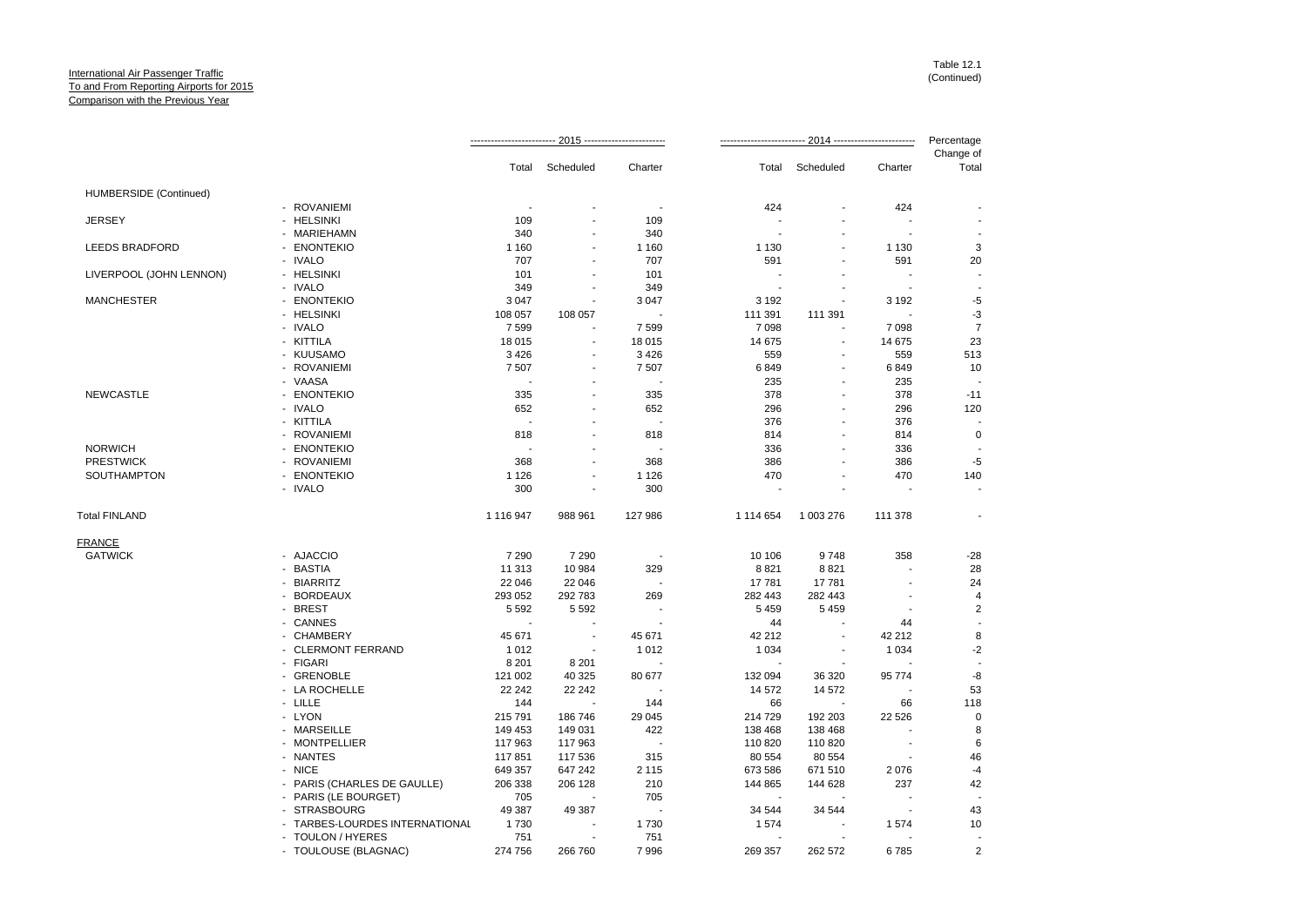|                         |                                |                          |                          |         |           |           |                          | Percentage         |
|-------------------------|--------------------------------|--------------------------|--------------------------|---------|-----------|-----------|--------------------------|--------------------|
|                         |                                |                          | Total Scheduled          | Charter | Total     | Scheduled | Charter                  | Change of<br>Total |
| HUMBERSIDE (Continued)  |                                |                          |                          |         |           |           |                          |                    |
|                         | - ROVANIEMI                    |                          |                          |         | 424       |           | 424                      |                    |
| <b>JERSEY</b>           | - HELSINKI                     | 109                      |                          | 109     |           |           |                          |                    |
|                         | - MARIEHAMN                    | 340                      |                          | 340     |           |           |                          |                    |
| <b>LEEDS BRADFORD</b>   | - ENONTEKIO                    | 1 1 6 0                  |                          | 1 1 6 0 | 1 1 3 0   |           | 1 1 3 0                  | 3                  |
|                         | - IVALO                        | 707                      |                          | 707     | 591       |           | 591                      | 20                 |
| LIVERPOOL (JOHN LENNON) | - HELSINKI                     | 101                      |                          | 101     |           |           |                          |                    |
|                         | - IVALO                        | 349                      |                          | 349     |           |           |                          |                    |
| <b>MANCHESTER</b>       | - ENONTEKIO                    | 3 0 4 7                  | $\blacksquare$           | 3 0 4 7 | 3 1 9 2   |           | 3 1 9 2                  | $-5$               |
|                         | - HELSINKI                     | 108 057                  | 108 057                  |         | 111 391   | 111 391   |                          | $-3$               |
|                         | - IVALO                        | 7599                     |                          | 7599    | 7 0 9 8   |           | 7 0 9 8                  | $\overline{7}$     |
|                         | - KITTILA                      | 18 015                   |                          | 18 015  | 14 675    |           | 14 675                   | 23                 |
|                         | - KUUSAMO                      | 3 4 2 6                  | $\overline{a}$           | 3 4 2 6 | 559       |           | 559                      | 513                |
|                         | - ROVANIEMI                    | 7 5 0 7                  |                          | 7 5 0 7 | 6849      |           | 6849                     | 10                 |
|                         | - VAASA                        |                          |                          |         | 235       |           | 235                      |                    |
| <b>NEWCASTLE</b>        | - ENONTEKIO                    | 335                      |                          | 335     | 378       |           | 378                      | $-11$              |
|                         | - IVALO                        | 652                      |                          | 652     | 296       |           | 296                      | 120                |
|                         |                                | $\overline{\phantom{a}}$ |                          |         |           |           |                          |                    |
|                         | - KITTILA                      |                          |                          |         | 376       |           | 376                      |                    |
|                         | - ROVANIEMI                    | 818                      |                          | 818     | 814       |           | 814                      | $\mathsf 0$        |
| <b>NORWICH</b>          | - ENONTEKIO                    |                          |                          |         | 336       |           | 336                      |                    |
| <b>PRESTWICK</b>        | - ROVANIEMI                    | 368                      |                          | 368     | 386       |           | 386                      | $-5$               |
| SOUTHAMPTON             | - ENONTEKIO                    | 1 1 2 6                  |                          | 1 1 2 6 | 470       |           | 470                      | 140                |
|                         | - IVALO                        | 300                      | ä,                       | 300     |           |           |                          |                    |
| <b>Total FINLAND</b>    |                                | 1 116 947                | 988 961                  | 127 986 | 1 114 654 | 1 003 276 | 111 378                  |                    |
| <b>FRANCE</b>           |                                |                          |                          |         |           |           |                          |                    |
| <b>GATWICK</b>          | - AJACCIO                      | 7 2 9 0                  | 7 2 9 0                  |         | 10 106    | 9748      | 358                      | $-28$              |
|                         | - BASTIA                       | 11 313                   | 10 984                   | 329     | 8821      | 8821      |                          | 28                 |
|                         | - BIARRITZ                     | 22 046                   | 22 046                   |         | 17781     | 17781     |                          | 24                 |
|                         | - BORDEAUX                     | 293 052                  | 292 783                  | 269     | 282 443   | 282 443   |                          | $\overline{4}$     |
|                         | - BREST                        | 5 5 9 2                  | 5 5 9 2                  |         | 5 4 5 9   | 5 4 5 9   |                          | 2                  |
|                         | - CANNES                       | $\blacksquare$           |                          |         | 44        |           | 44                       |                    |
|                         | - CHAMBERY                     | 45 671                   | $\overline{\phantom{a}}$ | 45 671  | 42 212    |           | 42 212                   | 8                  |
|                         | - CLERMONT FERRAND             | 1 0 1 2                  |                          | 1012    | 1 0 3 4   |           | 1 0 3 4                  | $-2$               |
|                         | - FIGARI                       | 8 2 0 1                  | 8 2 0 1                  |         |           |           |                          |                    |
|                         | - GRENOBLE                     | 121 002                  | 40 325                   | 80 677  | 132 094   | 36 320    | 95 7 7 4                 | -8                 |
|                         | - LA ROCHELLE                  | 22 24 2                  | 22 24 2                  |         | 14 572    | 14 572    |                          | 53                 |
|                         | - LILLE                        | 144                      | $\blacksquare$           | 144     | 66        |           | 66                       | 118                |
|                         | - LYON                         | 215 791                  | 186 746                  | 29 045  | 214 729   | 192 203   | 22 5 26                  | $\mathbf 0$        |
|                         | - MARSEILLE                    | 149 453                  | 149 031                  | 422     | 138 468   | 138 468   |                          | 8                  |
|                         | - MONTPELLIER                  | 117 963                  | 117 963                  |         | 110 820   | 110 820   | $\overline{\phantom{a}}$ | 6                  |
|                         | - NANTES                       | 117851                   | 117 536                  | 315     | 80 554    | 80 554    | $\blacksquare$           | 46                 |
|                         | - NICE                         | 649 357                  | 647 242                  | 2 1 1 5 | 673 586   | 671 510   | 2076                     | $-4$               |
|                         | - PARIS (CHARLES DE GAULLE)    | 206 338                  | 206 128                  | 210     | 144 865   | 144 628   | 237                      | 42                 |
|                         | - PARIS (LE BOURGET)           | 705                      | ÷.                       | 705     |           |           | ÷.                       |                    |
|                         | - STRASBOURG                   | 49 387                   | 49 387                   |         | 34 544    | 34 544    | $\overline{\phantom{a}}$ | 43                 |
|                         | - TARBES-LOURDES INTERNATIONAL | 1730                     |                          | 1730    | 1574      |           | 1574                     | 10                 |
|                         | - TOULON / HYERES              | 751                      |                          | 751     |           |           |                          |                    |
|                         | - TOULOUSE (BLAGNAC)           | 274 756                  | 266 760                  | 7996    | 269 357   | 262 572   | 6785                     | $\overline{2}$     |
|                         |                                |                          |                          |         |           |           |                          |                    |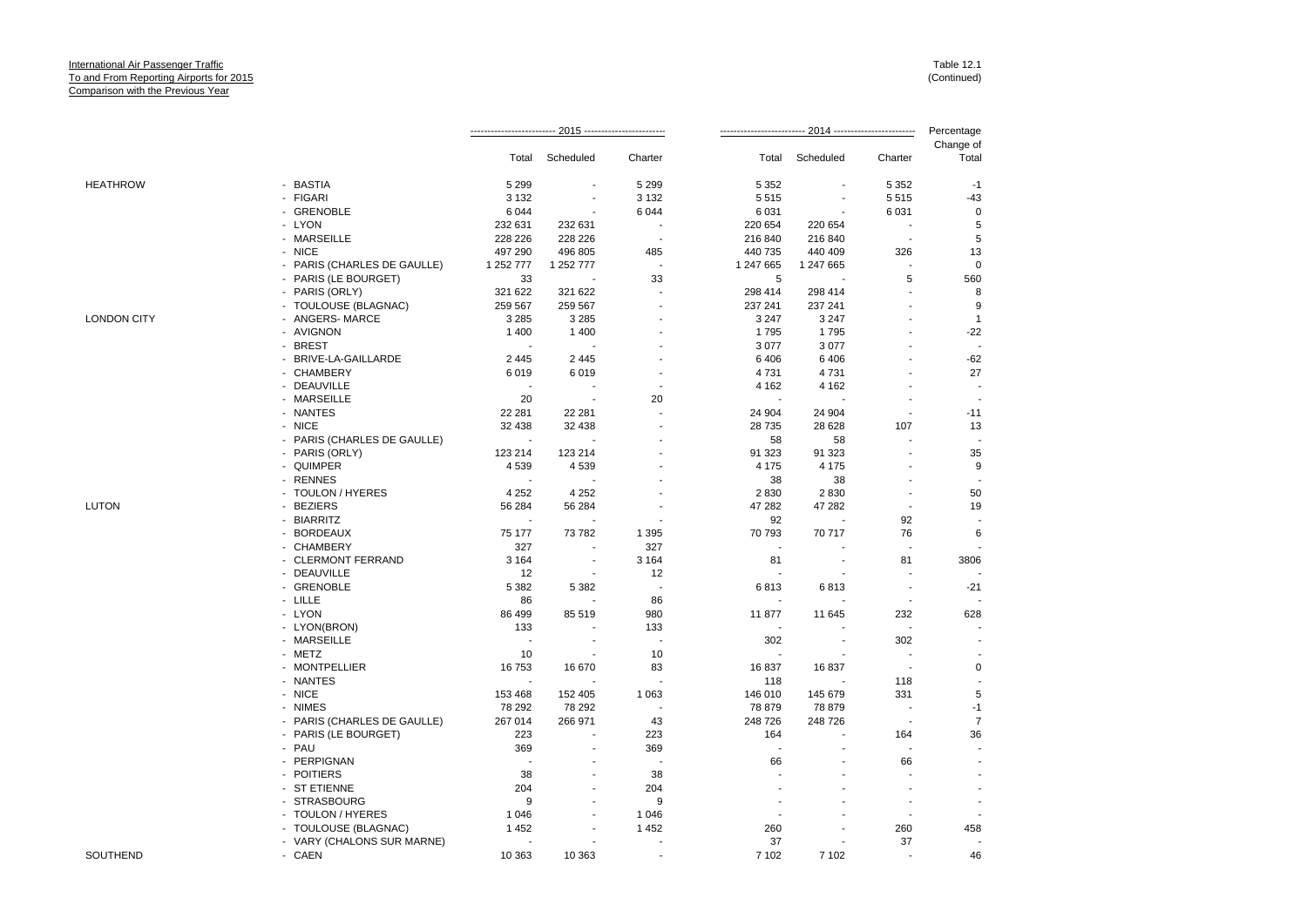|                    |                             |           |                                                       |                          |           | Percentage<br>2014 ------------------------- |         |                          |
|--------------------|-----------------------------|-----------|-------------------------------------------------------|--------------------------|-----------|----------------------------------------------|---------|--------------------------|
|                    |                             | Total     | Scheduled<br>Scheduled<br>Charter<br>Total<br>Charter | Change of<br>Total       |           |                                              |         |                          |
| HEATHROW           | - BASTIA                    | 5 2 9 9   |                                                       | 5 2 9 9                  | 5 3 5 2   |                                              | 5 3 5 2 | $-1$                     |
|                    | - FIGARI                    | 3 1 3 2   |                                                       | 3 1 3 2                  | 5515      |                                              | 5515    | $-43$                    |
|                    | - GRENOBLE                  | 6 0 4 4   | ÷.                                                    | 6 0 4 4                  | 6 0 31    |                                              | 6 0 31  | 0                        |
|                    | - LYON                      | 232 631   | 232 631                                               | $\overline{a}$           | 220 654   | 220 654                                      |         | $\,$ 5 $\,$              |
|                    | - MARSEILLE                 | 228 226   | 228 226                                               | ÷,                       | 216 840   | 216 840                                      | ÷.      | 5                        |
|                    | - NICE                      | 497 290   | 496 805                                               | 485                      | 440 735   | 440 409                                      | 326     | 13                       |
|                    | - PARIS (CHARLES DE GAULLE) | 1 252 777 | 1 252 777                                             | ÷,                       | 1 247 665 | 1 247 665                                    |         | $\mathsf 0$              |
|                    | - PARIS (LE BOURGET)        | 33        |                                                       | 33                       | 5         |                                              | 5       | 560                      |
|                    | - PARIS (ORLY)              | 321 622   | 321 622                                               | $\overline{a}$           | 298 414   | 298 414                                      |         | 8                        |
|                    | - TOULOUSE (BLAGNAC)        | 259 567   | 259 567                                               |                          | 237 241   | 237 241                                      |         | 9                        |
| <b>LONDON CITY</b> | - ANGERS-MARCE              | 3 2 8 5   | 3 2 8 5                                               |                          | 3 2 4 7   | 3 2 4 7                                      |         | $\mathbf{1}$             |
|                    | - AVIGNON                   | 1 4 0 0   | 1 4 0 0                                               |                          | 1795      | 1795                                         |         | $-22$                    |
|                    | - BREST                     |           |                                                       |                          | 3 0 7 7   | 3 0 7 7                                      |         | $\overline{\phantom{a}}$ |
|                    | - BRIVE-LA-GAILLARDE        | 2 4 4 5   | 2 4 4 5                                               |                          | 6406      | 6406                                         |         | $-62$                    |
|                    | - CHAMBERY                  | 6019      | 6019                                                  |                          | 4731      | 4731                                         |         | 27                       |
|                    |                             |           |                                                       |                          |           |                                              |         |                          |
|                    | - DEAUVILLE                 |           |                                                       |                          | 4 1 6 2   | 4 1 6 2                                      |         |                          |
|                    | - MARSEILLE                 | 20        |                                                       | 20                       |           |                                              |         |                          |
|                    | - NANTES                    | 22 281    | 22 281                                                |                          | 24 904    | 24 904                                       |         | $-11$                    |
|                    | - NICE                      | 32 4 38   | 32 4 38                                               |                          | 28 7 35   | 28 6 28                                      | 107     | 13                       |
|                    | - PARIS (CHARLES DE GAULLE) |           |                                                       |                          | 58        | 58                                           |         |                          |
|                    | - PARIS (ORLY)              | 123 214   | 123 214                                               |                          | 91 323    | 91 323                                       |         | 35                       |
|                    | - QUIMPER                   | 4539      | 4539                                                  |                          | 4 1 7 5   | 4 1 7 5                                      |         | 9                        |
|                    | - RENNES                    |           |                                                       |                          | 38        | 38                                           |         |                          |
|                    | - TOULON / HYERES           | 4 2 5 2   | 4 2 5 2                                               |                          | 2830      | 2830                                         |         | 50                       |
| LUTON              | <b>BEZIERS</b>              | 56 284    | 56 284                                                |                          | 47 282    | 47 282                                       |         | 19                       |
|                    | - BIARRITZ                  |           |                                                       |                          | 92        |                                              | 92      |                          |
|                    | - BORDEAUX                  | 75 177    | 73 782                                                | 1 3 9 5                  | 70 793    | 70 717                                       | 76      | 6                        |
|                    | - CHAMBERY                  | 327       |                                                       | 327                      |           |                                              |         |                          |
|                    | - CLERMONT FERRAND          | 3 1 6 4   |                                                       | 3 1 6 4                  | 81        |                                              | 81      | 3806                     |
|                    | - DEAUVILLE                 | 12        |                                                       | 12                       |           |                                              |         |                          |
|                    | - GRENOBLE                  | 5 3 8 2   | 5 3 8 2                                               | $\overline{\phantom{a}}$ | 6813      | 6813                                         |         | $-21$                    |
|                    | - LILLE                     | 86        |                                                       | 86                       |           |                                              |         |                          |
|                    | - LYON                      | 86 499    | 85 519                                                | 980                      | 11877     | 11 645                                       | 232     | 628                      |
|                    | - LYON(BRON)                | 133       |                                                       | 133                      |           |                                              |         |                          |
|                    | - MARSEILLE                 | ÷.        | $\overline{\phantom{a}}$                              | $\sim$                   | 302       | $\sim$                                       | 302     |                          |
|                    | - METZ                      | 10        |                                                       | 10                       |           |                                              |         |                          |
|                    | - MONTPELLIER               | 16753     | 16 670                                                | 83                       | 16837     | 16837                                        |         | 0                        |
|                    | - NANTES                    |           |                                                       | J.                       | 118       |                                              | 118     |                          |
|                    | - NICE                      | 153 468   | 152 405                                               | 1 0 6 3                  | 146 010   | 145 679                                      | 331     | 5                        |
|                    | - NIMES                     | 78 292    | 78 292                                                |                          | 78 879    | 78 879                                       |         | $-1$                     |
|                    | - PARIS (CHARLES DE GAULLE) | 267 014   | 266 971                                               | 43                       | 248 726   | 248 726                                      |         | $\boldsymbol{7}$         |
|                    | - PARIS (LE BOURGET)        | 223       |                                                       | 223                      | 164       |                                              | 164     | 36                       |
|                    | - PAU                       | 369       | $\overline{\phantom{a}}$                              | 369                      |           |                                              |         |                          |
|                    | - PERPIGNAN                 |           |                                                       | $\overline{\phantom{a}}$ | 66        |                                              | 66      |                          |
|                    | - POITIERS                  | 38        |                                                       |                          |           |                                              |         |                          |
|                    |                             |           |                                                       | 38                       |           |                                              |         |                          |
|                    | - ST ETIENNE                | 204       |                                                       | 204                      |           |                                              |         |                          |
|                    | - STRASBOURG                | 9         |                                                       | $9\,$                    |           |                                              |         |                          |
|                    | - TOULON / HYERES           | 1 0 4 6   |                                                       | 1 0 4 6                  |           |                                              |         |                          |
|                    | - TOULOUSE (BLAGNAC)        | 1452      |                                                       | 1452                     | 260       |                                              | 260     | 458                      |
|                    | - VARY (CHALONS SUR MARNE)  |           |                                                       |                          | 37        |                                              | 37      | $\overline{\phantom{a}}$ |
| SOUTHEND           | - CAEN                      | 10 363    | 10 363                                                |                          | 7 102     | 7 1 0 2                                      |         | 46                       |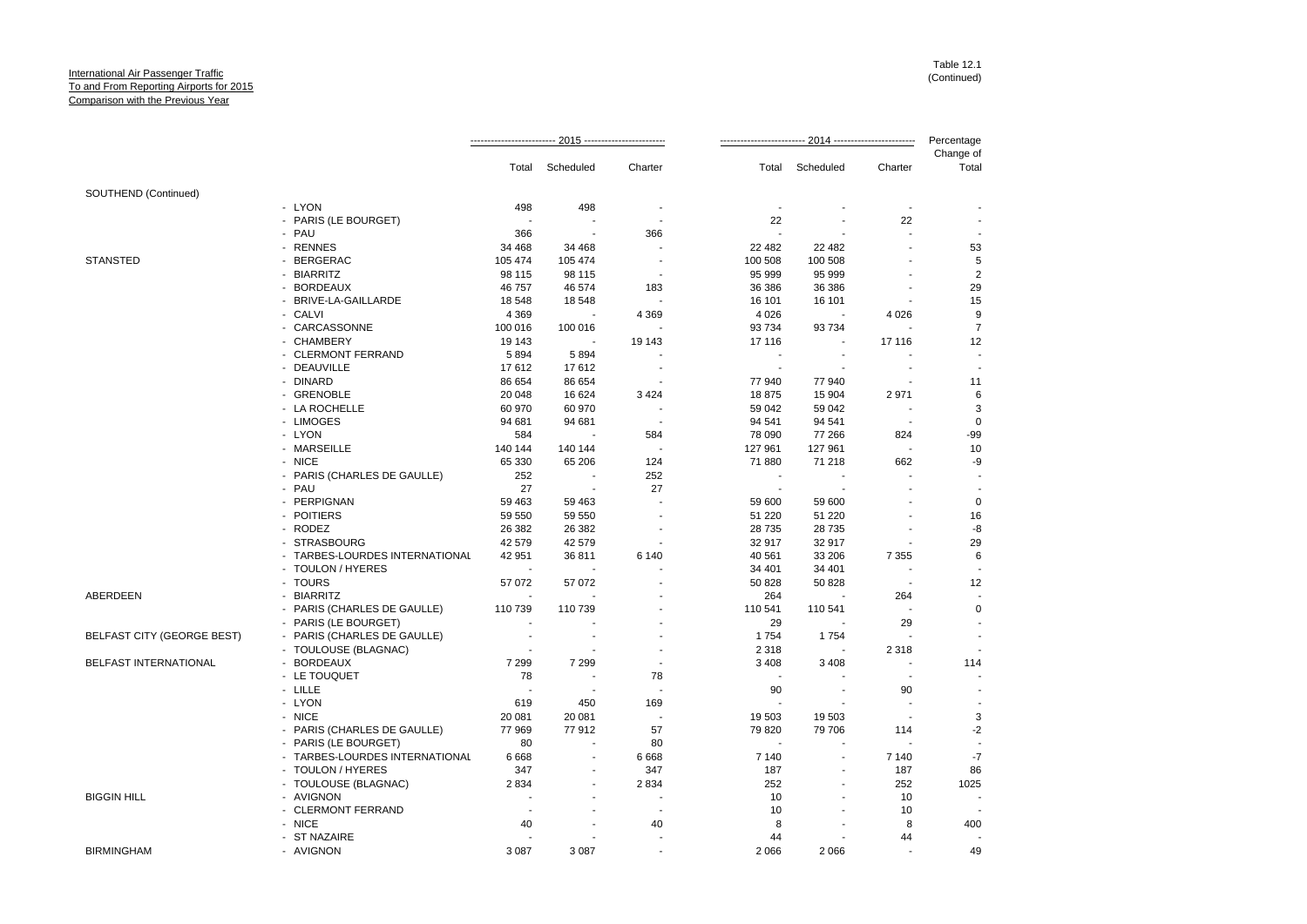|                                   |                                |                |                          |                          |                          |           |                | Percentage               |
|-----------------------------------|--------------------------------|----------------|--------------------------|--------------------------|--------------------------|-----------|----------------|--------------------------|
|                                   |                                |                | Total Scheduled          | Charter                  | Total                    | Scheduled | Charter        | Change of<br>Total       |
| SOUTHEND (Continued)              |                                |                |                          |                          |                          |           |                |                          |
|                                   | - LYON                         | 498            | 498                      |                          | $\overline{\phantom{a}}$ |           |                |                          |
|                                   | - PARIS (LE BOURGET)           | $\blacksquare$ |                          | $\overline{\phantom{a}}$ | 22                       |           | 22             |                          |
|                                   | - PAU                          | 366            |                          | 366                      | $\overline{\phantom{a}}$ |           |                | $\overline{a}$           |
|                                   | - RENNES                       | 34 4 68        | 34 468                   |                          | 22 482                   | 22 4 8 2  |                | 53                       |
| <b>STANSTED</b>                   | - BERGERAC                     | 105 474        | 105 474                  | $\overline{\phantom{a}}$ | 100 508                  | 100 508   |                | 5                        |
|                                   | - BIARRITZ                     | 98 115         | 98 115                   |                          | 95 999                   | 95 999    |                | $\overline{2}$           |
|                                   | - BORDEAUX                     | 46 757         | 46 574                   | 183                      | 36 386                   | 36 386    |                | 29                       |
|                                   | - BRIVE-LA-GAILLARDE           | 18 548         | 18 548                   |                          | 16 101                   | 16 101    |                | 15                       |
|                                   | - CALVI                        | 4 3 6 9        |                          | 4 3 6 9                  | 4 0 26                   |           | 4 0 26         | $\boldsymbol{9}$         |
|                                   | - CARCASSONNE                  | 100 016        | 100 016                  |                          | 93 734                   | 93 734    |                | $\overline{7}$           |
|                                   | - CHAMBERY                     | 19 143         |                          | 19 143                   | 17 116                   |           | 17 116         | 12                       |
|                                   | - CLERMONT FERRAND             | 5894           | 5894                     |                          |                          |           |                | $\overline{\phantom{a}}$ |
|                                   | - DEAUVILLE                    | 17612          | 17612                    | $\overline{\phantom{a}}$ | $\blacksquare$           |           | $\blacksquare$ | $\overline{\phantom{a}}$ |
|                                   | - DINARD                       | 86 654         | 86 654                   |                          | 77 940                   | 77 940    |                | 11                       |
|                                   | - GRENOBLE                     | 20 048         | 16 624                   | 3 4 2 4                  | 18875                    | 15 904    | 2971           | $\,6\,$                  |
|                                   | - LA ROCHELLE                  | 60 970         | 60 970                   |                          | 59 042                   | 59 042    |                | 3                        |
|                                   | - LIMOGES                      | 94 681         | 94 681                   |                          | 94 541                   | 94 541    |                | $\mathbf 0$              |
|                                   | - LYON                         | 584            |                          | 584                      | 78 090                   | 77 266    | 824            | -99                      |
|                                   | - MARSEILLE                    | 140 144        | 140 144                  | ÷                        | 127 961                  | 127 961   | $\blacksquare$ | 10                       |
|                                   | - NICE                         | 65 330         | 65 206                   | 124                      | 71 880                   | 71 218    | 662            | -9                       |
|                                   | - PARIS (CHARLES DE GAULLE)    | 252            | $\blacksquare$           | 252                      | $\overline{\phantom{a}}$ |           |                | $\blacksquare$           |
|                                   | - PAU                          | 27             | $\overline{\phantom{a}}$ | 27                       | $\sim$                   |           |                | $\blacksquare$           |
|                                   | - PERPIGNAN                    | 59 4 63        | 59 463                   |                          | 59 600                   | 59 600    |                | $\mathbf 0$              |
|                                   | - POITIERS                     | 59 550         | 59 550                   |                          | 51 2 20                  | 51 220    |                | 16                       |
|                                   | - RODEZ                        | 26 382         | 26 382                   |                          | 28 7 35                  | 28 7 35   |                | -8                       |
|                                   | - STRASBOURG                   | 42 579         | 42 579                   |                          | 32 917                   | 32 917    |                | 29                       |
|                                   | - TARBES-LOURDES INTERNATIONAL | 42 951         | 36811                    | 6 140                    | 40 561                   | 33 206    | 7 3 5 5        | 6                        |
|                                   | - TOULON / HYERES              |                |                          |                          | 34 401                   | 34 401    |                | $\overline{\phantom{a}}$ |
|                                   | - TOURS                        | 57 072         | 57 072                   |                          | 50 828                   | 50 828    | $\blacksquare$ | 12                       |
| ABERDEEN                          | - BIARRITZ                     |                |                          |                          | 264                      |           | 264            | $\overline{\phantom{a}}$ |
|                                   | - PARIS (CHARLES DE GAULLE)    | 110 739        | 110 739                  |                          | 110 541                  | 110 541   |                | $\pmb{0}$                |
|                                   | - PARIS (LE BOURGET)           |                |                          |                          | 29                       |           | 29             | $\overline{a}$           |
| <b>BELFAST CITY (GEORGE BEST)</b> | - PARIS (CHARLES DE GAULLE)    | ÷.             |                          |                          | 1754                     | 1754      |                | $\overline{\phantom{a}}$ |
|                                   |                                |                |                          |                          |                          |           |                | $\overline{\phantom{a}}$ |
| <b>BELFAST INTERNATIONAL</b>      | - TOULOUSE (BLAGNAC)           | 7 2 9 9        | 7 2 9 9                  |                          | 2 3 1 8                  |           | 2 3 1 8        |                          |
|                                   | - BORDEAUX                     |                |                          |                          | 3 4 0 8                  | 3 4 0 8   |                | 114                      |
|                                   | - LE TOUQUET                   | 78             |                          | 78                       |                          |           |                |                          |
|                                   | - LILLE                        | $\sim$         |                          |                          | 90                       |           | 90             | $\overline{\phantom{a}}$ |
|                                   | - LYON                         | 619            | 450                      | 169                      |                          |           |                | $\overline{\phantom{a}}$ |
|                                   | - NICE                         | 20 081         | 20 081                   | $\overline{\phantom{a}}$ | 19 503                   | 19 503    | $\sim$         | 3                        |
|                                   | - PARIS (CHARLES DE GAULLE)    | 77 969         | 77912                    | 57                       | 79 820                   | 79 706    | 114            | $-2$                     |
|                                   | - PARIS (LE BOURGET)           | 80             |                          | 80                       |                          |           |                | $\overline{a}$           |
|                                   | - TARBES-LOURDES INTERNATIONAL | 6668           | $\overline{\phantom{a}}$ | 6668                     | 7 140                    | $\sim$    | 7 1 4 0        | $-7$                     |
|                                   | - TOULON / HYERES              | 347            |                          | 347                      | 187                      |           | 187            | 86                       |
|                                   | - TOULOUSE (BLAGNAC)           | 2834           |                          | 2834                     | 252                      |           | 252            | 1025                     |
| <b>BIGGIN HILL</b>                | - AVIGNON                      | $\blacksquare$ |                          |                          | 10                       |           | 10             |                          |
|                                   | - CLERMONT FERRAND             |                |                          |                          | 10                       |           | 10             |                          |
|                                   | - NICE                         | 40             |                          | 40                       | 8                        |           | 8              | 400                      |
|                                   | - ST NAZAIRE                   |                |                          |                          | 44                       |           | 44             | ٠.                       |
| <b>BIRMINGHAM</b>                 | - AVIGNON                      | 3 0 8 7        | 3 0 8 7                  | $\blacksquare$           | 2 0 6 6                  | 2 0 6 6   |                | 49                       |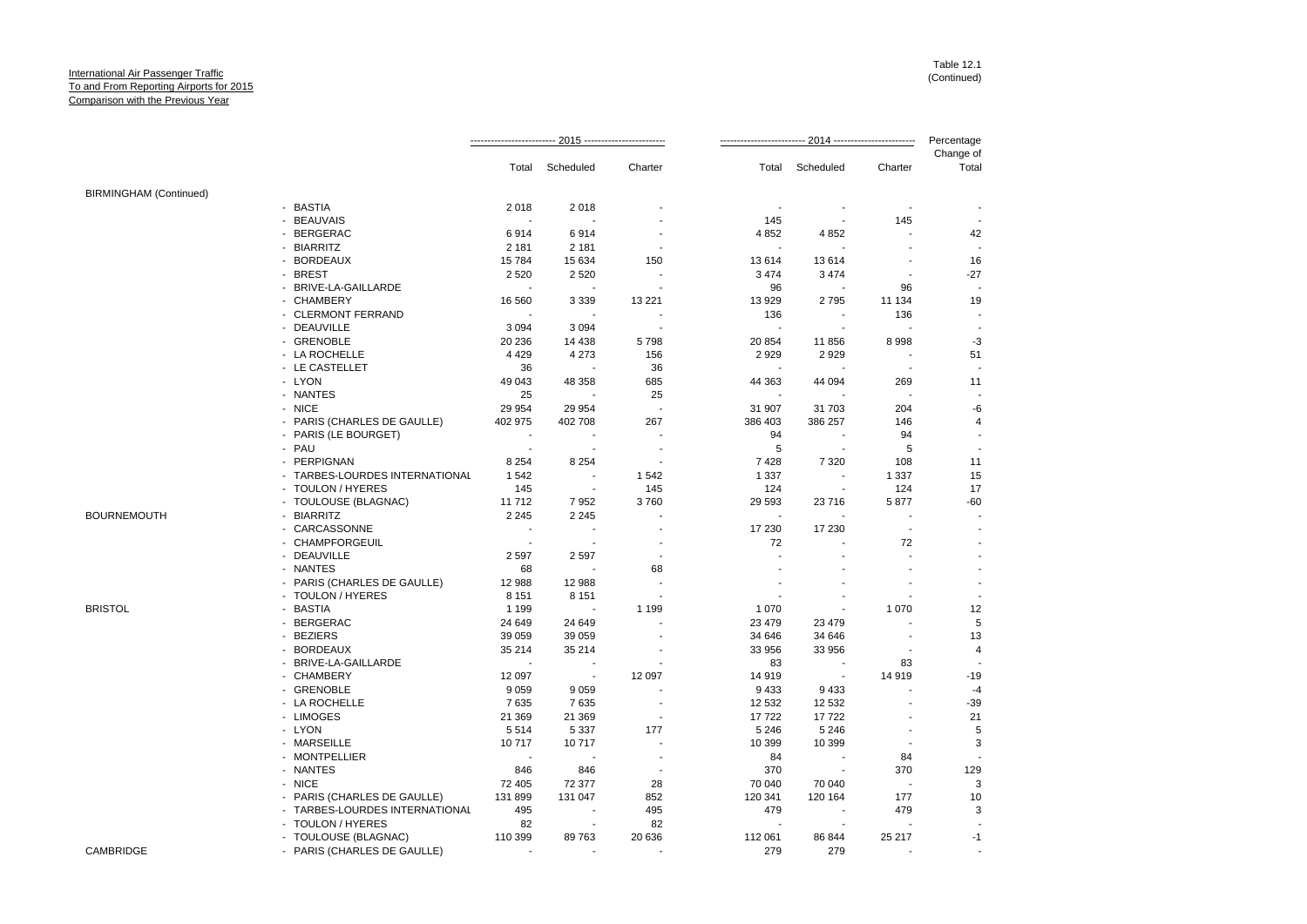|                               |                                | 2015 ------------------------- |                          | 2014 ----------          |         |                | Percentage               |                    |
|-------------------------------|--------------------------------|--------------------------------|--------------------------|--------------------------|---------|----------------|--------------------------|--------------------|
|                               |                                | Total                          | Scheduled                | Charter                  | Total   | Scheduled      | Charter                  | Change of<br>Total |
| <b>BIRMINGHAM (Continued)</b> |                                |                                |                          |                          |         |                |                          |                    |
|                               | - BASTIA                       | 2018                           | 2018                     |                          |         |                |                          |                    |
|                               | - BEAUVAIS                     | ÷                              |                          |                          | 145     |                | 145                      |                    |
|                               | - BERGERAC                     | 6914                           | 6914                     |                          | 4 8 5 2 | 4 8 5 2        |                          | 42                 |
|                               | - BIARRITZ                     | 2 1 8 1                        | 2 1 8 1                  |                          |         |                |                          |                    |
|                               | - BORDEAUX                     | 15784                          | 15 634                   | 150                      | 13614   | 13614          |                          | 16                 |
|                               | - BREST                        | 2 5 20                         | 2 5 20                   |                          | 3 4 7 4 | 3 4 7 4        |                          | $-27$              |
|                               | - BRIVE-LA-GAILLARDE           | ÷                              |                          |                          | 96      |                | 96                       |                    |
|                               | - CHAMBERY                     | 16 560                         | 3 3 3 9                  | 13 2 21                  | 13 929  | 2795           | 11 134                   | 19                 |
|                               | - CLERMONT FERRAND             |                                | ÷                        |                          | 136     |                | 136                      |                    |
|                               | - DEAUVILLE                    | 3 0 9 4                        | 3 0 9 4                  |                          |         |                |                          |                    |
|                               | - GRENOBLE                     | 20 236                         | 14 4 38                  | 5798                     | 20 854  | 11856          | 8998                     | $-3$               |
|                               | - LA ROCHELLE                  | 4 4 2 9                        | 4 2 7 3                  | 156                      | 2 9 2 9 | 2929           |                          | 51                 |
|                               | - LE CASTELLET                 | 36                             |                          | 36                       |         |                |                          |                    |
|                               | - LYON                         | 49 043                         | 48 358                   | 685                      | 44 363  | 44 094         | 269                      | 11                 |
|                               | - NANTES                       | 25                             |                          | 25                       |         |                |                          |                    |
|                               | - NICE                         | 29 9 54                        | 29 9 54                  |                          | 31 907  | 31 703         | 204                      | -6                 |
|                               | - PARIS (CHARLES DE GAULLE)    | 402 975                        | 402 708                  | 267                      | 386 403 | 386 257        | 146                      | 4                  |
|                               | - PARIS (LE BOURGET)           |                                |                          |                          | 94      |                | 94                       |                    |
|                               | - PAU                          |                                |                          |                          | 5       |                | 5                        |                    |
|                               | - PERPIGNAN                    | 8 2 5 4                        | 8 2 5 4                  |                          | 7428    | 7 3 2 0        | 108                      | 11                 |
|                               | - TARBES-LOURDES INTERNATIONAL | 1542                           | $\overline{\phantom{a}}$ | 1542                     | 1 3 3 7 |                | 1 3 3 7                  | 15                 |
|                               | - TOULON / HYERES              | 145                            | $\sim$                   | 145                      | 124     | $\blacksquare$ | 124                      | 17                 |
|                               | - TOULOUSE (BLAGNAC)           | 11712                          | 7952                     | 3760                     | 29 5 93 | 23716          | 5877                     | $-60$              |
| <b>BOURNEMOUTH</b>            | - BIARRITZ                     | 2 2 4 5                        | 2 2 4 5                  |                          |         |                |                          |                    |
|                               | - CARCASSONNE                  | ÷.                             | ÷                        |                          | 17 230  | 17 230         | $\overline{\phantom{a}}$ |                    |
|                               | - CHAMPFORGEUIL                | ÷.                             |                          |                          | 72      |                | 72                       |                    |
|                               | - DEAUVILLE                    | 2 5 9 7                        | 2 5 9 7                  | $\overline{a}$           |         |                |                          |                    |
|                               | - NANTES                       | 68                             |                          | 68                       |         |                |                          |                    |
|                               | - PARIS (CHARLES DE GAULLE)    | 12 988                         | 12 988                   |                          |         |                |                          |                    |
|                               | - TOULON / HYERES              | 8 1 5 1                        | 8 1 5 1                  |                          |         |                |                          |                    |
| <b>BRISTOL</b>                | - BASTIA                       | 1 1 9 9                        |                          | 1 1 9 9                  | 1 0 7 0 |                | 1 0 7 0                  | 12                 |
|                               | - BERGERAC                     | 24 649                         | 24 649                   |                          | 23 4 79 | 23 4 79        |                          | 5                  |
|                               | - BEZIERS                      | 39 059                         | 39 059                   |                          | 34 646  | 34 646         |                          | 13                 |
|                               | - BORDEAUX                     | 35 214                         | 35 214                   |                          | 33 956  | 33 956         |                          | $\overline{4}$     |
|                               | - BRIVE-LA-GAILLARDE           | ÷,                             |                          |                          | 83      |                | 83                       |                    |
|                               | - CHAMBERY                     | 12 097                         | $\blacksquare$           | 12 097                   | 14 919  |                | 14 9 19                  | $-19$              |
|                               | - GRENOBLE                     | 9 0 5 9                        | 9 0 5 9                  |                          | 9 4 3 3 | 9433           |                          | $-4$               |
|                               | - LA ROCHELLE                  | 7635                           | 7635                     |                          | 12 5 32 | 12 532         | ÷                        | $-39$              |
|                               | - LIMOGES                      | 21 3 69                        | 21 369                   |                          | 17722   | 17722          |                          | 21                 |
|                               | - LYON                         | 5514                           | 5 3 3 7                  | 177                      | 5 2 4 6 | 5 2 4 6        |                          | 5                  |
|                               | - MARSEILLE                    | 10717                          | 10717                    |                          | 10 399  | 10 399         |                          | 3                  |
|                               | - MONTPELLIER                  | $\overline{\phantom{a}}$       | ÷                        |                          | 84      |                | 84                       |                    |
|                               | - NANTES                       | 846                            | 846                      | $\overline{\phantom{a}}$ | 370     |                | 370                      | 129                |
|                               | - NICE                         | 72 405                         | 72 377                   | 28                       | 70 040  | 70 040         |                          | 3                  |
|                               | - PARIS (CHARLES DE GAULLE)    | 131 899                        | 131 047                  | 852                      | 120 341 | 120 164        | 177                      | 10                 |
|                               | - TARBES-LOURDES INTERNATIONAL | 495                            | $\overline{\phantom{a}}$ | 495                      | 479     |                | 479                      | 3                  |
|                               | - TOULON / HYERES              | 82                             | $\sim$                   | 82                       |         |                |                          |                    |
|                               | - TOULOUSE (BLAGNAC)           | 110 399                        | 89763                    | 20 636                   | 112 061 | 86 844         | 25 217                   | -1                 |
| CAMBRIDGE                     |                                | ÷                              |                          | $\overline{\phantom{a}}$ | 279     | 279            |                          |                    |
|                               | - PARIS (CHARLES DE GAULLE)    |                                |                          |                          |         |                |                          |                    |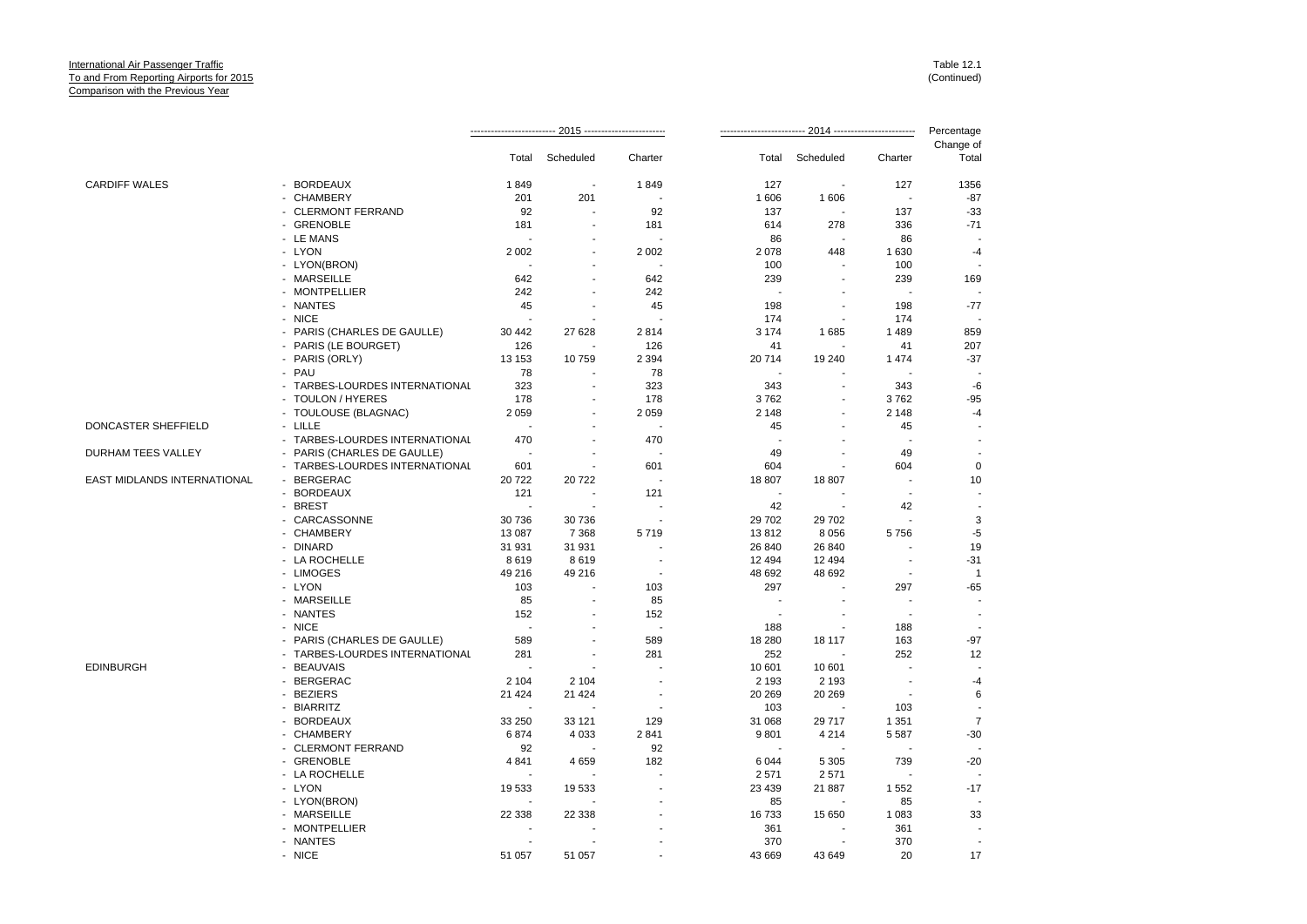|                             |                                |                                 |                          |                                 |                   | -- 2014 ------------------------- |                | Percentage              |
|-----------------------------|--------------------------------|---------------------------------|--------------------------|---------------------------------|-------------------|-----------------------------------|----------------|-------------------------|
|                             |                                | Total                           | Scheduled                | Charter                         | Total             | Scheduled                         | Charter        | Change of<br>Total      |
| <b>CARDIFF WALES</b>        | - BORDEAUX                     | 1849                            | $\overline{\phantom{a}}$ | 1849                            | 127               |                                   | 127            | 1356                    |
|                             | - CHAMBERY                     | 201                             | 201                      |                                 | 1 606             | 1606                              |                | $-87$                   |
|                             | - CLERMONT FERRAND             | 92                              |                          | 92                              | 137               |                                   | 137            | $-33$                   |
|                             | - GRENOBLE                     | 181                             |                          | 181                             | 614               | 278                               | 336            | $-71$                   |
|                             | - LE MANS                      |                                 |                          |                                 | 86                | $\sim$                            | 86             |                         |
|                             | - LYON                         | 2 0 0 2                         |                          | 2 0 0 2                         | 2078              | 448                               | 1 6 3 0        | $-4$                    |
|                             | - LYON(BRON)                   | ÷                               |                          | $\overline{a}$                  | 100               |                                   | 100            |                         |
|                             | - MARSEILLE                    | 642                             |                          | 642                             | 239               |                                   | 239            | 169                     |
|                             | - MONTPELLIER                  | 242                             |                          | 242                             |                   |                                   |                |                         |
|                             | - NANTES                       | 45                              |                          | 45                              | 198               |                                   | 198            | $-77$                   |
|                             | - NICE                         |                                 |                          |                                 | 174               |                                   | 174            |                         |
|                             | - PARIS (CHARLES DE GAULLE)    | 30 442                          | 27 628                   | 2814                            | 3 1 7 4           | 1685                              | 1489           | 859                     |
|                             | - PARIS (LE BOURGET)           | 126                             |                          | 126                             | 41                |                                   | 41             | 207                     |
|                             | - PARIS (ORLY)                 | 13 153                          | 10759                    | 2 3 9 4                         | 20714             | 19 240                            | 1474           | $-37$                   |
|                             | - PAU                          | 78                              |                          | 78                              |                   |                                   |                |                         |
|                             | - TARBES-LOURDES INTERNATIONAL | 323                             | $\overline{\phantom{a}}$ | 323                             | 343               |                                   | 343            | $-6$                    |
|                             | - TOULON / HYERES              | 178                             |                          | 178                             | 3762              |                                   | 3762           | $-95$                   |
|                             | - TOULOUSE (BLAGNAC)           | 2 0 5 9                         |                          | 2 0 5 9                         | 2 1 4 8           |                                   | 2 1 4 8        | $-4$                    |
| DONCASTER SHEFFIELD         | - LILLE                        | $\overline{\phantom{a}}$        |                          | $\sim$                          | 45                |                                   | 45             |                         |
|                             | - TARBES-LOURDES INTERNATIONAL | 470                             |                          | 470                             |                   |                                   |                |                         |
| DURHAM TEES VALLEY          | - PARIS (CHARLES DE GAULLE)    | $\overline{\phantom{a}}$        |                          |                                 | 49                |                                   | 49             |                         |
|                             | - TARBES-LOURDES INTERNATIONAL | 601                             |                          | 601                             | 604               |                                   | 604            | $\mathbf 0$             |
| EAST MIDLANDS INTERNATIONAL | - BERGERAC                     | 20722                           | 20722                    | $\overline{a}$                  | 18 807            | 18 807                            | $\overline{a}$ | 10                      |
|                             | - BORDEAUX                     | 121                             |                          | 121                             | $\blacksquare$    |                                   |                |                         |
|                             | - BREST                        | $\overline{\phantom{a}}$        |                          |                                 | 42                |                                   | 42             |                         |
|                             |                                |                                 |                          |                                 |                   |                                   |                | 3                       |
|                             | - CARCASSONNE<br>- CHAMBERY    | 30 736<br>13 087                | 30736<br>7 3 6 8         | 5719                            | 29 702<br>13812   | 29 702<br>8 0 5 6                 | 5756           | $-5$                    |
|                             | - DINARD                       |                                 |                          |                                 |                   |                                   |                | 19                      |
|                             |                                | 31 931                          | 31 931                   |                                 | 26 840            | 26 840                            |                |                         |
|                             | - LA ROCHELLE<br>- LIMOGES     | 8619<br>49 216                  | 8619<br>49 216           |                                 | 12 4 94<br>48 692 | 12 4 94<br>48 692                 |                | $-31$<br>$\overline{1}$ |
|                             | - LYON                         | 103                             |                          | 103                             | 297               |                                   | 297            | $-65$                   |
|                             | - MARSEILLE                    | 85                              |                          | 85                              |                   |                                   |                |                         |
|                             |                                |                                 |                          |                                 |                   |                                   |                |                         |
|                             | - NANTES<br>- NICE             | 152<br>$\overline{\phantom{a}}$ |                          | 152<br>$\overline{\phantom{a}}$ |                   |                                   |                |                         |
|                             |                                |                                 |                          |                                 | 188               |                                   | 188            |                         |
|                             | - PARIS (CHARLES DE GAULLE)    | 589<br>281                      |                          | 589                             | 18 280<br>252     | 18 117                            | 163<br>252     | $-97$                   |
|                             | - TARBES-LOURDES INTERNATIONAL |                                 |                          | 281                             |                   |                                   |                | 12                      |
| <b>EDINBURGH</b>            | - BEAUVAIS                     |                                 |                          |                                 | 10 601            | 10 601                            |                |                         |
|                             | - BERGERAC                     | 2 1 0 4                         | 2 1 0 4                  |                                 | 2 1 9 3           | 2 1 9 3                           |                | -4                      |
|                             | - BEZIERS                      | 21 4 24                         | 21 4 24                  |                                 | 20 269            | 20 26 9                           |                | 6                       |
|                             | - BIARRITZ                     |                                 |                          |                                 | 103               |                                   | 103            |                         |
|                             | - BORDEAUX                     | 33 250                          | 33 121                   | 129                             | 31 068            | 29 717                            | 1 3 5 1        | $\overline{7}$          |
|                             | - CHAMBERY                     | 6874                            | 4 0 3 3                  | 2841                            | 9801              | 4 2 1 4                           | 5 5 8 7        | $-30$                   |
|                             | - CLERMONT FERRAND             | 92                              |                          | 92                              |                   |                                   |                |                         |
|                             | - GRENOBLE                     | 4 8 4 1                         | 4659                     | 182                             | 6 0 4 4           | 5 3 0 5                           | 739            | $-20$                   |
|                             | - LA ROCHELLE                  |                                 |                          |                                 | 2571              | 2571                              |                |                         |
|                             | - LYON                         | 19 533                          | 19533                    |                                 | 23 4 39           | 21 887                            | 1 5 5 2        | $-17$                   |
|                             | - LYON(BRON)                   |                                 |                          |                                 | 85                |                                   | 85             |                         |
|                             | - MARSEILLE                    | 22 338                          | 22 338                   |                                 | 16733             | 15 650                            | 1 0 8 3        | 33                      |
|                             | - MONTPELLIER                  |                                 |                          |                                 | 361               |                                   | 361            |                         |
|                             | - NANTES                       |                                 |                          |                                 | 370               |                                   | 370            |                         |
|                             | - NICE                         | 51 057                          | 51 057                   |                                 | 43 669            | 43 649                            | 20             | 17                      |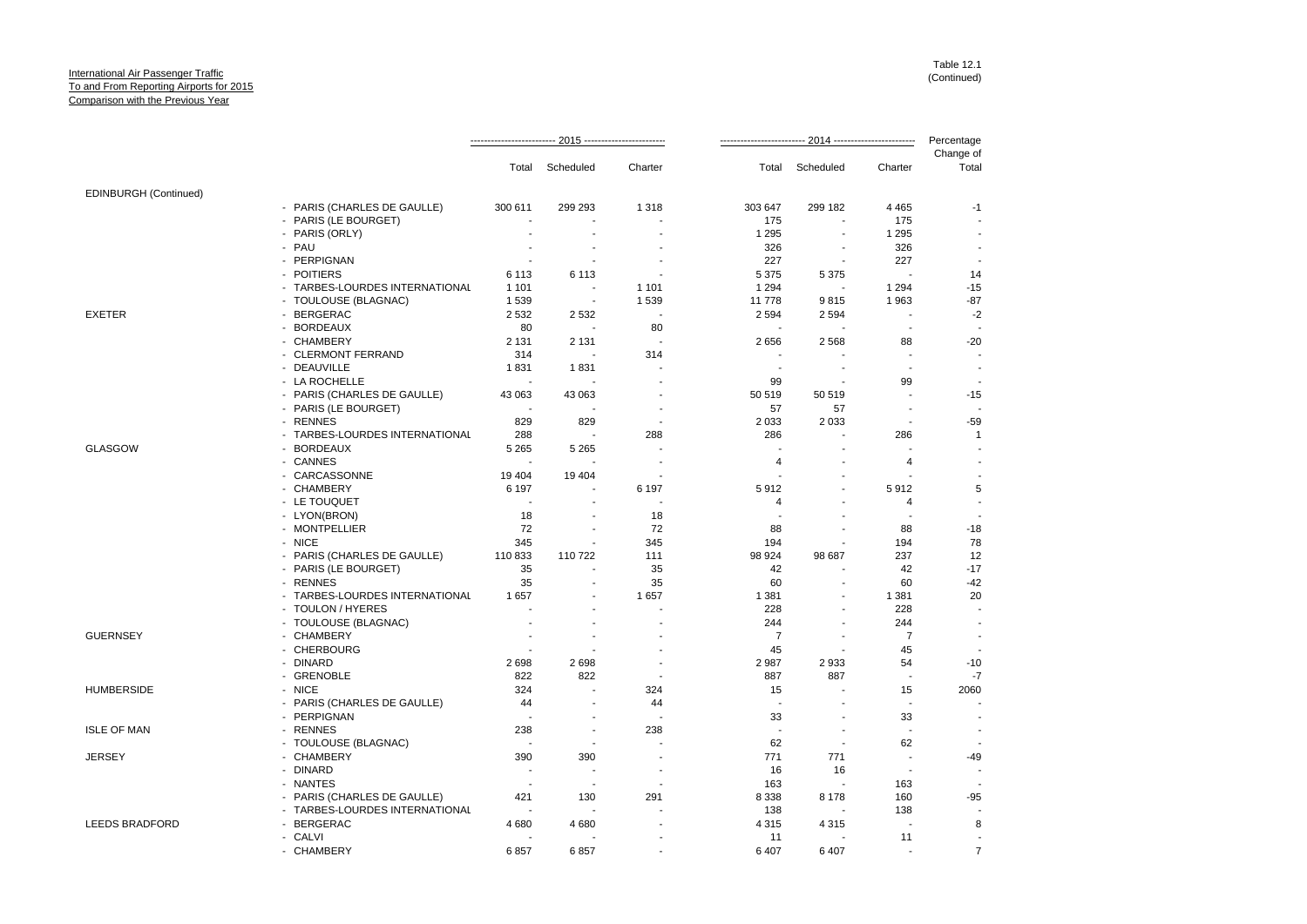|                       |                                |                           |                          |                                  |                |                                     |                          | Percentage         |  |
|-----------------------|--------------------------------|---------------------------|--------------------------|----------------------------------|----------------|-------------------------------------|--------------------------|--------------------|--|
|                       |                                |                           | Total Scheduled          | Charter                          |                | Total Scheduled                     | Charter                  | Change of<br>Total |  |
|                       |                                |                           |                          |                                  |                |                                     |                          |                    |  |
| EDINBURGH (Continued) |                                |                           |                          |                                  |                |                                     |                          |                    |  |
|                       | - PARIS (CHARLES DE GAULLE)    | 300 611<br>$\blacksquare$ | 299 293                  | 1 3 1 8                          | 303 647<br>175 | 299 182                             | 4 4 6 5<br>175           | -1                 |  |
|                       | - PARIS (LE BOURGET)           |                           |                          |                                  |                |                                     |                          |                    |  |
|                       | - PARIS (ORLY)<br>- PAU        | ÷,                        | $\blacksquare$           |                                  | 1 2 9 5<br>326 | $\blacksquare$                      | 1 2 9 5<br>326           |                    |  |
|                       | - PERPIGNAN                    | ÷.                        | $\sim$                   |                                  | 227            | $\sim$                              | 227                      |                    |  |
|                       | - POITIERS                     |                           |                          |                                  |                |                                     |                          |                    |  |
|                       |                                | 6 1 1 3                   | 6 1 1 3                  |                                  | 5 3 7 5        | 5 3 7 5<br>$\overline{\phantom{a}}$ |                          | 14<br>$-15$        |  |
|                       | - TARBES-LOURDES INTERNATIONAL | 1 1 0 1                   | $\sim$                   | 1 1 0 1                          | 1 2 9 4        |                                     | 1 2 9 4                  | $-87$              |  |
|                       | - TOULOUSE (BLAGNAC)           | 1539                      |                          | 1539<br>$\overline{\phantom{a}}$ | 11 778         | 9815                                | 1963                     |                    |  |
| <b>EXETER</b>         | - BERGERAC                     | 2 5 3 2                   | 2 5 3 2                  |                                  | 2 5 9 4        | 2 5 9 4                             |                          | $-2$               |  |
|                       | - BORDEAUX                     | 80                        | $\overline{\phantom{a}}$ | 80                               |                |                                     |                          |                    |  |
|                       | - CHAMBERY                     | 2 1 3 1                   | 2 1 3 1                  |                                  | 2656           | 2568                                | 88                       | $-20$              |  |
|                       | - CLERMONT FERRAND             | 314                       |                          | 314                              |                |                                     |                          |                    |  |
|                       | - DEAUVILLE                    | 1831                      | 1831                     |                                  |                |                                     |                          |                    |  |
|                       | - LA ROCHELLE                  |                           |                          |                                  | 99             | $\blacksquare$                      | 99                       |                    |  |
|                       | - PARIS (CHARLES DE GAULLE)    | 43 063                    | 43 063                   |                                  | 50 519         | 50 519                              |                          | $-15$              |  |
|                       | - PARIS (LE BOURGET)           | $\overline{\phantom{a}}$  |                          | ÷                                | 57             | 57                                  | $\overline{a}$           |                    |  |
|                       | - RENNES                       | 829                       | 829                      | $\overline{a}$                   | 2 0 3 3        | 2 0 3 3                             | $\sim$                   | $-59$              |  |
|                       | - TARBES-LOURDES INTERNATIONAL | 288                       |                          | 288                              | 286            |                                     | 286                      | $\mathbf{1}$       |  |
| <b>GLASGOW</b>        | - BORDEAUX                     | 5 2 6 5                   | 5 2 6 5                  | $\overline{a}$                   | $\blacksquare$ |                                     |                          |                    |  |
|                       | - CANNES                       |                           |                          |                                  | 4              |                                     | $\overline{4}$           |                    |  |
|                       | - CARCASSONNE                  | 19 4 04                   | 19 4 04                  |                                  |                |                                     |                          |                    |  |
|                       | - CHAMBERY                     | 6 1 9 7                   |                          | 6 1 9 7                          | 5912           |                                     | 5912                     | 5                  |  |
|                       | - LE TOUQUET                   | $\overline{\phantom{a}}$  |                          | $\overline{\phantom{a}}$         | 4              |                                     | 4                        |                    |  |
|                       | - LYON(BRON)                   | 18                        | $\blacksquare$           | 18                               | $\blacksquare$ |                                     |                          |                    |  |
|                       | - MONTPELLIER                  | 72                        |                          | 72                               | 88             |                                     | 88                       | $-18$              |  |
|                       | - NICE                         | 345                       | $\blacksquare$           | 345                              | 194            |                                     | 194                      | 78                 |  |
|                       | - PARIS (CHARLES DE GAULLE)    | 110833                    | 110722                   | 111                              | 98 924         | 98 687                              | 237                      | 12                 |  |
|                       | - PARIS (LE BOURGET)           | 35                        | ÷                        | 35                               | 42             |                                     | 42                       | $-17$              |  |
|                       | - RENNES                       | 35                        | $\blacksquare$           | 35                               | 60             | $\sim$                              | 60                       | $-42$              |  |
|                       | - TARBES-LOURDES INTERNATIONAL | 1657                      |                          | 1657                             | 1 3 8 1        |                                     | 1 3 8 1                  | 20                 |  |
|                       | - TOULON / HYERES              | ÷                         |                          |                                  | 228            |                                     | 228                      |                    |  |
|                       | - TOULOUSE (BLAGNAC)           |                           |                          |                                  | 244            |                                     | 244                      |                    |  |
| <b>GUERNSEY</b>       | - CHAMBERY                     | $\sim$                    | $\overline{\phantom{a}}$ |                                  | $\overline{7}$ | $\sim$                              | $\overline{7}$           |                    |  |
|                       | - CHERBOURG                    |                           |                          |                                  | 45             |                                     | 45                       |                    |  |
|                       | - DINARD                       | 2698                      | 2698                     |                                  | 2 9 8 7        | 2933                                | 54                       | $-10$              |  |
|                       | - GRENOBLE                     | 822                       | 822                      | $\overline{a}$                   | 887            | 887                                 | $\overline{\phantom{a}}$ | $-7$               |  |
| <b>HUMBERSIDE</b>     | - NICE                         | 324                       |                          | 324                              | 15             |                                     | 15                       | 2060               |  |
|                       | - PARIS (CHARLES DE GAULLE)    | 44                        | $\overline{\phantom{a}}$ | 44                               | $\sim$         |                                     |                          |                    |  |
|                       | - PERPIGNAN                    | $\sim$                    | $\overline{\phantom{a}}$ | ٠.                               | 33             |                                     | 33                       |                    |  |
| <b>ISLE OF MAN</b>    | - RENNES                       | 238                       | $\sim$                   | 238                              | ÷,             |                                     | $\blacksquare$           |                    |  |
|                       | - TOULOUSE (BLAGNAC)           | $\overline{\phantom{a}}$  |                          |                                  | 62             | ÷.                                  | 62                       |                    |  |
| <b>JERSEY</b>         | - CHAMBERY                     | 390                       | 390                      |                                  | 771            | 771                                 |                          | -49                |  |
|                       | - DINARD                       | $\sim$                    | $\sim$                   | $\overline{\phantom{a}}$         | 16             | 16                                  | $\overline{\phantom{a}}$ |                    |  |
|                       | - NANTES                       | $\overline{\phantom{a}}$  | $\overline{\phantom{a}}$ |                                  | 163            |                                     | 163                      |                    |  |
|                       | - PARIS (CHARLES DE GAULLE)    | 421                       | 130                      | 291                              | 8 3 3 8        | 8 1 7 8                             | 160                      | $-95$              |  |
|                       | - TARBES-LOURDES INTERNATIONAL | ÷.                        |                          |                                  | 138            |                                     | 138                      |                    |  |
| <b>LEEDS BRADFORD</b> | - BERGERAC                     | 4 6 8 0                   | 4680                     |                                  | 4 3 1 5        | 4 3 1 5                             |                          | 8                  |  |
|                       | - CALVI                        |                           |                          |                                  | 11             | $\blacksquare$                      | 11                       |                    |  |
|                       | - CHAMBERY                     | 6857                      | 6857                     |                                  | 6 407          | 6407                                |                          | $\overline{7}$     |  |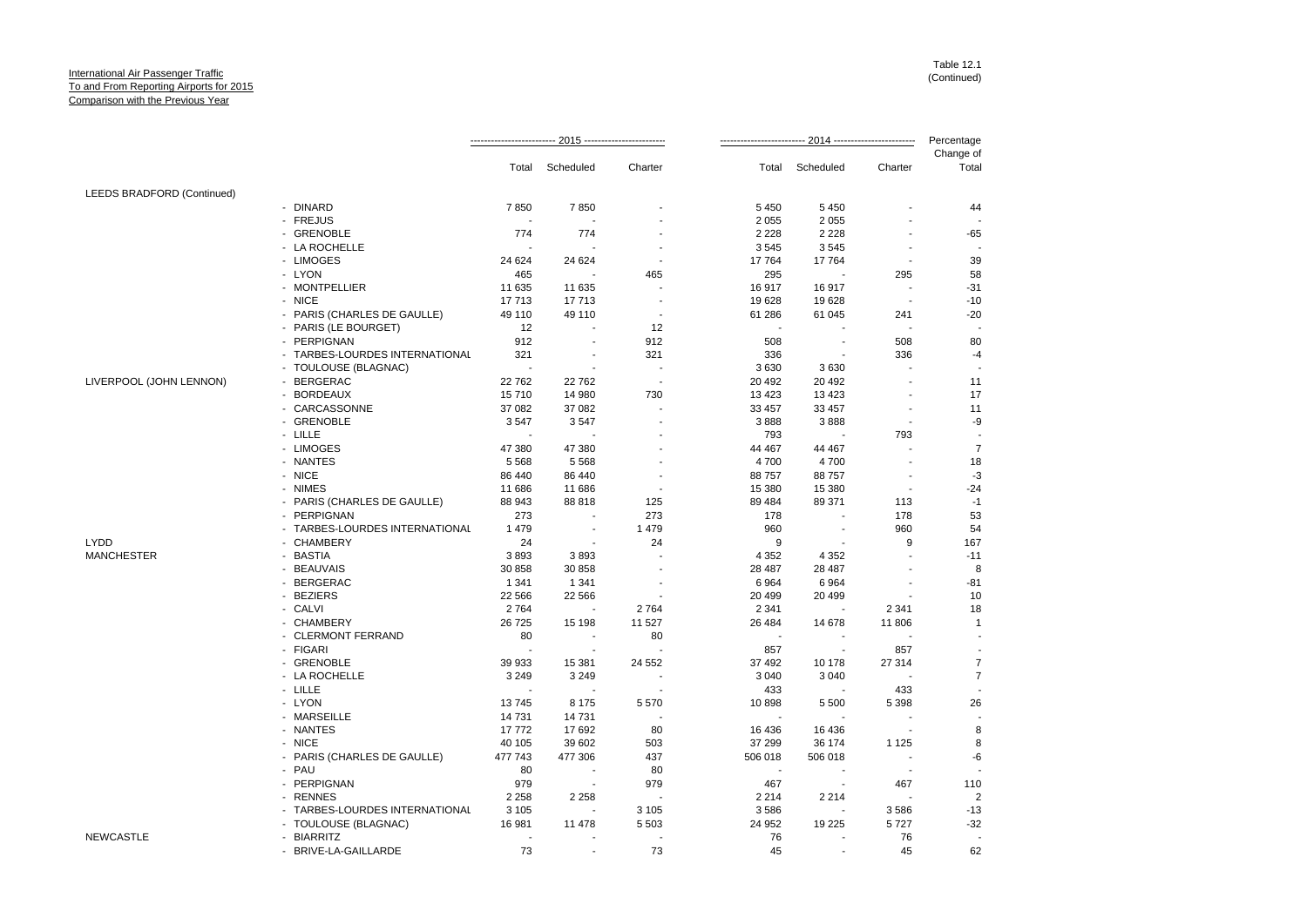|                            |                                | 2015 ---------------------- |                          |                          |                          | 2014 -------------------------<br>Percentage |                          |                    |
|----------------------------|--------------------------------|-----------------------------|--------------------------|--------------------------|--------------------------|----------------------------------------------|--------------------------|--------------------|
|                            |                                | Total                       | Scheduled                | Charter                  | Total                    | Scheduled                                    | Charter                  | Change of<br>Total |
| LEEDS BRADFORD (Continued) |                                |                             |                          |                          |                          |                                              |                          |                    |
|                            | - DINARD                       | 7850                        | 7850                     |                          | 5 4 5 0                  | 5 4 5 0                                      |                          | 44                 |
|                            | - FREJUS                       |                             |                          |                          | 2 0 5 5                  | 2 0 5 5                                      |                          |                    |
|                            | - GRENOBLE                     | 774                         | 774                      |                          | 2 2 2 8                  | 2 2 2 8                                      |                          | $-65$              |
|                            | - LA ROCHELLE                  |                             |                          |                          | 3545                     | 3545                                         |                          |                    |
|                            | - LIMOGES                      | 24 624                      | 24 624                   |                          | 17764                    | 17764                                        |                          | 39                 |
|                            | - LYON                         | 465                         |                          | 465                      | 295                      |                                              | 295                      | 58                 |
|                            | - MONTPELLIER                  | 11 635                      | 11 635                   |                          | 16917                    | 16917                                        |                          | $-31$              |
|                            | - NICE                         | 17713                       | 17713                    |                          | 19628                    | 19628                                        | $\overline{\phantom{a}}$ | $-10$              |
|                            | - PARIS (CHARLES DE GAULLE)    | 49 110                      | 49 110                   | $\overline{\phantom{a}}$ | 61 286                   | 61 045                                       | 241                      | $-20$              |
|                            | - PARIS (LE BOURGET)           | 12                          |                          | 12                       |                          |                                              |                          |                    |
|                            | - PERPIGNAN                    | 912                         |                          | 912                      | 508                      |                                              | 508                      | 80                 |
|                            | - TARBES-LOURDES INTERNATIONAL | 321                         |                          | 321                      | 336                      | $\overline{\phantom{a}}$                     | 336                      | $-4$               |
|                            | - TOULOUSE (BLAGNAC)           | ÷.                          |                          |                          | 3630                     | 3630                                         |                          |                    |
| LIVERPOOL (JOHN LENNON)    | - BERGERAC                     | 22762                       | 22762                    |                          | 20 492                   | 20 492                                       |                          | 11                 |
|                            | - BORDEAUX                     | 15710                       | 14 980                   | 730                      | 13 4 23                  | 13 4 23                                      |                          | 17                 |
|                            | - CARCASSONNE                  | 37 082                      | 37 082                   |                          | 33 457                   | 33 457                                       |                          | 11                 |
|                            | - GRENOBLE                     | 3547                        | 3547                     |                          | 3888                     | 3888                                         |                          |                    |
|                            | - LILLE                        |                             |                          |                          |                          |                                              |                          | -9                 |
|                            |                                |                             |                          |                          | 793                      |                                              | 793                      | $\overline{7}$     |
|                            | - LIMOGES                      | 47 380                      | 47 380                   |                          | 44 467                   | 44 467                                       |                          |                    |
|                            | - NANTES                       | 5 5 6 8                     | 5 5 6 8                  |                          | 4700                     | 4700                                         |                          | 18                 |
|                            | - NICE                         | 86 440                      | 86 440                   |                          | 88757                    | 88757                                        |                          | -3                 |
|                            | - NIMES                        | 11 686                      | 11 686                   |                          | 15 380                   | 15 380                                       | $\overline{\phantom{a}}$ | $-24$              |
|                            | - PARIS (CHARLES DE GAULLE)    | 88 943                      | 88818                    | 125                      | 89 4 84                  | 89 371                                       | 113                      | $-1$               |
|                            | - PERPIGNAN                    | 273                         |                          | 273                      | 178                      |                                              | 178                      | 53                 |
|                            | - TARBES-LOURDES INTERNATIONAL | 1479                        |                          | 1479                     | 960                      |                                              | 960                      | 54                 |
| LYDD                       | - CHAMBERY                     | 24                          |                          | 24                       | 9                        |                                              | 9                        | 167                |
| <b>MANCHESTER</b>          | - BASTIA                       | 3893                        | 3893                     |                          | 4 3 5 2                  | 4 3 5 2                                      |                          | $-11$              |
|                            | <b>BEAUVAIS</b>                | 30 858                      | 30 858                   |                          | 28 487                   | 28 487                                       |                          | 8                  |
|                            | - BERGERAC                     | 1 3 4 1                     | 1 3 4 1                  |                          | 6 9 64                   | 6964                                         |                          | $-81$              |
|                            | - BEZIERS                      | 22 5 6 6                    | 22 566                   |                          | 20 499                   | 20 499                                       |                          | 10                 |
|                            | - CALVI                        | 2764                        |                          | 2764                     | 2 3 4 1                  |                                              | 2 3 4 1                  | 18                 |
|                            | - CHAMBERY                     | 26 7 25                     | 15 198                   | 11 527                   | 26 4 84                  | 14 678                                       | 11 806                   | $\mathbf{1}$       |
|                            | - CLERMONT FERRAND             | 80                          |                          | 80                       |                          |                                              |                          |                    |
|                            | - FIGARI                       | $\overline{\phantom{a}}$    |                          |                          | 857                      | $\blacksquare$                               | 857                      |                    |
|                            | - GRENOBLE                     | 39 933                      | 15 381                   | 24 552                   | 37 492                   | 10 178                                       | 27 314                   | $\overline{7}$     |
|                            | - LA ROCHELLE                  | 3 2 4 9                     | 3 2 4 9                  |                          | 3 0 4 0                  | 3 0 4 0                                      |                          | $\overline{7}$     |
|                            | - LILLE                        |                             |                          |                          | 433                      |                                              | 433                      |                    |
|                            | - LYON                         | 13745                       | 8 1 7 5                  | 5570                     | 10898                    | 5 5 0 0                                      | 5 3 9 8                  | 26                 |
|                            | - MARSEILLE                    | 14 731                      | 14731                    |                          |                          |                                              |                          |                    |
|                            | - NANTES                       | 17772                       | 17692                    | 80                       | 16 4 36                  | 16 436                                       |                          | 8                  |
|                            | - NICE                         | 40 105                      | 39 602                   | 503                      | 37 299                   | 36 174                                       | 1 1 2 5                  | 8                  |
|                            | - PARIS (CHARLES DE GAULLE)    | 477 743                     | 477 306                  | 437                      | 506 018                  | 506 018                                      |                          | -6                 |
|                            | - PAU                          | 80                          |                          | 80                       | $\overline{\phantom{a}}$ |                                              |                          |                    |
|                            | - PERPIGNAN                    | 979                         |                          | 979                      | 467                      |                                              | 467                      | 110                |
|                            | - RENNES                       | 2 2 5 8                     | 2 2 5 8                  |                          | 2 2 1 4                  | 2 2 1 4                                      |                          | $\overline{2}$     |
|                            | - TARBES-LOURDES INTERNATIONAL | 3 1 0 5                     | $\overline{\phantom{a}}$ | 3 1 0 5                  | 3586                     | $\overline{\phantom{a}}$                     | 3586                     | $-13$              |
|                            | - TOULOUSE (BLAGNAC)           | 16 981                      | 11 478                   | 5 5 0 3                  | 24 952                   | 19 2 25                                      | 5727                     | $-32$              |
| <b>NEWCASTLE</b>           | - BIARRITZ                     |                             |                          |                          | 76                       |                                              | 76                       |                    |
|                            | - BRIVE-LA-GAILLARDE           | 73                          |                          | 73                       | 45                       |                                              | 45                       | 62                 |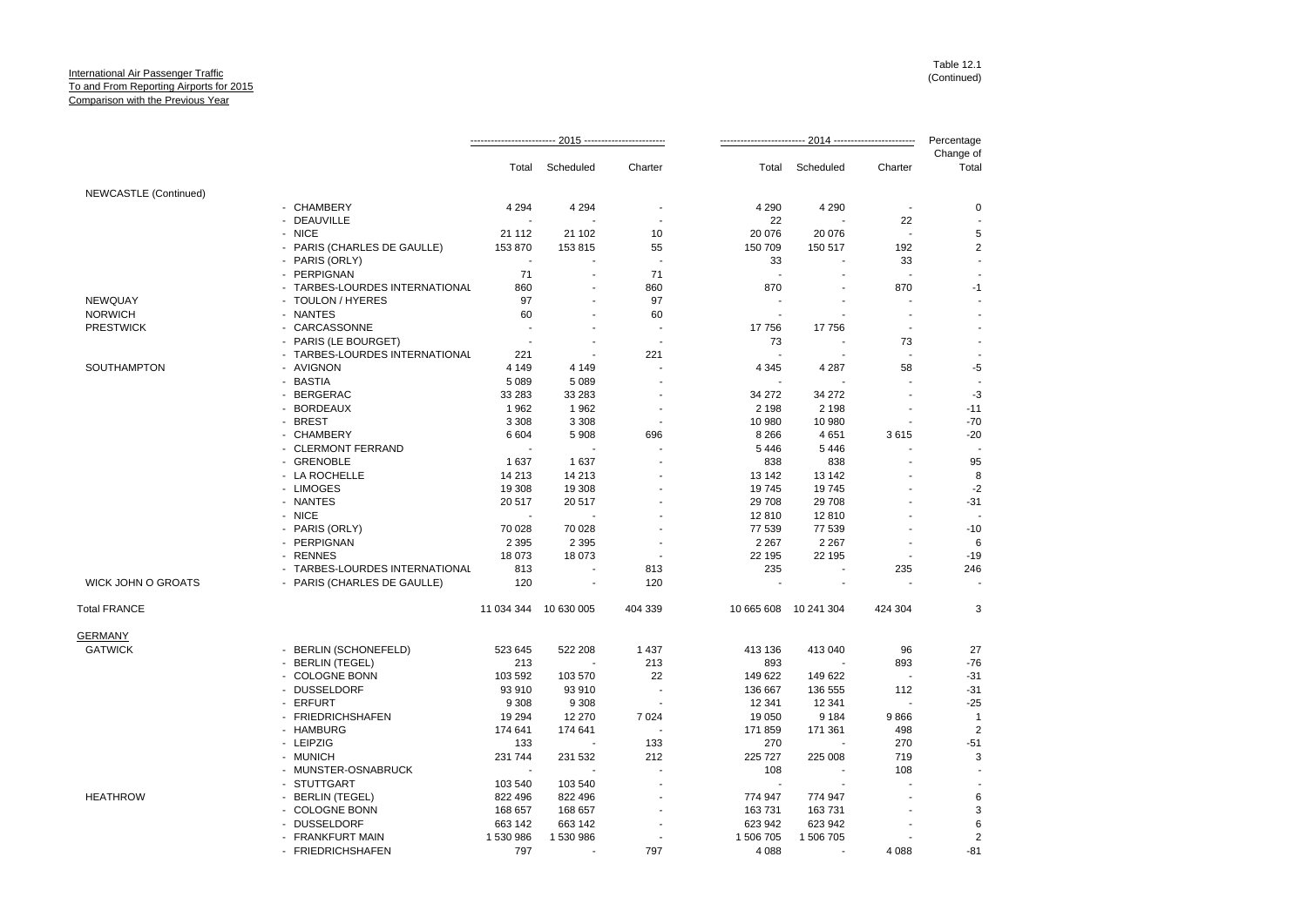|                           |                                | · 2015 ---------------------<br>2014 ------------------------- |                          |                |                          |                       | Percentage               |                    |
|---------------------------|--------------------------------|----------------------------------------------------------------|--------------------------|----------------|--------------------------|-----------------------|--------------------------|--------------------|
|                           |                                | Total                                                          | Scheduled                | Charter        | Total                    | Scheduled             | Charter                  | Change of<br>Total |
| NEWCASTLE (Continued)     |                                |                                                                |                          |                |                          |                       |                          |                    |
|                           | - CHAMBERY                     | 4 2 9 4                                                        | 4 2 9 4                  |                | 4 2 9 0                  | 4 2 9 0               |                          | 0                  |
|                           | - DEAUVILLE                    |                                                                |                          |                | 22                       |                       | 22                       |                    |
|                           | - NICE                         | 21 112                                                         | 21 102                   | 10             | 20 076                   | 20 076                | $\overline{\phantom{a}}$ | 5                  |
|                           | - PARIS (CHARLES DE GAULLE)    | 153 870                                                        | 153 815                  | 55             | 150 709                  | 150 517               | 192                      | 2                  |
|                           | - PARIS (ORLY)                 |                                                                |                          | ÷,             | 33                       |                       | 33                       |                    |
|                           | - PERPIGNAN                    | 71                                                             |                          | 71             | $\overline{\phantom{a}}$ |                       |                          |                    |
|                           | - TARBES-LOURDES INTERNATIONAL | 860                                                            |                          | 860            | 870                      |                       | 870                      | $-1$               |
| NEWQUAY                   | - TOULON / HYERES              | 97                                                             |                          | 97             |                          |                       |                          |                    |
| <b>NORWICH</b>            | - NANTES                       | 60                                                             |                          | 60             |                          |                       | $\overline{\phantom{a}}$ |                    |
| <b>PRESTWICK</b>          | - CARCASSONNE                  | $\overline{\phantom{a}}$                                       |                          | $\overline{a}$ | 17756                    | 17756                 | $\overline{\phantom{a}}$ |                    |
|                           | - PARIS (LE BOURGET)           | ÷.                                                             |                          |                | 73                       |                       | 73                       |                    |
|                           | - TARBES-LOURDES INTERNATIONAL | 221                                                            |                          | 221            |                          |                       |                          |                    |
| SOUTHAMPTON               | - AVIGNON                      | 4 1 4 9                                                        | 4 1 4 9                  |                | 4 3 4 5                  | 4 2 8 7               | 58                       | -5                 |
|                           | - BASTIA                       | 5 0 8 9                                                        | 5 0 8 9                  |                |                          |                       |                          |                    |
|                           | - BERGERAC                     | 33 283                                                         | 33 283                   |                | 34 27 2                  | 34 27 2               |                          | $-3$               |
|                           | - BORDEAUX                     | 1962                                                           | 1962                     |                | 2 1 9 8                  | 2 1 9 8               |                          | $-11$              |
|                           | - BREST                        | 3 3 0 8                                                        | 3 3 0 8                  |                | 10 980                   | 10 980                |                          | $-70$              |
|                           | - CHAMBERY                     | 6 604                                                          | 5908                     | 696            | 8 2 6 6                  | 4651                  | 3615                     | $-20$              |
|                           | - CLERMONT FERRAND             | $\overline{\phantom{a}}$                                       |                          |                | 5446                     | 5446                  |                          |                    |
|                           | - GRENOBLE                     | 1637                                                           | 1637                     |                | 838                      | 838                   |                          | 95                 |
|                           | - LA ROCHELLE                  | 14 213                                                         | 14 213                   |                | 13 142                   | 13 142                |                          | 8                  |
|                           | - LIMOGES                      | 19 308                                                         | 19 308                   |                | 19745                    | 19745                 |                          | $-2$               |
|                           | - NANTES                       | 20 517                                                         | 20 517                   |                | 29 708                   | 29 708                |                          | $-31$              |
|                           | - NICE                         |                                                                |                          |                | 12810                    | 12810                 |                          |                    |
|                           | - PARIS (ORLY)                 | 70 028                                                         | 70 028                   |                | 77 539                   | 77 539                |                          | $-10$              |
|                           | - PERPIGNAN                    | 2 3 9 5                                                        | 2 3 9 5                  |                | 2 2 6 7                  | 2 2 6 7               |                          | 6                  |
|                           | - RENNES                       | 18 073                                                         | 18 073                   |                | 22 195                   | 22 195                |                          | $-19$              |
|                           | - TARBES-LOURDES INTERNATIONAL | 813                                                            |                          | 813            | 235                      |                       | 235                      | 246                |
| <b>WICK JOHN O GROATS</b> | - PARIS (CHARLES DE GAULLE)    | 120                                                            | $\overline{\phantom{a}}$ | 120            |                          | ÷.                    |                          |                    |
| <b>Total FRANCE</b>       |                                | 11 034 344 10 630 005                                          |                          | 404 339        |                          | 10 665 608 10 241 304 | 424 304                  | 3                  |
| <b>GERMANY</b>            |                                |                                                                |                          |                |                          |                       |                          |                    |
| <b>GATWICK</b>            | - BERLIN (SCHONEFELD)          | 523 645                                                        | 522 208                  | 1 4 3 7        | 413 136                  | 413 040               | 96                       | 27                 |
|                           | - BERLIN (TEGEL)               | 213                                                            |                          | 213            | 893                      |                       | 893                      | $-76$              |
|                           | - COLOGNE BONN                 | 103 592                                                        | 103 570                  | 22             | 149 622                  | 149 622               | $\overline{\phantom{a}}$ | $-31$              |
|                           | - DUSSELDORF                   | 93 910                                                         | 93 910                   |                | 136 667                  | 136 555               | 112                      | $-31$              |
|                           | - ERFURT                       | 9 3 0 8                                                        | 9 3 0 8                  | $\overline{a}$ | 12 341                   | 12 341                | $\overline{\phantom{a}}$ | $-25$              |
|                           | - FRIEDRICHSHAFEN              | 19 294                                                         | 12 270                   | 7 0 24         | 19 050                   | 9 1 8 4               | 9866                     | $\overline{1}$     |
|                           | - HAMBURG                      | 174 641                                                        | 174 641                  |                | 171 859                  | 171 361               | 498                      | $\overline{2}$     |
|                           | - LEIPZIG                      | 133                                                            |                          | 133            | 270                      |                       | 270                      | $-51$              |
|                           | - MUNICH                       | 231 744                                                        | 231 532                  | 212            | 225 727                  | 225 008               | 719                      | 3                  |
|                           | - MUNSTER-OSNABRUCK            | $\overline{\phantom{a}}$                                       |                          |                | 108                      |                       | 108                      |                    |
|                           | - STUTTGART                    | 103 540                                                        | 103 540                  |                |                          |                       |                          |                    |
| <b>HEATHROW</b>           | - BERLIN (TEGEL)               | 822 496                                                        | 822 496                  |                | 774 947                  | 774 947               |                          | 6                  |
|                           | - COLOGNE BONN                 | 168 657                                                        | 168 657                  |                | 163731                   | 163731                |                          | 3                  |
|                           | - DUSSELDORF                   | 663 142                                                        | 663 142                  |                | 623 942                  | 623 942               |                          | $\,6\,$            |
|                           | - FRANKFURT MAIN               | 1 530 986                                                      | 1 530 986                |                | 1 506 705                | 1 506 705             |                          | $\overline{2}$     |
|                           | - FRIEDRICHSHAFEN              | 797                                                            |                          | 797            | 4 0 8 8                  |                       | 4 088                    | $-81$              |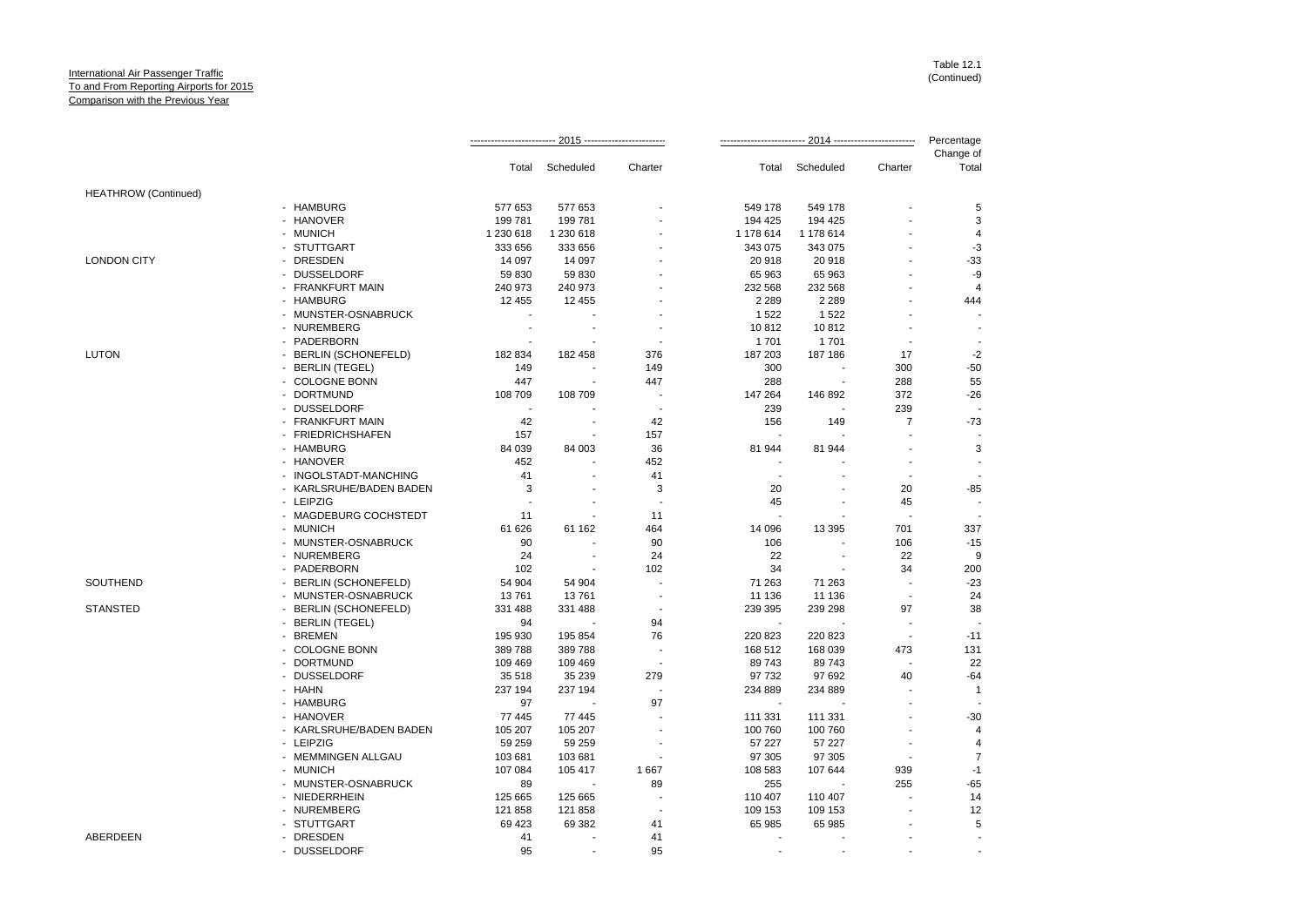|                             |                         |                          |           |                          | Percentage |                |                |                    |
|-----------------------------|-------------------------|--------------------------|-----------|--------------------------|------------|----------------|----------------|--------------------|
|                             |                         | Total                    | Scheduled | Charter                  | Total      | Scheduled      | Charter        | Change of<br>Total |
| <b>HEATHROW</b> (Continued) |                         |                          |           |                          |            |                |                |                    |
|                             | - HAMBURG               | 577 653                  | 577 653   |                          | 549 178    | 549 178        |                | 5                  |
|                             | - HANOVER               | 199 781                  | 199 781   |                          | 194 425    | 194 425        |                | 3                  |
|                             | - MUNICH                | 1 230 618                | 1 230 618 |                          | 1 178 614  | 1 178 614      |                | 4                  |
|                             | - STUTTGART             | 333 656                  | 333 656   |                          | 343 075    | 343 075        |                | -3                 |
| <b>LONDON CITY</b>          | - DRESDEN               | 14 097                   | 14 097    |                          | 20 918     | 20 918         |                | $-33$              |
|                             | - DUSSELDORF            | 59 830                   | 59 830    |                          | 65 963     | 65 963         |                | -9                 |
|                             | - FRANKFURT MAIN        | 240 973                  | 240 973   |                          | 232 568    | 232 568        |                | $\overline{4}$     |
|                             | - HAMBURG               | 12 455                   | 12 455    |                          | 2 2 8 9    | 2 2 8 9        |                | 444                |
|                             | - MUNSTER-OSNABRUCK     | ÷,                       |           |                          | 1 5 2 2    | 1522           |                |                    |
|                             | - NUREMBERG             | $\blacksquare$           |           |                          | 10812      | 10812          | ÷.             |                    |
|                             | - PADERBORN             |                          |           |                          | 1701       | 1701           |                |                    |
| <b>LUTON</b>                | - BERLIN (SCHONEFELD)   | 182 834                  | 182 458   | 376                      | 187 203    | 187 186        | 17             | $-2$               |
|                             | - BERLIN (TEGEL)        | 149                      |           | 149                      | 300        |                | 300            | $-50$              |
|                             | - COLOGNE BONN          | 447                      |           | 447                      | 288        |                | 288            | 55                 |
|                             | - DORTMUND              | 108 709                  | 108 709   | $\overline{a}$           | 147 264    | 146 892        | 372            | $-26$              |
|                             | - DUSSELDORF            | $\overline{\phantom{a}}$ |           | ÷,                       | 239        |                | 239            |                    |
|                             | - FRANKFURT MAIN        | 42                       |           | 42                       | 156        | 149            | $\overline{7}$ | $-73$              |
|                             | - FRIEDRICHSHAFEN       | 157                      |           | 157                      | ÷          |                |                |                    |
|                             | - HAMBURG               | 84 039                   | 84 003    | 36                       | 81 944     | 81 944         |                | 3                  |
|                             | - HANOVER               | 452                      |           | 452                      |            |                | $\blacksquare$ |                    |
|                             | - INGOLSTADT-MANCHING   | 41                       |           | 41                       | $\sim$     |                | $\sim$         |                    |
|                             | - KARLSRUHE/BADEN BADEN | 3                        |           | 3                        | 20         |                | 20             | $-85$              |
|                             | - LEIPZIG               | $\overline{\phantom{a}}$ |           |                          | 45         |                | 45             |                    |
|                             | - MAGDEBURG COCHSTEDT   | 11                       |           | 11                       |            |                |                |                    |
|                             | - MUNICH                | 61 626                   | 61 162    | 464                      | 14 096     | 13 3 95        | 701            | 337                |
|                             | - MUNSTER-OSNABRUCK     | 90                       |           | 90                       | 106        |                | 106            | $-15$              |
|                             | - NUREMBERG             | 24                       |           | 24                       | 22         | $\blacksquare$ | 22             | 9                  |
|                             | - PADERBORN             | 102                      |           | 102                      | 34         |                | 34             | 200                |
| SOUTHEND                    | - BERLIN (SCHONEFELD)   | 54 904                   | 54 904    |                          | 71 263     | 71 263         |                | $-23$              |
|                             | - MUNSTER-OSNABRUCK     | 13761                    | 13761     |                          | 11 136     | 11 136         | ÷.             | 24                 |
| <b>STANSTED</b>             | - BERLIN (SCHONEFELD)   | 331 488                  | 331 488   |                          | 239 395    | 239 298        | 97             | 38                 |
|                             | - BERLIN (TEGEL)        | 94                       |           | 94                       | $\sim$     |                |                |                    |
|                             | - BREMEN                | 195 930                  | 195 854   | 76                       | 220 823    | 220 823        |                | $-11$              |
|                             | - COLOGNE BONN          | 389788                   | 389788    |                          | 168 512    | 168 039        | 473            | 131                |
|                             | - DORTMUND              | 109 469                  | 109 469   | $\overline{\phantom{a}}$ | 89743      | 89 743         |                | 22                 |
|                             | - DUSSELDORF            | 35 518                   | 35 239    | 279                      | 97 732     | 97 692         | 40             | $-64$              |
|                             | - HAHN                  | 237 194                  | 237 194   |                          | 234 889    | 234 889        |                | $\overline{1}$     |
|                             | - HAMBURG               | 97                       |           | 97                       |            |                |                |                    |
|                             | - HANOVER               | 77 445                   | 77 445    |                          | 111 331    | 111 331        |                | $-30$              |
|                             | - KARLSRUHE/BADEN BADEN | 105 207                  | 105 207   |                          | 100 760    | 100 760        |                | $\overline{4}$     |
|                             | - LEIPZIG               | 59 259                   | 59 259    |                          | 57 227     | 57 227         |                | 4                  |
|                             | - MEMMINGEN ALLGAU      | 103 681                  | 103 681   |                          | 97 305     | 97 305         |                | $\overline{7}$     |
|                             | - MUNICH                |                          |           |                          |            |                |                | $-1$               |
|                             | - MUNSTER-OSNABRUCK     | 107 084                  | 105 417   | 1667<br>89               | 108 583    | 107 644        | 939<br>255     | $-65$              |
|                             |                         | 89                       |           | ÷,                       | 255        |                |                |                    |
|                             | - NIEDERRHEIN           | 125 665                  | 125 665   |                          | 110 407    | 110 407        |                | 14                 |
|                             | - NUREMBERG             | 121 858                  | 121 858   |                          | 109 153    | 109 153        |                | 12                 |
|                             | - STUTTGART             | 69 4 23                  | 69 382    | 41                       | 65 985     | 65 985         |                | 5                  |
| ABERDEEN                    | - DRESDEN               | 41<br>95                 |           | 41<br>95                 |            |                |                |                    |
|                             | - DUSSELDORF            |                          |           |                          |            |                |                |                    |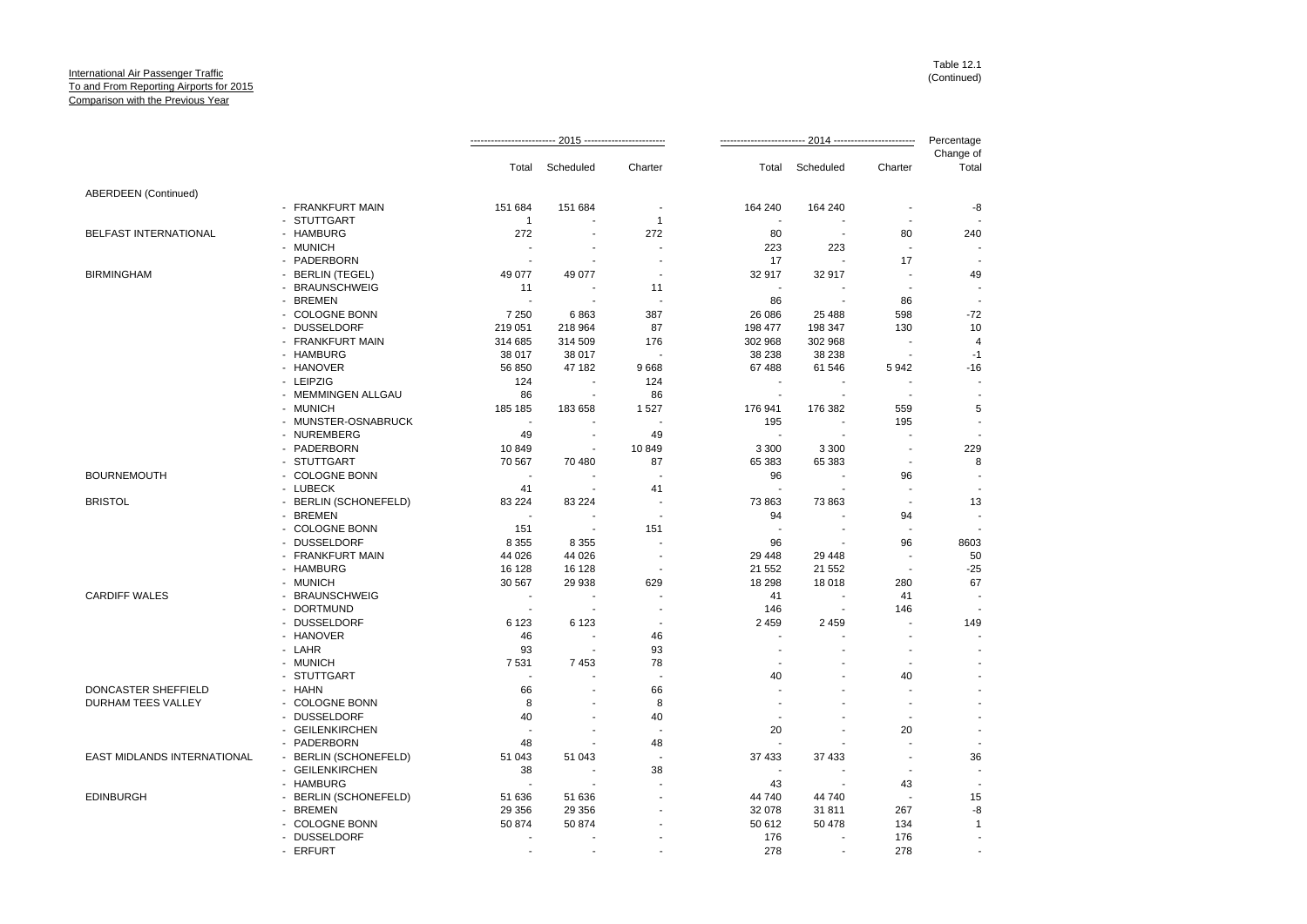|                                    |                       |                          | Total Scheduled          | Charter                  |                          | Total Scheduled          | Charter                  | Change of<br>Total |
|------------------------------------|-----------------------|--------------------------|--------------------------|--------------------------|--------------------------|--------------------------|--------------------------|--------------------|
| <b>ABERDEEN</b> (Continued)        |                       |                          |                          |                          |                          |                          |                          |                    |
|                                    | - FRANKFURT MAIN      | 151 684                  | 151 684                  | $\overline{\phantom{a}}$ | 164 240                  | 164 240                  |                          | -8                 |
|                                    | - STUTTGART           | $\mathbf{1}$             |                          | $\mathbf{1}$             |                          |                          |                          |                    |
| BELFAST INTERNATIONAL              | - HAMBURG             | 272                      |                          | 272                      | 80                       | $\sim$                   | 80                       | 240                |
|                                    | - MUNICH              | $\blacksquare$           |                          |                          | 223                      | 223                      |                          |                    |
|                                    | - PADERBORN           | $\overline{\phantom{a}}$ | $\overline{\phantom{a}}$ |                          | 17                       | $\sim$                   | 17                       |                    |
| <b>BIRMINGHAM</b>                  | - BERLIN (TEGEL)      | 49 0 77                  | 49 077                   |                          | 32 917                   | 32 917                   |                          | 49                 |
|                                    | - BRAUNSCHWEIG        | 11                       | $\overline{\phantom{a}}$ | 11                       | $\overline{\phantom{a}}$ |                          | $\blacksquare$           |                    |
|                                    | - BREMEN              | $\sim$                   |                          |                          | 86                       |                          | 86                       |                    |
|                                    | - COLOGNE BONN        | 7 2 5 0                  | 6863                     | 387                      | 26 08 6                  | 25 4 88                  | 598                      | $-72$              |
|                                    | - DUSSELDORF          | 219 051                  | 218 964                  | 87                       | 198 477                  | 198 347                  | 130                      | 10                 |
|                                    | - FRANKFURT MAIN      | 314 685                  | 314 509                  | 176                      | 302 968                  | 302 968                  |                          | 4                  |
|                                    | - HAMBURG             | 38 017                   | 38 017                   |                          | 38 238                   | 38 238                   | $\overline{\phantom{a}}$ | $-1$               |
|                                    | - HANOVER             | 56 850                   | 47 182                   | 9668                     | 67 488                   | 61 546                   | 5942                     | $-16$              |
|                                    | - LEIPZIG             | 124                      | $\sim$                   | 124                      | $\blacksquare$           | $\overline{\phantom{a}}$ |                          |                    |
|                                    | - MEMMINGEN ALLGAU    | 86                       |                          | 86                       | $\blacksquare$           |                          |                          |                    |
|                                    | - MUNICH              | 185 185                  | 183 658                  | 1527                     | 176 941                  | 176 382                  | 559                      | 5                  |
|                                    | - MUNSTER-OSNABRUCK   | $\sim$                   |                          |                          | 195                      | $\overline{\phantom{a}}$ | 195                      |                    |
|                                    | - NUREMBERG           | 49                       |                          | 49                       | ÷.                       |                          |                          |                    |
|                                    | - PADERBORN           | 10849                    | $\overline{\phantom{a}}$ | 10 849                   | 3 3 0 0                  | 3 3 0 0                  | $\overline{\phantom{a}}$ | 229                |
|                                    | - STUTTGART           | 70 567                   | 70 480                   | 87                       | 65 383                   | 65 383                   |                          | 8                  |
| <b>BOURNEMOUTH</b>                 | - COLOGNE BONN        | $\overline{\phantom{a}}$ |                          |                          | 96                       |                          | 96                       |                    |
|                                    | - LUBECK              | 41                       |                          | 41                       | ÷.                       |                          |                          |                    |
| <b>BRISTOL</b>                     | - BERLIN (SCHONEFELD) | 83 2 24                  | 83 224                   |                          | 73 863                   | 73 863                   | $\overline{\phantom{a}}$ | 13                 |
|                                    | - BREMEN              | $\sim$                   |                          |                          | 94                       | $\overline{\phantom{a}}$ | 94                       |                    |
|                                    | - COLOGNE BONN        | 151                      |                          | 151                      | $\blacksquare$           |                          |                          |                    |
|                                    | - DUSSELDORF          | 8 3 5 5                  | 8 3 5 5                  |                          | 96                       | $\blacksquare$           | 96                       | 8603               |
|                                    | - FRANKFURT MAIN      | 44 0 26                  | 44 0 26                  |                          | 29 4 48                  | 29 448                   | ÷,                       | 50                 |
|                                    | - HAMBURG             | 16 128                   | 16 128                   |                          | 21 552                   | 21 552                   | $\blacksquare$           | $-25$              |
|                                    | - MUNICH              | 30 567                   | 29 938                   | 629                      | 18 298                   | 18 018                   | 280                      | 67                 |
| <b>CARDIFF WALES</b>               | - BRAUNSCHWEIG        | $\blacksquare$           |                          |                          | 41                       |                          | 41                       |                    |
|                                    | - DORTMUND            | $\overline{\phantom{a}}$ |                          |                          | 146                      | $\sim$                   | 146                      |                    |
|                                    | - DUSSELDORF          | 6 1 2 3                  | 6 1 2 3                  |                          | 2 4 5 9                  | 2 4 5 9                  |                          | 149                |
|                                    | - HANOVER             | 46                       | $\sim$                   | 46                       | $\sim$                   |                          |                          |                    |
|                                    | - LAHR                | 93                       |                          | 93                       | $\blacksquare$           |                          | $\overline{a}$           |                    |
|                                    | - MUNICH              | 7531                     | 7453                     | 78                       |                          |                          | $\blacksquare$           |                    |
|                                    | - STUTTGART           | $\blacksquare$           |                          | $\blacksquare$           | 40                       |                          | 40                       |                    |
| DONCASTER SHEFFIELD                | - HAHN                | 66                       |                          | 66                       |                          |                          |                          |                    |
| DURHAM TEES VALLEY                 | - COLOGNE BONN        | 8                        |                          | 8                        |                          |                          | $\sim$                   |                    |
|                                    | - DUSSELDORF          | 40                       | $\overline{\phantom{a}}$ | 40                       | $\overline{\phantom{a}}$ |                          | $\overline{a}$           |                    |
|                                    | - GEILENKIRCHEN       | $\overline{\phantom{a}}$ |                          |                          | 20                       |                          | 20                       |                    |
|                                    | - PADERBORN           | 48                       |                          | 48                       |                          |                          |                          |                    |
| <b>EAST MIDLANDS INTERNATIONAL</b> | - BERLIN (SCHONEFELD) | 51 043                   | 51 043                   |                          | 37 433                   | 37 433                   | $\blacksquare$           | 36                 |
|                                    | - GEILENKIRCHEN       | 38                       | $\overline{\phantom{a}}$ | 38                       | $\overline{\phantom{a}}$ |                          |                          |                    |
|                                    | - HAMBURG             | $\sim$                   |                          |                          | 43                       |                          | 43                       |                    |
| <b>EDINBURGH</b>                   | - BERLIN (SCHONEFELD) | 51 636                   | 51 636                   |                          | 44 740                   | 44 740                   | $\overline{\phantom{a}}$ | 15                 |
|                                    | - BREMEN              | 29 35 6                  | 29 35 6                  |                          | 32 078                   | 31 811                   | 267                      | -8                 |
|                                    | - COLOGNE BONN        | 50 874                   | 50 874                   |                          | 50 612                   | 50 478                   | 134                      | $\mathbf{1}$       |
|                                    | - DUSSELDORF          |                          |                          |                          | 176                      |                          | 176                      |                    |
|                                    | - ERFURT              |                          |                          |                          | 278                      |                          | 278                      |                    |
|                                    |                       |                          |                          |                          |                          |                          |                          |                    |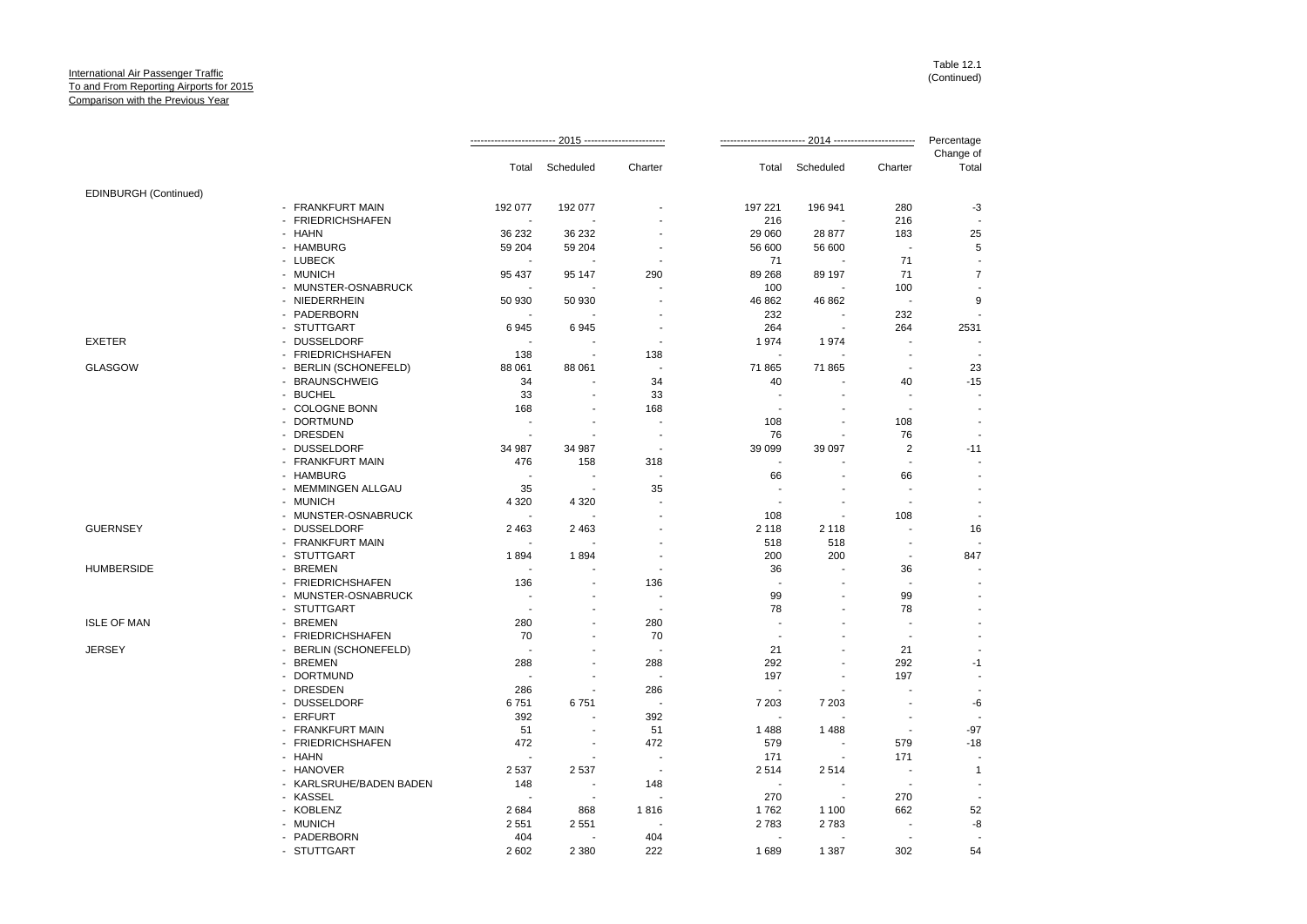|                       |                         | 2015 ------------------------ |                          | 2014 ------------------------- |                          |                | Percentage               |                          |
|-----------------------|-------------------------|-------------------------------|--------------------------|--------------------------------|--------------------------|----------------|--------------------------|--------------------------|
|                       |                         | Total                         | Scheduled                | Charter                        | Total                    | Scheduled      | Charter                  | Change of<br>Total       |
| EDINBURGH (Continued) |                         |                               |                          |                                |                          |                |                          |                          |
|                       | - FRANKFURT MAIN        | 192 077                       | 192 077                  |                                | 197 221                  | 196 941        | 280                      | -3                       |
|                       | - FRIEDRICHSHAFEN       | ÷.                            |                          |                                | 216                      |                | 216                      |                          |
|                       | - HAHN                  | 36 232                        | 36 232                   |                                | 29 060                   | 28 877         | 183                      | 25                       |
|                       | - HAMBURG               | 59 204                        | 59 204                   |                                | 56 600                   | 56 600         | $\blacksquare$           | 5                        |
|                       | - LUBECK                |                               |                          |                                | 71                       |                | 71                       |                          |
|                       | - MUNICH                | 95 437                        | 95 147                   | 290                            | 89 268                   | 89 197         | 71                       | $\overline{7}$           |
|                       | - MUNSTER-OSNABRUCK     |                               |                          |                                | 100                      |                | 100                      |                          |
|                       | - NIEDERRHEIN           | 50 930                        | 50 930                   |                                | 46 862                   | 46 862         | ÷,                       | $9\,$                    |
|                       | - PADERBORN             |                               |                          |                                | 232                      |                | 232                      |                          |
|                       | - STUTTGART             | 6945                          | 6945                     |                                | 264                      |                | 264                      | 2531                     |
| <b>EXETER</b>         | - DUSSELDORF            | $\blacksquare$                |                          |                                | 1974                     | 1974           | $\overline{a}$           |                          |
|                       | - FRIEDRICHSHAFEN       | 138                           | $\blacksquare$           | 138                            |                          |                | $\overline{\phantom{a}}$ |                          |
| <b>GLASGOW</b>        | - BERLIN (SCHONEFELD)   | 88 061                        | 88 061                   | $\overline{a}$                 | 71 865                   | 71 865         | $\overline{\phantom{a}}$ | 23                       |
|                       | - BRAUNSCHWEIG          | 34                            |                          | 34                             | 40                       |                | 40                       | $-15$                    |
|                       | - BUCHEL                | 33                            |                          | 33                             |                          |                |                          |                          |
|                       | - COLOGNE BONN          | 168                           |                          | 168                            |                          |                | $\overline{\phantom{a}}$ |                          |
|                       | - DORTMUND              | $\overline{\phantom{a}}$      |                          |                                | 108                      | ÷              | 108                      | $\overline{\phantom{a}}$ |
|                       | - DRESDEN               | ÷.                            | ÷.                       | $\blacksquare$                 | 76                       | ÷,             | 76                       | $\overline{\phantom{a}}$ |
|                       | - DUSSELDORF            | 34 987                        | 34 987                   | $\overline{\phantom{a}}$       | 39 099                   | 39 097         | $\sqrt{2}$               | $-11$                    |
|                       | - FRANKFURT MAIN        | 476                           | 158                      | 318                            |                          |                |                          |                          |
|                       | - HAMBURG               | $\overline{\phantom{a}}$      |                          |                                | 66                       |                | 66                       | $\overline{a}$           |
|                       | - MEMMINGEN ALLGAU      | 35                            | $\overline{\phantom{a}}$ | 35                             |                          |                |                          |                          |
|                       | - MUNICH                | 4 3 2 0                       | 4 3 2 0                  |                                |                          |                | $\overline{a}$           | $\overline{a}$           |
|                       | - MUNSTER-OSNABRUCK     |                               |                          |                                | 108                      | ٠              | 108                      | $\overline{\phantom{a}}$ |
| <b>GUERNSEY</b>       | - DUSSELDORF            | 2 4 6 3                       | 2 4 6 3                  |                                | 2 1 1 8                  | 2 1 1 8        |                          | 16                       |
|                       | - FRANKFURT MAIN        | $\sim$                        |                          |                                | 518                      | 518            | $\overline{a}$           |                          |
|                       | - STUTTGART             | 1894                          | 1894                     |                                | 200                      | 200            | ÷,                       | 847                      |
| <b>HUMBERSIDE</b>     | - BREMEN                |                               |                          |                                | 36                       |                | 36                       | $\overline{a}$           |
|                       | - FRIEDRICHSHAFEN       | 136                           | $\blacksquare$           | 136                            | ÷.                       |                | J.                       | $\overline{\phantom{a}}$ |
|                       | - MUNSTER-OSNABRUCK     |                               |                          | $\overline{\phantom{a}}$       | 99                       |                | 99                       |                          |
|                       | - STUTTGART             | $\blacksquare$                |                          | $\overline{\phantom{a}}$       | 78                       |                | 78                       |                          |
| <b>ISLE OF MAN</b>    | - BREMEN                | 280                           |                          | 280                            |                          |                |                          |                          |
|                       | - FRIEDRICHSHAFEN       | 70                            |                          | 70                             |                          |                | $\overline{\phantom{a}}$ |                          |
| <b>JERSEY</b>         | - BERLIN (SCHONEFELD)   |                               |                          | ÷,                             | 21                       |                | 21                       |                          |
|                       | - BREMEN                | 288                           |                          | 288                            | 292                      |                | 292                      | $-1$                     |
|                       | - DORTMUND              | $\blacksquare$                |                          | $\blacksquare$                 | 197                      | ÷              | 197                      |                          |
|                       | - DRESDEN               | 286                           |                          | 286                            |                          |                |                          |                          |
|                       | - DUSSELDORF            | 6751                          | 6751                     | $\overline{a}$                 | 7 203                    | 7 2 0 3        |                          | -6                       |
|                       | - ERFURT                | 392                           |                          | 392                            |                          |                | ٠                        |                          |
|                       | - FRANKFURT MAIN        | 51                            |                          | 51                             | 1 4 8 8                  | 1488           |                          | $-97$                    |
|                       | - FRIEDRICHSHAFEN       | 472                           | $\overline{\phantom{a}}$ | 472                            | 579                      |                | 579                      | $-18$                    |
|                       | - HAHN                  |                               |                          | $\blacksquare$                 | 171                      | $\blacksquare$ | 171                      |                          |
|                       | - HANOVER               | 2537                          | 2 5 3 7                  |                                | 2514                     | 2514           | $\overline{a}$           | $\mathbf{1}$             |
|                       | - KARLSRUHE/BADEN BADEN | 148                           | $\blacksquare$           | 148                            | $\overline{\phantom{a}}$ |                | $\blacksquare$           | $\overline{\phantom{a}}$ |
|                       | - KASSEL                |                               |                          |                                | 270                      | ä,             | 270                      |                          |
|                       | - KOBLENZ               | 2684                          | 868                      | 1816                           | 1762                     | 1 1 0 0        | 662                      | 52                       |
|                       | - MUNICH                | 2551                          | 2551                     |                                | 2783                     | 2783           | Ĭ.                       | -8                       |
|                       | - PADERBORN             | 404                           |                          | 404                            |                          |                | $\blacksquare$           |                          |
|                       | - STUTTGART             | 2602                          | 2 3 8 0                  | 222                            | 1689                     | 1 387          | 302                      | 54                       |
|                       |                         |                               |                          |                                |                          |                |                          |                          |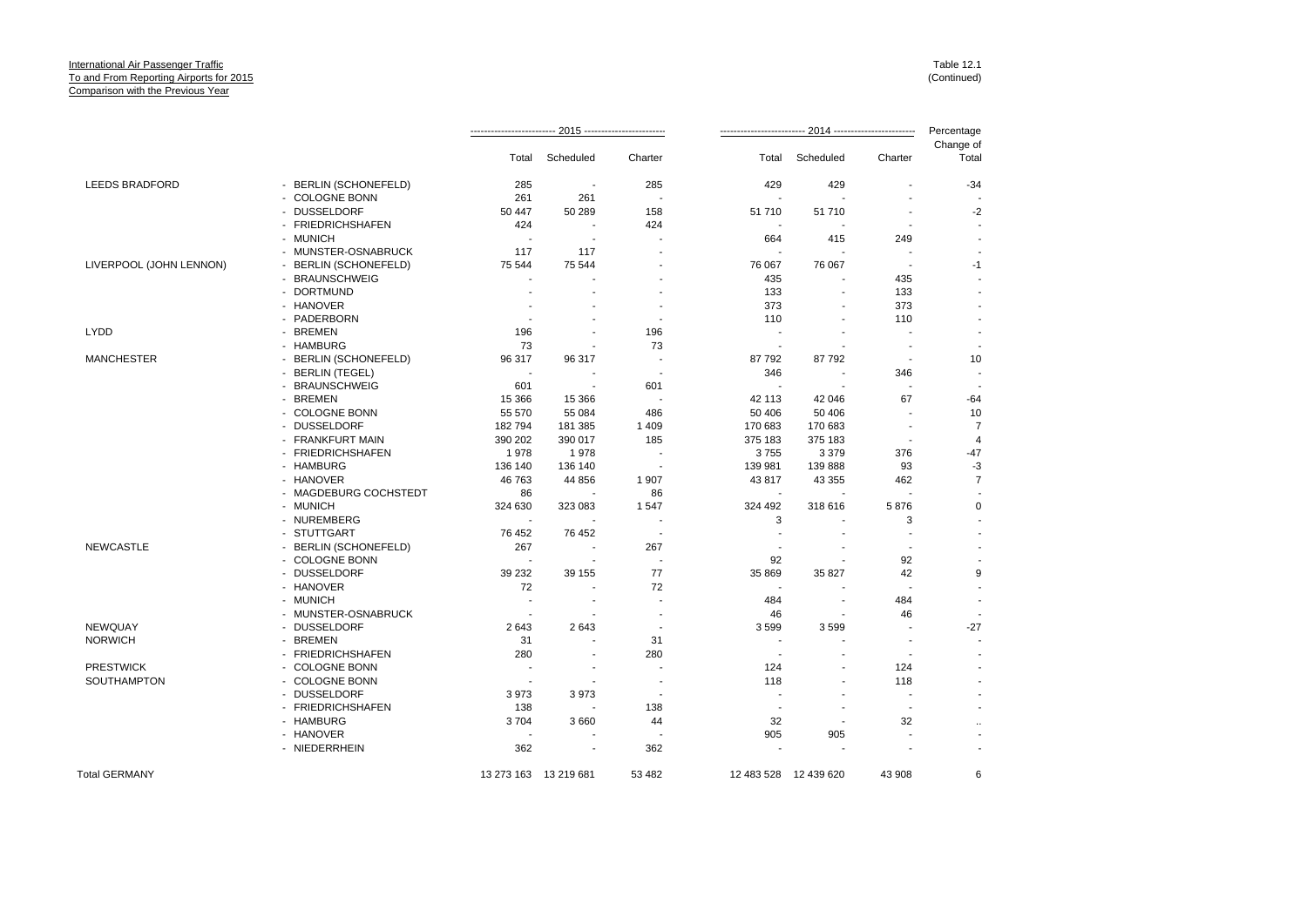|                                 |                                  |                          |                          |                          | Percentage               |                       |                                |                          |
|---------------------------------|----------------------------------|--------------------------|--------------------------|--------------------------|--------------------------|-----------------------|--------------------------------|--------------------------|
|                                 |                                  | Total                    | Scheduled                | Charter                  | Total                    | Scheduled             | Charter                        | Change of<br>Total       |
| <b>LEEDS BRADFORD</b>           | - BERLIN (SCHONEFELD)            | 285                      | $\overline{\phantom{a}}$ | 285                      | 429                      | 429                   | $\blacksquare$                 | $-34$                    |
|                                 | - COLOGNE BONN                   | 261                      | 261                      | $\overline{a}$           | ÷.                       |                       |                                |                          |
|                                 | - DUSSELDORF                     | 50 447                   | 50 289                   | 158                      | 51710                    | 51 710                | $\blacksquare$                 | $-2$                     |
|                                 | - FRIEDRICHSHAFEN                | 424                      |                          | 424                      |                          |                       |                                |                          |
|                                 | - MUNICH                         | $\blacksquare$           | $\blacksquare$           |                          | 664                      | 415                   | 249                            |                          |
|                                 | - MUNSTER-OSNABRUCK              | 117                      | 117                      |                          |                          |                       |                                |                          |
| LIVERPOOL (JOHN LENNON)         | - BERLIN (SCHONEFELD)            | 75 544                   | 75 544                   |                          | 76 067                   | 76 067                | $\overline{\phantom{a}}$       | $-1$                     |
|                                 | - BRAUNSCHWEIG                   |                          |                          |                          | 435                      |                       | 435                            |                          |
|                                 | <b>DORTMUND</b>                  |                          |                          |                          | 133                      |                       | 133                            |                          |
|                                 | - HANOVER                        |                          |                          |                          | 373                      |                       | 373                            | $\blacksquare$           |
|                                 | - PADERBORN                      |                          |                          |                          | 110                      |                       | 110                            |                          |
| <b>LYDD</b>                     | - BREMEN                         | 196                      | ÷                        | 196                      | $\overline{a}$           | ٠                     | $\overline{\phantom{a}}$       | $\overline{\phantom{a}}$ |
|                                 | - HAMBURG                        | 73                       |                          | 73                       | $\blacksquare$           |                       |                                | $\overline{\phantom{a}}$ |
| <b>MANCHESTER</b>               | - BERLIN (SCHONEFELD)            | 96 317                   | 96 317                   |                          | 87792                    | 87 792                | $\overline{\phantom{a}}$       | 10                       |
|                                 | - BERLIN (TEGEL)                 | $\overline{\phantom{a}}$ |                          |                          | 346                      |                       | 346                            |                          |
|                                 | - BRAUNSCHWEIG                   | 601                      | $\overline{\phantom{a}}$ | 601                      |                          |                       | $\overline{a}$                 |                          |
|                                 | - BREMEN                         | 15 3 66                  | 15 3 66                  |                          | 42 113                   | 42 046                | 67                             | $-64$                    |
|                                 | - COLOGNE BONN                   | 55 570                   | 55 084                   | 486                      | 50 40 6                  | 50 40 6               |                                | 10                       |
|                                 | - DUSSELDORF                     | 182794                   | 181 385                  | 1 4 0 9                  | 170 683                  | 170 683               | $\blacksquare$                 | $\overline{7}$           |
|                                 | - FRANKFURT MAIN                 | 390 202                  | 390 017                  | 185                      | 375 183                  | 375 183               | $\blacksquare$                 | $\overline{4}$           |
|                                 | - FRIEDRICHSHAFEN                | 1978                     | 1978                     |                          | 3755                     | 3 3 7 9               | 376                            | $-47$                    |
|                                 | - HAMBURG                        | 136 140                  | 136 140                  |                          | 139 981                  | 139 888               | 93                             | $-3$                     |
|                                 | - HANOVER                        | 46 763                   | 44 856                   | 1 907                    | 43817                    | 43 355                | 462                            | $\overline{7}$           |
|                                 | - MAGDEBURG COCHSTEDT            | 86                       |                          | 86                       | $\overline{\phantom{a}}$ |                       | $\overline{\phantom{a}}$       |                          |
|                                 | - MUNICH                         | 324 630                  | 323 083                  | 1547                     | 324 492                  | 318 616               | 5876                           | $\mathbf 0$              |
|                                 | - NUREMBERG                      |                          |                          |                          | 3                        |                       | 3                              |                          |
|                                 | - STUTTGART                      | 76 452                   | 76 452                   | $\overline{\phantom{a}}$ |                          |                       |                                |                          |
| <b>NEWCASTLE</b>                | - BERLIN (SCHONEFELD)            | 267                      | $\overline{\phantom{a}}$ | 267                      |                          |                       | $\blacksquare$                 |                          |
|                                 | - COLOGNE BONN                   |                          |                          |                          | 92                       |                       | 92                             |                          |
|                                 | - DUSSELDORF                     | 39 232                   | 39 155                   | 77                       | 35 869                   | 35 827                | 42                             | 9                        |
|                                 | - HANOVER                        | 72                       |                          | 72                       |                          |                       | $\blacksquare$                 |                          |
|                                 | - MUNICH                         | ÷,                       |                          |                          | 484                      |                       | 484                            | ÷,                       |
|                                 | - MUNSTER-OSNABRUCK              |                          |                          |                          | 46                       |                       | 46                             |                          |
| <b>NEWQUAY</b>                  | - DUSSELDORF                     | 2643                     | 2643                     | $\overline{\phantom{a}}$ | 3599                     | 3599                  |                                | $-27$                    |
| <b>NORWICH</b>                  | - BREMEN                         | 31                       | $\overline{\phantom{a}}$ | 31                       |                          | ٠                     |                                |                          |
|                                 | - FRIEDRICHSHAFEN                | 280                      | ٠                        | 280                      | <b>.</b>                 |                       | $\blacksquare$                 |                          |
| <b>PRESTWICK</b><br>SOUTHAMPTON | - COLOGNE BONN<br>- COLOGNE BONN | $\overline{\phantom{a}}$ |                          | $\overline{\phantom{a}}$ | 124<br>118               | ٠                     | 124<br>118                     |                          |
|                                 | - DUSSELDORF                     | 3973                     | 3973                     |                          |                          |                       |                                |                          |
|                                 |                                  |                          |                          |                          | $\overline{\phantom{a}}$ |                       |                                |                          |
|                                 | - FRIEDRICHSHAFEN<br>- HAMBURG   | 138<br>3704              | 3 6 6 0                  | 138                      | 32                       |                       | $\overline{\phantom{a}}$<br>32 |                          |
|                                 | - HANOVER                        |                          |                          | 44                       | 905                      | 905                   |                                | $\ddot{\phantom{a}}$     |
|                                 | - NIEDERRHEIN                    | 362                      | $\sim$                   | 362                      |                          |                       |                                |                          |
|                                 |                                  |                          |                          |                          |                          |                       |                                |                          |
| <b>Total GERMANY</b>            |                                  |                          | 13 273 163 13 219 681    | 53 482                   |                          | 12 483 528 12 439 620 | 43 908                         | 6                        |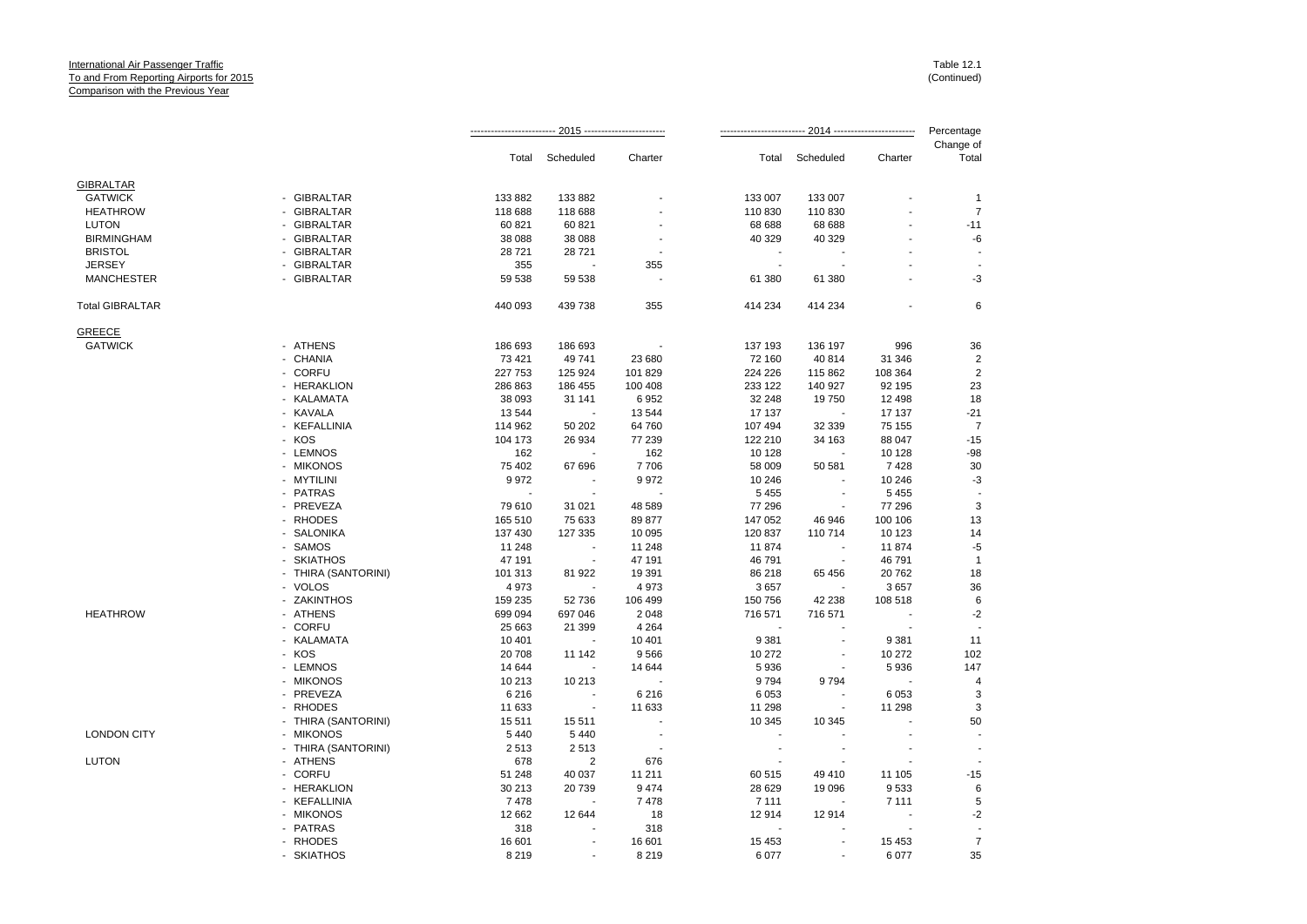|                        |                            |         |                          |                          |         |                          |                | Percentage         |
|------------------------|----------------------------|---------|--------------------------|--------------------------|---------|--------------------------|----------------|--------------------|
|                        |                            | Total   | Scheduled                | Charter                  | Total   | Scheduled                | Charter        | Change of<br>Total |
| <b>GIBRALTAR</b>       |                            |         |                          |                          |         |                          |                |                    |
| <b>GATWICK</b>         | - GIBRALTAR                | 133 882 | 133 882                  |                          | 133 007 | 133 007                  |                | $\mathbf{1}$       |
| <b>HEATHROW</b>        | - GIBRALTAR                | 118 688 | 118 688                  |                          | 110 830 | 110 830                  |                | $\overline{7}$     |
| <b>LUTON</b>           | <b>GIBRALTAR</b>           | 60 821  | 60 821                   |                          | 68 688  | 68 688                   |                | $-11$              |
| <b>BIRMINGHAM</b>      | - GIBRALTAR                | 38 088  | 38 088                   |                          | 40 329  | 40 329                   |                | -6                 |
| <b>BRISTOL</b>         | - GIBRALTAR                | 28721   | 28721                    |                          |         |                          |                |                    |
| <b>JERSEY</b>          | - GIBRALTAR                | 355     |                          | 355                      | $\sim$  |                          |                |                    |
| <b>MANCHESTER</b>      | - GIBRALTAR                | 59 538  | 59 538                   | $\overline{\phantom{a}}$ | 61 380  | 61 380                   | $\overline{a}$ | $-3$               |
| <b>Total GIBRALTAR</b> |                            | 440 093 | 439 738                  | 355                      | 414 234 | 414 234                  |                | $\,6$              |
| <b>GREECE</b>          |                            |         |                          |                          |         |                          |                |                    |
| <b>GATWICK</b>         | - ATHENS                   | 186 693 | 186 693                  |                          | 137 193 | 136 197                  | 996            | 36                 |
|                        | - CHANIA                   | 73 4 21 | 49 741                   | 23 680                   | 72 160  | 40 814                   | 31 346         | $\overline{2}$     |
|                        | - CORFU                    | 227 753 | 125 924                  | 101 829                  | 224 226 | 115 862                  | 108 364        | $\overline{2}$     |
|                        | - HERAKLION                | 286 863 | 186 455                  | 100 408                  | 233 122 | 140 927                  | 92 195         | 23                 |
|                        | - KALAMATA                 | 38 093  | 31 141                   | 6952                     | 32 248  | 19750                    | 12 4 98        | 18                 |
|                        | - KAVALA                   | 13 544  |                          | 13 544                   | 17 137  |                          | 17 137         | $-21$              |
|                        | - KEFALLINIA               | 114 962 | 50 20 2                  | 64 760                   | 107 494 | 32 339                   | 75 155         | $\overline{7}$     |
|                        | - KOS                      | 104 173 | 26 934                   | 77 239                   | 122 210 | 34 163                   | 88 047         | $-15$              |
|                        | - LEMNOS                   | 162     |                          | 162                      | 10 128  |                          | 10 128         | $-98$              |
|                        | - MIKONOS                  | 75 402  | 67 696                   | 7706                     | 58 009  | 50 581                   | 7428           | 30                 |
|                        | - MYTILINI                 | 9972    | $\blacksquare$           | 9972                     | 10 246  |                          | 10 246         | $-3$               |
|                        | - PATRAS                   |         |                          |                          | 5 4 5 5 | $\overline{\phantom{a}}$ | 5 4 5 5        |                    |
|                        | - PREVEZA                  | 79 610  | 31 0 21                  | 48 589                   | 77 296  | $\overline{\phantom{a}}$ | 77 296         | $\sqrt{3}$         |
|                        | - RHODES                   | 165 510 | 75 633                   | 89 877                   | 147 052 | 46 946                   | 100 106        | 13                 |
|                        | - SALONIKA                 | 137 430 | 127 335                  | 10 095                   | 120 837 | 110 714                  | 10 123         | 14                 |
|                        | SAMOS                      | 11 248  |                          | 11 248                   | 11874   |                          | 11874          | $-5$               |
|                        | - SKIATHOS                 | 47 191  |                          | 47 191                   | 46 791  |                          | 46 791         | $\overline{1}$     |
|                        | - THIRA (SANTORINI)        | 101 313 | 81 922                   | 19 391                   | 86 218  | 65 456                   | 20762          | 18                 |
|                        | - VOLOS                    | 4973    |                          | 4973                     | 3657    |                          | 3657           | 36                 |
|                        | <b>ZAKINTHOS</b><br>$\sim$ | 159 235 | 52 736                   | 106 499                  | 150 756 | 42 238                   | 108 518        | $6\phantom{1}$     |
| <b>HEATHROW</b>        | - ATHENS                   | 699 094 | 697 046                  | 2 0 4 8                  | 716 571 | 716 571                  |                | $-2$               |
|                        | - CORFU                    | 25 663  | 21 399                   | 4 2 6 4                  |         |                          |                |                    |
|                        | - KALAMATA                 | 10 401  | ÷.                       | 10 401                   | 9 3 8 1 | ÷.                       | 9 3 8 1        | 11                 |
|                        | - KOS                      | 20 708  | 11 142                   | 9566                     | 10 272  | $\overline{\phantom{a}}$ | 10 272         | 102                |
|                        | - LEMNOS                   | 14 644  |                          | 14 644                   | 5936    |                          | 5936           | 147                |
|                        | - MIKONOS                  | 10 213  | 10 213                   | $\overline{\phantom{a}}$ | 9794    | 9794                     |                | $\overline{4}$     |
|                        | - PREVEZA                  | 6 2 1 6 |                          | 6 2 1 6                  | 6 0 5 3 |                          | 6 0 5 3        | 3                  |
|                        | - RHODES                   | 11 633  | $\overline{\phantom{a}}$ | 11 633                   | 11 298  |                          | 11 298         | 3                  |
|                        | - THIRA (SANTORINI)        | 15 511  | 15 511                   |                          | 10 345  | 10 345                   |                | 50                 |
| <b>LONDON CITY</b>     | - MIKONOS                  | 5 4 4 0 | 5 4 4 0                  |                          |         |                          |                |                    |
|                        | - THIRA (SANTORINI)        | 2513    | 2513                     |                          | $\sim$  | $\overline{\phantom{a}}$ |                |                    |
| <b>LUTON</b>           | - ATHENS                   | 678     | $\overline{2}$           | 676                      |         | ÷.                       |                |                    |
|                        | - CORFU                    | 51 248  | 40 037                   | 11 211                   | 60 515  | 49 410                   | 11 105         | $-15$              |
|                        | - HERAKLION                | 30 213  | 20739                    | 9 4 7 4                  | 28 6 29 | 19 096                   | 9533           | $\,6$              |
|                        | - KEFALLINIA               | 7478    |                          | 7478                     | 7 1 1 1 |                          | 7 1 1 1        | 5                  |
|                        | - MIKONOS                  | 12 662  | 12 644                   | 18                       | 12914   | 12914                    |                | $-2$               |
|                        | - PATRAS                   | 318     |                          | 318                      |         |                          |                |                    |
|                        | - RHODES                   | 16 601  |                          | 16 601                   | 15 4 53 |                          | 15 4 53        | $\overline{7}$     |
|                        | - SKIATHOS                 | 8 2 1 9 |                          | 8 2 1 9                  | 6077    |                          | 6077           | 35                 |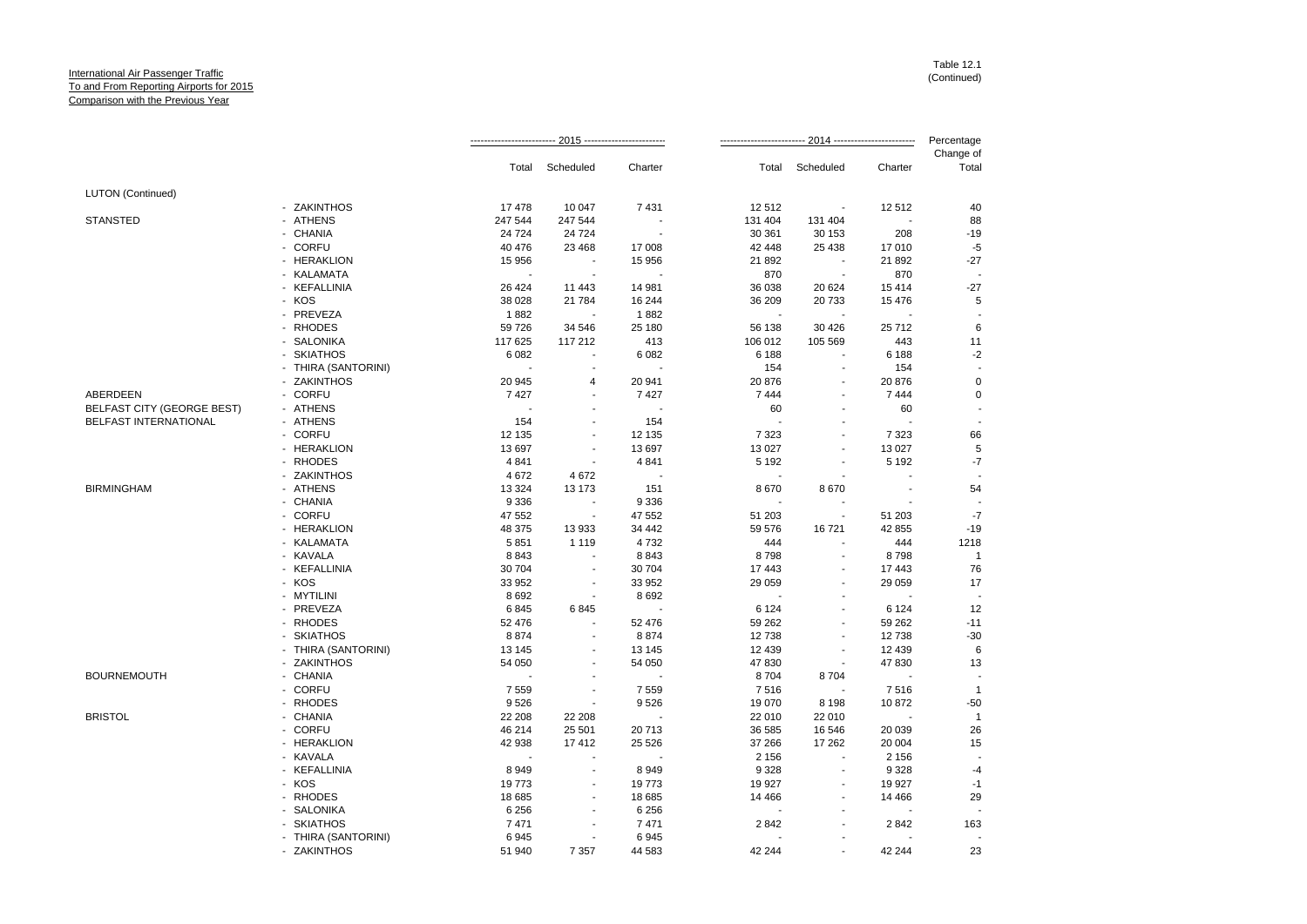|                                   |                     |                          |                          |         |         |                          | Percentage |                    |
|-----------------------------------|---------------------|--------------------------|--------------------------|---------|---------|--------------------------|------------|--------------------|
|                                   |                     | Total                    | Scheduled                | Charter | Total   | Scheduled                | Charter    | Change of<br>Total |
| <b>LUTON</b> (Continued)          |                     |                          |                          |         |         |                          |            |                    |
|                                   | - ZAKINTHOS         | 17478                    | 10 047                   | 7431    | 12512   |                          | 12512      | 40                 |
| <b>STANSTED</b>                   | - ATHENS            | 247 544                  | 247 544                  |         | 131 404 | 131 404                  |            | 88                 |
|                                   | - CHANIA            | 24 7 24                  | 24 7 24                  |         | 30 361  | 30 153                   | 208        | $-19$              |
|                                   | - CORFU             | 40 476                   | 23 4 68                  | 17 008  | 42 448  | 25 4 38                  | 17010      | $-5$               |
|                                   | - HERAKLION         | 15 956                   | $\blacksquare$           | 15 956  | 21 892  | $\sim$                   | 21 892     | $-27$              |
|                                   | - KALAMATA          |                          | $\blacksquare$           |         | 870     | ÷.                       | 870        |                    |
|                                   | - KEFALLINIA        | 26 4 24                  | 11 443                   | 14 981  | 36 038  | 20 624                   | 15414      | $-27$              |
|                                   | - KOS               | 38 0 28                  | 21 784                   | 16 244  | 36 209  | 20733                    | 15 4 76    | 5                  |
|                                   | - PREVEZA           | 1882                     |                          | 1882    |         |                          |            |                    |
|                                   | - RHODES            | 59 726                   | 34 546                   | 25 180  | 56 138  | 30 4 26                  | 25712      | 6                  |
|                                   | - SALONIKA          | 117 625                  | 117 212                  | 413     | 106 012 | 105 569                  | 443        | 11                 |
|                                   | - SKIATHOS          | 6 0 8 2                  |                          | 6 0 8 2 | 6 188   |                          | 6 188      | $-2$               |
|                                   | - THIRA (SANTORINI) | $\overline{\phantom{a}}$ |                          |         | 154     | ÷,                       | 154        |                    |
|                                   | - ZAKINTHOS         | 20 945                   | $\overline{4}$           | 20 941  | 20 876  |                          | 20 876     | $\mathbf 0$        |
| ABERDEEN                          | - CORFU             | 7427                     |                          | 7427    | 7 4 4 4 |                          | 7 4 4 4    | $\mathbf 0$        |
| <b>BELFAST CITY (GEORGE BEST)</b> | - ATHENS            |                          |                          |         | 60      |                          | 60         |                    |
| BELFAST INTERNATIONAL             | - ATHENS            | 154                      |                          | 154     |         |                          |            |                    |
|                                   | - CORFU             | 12 135                   | ÷,                       | 12 135  | 7 3 2 3 | ÷,                       | 7 3 2 3    | 66                 |
|                                   | - HERAKLION         | 13 697                   |                          | 13 697  | 13 0 27 |                          | 13 0 27    | 5                  |
|                                   | - RHODES            | 4 8 4 1                  |                          | 4841    | 5 1 9 2 |                          | 5 1 9 2    | $-7$               |
|                                   | - ZAKINTHOS         | 4672                     | 4672                     |         |         |                          |            |                    |
| <b>BIRMINGHAM</b>                 | - ATHENS            | 13 3 24                  | 13 173                   | 151     | 8670    | 8670                     |            | 54                 |
|                                   | - CHANIA            | 9 3 3 6                  | ÷,                       | 9 3 3 6 |         |                          |            |                    |
|                                   | - CORFU             | 47 552                   |                          | 47 552  | 51 203  |                          | 51 203     | $-7$               |
|                                   | - HERAKLION         | 48 375                   | 13933                    | 34 442  | 59 576  | 16721                    | 42 855     | $-19$              |
|                                   | - KALAMATA          | 5851                     | 1 1 1 9                  | 4732    | 444     | $\overline{\phantom{a}}$ | 444        | 1218               |
|                                   | - KAVALA            | 8843                     |                          | 8843    | 8798    |                          | 8798       | $\overline{1}$     |
|                                   | - KEFALLINIA        | 30 704                   | $\overline{a}$           | 30 704  | 17 443  |                          | 17 443     | 76                 |
|                                   | - KOS               | 33 952                   |                          | 33 952  | 29 059  |                          | 29 059     | 17                 |
|                                   | - MYTILINI          | 8692                     | $\overline{\phantom{a}}$ | 8692    |         |                          |            |                    |
|                                   | - PREVEZA           | 6845                     | 6845                     |         | 6 1 2 4 | $\blacksquare$           | 6 1 2 4    | 12                 |
|                                   | - RHODES            | 52 476                   |                          | 52 476  | 59 262  |                          | 59 262     | $-11$              |
|                                   | - SKIATHOS          | 8874                     |                          | 8874    | 12738   |                          | 12738      | $-30$              |
|                                   | - THIRA (SANTORINI) | 13 145                   |                          | 13 145  | 12 4 39 |                          | 12 4 39    | 6                  |
|                                   | - ZAKINTHOS         | 54 050                   | $\blacksquare$           | 54 050  | 47830   | $\blacksquare$           | 47 830     | 13                 |
| <b>BOURNEMOUTH</b>                | - CHANIA            |                          |                          |         | 8704    | 8704                     |            |                    |
|                                   | - CORFU             | 7559                     | ä,                       | 7 5 5 9 | 7516    |                          | 7516       | $\mathbf{1}$       |
|                                   | - RHODES            | 9526                     |                          | 9526    | 19 070  | 8 1 9 8                  | 10872      | $-50$              |
| <b>BRISTOL</b>                    | - CHANIA            | 22 208                   | 22 208                   | J.      | 22 010  | 22 010                   |            | $\mathbf{1}$       |
|                                   | - CORFU             | 46 214                   | 25 501                   | 20713   | 36 585  | 16 546                   | 20 039     | 26                 |
|                                   | - HERAKLION         | 42 938                   | 17412                    | 25 5 26 | 37 266  | 17 262                   | 20 004     | 15                 |
|                                   | - KAVALA            |                          |                          |         | 2 1 5 6 | ÷,                       | 2 1 5 6    |                    |
|                                   | - KEFALLINIA        | 8949                     |                          | 8949    | 9 3 28  |                          | 9 3 28     | $-4$               |
|                                   | - KOS               | 19773                    | $\blacksquare$           | 19773   | 19 927  | ÷,                       | 19 927     | $-1$               |
|                                   | - RHODES            | 18 685                   |                          | 18 685  | 14 4 66 |                          | 14 4 66    | 29                 |
|                                   | - SALONIKA          | 6 2 5 6                  |                          | 6 2 5 6 |         |                          |            |                    |
|                                   | - SKIATHOS          | 7471                     |                          | 7471    | 2842    |                          | 2842       | 163                |
|                                   | - THIRA (SANTORINI) | 6945                     | $\blacksquare$           | 6945    |         |                          |            |                    |
|                                   | - ZAKINTHOS         | 51 940                   | 7 3 5 7                  | 44 583  | 42 244  |                          | 42 244     | 23                 |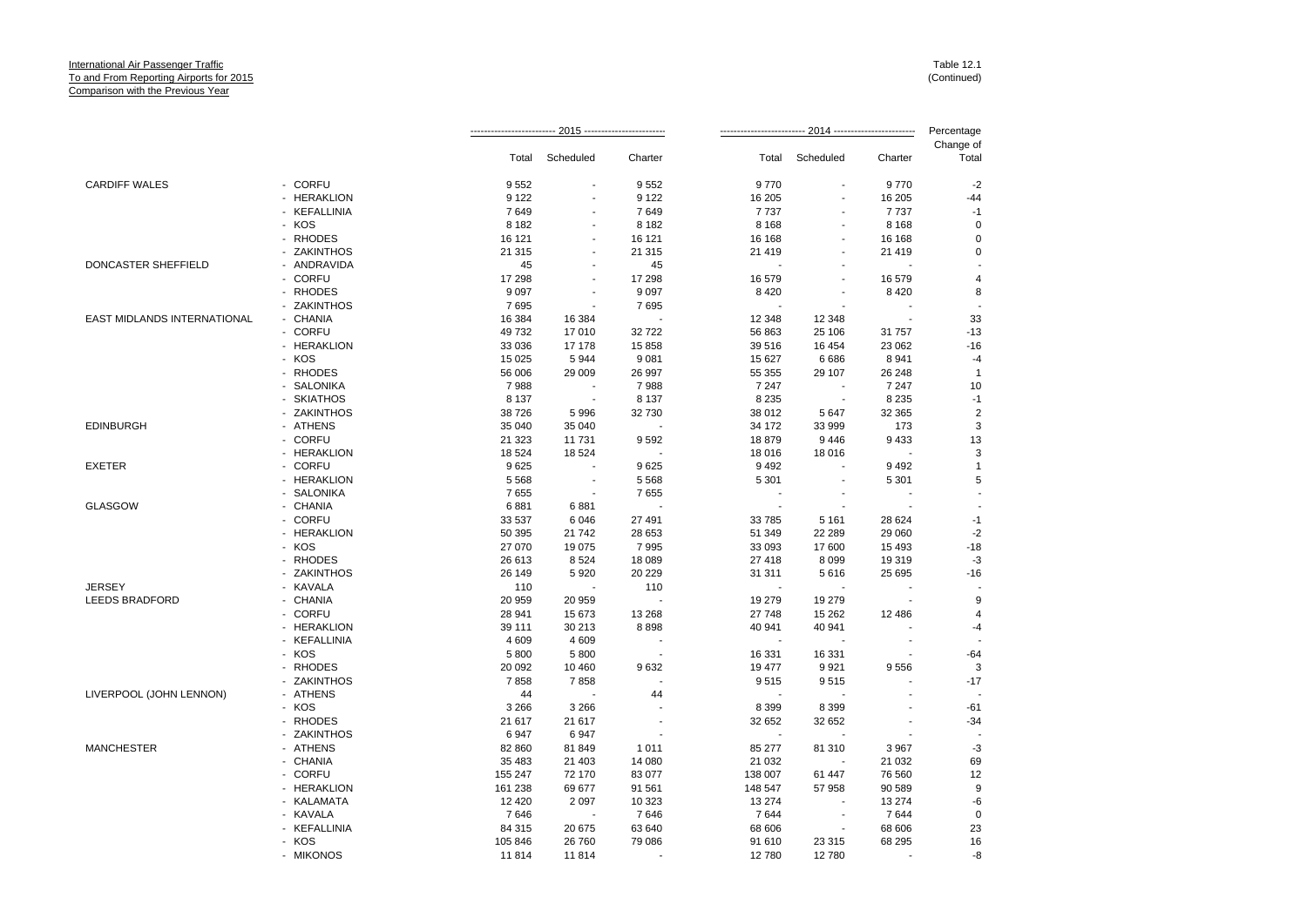|                             |              |         |                |                          | -- 2014 ------------------------- |                          |                          | Percentage         |
|-----------------------------|--------------|---------|----------------|--------------------------|-----------------------------------|--------------------------|--------------------------|--------------------|
|                             |              | Total   | Scheduled      | Charter                  | Total                             | Scheduled                | Charter                  | Change of<br>Total |
|                             |              |         |                |                          |                                   |                          |                          |                    |
| <b>CARDIFF WALES</b>        | - CORFU      | 9552    |                | 9552                     | 9770                              |                          | 9770                     | $-2$               |
|                             | - HERAKLION  | 9 1 2 2 |                | 9 1 2 2                  | 16 205                            |                          | 16 20 5                  | $-44$              |
|                             | - KEFALLINIA | 7649    | ٠              | 7649                     | 7737                              | ÷,                       | 7737                     | $-1$               |
|                             | - KOS        | 8 1 8 2 |                | 8 1 8 2                  | 8 1 6 8                           |                          | 8 1 6 8                  | $\mathbf 0$        |
|                             | - RHODES     | 16 121  | $\blacksquare$ | 16 121                   | 16 168                            | ÷.                       | 16 168                   | $\mathbf 0$        |
|                             | - ZAKINTHOS  | 21 315  |                | 21 315                   | 21 419                            |                          | 21 419                   | $\mathbf 0$        |
| DONCASTER SHEFFIELD         | - ANDRAVIDA  | 45      |                | 45                       |                                   |                          |                          |                    |
|                             | - CORFU      | 17 298  |                | 17 298                   | 16 579                            |                          | 16 579                   | $\overline{4}$     |
|                             | - RHODES     | 9 0 9 7 |                | 9 0 9 7                  | 8 4 2 0                           |                          | 8 4 2 0                  | 8                  |
|                             | - ZAKINTHOS  | 7695    |                | 7695                     |                                   |                          |                          |                    |
| EAST MIDLANDS INTERNATIONAL | - CHANIA     | 16 384  | 16 384         |                          | 12 348                            | 12 348                   | $\overline{\phantom{a}}$ | 33                 |
|                             | - CORFU      | 49 732  | 17010          | 32722                    | 56 863                            | 25 106                   | 31 757                   | $-13$              |
|                             | - HERAKLION  | 33 0 36 | 17 178         | 15 858                   | 39 516                            | 16 454                   | 23 062                   | $-16$              |
|                             | - KOS        | 15 0 25 | 5944           | 9 0 8 1                  | 15 627                            | 6686                     | 8 9 4 1                  | $-4$               |
|                             | - RHODES     | 56 006  | 29 009         | 26 997                   | 55 355                            | 29 107                   | 26 248                   | $\overline{1}$     |
|                             | - SALONIKA   | 7988    |                | 7988                     | 7 2 4 7                           | $\overline{\phantom{a}}$ | 7 2 4 7                  | 10                 |
|                             | - SKIATHOS   | 8 1 3 7 |                | 8 1 3 7                  | 8 2 3 5                           | $\blacksquare$           | 8 2 3 5                  | $-1$               |
|                             | - ZAKINTHOS  | 38 7 26 | 5996           | 32 730                   | 38 012                            | 5647                     | 32 365                   | $\overline{2}$     |
| <b>EDINBURGH</b>            | - ATHENS     | 35 040  | 35 040         |                          | 34 172                            | 33 999                   | 173                      | 3                  |
|                             | - CORFU      | 21 3 23 | 11 731         | 9592                     | 18879                             | 9446                     | 9 4 3 3                  | 13                 |
|                             | - HERAKLION  | 18 5 24 | 18 5 24        |                          | 18 016                            | 18 016                   |                          | 3                  |
| <b>EXETER</b>               | - CORFU      | 9625    | ÷,             | 9625                     | 9 4 9 2                           |                          | 9 4 9 2                  | $\mathbf{1}$       |
|                             | - HERAKLION  | 5 5 6 8 |                | 5 5 6 8                  | 5 3 0 1                           |                          | 5 3 0 1                  | 5                  |
|                             | - SALONIKA   |         |                | 7655                     |                                   |                          |                          |                    |
|                             |              | 7655    |                |                          |                                   |                          |                          |                    |
| <b>GLASGOW</b>              | - CHANIA     | 6881    | 6881           |                          |                                   |                          |                          |                    |
|                             | - CORFU      | 33 5 37 | 6046           | 27 491                   | 33 785                            | 5 1 6 1                  | 28 624                   | $-1$               |
|                             | - HERAKLION  | 50 395  | 21 742         | 28 653                   | 51 349                            | 22 289                   | 29 060                   | $-2$               |
|                             | - KOS        | 27 070  | 19 075         | 7995                     | 33 093                            | 17 600                   | 15 4 93                  | $-18$              |
|                             | - RHODES     | 26 613  | 8524           | 18 089                   | 27 418                            | 8 0 9 9                  | 19319                    | $-3$               |
|                             | - ZAKINTHOS  | 26 149  | 5920           | 20 229                   | 31 311                            | 5616                     | 25 695                   | $-16$              |
| <b>JERSEY</b>               | - KAVALA     | 110     |                | 110                      |                                   |                          |                          |                    |
| <b>LEEDS BRADFORD</b>       | - CHANIA     | 20 959  | 20 959         |                          | 19 279                            | 19 279                   |                          | 9                  |
|                             | - CORFU      | 28 941  | 15 673         | 13 268                   | 27 748                            | 15 26 2                  | 12 4 8 6                 | $\overline{4}$     |
|                             | - HERAKLION  | 39 111  | 30 213         | 8898                     | 40 941                            | 40 941                   |                          | $-4$               |
|                             | - KEFALLINIA | 4 6 0 9 | 4 6 0 9        | $\overline{\phantom{a}}$ |                                   |                          | ÷.                       |                    |
|                             | - KOS        | 5 8 0 0 | 5800           |                          | 16 331                            | 16 331                   |                          | $-64$              |
|                             | - RHODES     | 20 092  | 10 460         | 9632                     | 19 477                            | 9921                     | 9556                     | 3                  |
|                             | - ZAKINTHOS  | 7858    | 7858           |                          | 9515                              | 9515                     |                          | $-17$              |
| LIVERPOOL (JOHN LENNON)     | - ATHENS     | 44      |                | 44                       |                                   |                          |                          |                    |
|                             | - KOS        | 3 2 6 6 | 3 2 6 6        |                          | 8 3 9 9                           | 8 3 9 9                  |                          | $-61$              |
|                             | - RHODES     | 21 617  | 21 617         |                          | 32 652                            | 32 652                   |                          | $-34$              |
|                             | - ZAKINTHOS  | 6947    | 6947           |                          |                                   |                          |                          |                    |
| <b>MANCHESTER</b>           | - ATHENS     | 82 860  | 81849          | 1011                     | 85 277                            | 81 310                   | 3 9 6 7                  | $-3$               |
|                             | - CHANIA     | 35 4 83 | 21 403         | 14 080                   | 21 0 32                           |                          | 21 032                   | 69                 |
|                             | - CORFU      | 155 247 | 72 170         | 83 077                   | 138 007                           | 61 447                   | 76 560                   | 12                 |
|                             | - HERAKLION  | 161 238 | 69 677         | 91 561                   | 148 547                           | 57 958                   | 90 589                   | 9                  |
|                             | - KALAMATA   | 12 4 20 | 2 0 9 7        | 10 323                   | 13 274                            |                          | 13 274                   | $-6$               |
|                             | - KAVALA     | 7646    |                | 7646                     | 7644                              |                          | 7644                     | $\mathbf 0$        |
|                             | - KEFALLINIA | 84 315  | 20 675         | 63 640                   | 68 606                            | $\overline{a}$           | 68 606                   | 23                 |
|                             | - KOS        | 105 846 | 26 760         | 79 086                   | 91 610                            | 23 315                   | 68 295                   | 16                 |
|                             |              |         |                |                          |                                   |                          |                          |                    |
|                             | - MIKONOS    | 11814   | 11 814         |                          | 12780                             | 12780                    |                          | -8                 |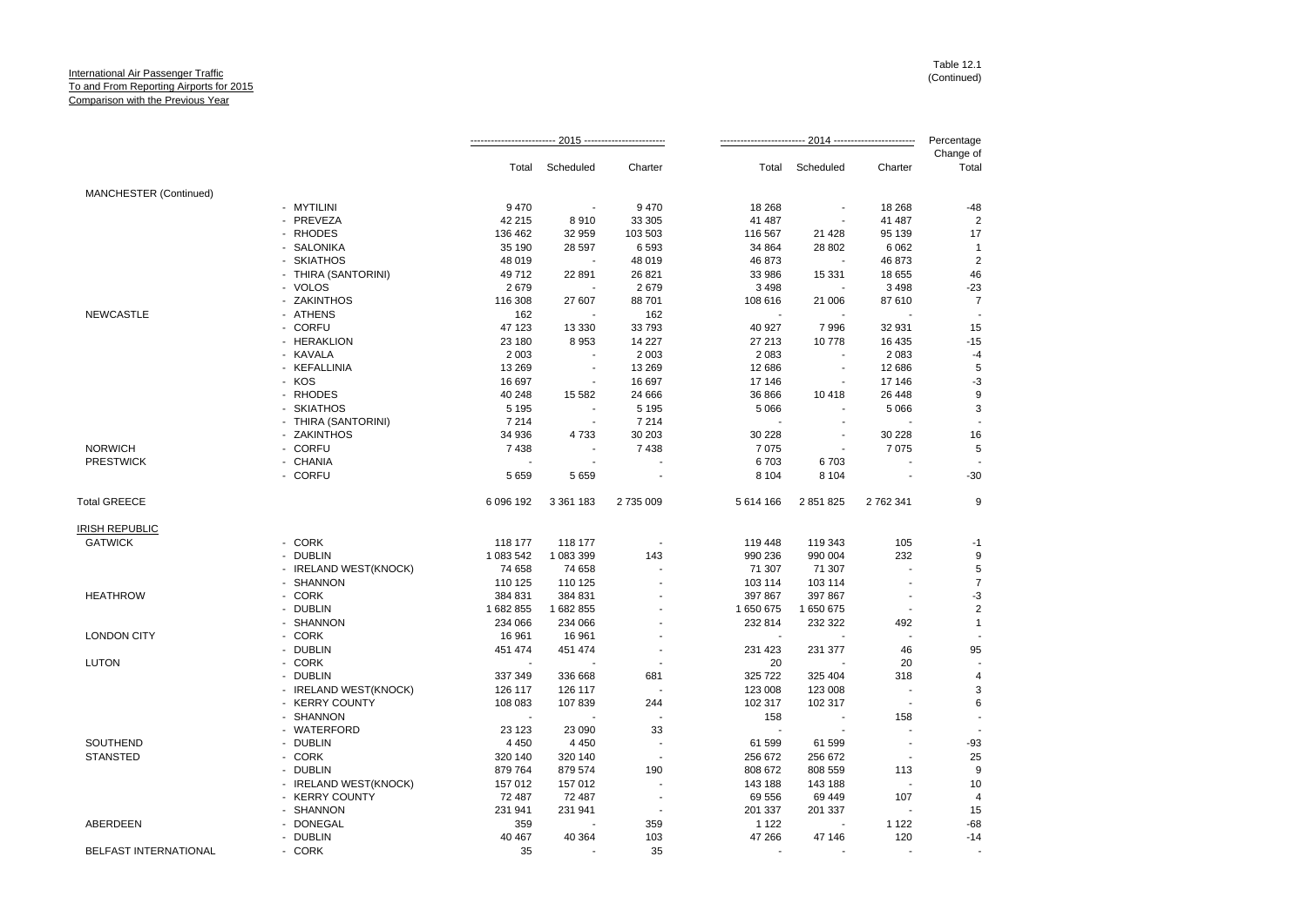|                        |                       |           |                          |                | 2014 ------------------------- |                          |                          | Percentage         |
|------------------------|-----------------------|-----------|--------------------------|----------------|--------------------------------|--------------------------|--------------------------|--------------------|
|                        |                       | Total     | Scheduled                | Charter        | Total                          | Scheduled                | Charter                  | Change of<br>Total |
| MANCHESTER (Continued) |                       |           |                          |                |                                |                          |                          |                    |
|                        | - MYTILINI            | 9470      |                          | 9470           | 18 268                         |                          | 18 268                   | $-48$              |
|                        | - PREVEZA             | 42 215    | 8910                     | 33 30 5        | 41 487                         |                          | 41 487                   | $\overline{2}$     |
|                        | - RHODES              | 136 462   | 32 959                   | 103 503        | 116 567                        | 21 4 28                  | 95 139                   | 17                 |
|                        | - SALONIKA            | 35 190    | 28 597                   | 6593           | 34 864                         | 28 802                   | 6 0 6 2                  | $\mathbf 1$        |
|                        | - SKIATHOS            | 48 019    |                          | 48 019         | 46 873                         | $\overline{\phantom{a}}$ | 46 873                   | $\overline{2}$     |
|                        | - THIRA (SANTORINI)   | 49 712    | 22 891                   | 26 821         | 33 986                         | 15 3 31                  | 18 655                   | 46                 |
|                        | - VOLOS               | 2679      |                          | 2679           | 3 4 9 8                        |                          | 3 4 9 8                  | $-23$              |
|                        | - ZAKINTHOS           | 116 308   | 27 607                   | 88 701         | 108 616                        | 21 006                   | 87 610                   | $\overline{7}$     |
| <b>NEWCASTLE</b>       | - ATHENS              | 162       |                          | 162            |                                |                          |                          |                    |
|                        | - CORFU               | 47 123    | 13 3 3 0                 | 33 793         | 40 927                         | 7996                     | 32 931                   | 15                 |
|                        | - HERAKLION           | 23 180    | 8953                     | 14 227         | 27 213                         | 10778                    | 16 435                   | $-15$              |
|                        | - KAVALA              | 2 0 0 3   | $\overline{\phantom{a}}$ | 2 0 0 3        | 2 0 8 3                        | $\sim$                   | 2 0 8 3                  | $-4$               |
|                        | - KEFALLINIA          | 13 2 69   | $\blacksquare$           | 13 269         | 12 686                         | $\blacksquare$           | 12 686                   | 5                  |
|                        | - KOS                 | 16 697    |                          | 16 697         | 17 146                         | $\overline{\phantom{a}}$ | 17 146                   | -3                 |
|                        | - RHODES              | 40 248    | 15 5 82                  | 24 666         | 36 866                         | 10 418                   | 26 4 48                  | 9                  |
|                        | - SKIATHOS            | 5 1 9 5   |                          | 5 1 9 5        | 5 0 6 6                        |                          | 5 0 6 6                  | 3                  |
|                        | - THIRA (SANTORINI)   | 7 2 1 4   | $\blacksquare$           | 7 2 1 4        |                                | $\overline{a}$           |                          |                    |
|                        | - ZAKINTHOS           | 34 936    | 4733                     | 30 203         | 30 228                         | ä,                       | 30 228                   | 16                 |
| <b>NORWICH</b>         | - CORFU               | 7438      |                          | 7438           | 7 0 7 5                        |                          | 7075                     | 5                  |
| <b>PRESTWICK</b>       | - CHANIA              |           |                          |                | 6703                           | 6703                     |                          |                    |
|                        | - CORFU               | 5 6 5 9   | 5 6 5 9                  |                | 8 1 0 4                        | 8 1 0 4                  |                          | $-30$              |
| <b>Total GREECE</b>    |                       | 6 096 192 | 3 361 183                | 2735009        | 5 614 166                      | 2 851 825                | 2 762 341                | 9                  |
| <b>IRISH REPUBLIC</b>  |                       |           |                          |                |                                |                          |                          |                    |
| <b>GATWICK</b>         | - CORK                | 118 177   | 118 177                  |                | 119 448                        | 119 343                  | 105                      | -1                 |
|                        | - DUBLIN              | 1 083 542 | 1 083 399                | 143            | 990 236                        | 990 004                  | 232                      | 9                  |
|                        | - IRELAND WEST(KNOCK) | 74 658    | 74 658                   |                | 71 307                         | 71 307                   |                          | 5                  |
|                        | - SHANNON             | 110 125   | 110 125                  |                | 103 114                        | 103 114                  |                          | $\overline{7}$     |
| <b>HEATHROW</b>        | - CORK                | 384 831   | 384 831                  |                | 397 867                        | 397 867                  | $\overline{\phantom{a}}$ | -3                 |
|                        | - DUBLIN              | 1682855   | 1682855                  |                | 1 650 675                      | 1 650 675                | $\blacksquare$           | $\overline{2}$     |
|                        | - SHANNON             | 234 066   | 234 066                  |                | 232 814                        | 232 322                  | 492                      | $\overline{1}$     |
| <b>LONDON CITY</b>     | - CORK                | 16 961    | 16 961                   |                | $\overline{\phantom{a}}$       |                          |                          |                    |
|                        | - DUBLIN              | 451 474   | 451 474                  |                | 231 423                        | 231 377                  | 46                       | 95                 |
| <b>LUTON</b>           | - CORK                |           |                          | ÷.             | 20                             |                          | 20                       |                    |
|                        | - DUBLIN              | 337 349   | 336 668                  | 681            | 325 722                        | 325 404                  | 318                      |                    |
|                        | - IRELAND WEST(KNOCK) | 126 117   | 126 117                  |                | 123 008                        | 123 008                  |                          | 3                  |
|                        | - KERRY COUNTY        | 108 083   | 107839                   | 244            | 102 317                        | 102 317                  | $\sim$                   | 6                  |
|                        | - SHANNON             |           |                          |                | 158                            |                          | 158                      |                    |
|                        | - WATERFORD           | 23 1 23   | 23 090                   | 33             |                                |                          |                          |                    |
| SOUTHEND               | - DUBLIN              | 4 4 5 0   | 4 4 5 0                  |                | 61 599                         | 61 599                   | $\ddot{\phantom{a}}$     | $-93$              |
| <b>STANSTED</b>        | - CORK                | 320 140   | 320 140                  |                | 256 672                        | 256 672                  | $\overline{\phantom{a}}$ | 25                 |
|                        | - DUBLIN              | 879 764   | 879 574                  | 190            | 808 672                        | 808 559                  | 113                      | 9                  |
|                        | - IRELAND WEST(KNOCK) | 157 012   | 157 012                  |                | 143 188                        | 143 188                  |                          | 10                 |
|                        | - KERRY COUNTY        | 72 487    | 72 487                   |                | 69 556                         | 69 449                   | 107                      |                    |
|                        | - SHANNON             | 231 941   | 231 941                  | $\overline{a}$ | 201 337                        | 201 337                  |                          | 15                 |
| ABERDEEN               | - DONEGAL             | 359       |                          | 359            | 1 1 2 2                        |                          | 1 1 2 2                  | $-68$              |
|                        | - DUBLIN              | 40 467    | 40 364                   | 103            | 47 266                         | 47 146                   | 120                      | $-14$              |
| BELFAST INTERNATIONAL  | - CORK                | 35        |                          | 35             | $\sim$                         |                          |                          |                    |
|                        |                       |           |                          |                |                                |                          |                          |                    |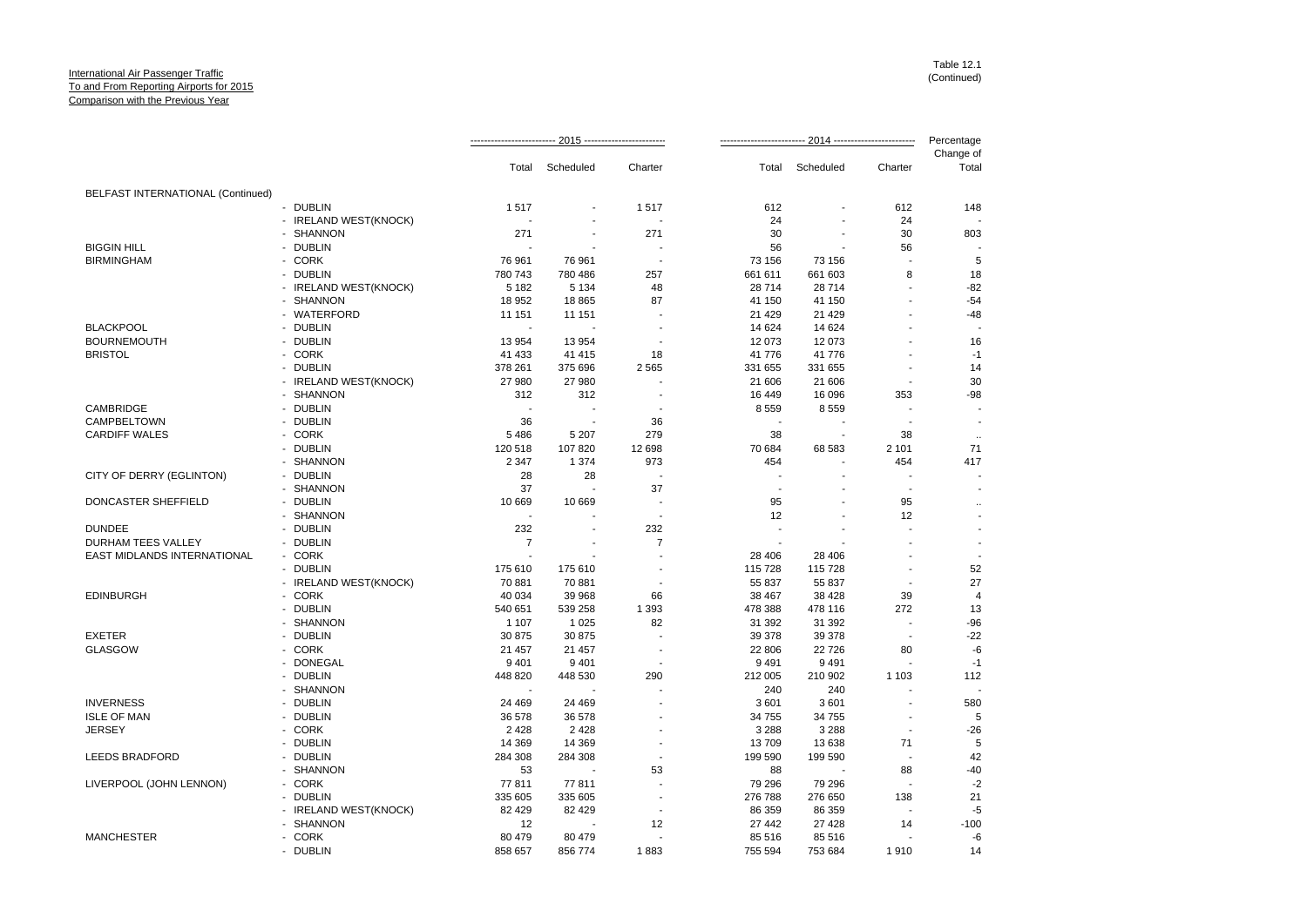|                                   |                       |                |           |                      |         | 2014 ------------------------- |                |                    |  |
|-----------------------------------|-----------------------|----------------|-----------|----------------------|---------|--------------------------------|----------------|--------------------|--|
|                                   |                       | Total          | Scheduled | Charter              | Total   | Scheduled                      | Charter        | Change of<br>Total |  |
| BELFAST INTERNATIONAL (Continued) |                       |                |           |                      |         |                                |                |                    |  |
|                                   | - DUBLIN              | 1517           |           | 1517                 | 612     |                                | 612            | 148                |  |
|                                   | - IRELAND WEST(KNOCK) |                |           |                      | 24      |                                | 24             |                    |  |
|                                   | - SHANNON             | 271            |           | 271                  | 30      |                                | 30             | 803                |  |
| <b>BIGGIN HILL</b>                | - DUBLIN              |                |           |                      | 56      | $\sim$                         | 56             |                    |  |
| <b>BIRMINGHAM</b>                 | - CORK                | 76 961         | 76 961    |                      | 73 156  | 73 156                         |                | 5                  |  |
|                                   | - DUBLIN              | 780 743        | 780 486   | 257                  | 661 611 | 661 603                        | 8              | 18                 |  |
|                                   | - IRELAND WEST(KNOCK) | 5 1 8 2        | 5 1 3 4   | 48                   | 28 714  | 28 714                         |                | $-82$              |  |
|                                   | - SHANNON             | 18 952         | 18 8 65   | 87                   | 41 150  | 41 150                         |                | $-54$              |  |
|                                   | - WATERFORD           | 11 151         | 11 151    |                      | 21 4 29 | 21 4 29                        |                | $-48$              |  |
| <b>BLACKPOOL</b>                  | - DUBLIN              |                |           |                      | 14 624  | 14 624                         |                |                    |  |
| <b>BOURNEMOUTH</b>                | - DUBLIN              | 13 9 54        | 13 954    |                      | 12 073  | 12 073                         |                | 16                 |  |
| <b>BRISTOL</b>                    | - CORK                | 41 433         | 41 415    | 18                   | 41 776  | 41 776                         |                | $-1$               |  |
|                                   | - DUBLIN              | 378 261        | 375 696   | 2 5 6 5              | 331 655 | 331 655                        |                | 14                 |  |
|                                   | - IRELAND WEST(KNOCK) | 27 980         | 27 980    |                      | 21 606  | 21 606                         |                | 30                 |  |
|                                   | - SHANNON             | 312            | 312       | $\overline{a}$       | 16 449  | 16 096                         | 353            | $-98$              |  |
| CAMBRIDGE                         | - DUBLIN              | $\sim$         |           |                      | 8559    | 8559                           |                |                    |  |
| CAMPBELTOWN                       | - DUBLIN              | 36             |           | 36                   |         |                                |                |                    |  |
| <b>CARDIFF WALES</b>              | - CORK                | 5 4 8 6        | 5 2 0 7   | 279                  | 38      | $\overline{\phantom{a}}$       | 38             |                    |  |
|                                   | - DUBLIN              | 120 518        | 107 820   | 12 698               | 70 684  | 68 583                         | 2 1 0 1        | $\ldots$<br>71     |  |
|                                   | - SHANNON             | 2 3 4 7        | 1 3 7 4   | 973                  | 454     |                                | 454            | 417                |  |
|                                   | - DUBLIN              |                |           |                      |         |                                |                |                    |  |
| CITY OF DERRY (EGLINTON)          | - SHANNON             | 28             | 28        |                      |         |                                |                |                    |  |
|                                   |                       | 37             |           | 37<br>$\overline{a}$ |         |                                |                |                    |  |
| DONCASTER SHEFFIELD               | - DUBLIN              | 10 669         | 10 669    |                      | 95      |                                | 95             |                    |  |
|                                   | - SHANNON             |                |           |                      | 12      | $\blacksquare$                 | 12             |                    |  |
| <b>DUNDEE</b>                     | - DUBLIN              | 232            |           | 232                  |         |                                |                |                    |  |
| DURHAM TEES VALLEY                | - DUBLIN              | $\overline{7}$ |           | $\overline{7}$       | ÷.      |                                |                |                    |  |
| EAST MIDLANDS INTERNATIONAL       | - CORK                |                |           |                      | 28 40 6 | 28 40 6                        |                |                    |  |
|                                   | - DUBLIN              | 175 610        | 175 610   |                      | 115 728 | 115 728                        |                | 52                 |  |
|                                   | - IRELAND WEST(KNOCK) | 70 881         | 70 881    |                      | 55 837  | 55 837                         | ÷,             | 27                 |  |
| <b>EDINBURGH</b>                  | - CORK                | 40 0 34        | 39 968    | 66                   | 38 467  | 38 4 28                        | 39             | $\overline{4}$     |  |
|                                   | - DUBLIN              | 540 651        | 539 258   | 1 3 9 3              | 478 388 | 478 116                        | 272            | 13                 |  |
|                                   | - SHANNON             | 1 1 0 7        | 1 0 2 5   | 82                   | 31 392  | 31 392                         | ÷,             | $-96$              |  |
| <b>EXETER</b>                     | - DUBLIN              | 30 875         | 30 875    |                      | 39 378  | 39 378                         |                | $-22$              |  |
| <b>GLASGOW</b>                    | - CORK                | 21 457         | 21 457    |                      | 22 806  | 22 7 26                        | 80             | $-6$               |  |
|                                   | - DONEGAL             | 9 4 0 1        | 9 4 0 1   | $\overline{a}$       | 9491    | 9491                           |                | $-1$               |  |
|                                   | - DUBLIN              | 448 820        | 448 530   | 290                  | 212 005 | 210 902                        | 1 1 0 3        | 112                |  |
|                                   | - SHANNON             |                |           |                      | 240     | 240                            |                |                    |  |
| <b>INVERNESS</b>                  | - DUBLIN              | 24 4 69        | 24 4 69   |                      | 3 601   | 3601                           |                | 580                |  |
| <b>ISLE OF MAN</b>                | - DUBLIN              | 36 578         | 36 578    |                      | 34 755  | 34 755                         |                | 5                  |  |
| <b>JERSEY</b>                     | - CORK                | 2 4 2 8        | 2 4 2 8   |                      | 3 2 8 8 | 3 2 8 8                        | $\overline{a}$ | $-26$              |  |
|                                   | - DUBLIN              | 14 3 69        | 14 3 69   |                      | 13709   | 13 638                         | 71             | 5                  |  |
| <b>LEEDS BRADFORD</b>             | - DUBLIN              | 284 308        | 284 308   | ÷,                   | 199 590 | 199 590                        | ÷.             | 42                 |  |
|                                   | - SHANNON             | 53             |           | 53                   | 88      |                                | 88             | $-40$              |  |
| LIVERPOOL (JOHN LENNON)           | - CORK                | 77811          | 77811     |                      | 79 296  | 79 296                         |                | $-2$               |  |
|                                   | - DUBLIN              | 335 605        | 335 605   |                      | 276 788 | 276 650                        | 138            | 21                 |  |
|                                   | - IRELAND WEST(KNOCK) | 82 4 29        | 82 4 29   |                      | 86 359  | 86 359                         |                | $-5$               |  |
|                                   | - SHANNON             | 12             |           | 12                   | 27 442  | 27 4 28                        | 14             | $-100$             |  |
| <b>MANCHESTER</b>                 | - CORK                | 80 479         | 80 479    |                      | 85 516  | 85 516                         |                | -6                 |  |
|                                   | - DUBLIN              | 858 657        | 856 774   | 1883                 | 755 594 | 753 684                        | 1910           | 14                 |  |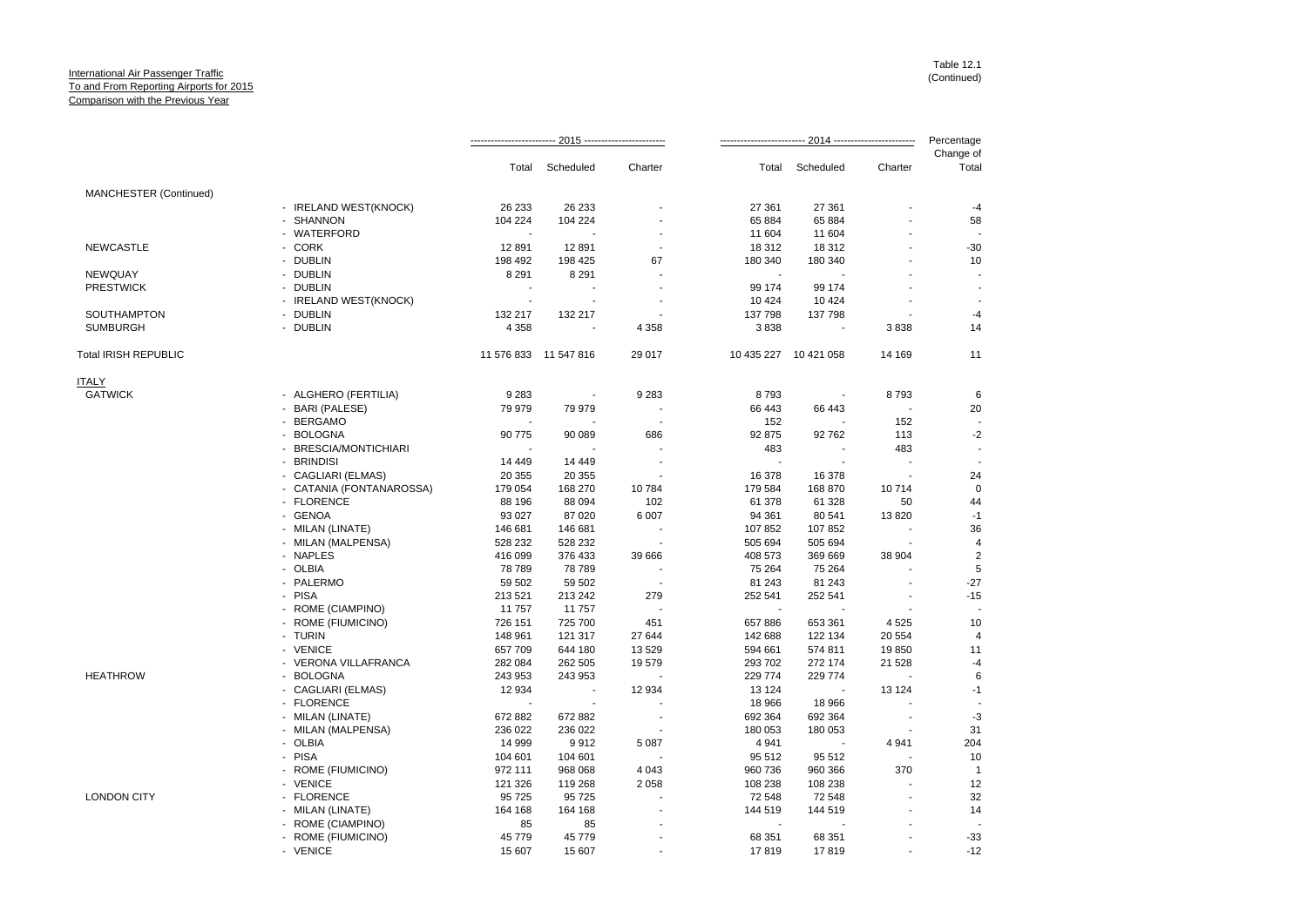|                             |                          |          |                          |                          |         | Percentage            |         |                    |
|-----------------------------|--------------------------|----------|--------------------------|--------------------------|---------|-----------------------|---------|--------------------|
|                             |                          | Total    | Scheduled                | Charter                  |         | Total Scheduled       | Charter | Change of<br>Total |
| MANCHESTER (Continued)      |                          |          |                          |                          |         |                       |         |                    |
|                             | - IRELAND WEST(KNOCK)    | 26 233   | 26 233                   |                          | 27 361  | 27 361                |         | $-4$               |
|                             | - SHANNON                | 104 224  | 104 224                  |                          | 65 884  | 65 884                |         | 58                 |
|                             | - WATERFORD              |          |                          |                          | 11 604  | 11 604                |         |                    |
| <b>NEWCASTLE</b>            | - CORK                   | 12891    | 12891                    | $\overline{\phantom{a}}$ | 18 312  | 18 312                |         | $-30$              |
|                             | - DUBLIN                 | 198 492  | 198 425                  | 67                       | 180 340 | 180 340               |         | 10                 |
| <b>NEWQUAY</b>              | - DUBLIN                 | 8 2 9 1  | 8 2 9 1                  |                          |         |                       |         |                    |
| <b>PRESTWICK</b>            | - DUBLIN                 |          |                          |                          | 99 174  | 99 174                |         |                    |
|                             | - IRELAND WEST(KNOCK)    | $\sim$   | ÷.                       |                          | 10 4 24 | 10 4 24               |         |                    |
| SOUTHAMPTON                 | - DUBLIN                 | 132 217  | 132 217                  |                          | 137 798 | 137 798               |         | $-4$               |
| <b>SUMBURGH</b>             | - DUBLIN                 | 4 3 5 8  |                          | 4 3 5 8                  | 3838    |                       | 3838    | 14                 |
| <b>Total IRISH REPUBLIC</b> |                          |          | 11 576 833 11 547 816    | 29 017                   |         | 10 435 227 10 421 058 | 14 169  | 11                 |
| <b>ITALY</b>                |                          |          |                          |                          |         |                       |         |                    |
| <b>GATWICK</b>              | - ALGHERO (FERTILIA)     | 9 2 8 3  | $\overline{\phantom{a}}$ | 9 2 8 3                  | 8793    | $\blacksquare$        | 8793    | $\,6$              |
|                             | - BARI (PALESE)          | 79 979   | 79 979                   |                          | 66 443  | 66 443                |         | 20                 |
|                             | - BERGAMO                |          |                          | $\overline{\phantom{a}}$ | 152     |                       | 152     |                    |
|                             | - BOLOGNA                | 90 775   | 90 089                   | 686                      | 92 875  | 92 762                | 113     | $-2$               |
|                             | - BRESCIA/MONTICHIARI    |          |                          |                          | 483     |                       | 483     | $\sim$             |
|                             | - BRINDISI               | 14 4 4 9 | 14 4 4 9                 |                          |         |                       |         |                    |
|                             | - CAGLIARI (ELMAS)       | 20 355   | 20 355                   |                          | 16 378  | 16 378                | $\sim$  | 24                 |
|                             | - CATANIA (FONTANAROSSA) | 179 054  | 168 270                  | 10 784                   | 179 584 | 168 870               | 10714   | $\mathbf 0$        |
|                             | - FLORENCE               | 88 196   | 88 094                   | 102                      | 61 378  | 61 328                | 50      | 44                 |
|                             | - GENOA                  | 93 0 27  | 87 0 20                  | 6 0 0 7                  | 94 361  | 80 541                | 13820   | $-1$               |
|                             | - MILAN (LINATE)         | 146 681  | 146 681                  |                          | 107852  | 107 852               |         | 36                 |
|                             | - MILAN (MALPENSA)       | 528 232  | 528 232                  | $\overline{\phantom{a}}$ | 505 694 | 505 694               |         | $\overline{4}$     |
|                             | - NAPLES                 | 416 099  | 376 433                  | 39 666                   | 408 573 | 369 669               | 38 904  | $\overline{2}$     |
|                             | - OLBIA                  | 78 789   | 78 789                   |                          | 75 264  | 75 264                |         | 5                  |
|                             | - PALERMO                | 59 502   | 59 502                   |                          | 81 243  | 81 243                |         | $-27$              |
|                             | - PISA                   | 213 521  | 213 242                  | 279                      | 252 541 | 252 541               |         | $-15$              |
|                             | - ROME (CIAMPINO)        | 11 757   | 11757                    |                          |         |                       |         |                    |
|                             | - ROME (FIUMICINO)       | 726 151  | 725 700                  | 451                      | 657886  | 653 361               | 4 5 2 5 | 10                 |
|                             | - TURIN                  | 148 961  | 121 317                  | 27 644                   | 142 688 | 122 134               | 20 554  | $\overline{4}$     |
|                             | - VENICE                 | 657 709  | 644 180                  | 13 5 29                  | 594 661 | 574 811               | 19850   | 11                 |
|                             | - VERONA VILLAFRANCA     | 282 084  | 262 505                  | 19579                    | 293 702 | 272 174               | 21 5 28 | $-4$               |
| <b>HEATHROW</b>             | - BOLOGNA                | 243 953  | 243 953                  |                          | 229 774 | 229 774               |         | 6                  |
|                             | - CAGLIARI (ELMAS)       | 12 934   |                          | 12 934                   | 13 1 24 |                       | 13 1 24 | $-1$               |
|                             | - FLORENCE               |          |                          |                          | 18 966  | 18 966                |         |                    |
|                             | - MILAN (LINATE)         | 672 882  | 672 882                  |                          | 692 364 | 692 364               |         | $-3$               |
|                             | - MILAN (MALPENSA)       | 236 022  | 236 022                  |                          | 180 053 | 180 053               |         | 31                 |
|                             | - OLBIA                  | 14 999   | 9912                     | 5 0 8 7                  | 4 9 4 1 |                       | 4 9 4 1 | 204                |
|                             | - PISA                   |          | 104 601                  |                          | 95 512  |                       |         | 10                 |
|                             |                          | 104 601  |                          | 4 0 4 3                  | 960 736 | 95 512                | 370     | $\mathbf{1}$       |
|                             | - ROME (FIUMICINO)       | 972 111  | 968 068                  |                          |         | 960 366               |         |                    |
|                             | - VENICE                 | 121 326  | 119 268                  | 2 0 5 8                  | 108 238 | 108 238               |         | 12                 |
| <b>LONDON CITY</b>          | - FLORENCE               | 95 725   | 95 725                   |                          | 72 548  | 72 548                |         | 32                 |
|                             | - MILAN (LINATE)         | 164 168  | 164 168                  |                          | 144 519 | 144 519               |         | 14                 |
|                             | - ROME (CIAMPINO)        | 85       | 85                       |                          |         |                       |         |                    |
|                             | - ROME (FIUMICINO)       | 45 7 7 9 | 45 779                   |                          | 68 351  | 68 351                |         | $-33$              |
|                             | - VENICE                 | 15 607   | 15 607                   |                          | 17819   | 17819                 | $\sim$  | $-12$              |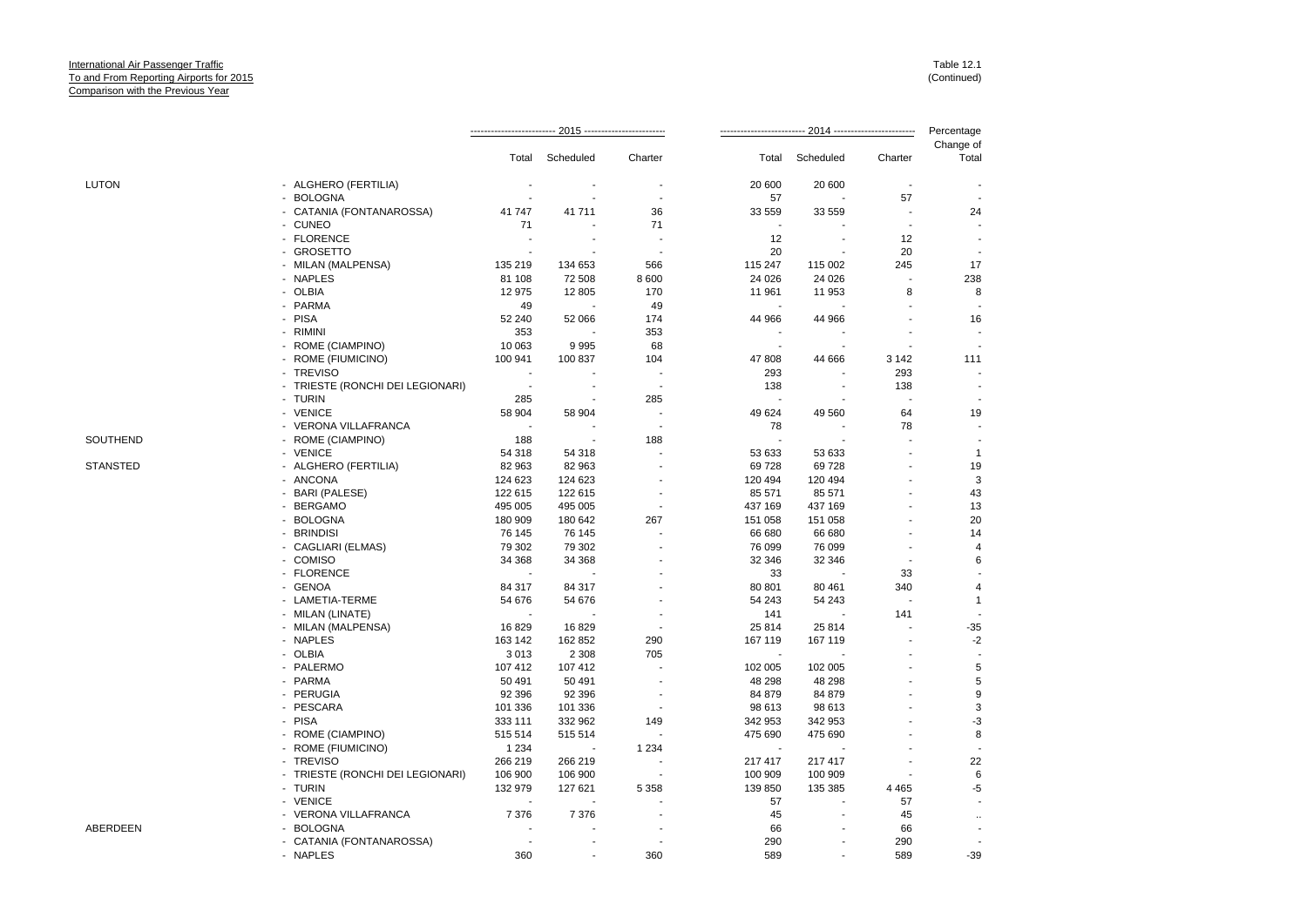|                 |                                             |         |                          |                          | Percentage |           |                          |                          |
|-----------------|---------------------------------------------|---------|--------------------------|--------------------------|------------|-----------|--------------------------|--------------------------|
|                 |                                             | Total   | Scheduled                | Charter                  | Total      | Scheduled | Charter                  | Change of<br>Total       |
| <b>LUTON</b>    | - ALGHERO (FERTILIA)                        |         |                          |                          | 20 600     | 20 600    | $\overline{\phantom{a}}$ |                          |
|                 | - BOLOGNA                                   |         |                          |                          | 57         |           | 57                       |                          |
|                 | CATANIA (FONTANAROSSA)<br>$\blacksquare$    | 41 747  | 41711                    | 36                       | 33 559     | 33 559    |                          | 24                       |
|                 | - CUNEO                                     | 71      |                          | 71                       |            |           | $\blacksquare$           |                          |
|                 | - FLORENCE                                  |         |                          |                          | 12         |           | 12                       |                          |
|                 | - GROSETTO                                  |         |                          |                          | 20         |           | 20                       |                          |
|                 | - MILAN (MALPENSA)                          | 135 219 | 134 653                  | 566                      | 115 247    | 115 002   | 245                      | 17                       |
|                 | - NAPLES                                    | 81 108  | 72 508                   | 8 600                    | 24 0 26    | 24 0 26   | ä,                       | 238                      |
|                 | - OLBIA                                     | 12 975  | 12 805                   | 170                      | 11 961     | 11 953    | 8                        | 8                        |
|                 | - PARMA                                     | 49      |                          | 49                       |            |           |                          |                          |
|                 | - PISA                                      | 52 240  | 52 066                   | 174                      | 44 966     | 44 966    |                          | 16                       |
|                 | <b>RIMINI</b><br>$\sim$                     | 353     |                          | 353                      |            |           |                          |                          |
|                 | <b>ROME (CIAMPINO)</b><br>÷.                | 10 063  | 9995                     | 68                       | ÷.         | ÷         | ÷,                       |                          |
|                 | - ROME (FIUMICINO)                          | 100 941 | 100 837                  | 104                      | 47 808     | 44 666    | 3 1 4 2                  | 111                      |
|                 | - TREVISO                                   |         |                          | ÷                        | 293        |           | 293                      |                          |
|                 | TRIESTE (RONCHI DEI LEGIONARI)              | ÷.      | $\overline{\phantom{a}}$ | $\overline{\phantom{a}}$ | 138        |           | 138                      | $\blacksquare$           |
|                 | - TURIN                                     | 285     |                          | 285                      |            |           |                          |                          |
|                 | - VENICE                                    | 58 904  | 58 904                   |                          | 49 624     | 49 560    | 64                       | 19                       |
|                 | - VERONA VILLAFRANCA                        | $\sim$  |                          | $\overline{\phantom{a}}$ | 78         |           | 78                       | $\overline{\phantom{a}}$ |
| SOUTHEND        | <b>ROME (CIAMPINO)</b>                      | 188     |                          | 188                      |            |           |                          |                          |
|                 | - VENICE                                    | 54 318  | 54 318                   |                          | 53 633     | 53 633    |                          | $\overline{1}$           |
| <b>STANSTED</b> | - ALGHERO (FERTILIA)                        | 82 963  | 82 963                   |                          | 69728      | 69728     |                          | 19                       |
|                 | - ANCONA                                    | 124 623 | 124 623                  |                          | 120 494    | 120 494   |                          | 3                        |
|                 | - BARI (PALESE)                             | 122 615 | 122 615                  |                          | 85 571     | 85 571    |                          | 43                       |
|                 | <b>BERGAMO</b><br>$\overline{\phantom{0}}$  | 495 005 | 495 005                  | $\blacksquare$           | 437 169    | 437 169   |                          | 13                       |
|                 | - BOLOGNA                                   | 180 909 | 180 642                  | 267                      | 151 058    | 151 058   |                          | 20                       |
|                 | <b>BRINDISI</b><br>$\overline{\phantom{a}}$ | 76 145  | 76 145                   |                          | 66 680     | 66 680    |                          | 14                       |
|                 | - CAGLIARI (ELMAS)                          | 79 302  | 79 302                   |                          | 76 099     | 76 099    |                          | 4                        |
|                 | - COMISO                                    | 34 368  | 34 368                   |                          | 32 346     | 32 346    | $\overline{\phantom{a}}$ | 6                        |
|                 | - FLORENCE                                  |         |                          |                          | 33         |           | 33                       |                          |
|                 | <b>GENOA</b><br>$\overline{\phantom{a}}$    | 84 317  | 84 317                   |                          | 80 801     | 80 461    | 340                      | $\overline{4}$           |
|                 | - LAMETIA-TERME                             | 54 676  | 54 676                   |                          | 54 243     | 54 243    | $\overline{\phantom{a}}$ | $\mathbf{1}$             |
|                 | - MILAN (LINATE)                            |         |                          |                          | 141        |           | 141                      |                          |
|                 | - MILAN (MALPENSA)                          | 16829   | 16829                    |                          | 25 814     | 25 814    |                          | $-35$                    |
|                 | - NAPLES                                    | 163 142 | 162 852                  | 290                      | 167 119    | 167 119   |                          | $-2$                     |
|                 | OLBIA<br>$\blacksquare$                     | 3013    | 2 3 0 8                  | 705                      |            |           |                          |                          |
|                 | - PALERMO                                   | 107 412 | 107 412                  |                          | 102 005    | 102 005   |                          | 5                        |
|                 | - PARMA                                     | 50 491  | 50 491                   |                          | 48 298     | 48 298    |                          | 5                        |
|                 | <b>PERUGIA</b>                              | 92 396  | 92 396                   |                          | 84 879     | 84 879    |                          | 9                        |
|                 | - PESCARA                                   | 101 336 | 101 336                  |                          | 98 613     | 98 613    |                          | 3                        |
|                 | - PISA                                      | 333 111 | 332 962                  | 149                      | 342 953    | 342 953   |                          | -3                       |
|                 | <b>ROME (CIAMPINO)</b>                      | 515 514 | 515 514                  |                          | 475 690    | 475 690   |                          | 8                        |
|                 | - ROME (FIUMICINO)                          | 1 2 3 4 |                          | 1 2 3 4                  |            |           |                          |                          |
|                 | <b>TREVISO</b>                              | 266 219 | 266 219                  |                          | 217 417    | 217 417   |                          | 22                       |
|                 | - TRIESTE (RONCHI DEI LEGIONARI)            | 106 900 | 106 900                  |                          | 100 909    | 100 909   |                          | 6                        |
|                 | - TURIN                                     | 132 979 | 127 621                  | 5 3 5 8                  | 139 850    | 135 385   | 4 4 6 5                  | $-5$                     |
|                 | - VENICE                                    |         |                          |                          | 57         |           | 57                       |                          |
|                 | - VERONA VILLAFRANCA                        | 7 3 7 6 | 7 3 7 6                  |                          | 45         | ÷         | 45                       | $\ddotsc$                |
| ABERDEEN        | BOLOGNA                                     |         |                          |                          | 66         |           | 66                       | $\overline{\phantom{a}}$ |
|                 | - CATANIA (FONTANAROSSA)                    |         |                          |                          | 290        |           | 290                      | ÷                        |
|                 | - NAPLES                                    | 360     |                          | 360                      | 589        |           | 589                      | $-39$                    |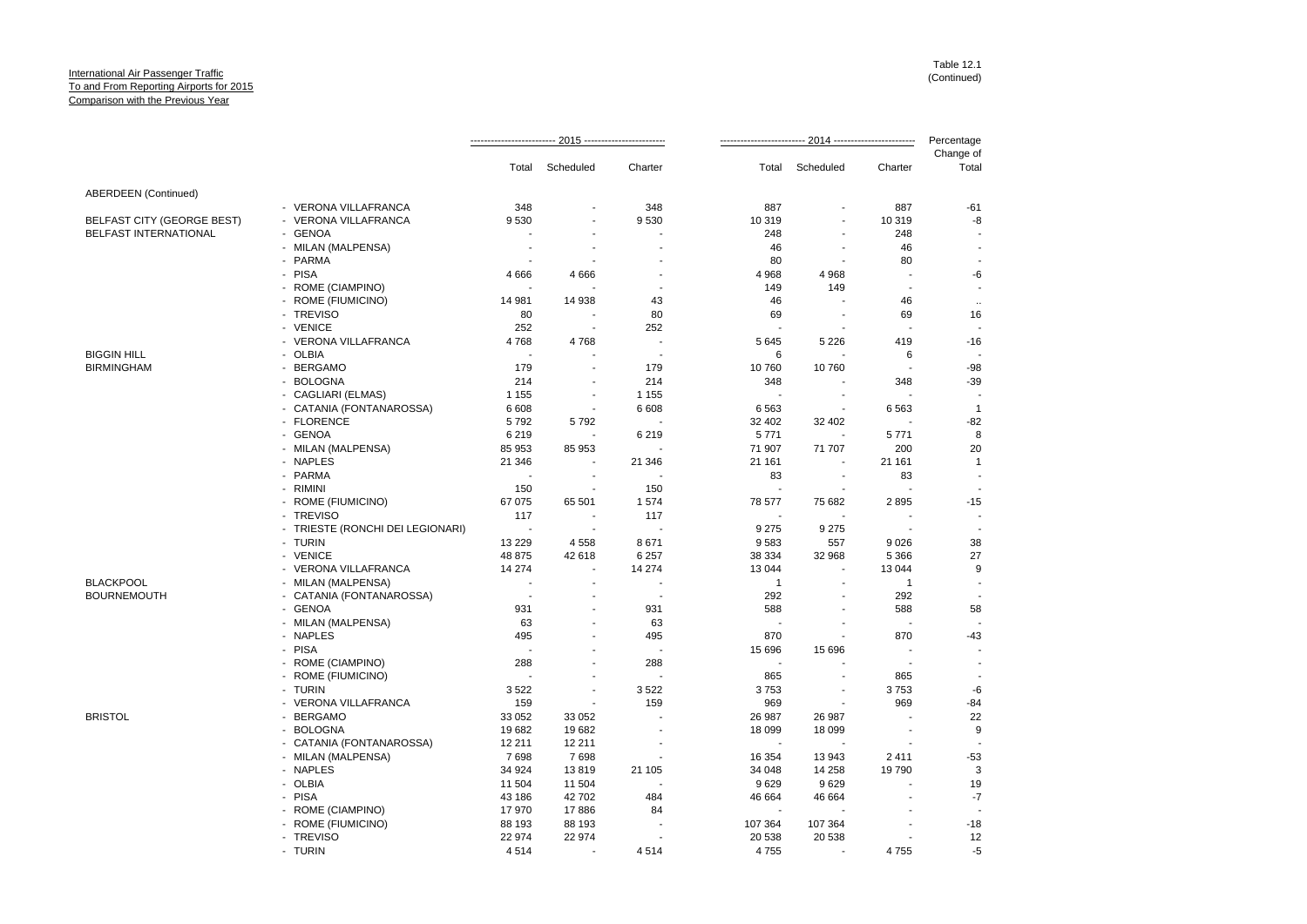|                             |                                  |                |                |                          |                          |                          | Percentage     |                          |
|-----------------------------|----------------------------------|----------------|----------------|--------------------------|--------------------------|--------------------------|----------------|--------------------------|
|                             |                                  | Total          | Scheduled      | Charter                  | Total                    | Scheduled                | Charter        | Change of<br>Total       |
| <b>ABERDEEN</b> (Continued) |                                  |                |                |                          |                          |                          |                |                          |
|                             | - VERONA VILLAFRANCA             | 348            |                | 348                      | 887                      | ÷,                       | 887            | $-61$                    |
| BELFAST CITY (GEORGE BEST)  | - VERONA VILLAFRANCA             | 9530           |                | 9530                     | 10 319                   | ÷,                       | 10 319         | -8                       |
| BELFAST INTERNATIONAL       | - GENOA                          |                |                |                          | 248                      | ÷,                       | 248            |                          |
|                             | - MILAN (MALPENSA)               |                |                |                          | 46                       |                          | 46             | $\overline{a}$           |
|                             | - PARMA                          |                |                |                          | 80                       |                          | 80             | ۰.                       |
|                             | - PISA                           | 4666           | 4666           |                          | 4 9 6 8                  | 4 9 6 8                  |                | -6                       |
|                             | - ROME (CIAMPINO)                |                |                |                          | 149                      | 149                      | $\overline{a}$ | $\overline{\phantom{a}}$ |
|                             | - ROME (FIUMICINO)               | 14 981         | 14 938         | 43                       | 46                       |                          | 46             | $\sim$                   |
|                             | - TREVISO                        | 80             |                | 80                       | 69                       |                          | 69             | 16                       |
|                             | - VENICE                         | 252            | $\sim$         | 252                      |                          |                          |                |                          |
|                             | - VERONA VILLAFRANCA             | 4768           | 4768           |                          | 5 6 4 5                  | 5 2 2 6                  | 419            | $-16$                    |
| <b>BIGGIN HILL</b>          | - OLBIA                          |                |                | $\overline{\phantom{a}}$ | 6                        |                          | 6              |                          |
| <b>BIRMINGHAM</b>           | - BERGAMO                        | 179            |                | 179                      | 10760                    | 10760                    |                | $-98$                    |
|                             | - BOLOGNA                        | 214            | $\sim$         | 214                      | 348                      |                          | 348            | $-39$                    |
|                             |                                  |                |                |                          | $\overline{\phantom{a}}$ |                          |                |                          |
|                             | - CAGLIARI (ELMAS)               | 1 1 5 5        | $\sim$         | 1 1 5 5                  |                          | $\overline{\phantom{a}}$ |                | $\overline{1}$           |
|                             | - CATANIA (FONTANAROSSA)         | 6 6 0 8        |                | 6 6 0 8                  | 6563                     |                          | 6563           |                          |
|                             | - FLORENCE                       | 5792           | 5792           |                          | 32 402                   | 32 402                   |                | $-82$                    |
|                             | - GENOA                          | 6 2 1 9        | ÷.             | 6219                     | 5771                     |                          | 5771           | 8                        |
|                             | - MILAN (MALPENSA)               | 85 953         | 85 953         |                          | 71 907                   | 71 707                   | 200            | 20                       |
|                             | - NAPLES                         | 21 346         |                | 21 346                   | 21 161                   |                          | 21 161         | $\overline{1}$           |
|                             | - PARMA                          |                |                |                          | 83                       | $\blacksquare$           | 83             |                          |
|                             | - RIMINI                         | 150            |                | 150                      |                          |                          |                |                          |
|                             | - ROME (FIUMICINO)               | 67 075         | 65 501         | 1574                     | 78 577                   | 75 682                   | 2895           | $-15$                    |
|                             | - TREVISO                        | 117            | $\blacksquare$ | 117                      |                          |                          |                | $\overline{\phantom{a}}$ |
|                             | - TRIESTE (RONCHI DEI LEGIONARI) | $\sim$         |                |                          | 9 2 7 5                  | 9 2 7 5                  |                |                          |
|                             | - TURIN                          | 13 2 29        | 4558           | 8671                     | 9583                     | 557                      | 9026           | 38                       |
|                             | - VENICE                         | 48 875         | 42 618         | 6 2 5 7                  | 38 334                   | 32 968                   | 5 3 6 6        | 27                       |
|                             | - VERONA VILLAFRANCA             | 14 274         |                | 14 274                   | 13 044                   |                          | 13 044         | 9                        |
| <b>BLACKPOOL</b>            | - MILAN (MALPENSA)               | ÷.             | $\sim$         |                          | $\mathbf{1}$             | $\blacksquare$           | $\mathbf{1}$   | $\overline{\phantom{a}}$ |
| <b>BOURNEMOUTH</b>          | - CATANIA (FONTANAROSSA)         |                |                |                          | 292                      |                          | 292            |                          |
|                             | - GENOA                          | 931            |                | 931                      | 588                      | ÷.                       | 588            | 58                       |
|                             | - MILAN (MALPENSA)               | 63             |                | 63                       |                          |                          |                |                          |
|                             | - NAPLES                         | 495            |                | 495                      | 870                      | ÷,                       | 870            | $-43$                    |
|                             | - PISA                           |                |                |                          | 15 6 96                  | 15 6 96                  |                | $\sim$                   |
|                             | - ROME (CIAMPINO)                | 288            |                | 288                      |                          |                          |                | $\overline{\phantom{a}}$ |
|                             | - ROME (FIUMICINO)               | $\blacksquare$ |                |                          | 865                      |                          | 865            | $\overline{\phantom{a}}$ |
|                             | - TURIN                          | 3522           |                | 3522                     | 3753                     | $\sim$                   | 3753           | $\text{-}6$              |
|                             | - VERONA VILLAFRANCA             | 159            |                | 159                      | 969                      |                          | 969            | $-84$                    |
| <b>BRISTOL</b>              | - BERGAMO                        | 33 052         | 33 052         |                          | 26 987                   | 26 987                   | $\overline{a}$ | 22                       |
|                             | - BOLOGNA                        | 19682          | 19682          |                          | 18 0 99                  | 18 099                   |                | 9                        |
|                             | - CATANIA (FONTANAROSSA)         | 12 211         | 12 211         |                          |                          |                          |                |                          |
|                             | - MILAN (MALPENSA)               | 7698           | 7698           |                          | 16 354                   | 13 943                   | 2411           | $-53$                    |
|                             | - NAPLES                         | 34 924         | 13819          | 21 105                   | 34 048                   | 14 258                   | 19790          | 3                        |
|                             | - OLBIA                          | 11 504         | 11 504         |                          | 9629                     | 9629                     |                | 19                       |
|                             | - PISA                           | 43 186         | 42702          | 484                      | 46 664                   | 46 664                   |                | $-7$                     |
|                             | - ROME (CIAMPINO)                | 17970          | 17886          | 84                       |                          |                          |                |                          |
|                             | - ROME (FIUMICINO)               | 88 193         | 88 193         |                          | 107 364                  | 107 364                  |                | $-18$                    |
|                             | - TREVISO                        | 22 974         | 22 974         |                          | 20 538                   | 20 538                   |                | 12                       |
|                             | - TURIN                          | 4514           |                | 4514                     | 4755                     |                          | 4755           | -5                       |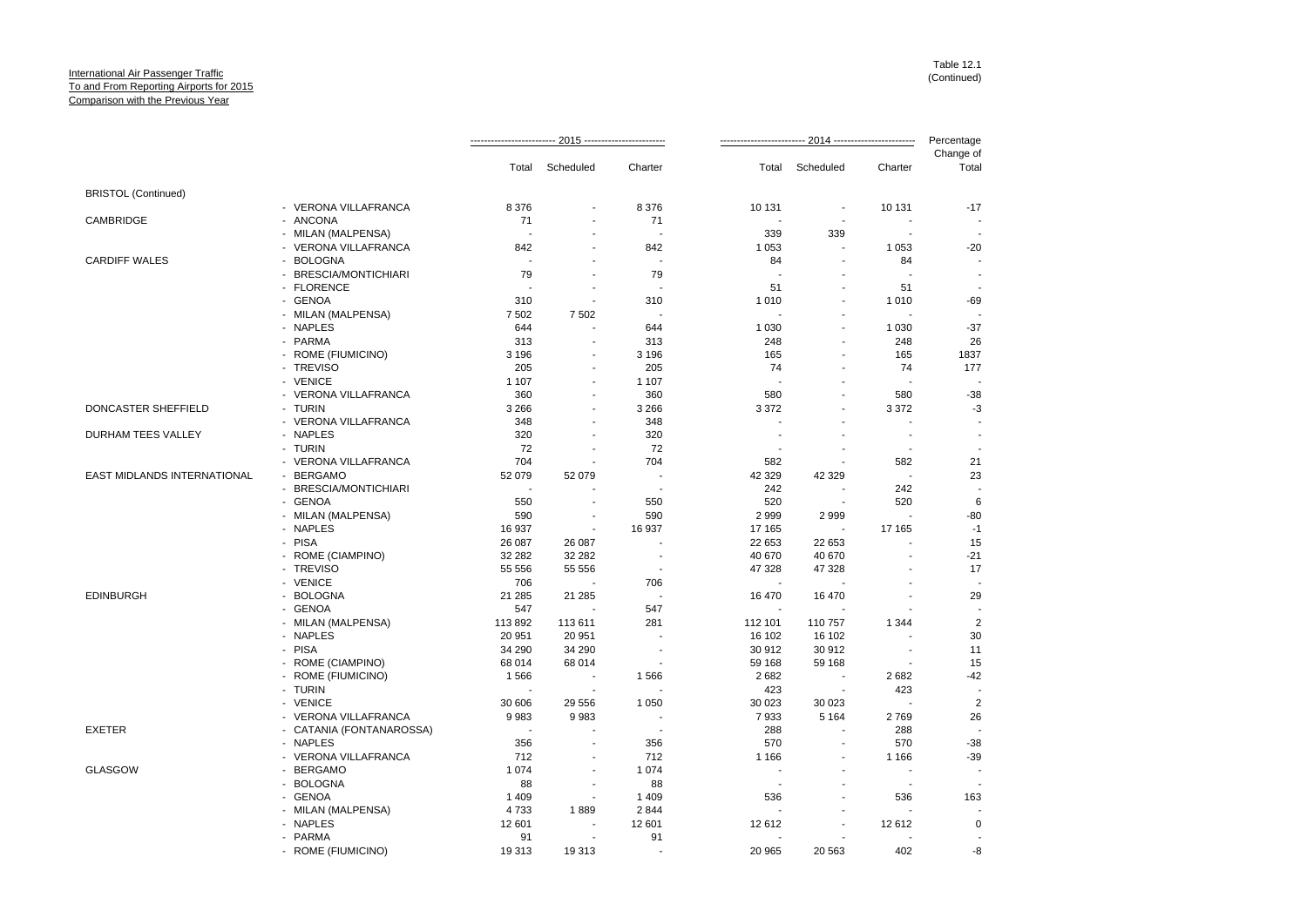|                             |                                      |                                  |                |                | Percentage    |                                     |                          |                    |
|-----------------------------|--------------------------------------|----------------------------------|----------------|----------------|---------------|-------------------------------------|--------------------------|--------------------|
|                             |                                      | Total                            | Scheduled      | Charter        | Total         | Scheduled                           | Charter                  | Change of<br>Total |
| <b>BRISTOL (Continued)</b>  |                                      |                                  |                |                |               |                                     |                          |                    |
|                             | - VERONA VILLAFRANCA                 | 8 3 7 6                          | $\overline{a}$ | 8 3 7 6        | 10 131        | $\overline{\phantom{a}}$            | 10 131                   | $-17$              |
| CAMBRIDGE                   | - ANCONA                             | 71                               | ÷              | 71             |               |                                     |                          |                    |
|                             | - MILAN (MALPENSA)                   | ÷,                               |                |                | 339           | 339                                 |                          |                    |
|                             | - VERONA VILLAFRANCA                 | 842                              | ä,             | 842            | 1 0 5 3       | ÷,                                  | 1 0 5 3                  | $-20$              |
| <b>CARDIFF WALES</b>        | - BOLOGNA                            | ÷                                |                | $\sim$         | 84            |                                     | 84                       |                    |
|                             | - BRESCIA/MONTICHIARI                | 79                               |                | 79             |               |                                     |                          |                    |
|                             | - FLORENCE                           |                                  |                |                | 51            | ÷.                                  | 51                       |                    |
|                             | - GENOA                              | 310                              | $\overline{a}$ | 310            | 1 0 1 0       |                                     | 1 0 1 0                  | $-69$              |
|                             | - MILAN (MALPENSA)                   | 7502                             | 7 5 0 2        |                |               | $\blacksquare$                      |                          |                    |
|                             | - NAPLES                             | 644                              |                | 644            | 1 0 3 0       |                                     | 1 0 3 0                  | $-37$              |
|                             | - PARMA                              | 313                              | ÷              | 313            | 248           | $\blacksquare$                      | 248                      | 26                 |
|                             | - ROME (FIUMICINO)                   | 3 1 9 6                          |                | 3 1 9 6        | 165           |                                     | 165                      | 1837               |
|                             | - TREVISO                            | 205                              | ٠              | 205            | 74            |                                     | 74                       | 177                |
|                             | - VENICE                             | 1 1 0 7                          | $\overline{a}$ | 1 1 0 7        |               |                                     |                          |                    |
|                             | - VERONA VILLAFRANCA                 | 360                              | ÷              | 360            | 580           |                                     | 580                      | $-38$              |
| <b>DONCASTER SHEFFIELD</b>  | - TURIN                              | 3 2 6 6                          | $\overline{a}$ | 3 2 6 6        | 3 3 7 2       |                                     | 3 3 7 2                  | -3                 |
|                             | - VERONA VILLAFRANCA                 | 348                              | $\blacksquare$ | 348            |               |                                     |                          |                    |
| DURHAM TEES VALLEY          | - NAPLES                             | 320                              | $\overline{a}$ | 320            |               |                                     |                          | $\blacksquare$     |
|                             | - TURIN                              | 72                               | ÷              | 72             |               |                                     |                          |                    |
|                             | - VERONA VILLAFRANCA                 | 704                              |                | 704            | 582           |                                     | 582                      | 21                 |
| EAST MIDLANDS INTERNATIONAL | - BERGAMO                            | 52 079                           | 52 079         | $\overline{a}$ | 42 329        | 42 329                              | $\overline{\phantom{a}}$ | 23                 |
|                             | - BRESCIA/MONTICHIARI                | ÷.                               |                | . .            | 242           |                                     | 242                      |                    |
|                             | - GENOA                              | 550                              |                | 550            | 520           |                                     | 520                      | 6                  |
|                             | - MILAN (MALPENSA)                   | 590                              |                | 590            | 2999          | 2999                                |                          | $-80$              |
|                             | - NAPLES                             | 16 937                           |                | 16 937         | 17 165        |                                     | 17 165                   | $-1$               |
|                             | - PISA                               | 26 087                           | 26 087         |                | 22 653        | 22 653                              |                          | 15                 |
|                             | - ROME (CIAMPINO)                    | 32 282                           | 32 28 2        |                | 40 670        | 40 670                              |                          | $-21$              |
|                             | - TREVISO                            | 55 556                           | 55 556         |                | 47 328        | 47 328                              |                          | 17                 |
|                             | - VENICE                             | 706                              |                | 706            |               |                                     |                          |                    |
| <b>EDINBURGH</b>            | - BOLOGNA                            | 21 285                           | 21 285         |                | 16 470        | 16 470                              |                          | 29                 |
|                             | - GENOA                              | 547                              |                | 547            |               |                                     |                          |                    |
|                             | - MILAN (MALPENSA)                   | 113892                           | 113 611        | 281            | 112 101       | 110 757                             | 1 3 4 4                  | $\overline{2}$     |
|                             | - NAPLES                             | 20 951                           | 20 951         |                | 16 102        | 16 102                              |                          | 30                 |
|                             | - PISA                               | 34 290                           | 34 290         |                | 30 912        | 30 912                              |                          | 11                 |
|                             | - ROME (CIAMPINO)                    | 68 014                           | 68 014         |                | 59 168        | 59 168                              |                          | 15                 |
|                             | - ROME (FIUMICINO)                   | 1566                             |                | 1566           | 2682          |                                     | 2682                     | $-42$              |
|                             | - TURIN                              |                                  |                |                |               |                                     |                          |                    |
|                             | - VENICE                             |                                  | 29 5 5 6       | 1 0 5 0        | 423<br>30 023 | 30 023                              | 423                      | $\overline{2}$     |
|                             |                                      | 30 606                           |                | $\overline{a}$ |               |                                     |                          |                    |
| <b>EXETER</b>               | - VERONA VILLAFRANCA                 | 9983<br>$\overline{\phantom{a}}$ | 9983           |                | 7933          | 5 1 6 4<br>$\overline{\phantom{a}}$ | 2769                     | 26                 |
|                             | - CATANIA (FONTANAROSSA)<br>- NAPLES |                                  |                |                | 288           |                                     | 288                      |                    |
|                             |                                      | 356                              |                | 356            | 570           |                                     | 570                      | $-38$              |
|                             | - VERONA VILLAFRANCA                 | 712                              | $\overline{a}$ | 712            | 1 1 6 6       |                                     | 1 1 6 6                  | $-39$              |
| <b>GLASGOW</b>              | - BERGAMO                            | 1 0 7 4                          | ٠              | 1 0 7 4        |               | $\overline{\phantom{a}}$            |                          | $\blacksquare$     |
|                             | - BOLOGNA                            | 88                               |                | 88             |               |                                     |                          |                    |
|                             | - GENOA                              | 1 4 0 9                          |                | 1409           | 536           |                                     | 536                      | 163                |
|                             | - MILAN (MALPENSA)                   | 4733                             | 1889           | 2844           |               |                                     |                          |                    |
|                             | - NAPLES                             | 12 601                           | ٠              | 12 601         | 12612         | $\sim$                              | 12612                    | $\mathbf 0$        |
|                             | - PARMA                              | 91                               |                | 91             |               |                                     |                          |                    |
|                             | - ROME (FIUMICINO)                   | 19313                            | 19 313         |                | 20 965        | 20 5 63                             | 402                      | -8                 |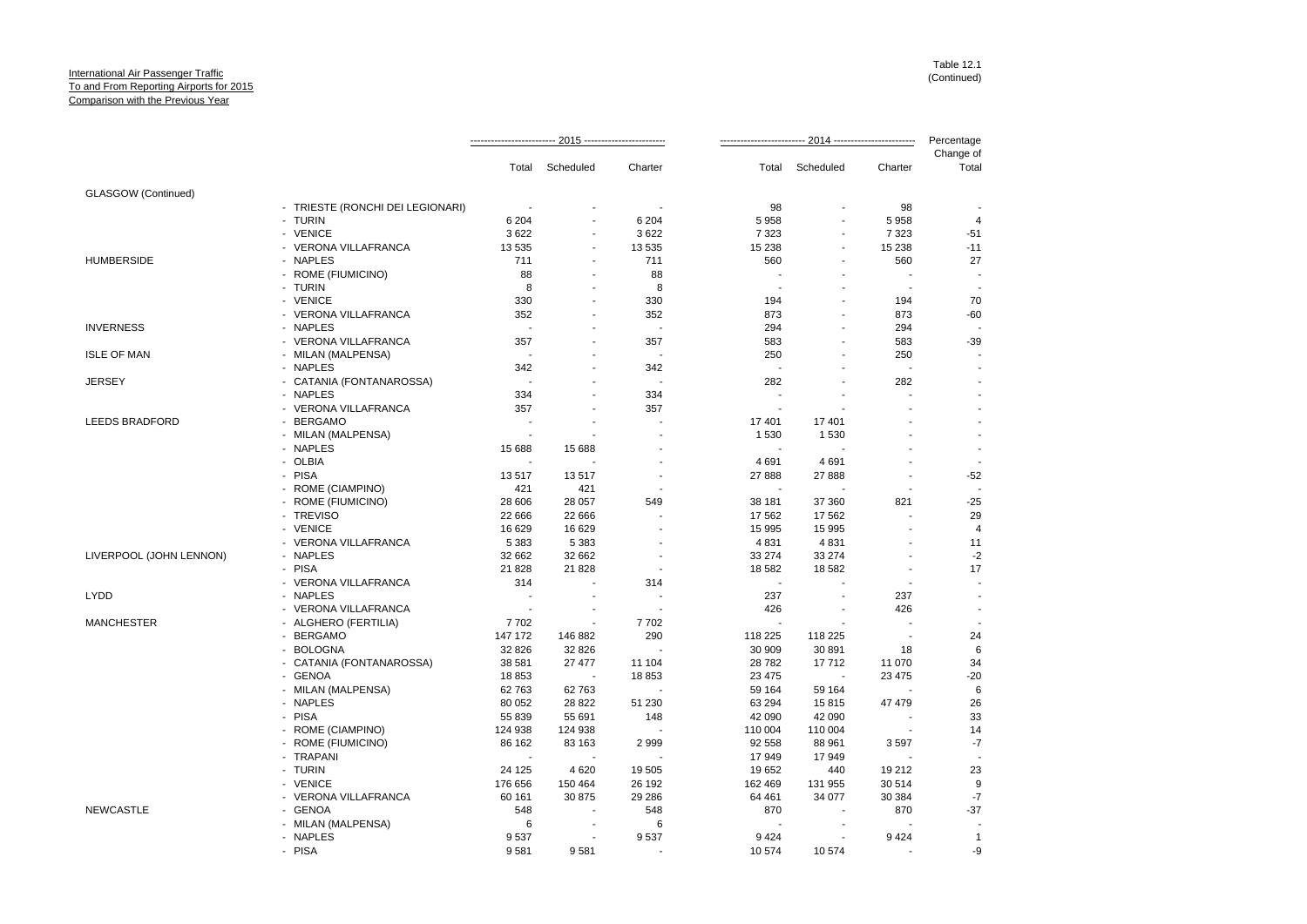|                         |                                  |                          |                          |                          |                   |                          |                          | Percentage         |
|-------------------------|----------------------------------|--------------------------|--------------------------|--------------------------|-------------------|--------------------------|--------------------------|--------------------|
|                         |                                  |                          | Total Scheduled          | Charter                  |                   | Total Scheduled          | Charter                  | Change of<br>Total |
| GLASGOW (Continued)     |                                  |                          |                          |                          |                   |                          |                          |                    |
|                         | - TRIESTE (RONCHI DEI LEGIONARI) | $\sim$                   |                          |                          | 98                | ÷.                       | 98                       |                    |
|                         | - TURIN                          | 6 2 0 4                  |                          | 6 2 0 4                  | 5 9 5 8           |                          | 5958                     | 4                  |
|                         | - VENICE                         | 3622                     | ٠                        | 3622                     | 7 3 2 3           | ÷.                       | 7 3 2 3                  | $-51$              |
|                         | - VERONA VILLAFRANCA             | 13 535                   | $\sim$                   | 13 535                   | 15 238            | ä,                       | 15 2 38                  | $-11$              |
| <b>HUMBERSIDE</b>       | - NAPLES                         | 711                      | $\blacksquare$           | 711                      | 560               |                          | 560                      | 27                 |
|                         | - ROME (FIUMICINO)               | 88                       | $\overline{\phantom{a}}$ | 88                       | $\sim$            | ÷,                       | J.                       |                    |
|                         | - TURIN                          | 8                        | ÷,                       | 8                        | $\sim$            | ÷                        | $\overline{\phantom{a}}$ |                    |
|                         | - VENICE                         | 330                      |                          | 330                      | 194               |                          | 194                      | 70                 |
|                         | - VERONA VILLAFRANCA             | 352                      | $\blacksquare$           | 352                      | 873               | ÷,                       | 873                      | $-60$              |
| <b>INVERNESS</b>        | - NAPLES                         | $\overline{\phantom{a}}$ |                          | $\overline{\phantom{a}}$ | 294               |                          | 294                      |                    |
|                         | - VERONA VILLAFRANCA             | 357                      |                          | 357                      | 583               |                          | 583                      | $-39$              |
| <b>ISLE OF MAN</b>      | - MILAN (MALPENSA)               | $\sim$                   |                          | $\overline{\phantom{a}}$ | 250               |                          | 250                      |                    |
|                         | - NAPLES                         | 342                      |                          | 342                      | $\sim$            |                          | $\overline{\phantom{a}}$ |                    |
| <b>JERSEY</b>           | - CATANIA (FONTANAROSSA)         | $\overline{a}$           |                          |                          | 282               | ä,                       | 282                      |                    |
|                         | - NAPLES                         | 334                      |                          | 334                      | ÷.                |                          |                          |                    |
|                         | - VERONA VILLAFRANCA             | 357                      | $\overline{a}$           | 357                      | $\sim$            | $\overline{a}$           | $\overline{a}$           |                    |
| <b>LEEDS BRADFORD</b>   | - BERGAMO                        | $\blacksquare$           | ÷                        |                          | 17 401            | 17401                    |                          |                    |
|                         | - MILAN (MALPENSA)               | $\overline{\phantom{a}}$ |                          |                          | 1 5 3 0           | 1 5 3 0                  |                          |                    |
|                         | - NAPLES                         | 15 688                   | 15 688                   |                          | $\sim$            | ÷.                       | $\overline{a}$           |                    |
|                         | - OLBIA                          |                          | ÷.                       |                          | 4 6 9 1           | 4691                     |                          |                    |
|                         | - PISA                           | 13517                    | 13517                    |                          | 27 888            | 27 888                   | ä,                       | $-52$              |
|                         | - ROME (CIAMPINO)                | 421                      | 421                      | $\overline{\phantom{a}}$ |                   |                          | $\overline{a}$           |                    |
|                         | - ROME (FIUMICINO)               | 28 606                   | 28 057                   | 549                      | 38 181            | 37 360                   | 821                      | $-25$              |
|                         | - TREVISO                        | 22 666                   | 22 666                   |                          | 17 562            | 17 562                   | $\sim$                   | 29                 |
|                         | - VENICE                         | 16 629                   | 16 629                   |                          | 15 995            | 15 995                   |                          | $\overline{4}$     |
|                         | - VERONA VILLAFRANCA             | 5 3 8 3                  | 5 3 8 3                  |                          | 4 8 31            | 4831                     | $\blacksquare$           | 11                 |
|                         | - NAPLES                         |                          |                          |                          |                   |                          |                          |                    |
| LIVERPOOL (JOHN LENNON) | - PISA                           | 32 662<br>21 8 28        | 32 662<br>21828          |                          | 33 274<br>18 5 82 | 33 274<br>18 5 82        | $\blacksquare$           | $-2$<br>17         |
|                         |                                  |                          | $\blacksquare$           |                          | $\sim$            | ÷.                       |                          |                    |
| <b>LYDD</b>             | - VERONA VILLAFRANCA<br>- NAPLES | 314                      |                          | 314                      |                   |                          |                          |                    |
|                         |                                  | $\overline{\phantom{a}}$ |                          |                          | 237               |                          | 237                      |                    |
|                         | - VERONA VILLAFRANCA             | $\sim$                   |                          |                          | 426               |                          | 426                      |                    |
| <b>MANCHESTER</b>       | - ALGHERO (FERTILIA)             | 7702                     |                          | 7702                     | $\sim$            |                          |                          |                    |
|                         | - BERGAMO                        | 147 172                  | 146 882                  | 290                      | 118 225           | 118 225                  | $\sim$                   | 24                 |
|                         | - BOLOGNA                        | 32 826                   | 32 826                   |                          | 30 909            | 30 891                   | 18                       | 6                  |
|                         | - CATANIA (FONTANAROSSA)         | 38 581                   | 27 477                   | 11 104                   | 28782             | 17712                    | 11 070                   | 34                 |
|                         | - GENOA                          | 18853                    | $\overline{\phantom{a}}$ | 18853                    | 23 4 7 5          | $\overline{\phantom{a}}$ | 23 4 7 5                 | $-20$              |
|                         | - MILAN (MALPENSA)               | 62 7 63                  | 62763                    |                          | 59 164            | 59 164                   |                          | 6                  |
|                         | - NAPLES                         | 80 052                   | 28 8 22                  | 51 230                   | 63 294            | 15815                    | 47 479                   | 26                 |
|                         | - PISA                           | 55 839                   | 55 691                   | 148                      | 42 090            | 42 090                   |                          | 33                 |
|                         | - ROME (CIAMPINO)                | 124 938                  | 124 938                  |                          | 110 004           | 110 004                  |                          | 14                 |
|                         | - ROME (FIUMICINO)               | 86 162                   | 83 163                   | 2999                     | 92 558            | 88 961                   | 3597                     | $-7$               |
|                         | - TRAPANI                        | $\sim$                   |                          |                          | 17949             | 17949                    |                          |                    |
|                         | - TURIN                          | 24 1 25                  | 4 6 20                   | 19 505                   | 19652             | 440                      | 19 21 2                  | 23                 |
|                         | - VENICE                         | 176 656                  | 150 464                  | 26 192                   | 162 469           | 131 955                  | 30 514                   | 9                  |
|                         | - VERONA VILLAFRANCA             | 60 161                   | 30 875                   | 29 28 6                  | 64 461            | 34 077                   | 30 384                   | $-7$               |
| <b>NEWCASTLE</b>        | - GENOA                          | 548                      |                          | 548                      | 870               |                          | 870                      | $-37$              |
|                         | - MILAN (MALPENSA)               | 6                        |                          | 6                        |                   |                          |                          |                    |
|                         | - NAPLES                         | 9537                     | $\overline{\phantom{a}}$ | 9537                     | 9424              | ÷.                       | 9424                     | $\overline{1}$     |
|                         | - PISA                           | 9581                     | 9581                     |                          | 10574             | 10 574                   |                          | -9                 |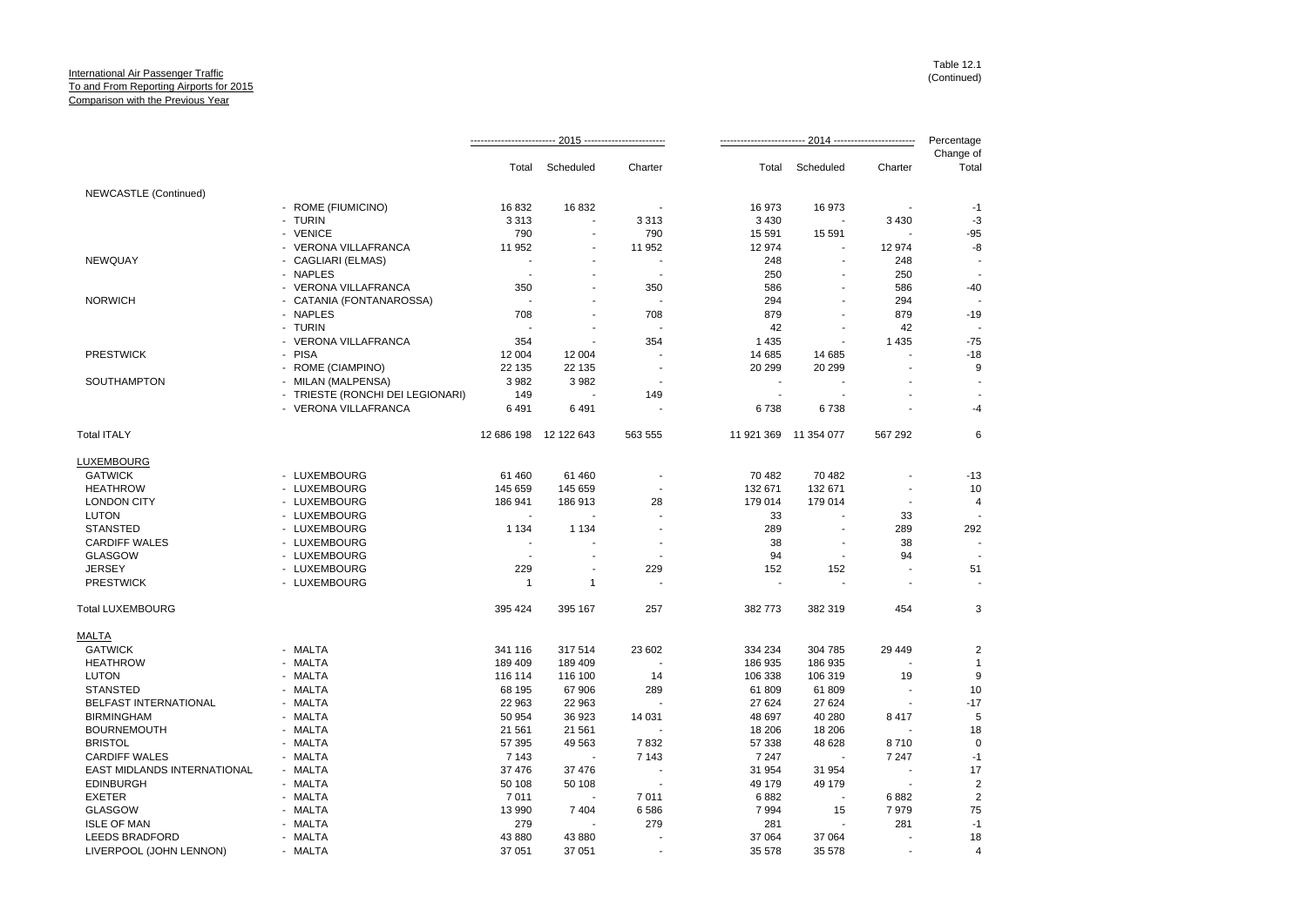|                             |                                  |                |                          |                          |                |                          |                          | Percentage         |
|-----------------------------|----------------------------------|----------------|--------------------------|--------------------------|----------------|--------------------------|--------------------------|--------------------|
|                             |                                  |                | Total Scheduled          | Charter                  |                | Total Scheduled          | Charter                  | Change of<br>Total |
| NEWCASTLE (Continued)       |                                  |                |                          |                          |                |                          |                          |                    |
|                             | - ROME (FIUMICINO)               | 16832          | 16832                    |                          | 16973          | 16 973                   |                          | $-1$               |
|                             | - TURIN                          | 3 3 1 3        | $\tilde{\phantom{a}}$    | 3 3 1 3                  | 3 4 3 0        |                          | 3 4 3 0                  | -3                 |
|                             | - VENICE                         | 790            |                          | 790                      | 15 5 91        | 15 591                   |                          | $-95$              |
|                             | - VERONA VILLAFRANCA             | 11 952         | $\overline{a}$           | 11 952                   | 12 974         | $\overline{\phantom{a}}$ | 12 974                   | -8                 |
| <b>NEWQUAY</b>              | - CAGLIARI (ELMAS)               | $\sim$         |                          | $\overline{a}$           | 248            | $\blacksquare$           | 248                      |                    |
|                             | - NAPLES                         | $\blacksquare$ |                          | $\overline{\phantom{a}}$ | 250            | $\overline{\phantom{a}}$ | 250                      |                    |
|                             | - VERONA VILLAFRANCA             | 350            |                          | 350                      | 586            |                          | 586                      | $-40$              |
| <b>NORWICH</b>              | - CATANIA (FONTANAROSSA)         | ٠.             |                          |                          | 294            |                          | 294                      |                    |
|                             | - NAPLES                         | 708            | $\overline{\phantom{a}}$ | 708                      | 879            | $\blacksquare$           | 879                      | $-19$              |
|                             | - TURIN                          |                |                          |                          | 42             |                          | 42                       |                    |
|                             | - VERONA VILLAFRANCA             | 354            | $\overline{a}$           | 354                      | 1 4 3 5        | $\overline{\phantom{a}}$ | 1 4 3 5                  | $-75$              |
| <b>PRESTWICK</b>            | - PISA                           | 12 004         | 12 004                   |                          | 14 685         | 14 685                   |                          | $-18$              |
|                             | - ROME (CIAMPINO)                | 22 135         | 22 135                   |                          | 20 299         | 20 299                   |                          | 9                  |
| SOUTHAMPTON                 | - MILAN (MALPENSA)               | 3 9 8 2        | 3982                     |                          | $\blacksquare$ | $\overline{\phantom{a}}$ |                          |                    |
|                             | - TRIESTE (RONCHI DEI LEGIONARI) | 149            |                          | 149                      |                |                          |                          |                    |
|                             | - VERONA VILLAFRANCA             | 6491           | 6491                     |                          | 6738           | 6738                     |                          | -4                 |
| <b>Total ITALY</b>          |                                  |                | 12 686 198 12 122 643    | 563 555                  |                | 11 921 369 11 354 077    | 567 292                  | 6                  |
| LUXEMBOURG                  |                                  |                |                          |                          |                |                          |                          |                    |
| <b>GATWICK</b>              | - LUXEMBOURG                     | 61 460         | 61 460                   |                          | 70 482         | 70 482                   |                          | $-13$              |
| <b>HEATHROW</b>             | - LUXEMBOURG                     | 145 659        | 145 659                  |                          | 132 671        | 132 671                  |                          | 10                 |
| <b>LONDON CITY</b>          | - LUXEMBOURG                     | 186 941        | 186 913                  | 28                       | 179 014        | 179 014                  | $\overline{\phantom{a}}$ | 4                  |
| <b>LUTON</b>                | - LUXEMBOURG                     | $\sim$         |                          |                          | 33             | $\sim$                   | 33                       |                    |
| <b>STANSTED</b>             | - LUXEMBOURG                     | 1 1 3 4        | 1 1 3 4                  |                          | 289            | ÷,                       | 289                      | 292                |
| <b>CARDIFF WALES</b>        | - LUXEMBOURG                     | ÷,             |                          |                          | 38             |                          | 38                       | $\sim$             |
| <b>GLASGOW</b>              | - LUXEMBOURG                     |                |                          |                          | 94             |                          | 94                       |                    |
| <b>JERSEY</b>               | - LUXEMBOURG                     | 229            | $\overline{\phantom{a}}$ | 229                      | 152            | 152                      |                          | 51                 |
| <b>PRESTWICK</b>            | - LUXEMBOURG                     | $\mathbf{1}$   | $\mathbf{1}$             |                          | $\blacksquare$ | $\sim$                   | $\overline{\phantom{a}}$ |                    |
| <b>Total LUXEMBOURG</b>     |                                  | 395 424        | 395 167                  | 257                      | 382 773        | 382 319                  | 454                      | 3                  |
| MALTA                       |                                  |                |                          |                          |                |                          |                          |                    |
| <b>GATWICK</b>              | - MALTA                          | 341 116        | 317 514                  | 23 602                   | 334 234        | 304 785                  | 29 449                   | $\overline{2}$     |
| <b>HEATHROW</b>             | - MALTA                          | 189 409        | 189 409                  |                          | 186 935        | 186 935                  |                          | $\mathbf{1}$       |
| <b>LUTON</b>                | - MALTA                          | 116 114        | 116 100                  | 14                       | 106 338        | 106 319                  | 19                       | 9                  |
| <b>STANSTED</b>             | - MALTA                          | 68 195         | 67 906                   | 289                      | 61 809         | 61 809                   |                          | 10                 |
| BELFAST INTERNATIONAL       | - MALTA                          | 22 963         | 22 963                   |                          | 27 624         | 27 624                   | $\overline{\phantom{a}}$ | $-17$              |
| <b>BIRMINGHAM</b>           | - MALTA                          | 50 954         | 36 923                   | 14 031                   | 48 697         | 40 280                   | 8 4 1 7                  | 5                  |
| <b>BOURNEMOUTH</b>          | - MALTA                          | 21 5 61        | 21 561                   |                          | 18 20 6        | 18 20 6                  |                          | 18                 |
| <b>BRISTOL</b>              | - MALTA                          | 57 395         | 49 5 63                  | 7832                     | 57 338         | 48 628                   | 8710                     | $\Omega$           |
| <b>CARDIFF WALES</b>        | - MALTA                          | 7 1 4 3        | $\blacksquare$           | 7 1 4 3                  | 7 2 4 7        | $\blacksquare$           | 7 2 4 7                  | $-1$               |
| EAST MIDLANDS INTERNATIONAL | - MALTA                          | 37 476         | 37 476                   |                          | 31 954         | 31 954                   |                          | 17                 |
| <b>EDINBURGH</b>            | - MALTA                          | 50 108         | 50 108                   | $\overline{\phantom{a}}$ | 49 179         | 49 179                   |                          | $\overline{2}$     |
| <b>EXETER</b>               | - MALTA                          | 7011           |                          | 7011                     | 6882           | $\overline{\phantom{a}}$ | 6882                     | $\overline{2}$     |
| <b>GLASGOW</b>              | - MALTA                          | 13 990         | 7404                     | 6586                     | 7994           | 15                       | 7979                     | 75                 |
| <b>ISLE OF MAN</b>          | - MALTA                          | 279            |                          | 279                      | 281            | ÷,                       | 281                      | $-1$               |
| <b>LEEDS BRADFORD</b>       | - MALTA                          | 43 880         | 43 880                   |                          | 37 064         | 37 064                   |                          | 18                 |
| LIVERPOOL (JOHN LENNON)     | - MALTA                          | 37 051         | 37 051                   |                          | 35 578         | 35 578                   |                          | $\overline{4}$     |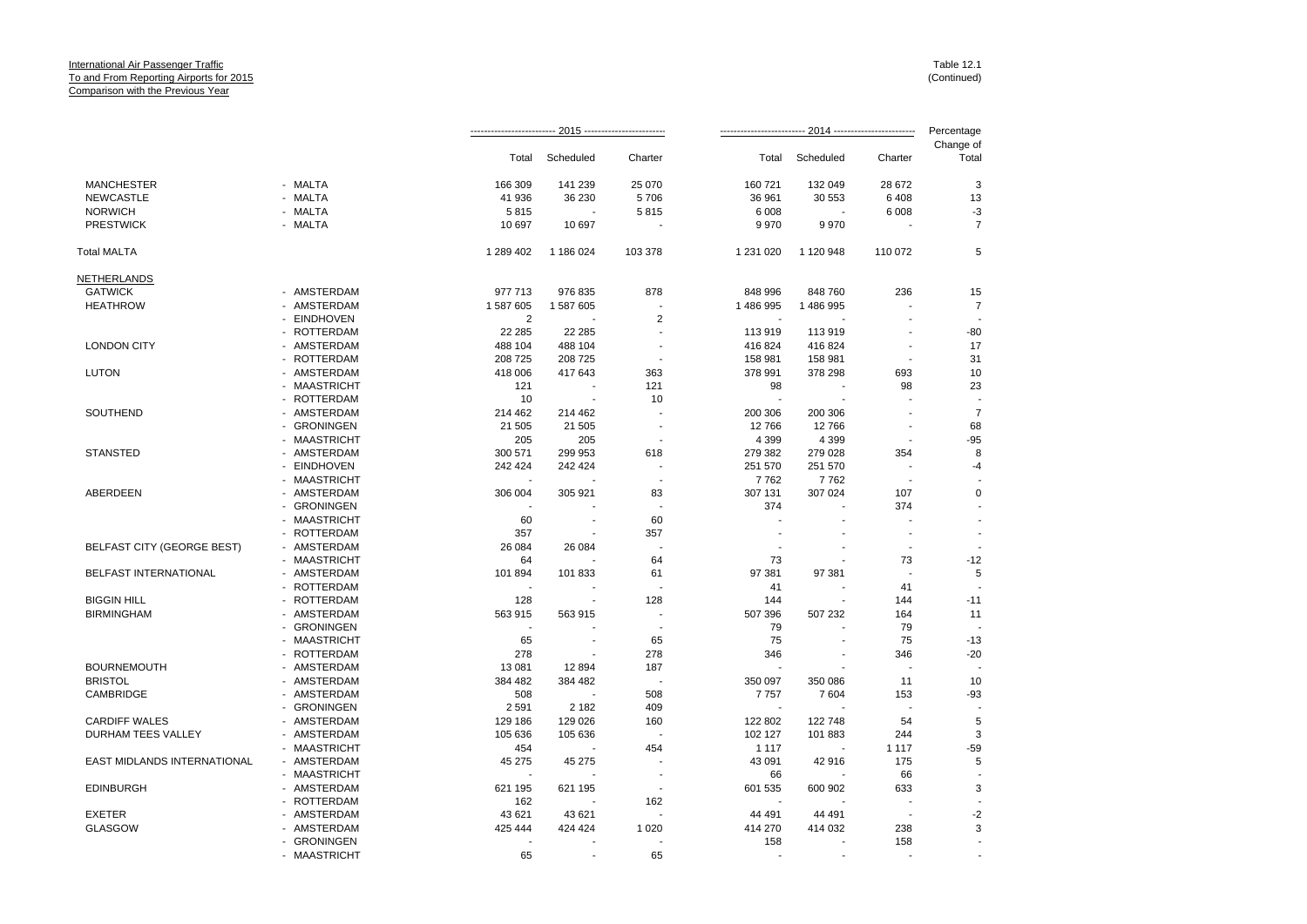|                                   |              |                |                          |                          |            |           |                          | Percentage         |
|-----------------------------------|--------------|----------------|--------------------------|--------------------------|------------|-----------|--------------------------|--------------------|
|                                   |              | Total          | Scheduled                | Charter                  | Total      | Scheduled | Charter                  | Change of<br>Total |
| <b>MANCHESTER</b>                 | - MALTA      | 166 309        | 141 239                  | 25 070                   | 160 721    | 132 049   | 28 672                   | 3                  |
| <b>NEWCASTLE</b>                  | - MALTA      | 41 936         | 36 230                   | 5706                     | 36 961     | 30 553    | 6408                     | 13                 |
| <b>NORWICH</b>                    | - MALTA      | 5815           |                          | 5815                     | 6 0 0 8    |           | 6 0 08                   | $-3$               |
| <b>PRESTWICK</b>                  | - MALTA      | 10 697         | 10 697                   |                          | 9970       | 9970      |                          | $\overline{7}$     |
| <b>Total MALTA</b>                |              | 1 289 402      | 1 186 024                | 103 378                  | 1 231 0 20 | 1 120 948 | 110 072                  | 5                  |
| <b>NETHERLANDS</b>                |              |                |                          |                          |            |           |                          |                    |
| <b>GATWICK</b>                    | - AMSTERDAM  | 977 713        | 976 835                  | 878                      | 848 996    | 848 760   | 236                      | 15                 |
| <b>HEATHROW</b>                   | - AMSTERDAM  | 1 587 605      | 1 587 605                |                          | 1 486 995  | 1 486 995 |                          | $\overline{7}$     |
|                                   | - EINDHOVEN  | $\overline{2}$ |                          | $\overline{2}$           |            |           |                          |                    |
|                                   | - ROTTERDAM  | 22 2 8 5       | 22 285                   | $\overline{a}$           | 113 919    | 113 919   | $\overline{a}$           | $-80$              |
| <b>LONDON CITY</b>                | - AMSTERDAM  | 488 104        | 488 104                  | $\overline{\phantom{a}}$ | 416 824    | 416824    | $\blacksquare$           | 17                 |
|                                   | - ROTTERDAM  | 208 725        | 208 725                  |                          | 158 981    | 158 981   |                          | 31                 |
| <b>LUTON</b>                      | - AMSTERDAM  | 418 006        | 417 643                  | 363                      | 378 991    | 378 298   | 693                      | 10                 |
|                                   | - MAASTRICHT | 121            | $\overline{\phantom{a}}$ | 121                      | 98         | ÷,        | 98                       | 23                 |
|                                   | - ROTTERDAM  | 10             |                          | 10                       |            |           |                          |                    |
| SOUTHEND                          | - AMSTERDAM  | 214 462        | 214 462                  |                          | 200 306    | 200 306   | ÷                        | $\overline{7}$     |
|                                   | - GRONINGEN  | 21 505         | 21 505                   | $\overline{a}$           | 12766      | 12766     | $\overline{a}$           | 68                 |
|                                   | - MAASTRICHT | 205            | 205                      |                          | 4 3 9 9    | 4 3 9 9   |                          | $-95$              |
| <b>STANSTED</b>                   | - AMSTERDAM  | 300 571        | 299 953                  | 618                      | 279 382    | 279 028   | 354                      | 8                  |
|                                   | - EINDHOVEN  | 242 424        | 242 424                  |                          | 251 570    | 251 570   |                          | $-4$               |
|                                   | - MAASTRICHT |                |                          | $\overline{\phantom{a}}$ | 7762       | 7762      | $\overline{\phantom{a}}$ |                    |
| ABERDEEN                          | - AMSTERDAM  | 306 004        | 305 921                  | 83                       | 307 131    | 307 024   | 107                      | $\mathbf 0$        |
|                                   | - GRONINGEN  |                |                          |                          | 374        |           | 374                      |                    |
|                                   | - MAASTRICHT | 60             |                          | 60                       |            |           |                          |                    |
|                                   | - ROTTERDAM  | 357            |                          | 357                      |            |           | $\overline{\phantom{a}}$ | $\overline{a}$     |
| <b>BELFAST CITY (GEORGE BEST)</b> | - AMSTERDAM  | 26 084         | 26 084                   | $\overline{\phantom{a}}$ |            |           | $\overline{\phantom{a}}$ |                    |
|                                   | - MAASTRICHT | 64             |                          | 64                       | 73         |           | 73                       | $-12$              |
| <b>BELFAST INTERNATIONAL</b>      | - AMSTERDAM  | 101 894        | 101 833                  | 61                       | 97 381     | 97 381    |                          | 5                  |
|                                   | - ROTTERDAM  |                |                          |                          | 41         |           | 41                       |                    |
| <b>BIGGIN HILL</b>                | - ROTTERDAM  | 128            | $\overline{\phantom{a}}$ | 128                      | 144        |           | 144                      | $-11$              |
| <b>BIRMINGHAM</b>                 | - AMSTERDAM  | 563 915        | 563 915                  | $\ddot{\phantom{a}}$     | 507 396    | 507 232   | 164                      | 11                 |
|                                   | - GRONINGEN  |                |                          | $\overline{\phantom{a}}$ | 79         |           | 79                       |                    |
|                                   | - MAASTRICHT | 65             | $\overline{\phantom{a}}$ | 65                       | 75         | ÷,        | 75                       | $-13$              |
|                                   | - ROTTERDAM  | 278            |                          | 278                      | 346        |           | 346                      | $-20$              |
| <b>BOURNEMOUTH</b>                | - AMSTERDAM  | 13 081         | 12894                    | 187                      |            |           | $\overline{\phantom{a}}$ |                    |
| <b>BRISTOL</b>                    | - AMSTERDAM  | 384 482        | 384 482                  | $\overline{\phantom{a}}$ | 350 097    | 350 086   | 11                       | 10                 |
| CAMBRIDGE                         | - AMSTERDAM  | 508            |                          | 508                      | 7757       | 7604      | 153                      | $-93$              |
|                                   | - GRONINGEN  | 2 5 9 1        | 2 1 8 2                  | 409                      |            |           |                          |                    |
| <b>CARDIFF WALES</b>              | - AMSTERDAM  | 129 186        | 129 026                  | 160                      | 122 802    | 122 748   | 54                       | 5                  |
| DURHAM TEES VALLEY                | - AMSTERDAM  | 105 636        | 105 636                  | J.                       | 102 127    | 101 883   | 244                      | 3                  |
|                                   | - MAASTRICHT | 454            |                          | 454                      | 1 1 1 7    |           | 1 1 1 7                  | $-59$              |
| EAST MIDLANDS INTERNATIONAL       | - AMSTERDAM  | 45 275         | 45 275                   |                          | 43 091     | 42 916    | 175                      | 5                  |
|                                   | - MAASTRICHT |                |                          | $\overline{a}$           | 66         |           | 66                       |                    |
| <b>EDINBURGH</b>                  | - AMSTERDAM  | 621 195        | 621 195                  | $\overline{\phantom{a}}$ | 601 535    | 600 902   | 633                      | 3                  |
|                                   | - ROTTERDAM  | 162            |                          | 162                      |            |           |                          |                    |
| <b>EXETER</b>                     | - AMSTERDAM  | 43 621         | 43 621                   |                          | 44 491     | 44 491    |                          | $-2$               |
| <b>GLASGOW</b>                    | - AMSTERDAM  | 425 444        | 424 424                  | 1 0 2 0                  | 414 270    | 414 032   | 238                      | 3                  |
|                                   | - GRONINGEN  |                |                          |                          | 158        |           | 158                      |                    |
|                                   | - MAASTRICHT | 65             |                          | 65                       |            |           |                          |                    |
|                                   |              |                |                          |                          |            |           |                          |                    |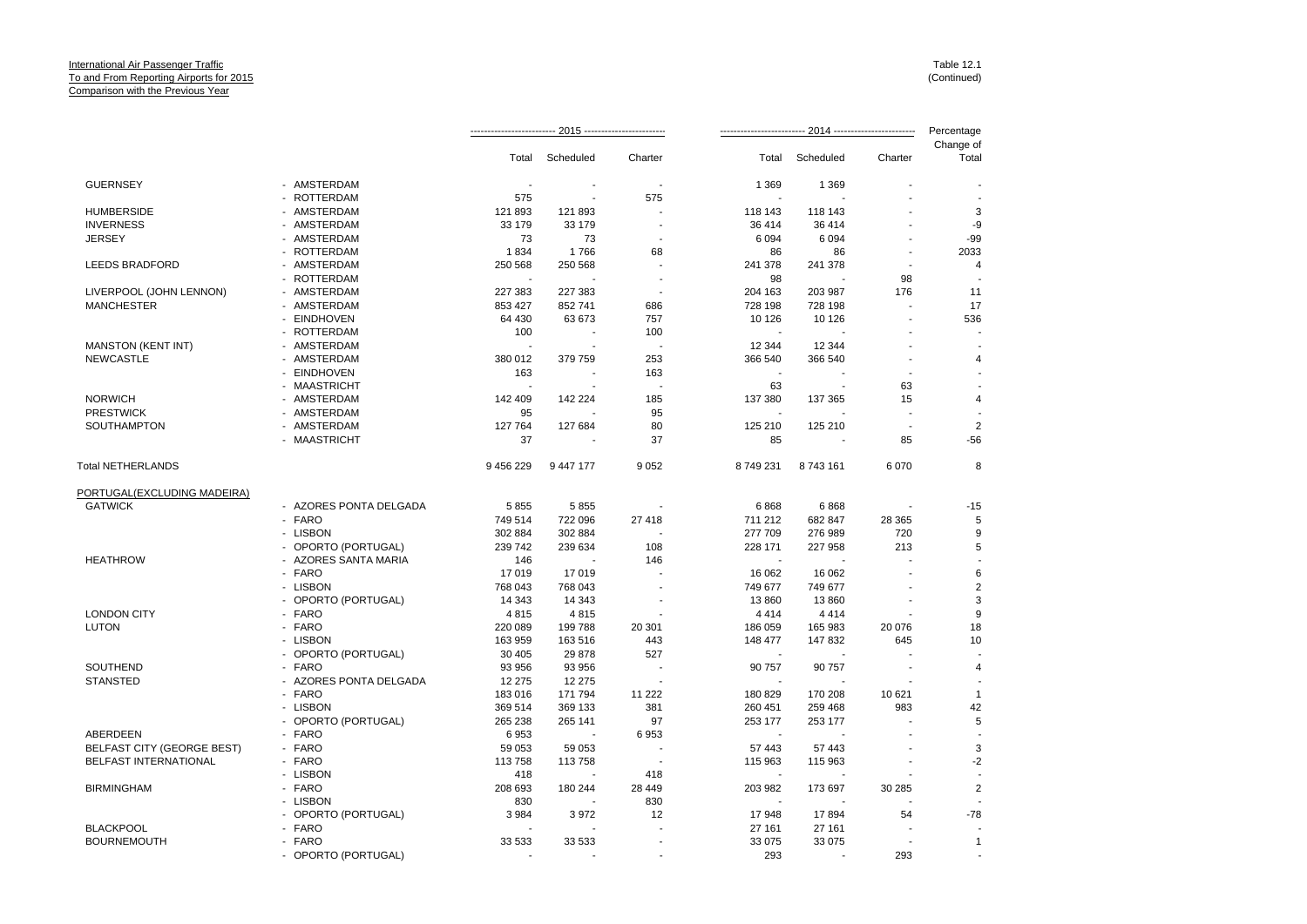|                                        |                        |           |           |         |                  |           |         | Percentage         |
|----------------------------------------|------------------------|-----------|-----------|---------|------------------|-----------|---------|--------------------|
|                                        |                        | Total     | Scheduled | Charter | Total            | Scheduled | Charter | Change of<br>Total |
| <b>GUERNSEY</b>                        | - AMSTERDAM            |           |           |         | 1 3 6 9          | 1 3 6 9   |         |                    |
|                                        | - ROTTERDAM            | 575       |           | 575     |                  |           |         |                    |
| <b>HUMBERSIDE</b>                      | - AMSTERDAM            | 121 893   | 121 893   |         | 118 143          | 118 143   |         | 3                  |
| <b>INVERNESS</b>                       | - AMSTERDAM            | 33 179    | 33 179    |         | 36 414           | 36 414    |         | -9                 |
| <b>JERSEY</b>                          | - AMSTERDAM            | 73        | 73        |         | 6 0 9 4          | 6 0 9 4   |         | $-99$              |
|                                        | - ROTTERDAM            | 1834      | 1766      | 68      | 86               | 86        |         | 2033               |
| <b>LEEDS BRADFORD</b>                  | - AMSTERDAM            | 250 568   | 250 568   | ÷       | 241 378          | 241 378   |         | 4                  |
|                                        | - ROTTERDAM            |           |           |         | 98               |           | 98      |                    |
| LIVERPOOL (JOHN LENNON)                | - AMSTERDAM            | 227 383   | 227 383   |         | 204 163          | 203 987   | 176     | 11                 |
| <b>MANCHESTER</b>                      | - AMSTERDAM            | 853 427   | 852 741   | 686     | 728 198          | 728 198   |         | 17                 |
|                                        | - EINDHOVEN            | 64 430    | 63 673    | 757     | 10 126           | 10 126    |         | 536                |
|                                        | - ROTTERDAM            | 100       |           | 100     |                  |           |         |                    |
| MANSTON (KENT INT)                     | - AMSTERDAM            |           |           |         | 12 3 44          | 12 344    |         |                    |
| <b>NEWCASTLE</b>                       | - AMSTERDAM            | 380 012   | 379 759   | 253     | 366 540          | 366 540   |         | 4                  |
|                                        | - EINDHOVEN            | 163       |           | 163     |                  |           |         |                    |
|                                        | - MAASTRICHT           |           |           |         | 63               |           | 63      |                    |
| <b>NORWICH</b>                         | - AMSTERDAM            | 142 409   | 142 224   | 185     | 137 380          | 137 365   | 15      | $\overline{4}$     |
| <b>PRESTWICK</b>                       | - AMSTERDAM            | 95        |           | 95      |                  |           |         |                    |
| <b>SOUTHAMPTON</b>                     | - AMSTERDAM            | 127 764   | 127 684   | 80      | 125 210          | 125 210   |         | $\overline{2}$     |
|                                        | - MAASTRICHT           | 37        |           | 37      | 85               |           | 85      | $-56$              |
| <b>Total NETHERLANDS</b>               |                        | 9 456 229 | 9 447 177 | 9 0 5 2 | 8749231          | 8743161   | 6 0 7 0 | 8                  |
| PORTUGAL(EXCLUDING MADEIRA)            |                        |           |           |         |                  |           |         |                    |
| <b>GATWICK</b>                         | - AZORES PONTA DELGADA | 5855      | 5855      |         | 6868             | 6868      |         | $-15$              |
|                                        | - FARO                 | 749 514   | 722 096   | 27 418  | 711 212          | 682 847   | 28 3 65 | 5                  |
|                                        | - LISBON               | 302 884   | 302 884   |         | 277 709          | 276 989   | 720     | 9                  |
|                                        | - OPORTO (PORTUGAL)    | 239 742   | 239 634   | 108     | 228 171          | 227 958   | 213     | 5                  |
| <b>HEATHROW</b>                        | - AZORES SANTA MARIA   | 146       |           | 146     |                  |           |         |                    |
|                                        | - FARO                 | 17019     | 17019     |         | 16 062           | 16 062    |         | 6                  |
|                                        | - LISBON               | 768 043   | 768 043   |         | 749 677          | 749 677   |         | $\overline{2}$     |
|                                        | - OPORTO (PORTUGAL)    | 14 343    | 14 343    |         | 13 860           | 13 860    |         | 3                  |
| <b>LONDON CITY</b>                     | - FARO                 | 4815      | 4815      |         | 4 4 1 4          | 4414      |         | 9                  |
| <b>LUTON</b>                           | - FARO                 | 220 089   | 199 788   | 20 301  | 186 059          | 165 983   | 20 076  | 18                 |
|                                        | - LISBON               | 163 959   | 163 516   | 443     | 148 477          | 147 832   | 645     | 10                 |
|                                        | - OPORTO (PORTUGAL)    | 30 40 5   | 29 878    | 527     |                  |           |         |                    |
| SOUTHEND                               | - FARO                 | 93 956    | 93 956    |         | 90 757           | 90 757    |         | $\overline{4}$     |
| <b>STANSTED</b>                        | - AZORES PONTA DELGADA | 12 275    | 12 275    |         |                  |           |         |                    |
|                                        | - FARO                 | 183 016   | 171 794   | 11 222  | 180 829          | 170 208   | 10 621  | $\mathbf{1}$       |
|                                        | - LISBON               | 369 514   | 369 133   | 381     | 260 451          | 259 468   | 983     | 42                 |
|                                        | - OPORTO (PORTUGAL)    | 265 238   | 265 141   | 97      | 253 177          | 253 177   |         | 5                  |
| ABERDEEN                               | - FARO                 | 6953      |           | 6953    |                  |           |         |                    |
| <b>BELFAST CITY (GEORGE BEST)</b>      | - FARO                 | 59 053    | 59 053    |         | 57 443           | 57 443    |         | 3                  |
| <b>BELFAST INTERNATIONAL</b>           | - FARO                 | 113758    | 113758    |         | 115 963          | 115 963   |         | $-2$               |
|                                        | - LISBON               | 418       |           | 418     | $\overline{a}$   |           |         |                    |
| <b>BIRMINGHAM</b>                      | - FARO                 | 208 693   | 180 244   | 28 449  | 203 982          | 173 697   | 30 285  | $\overline{c}$     |
|                                        | - LISBON               | 830       |           | 830     |                  |           |         |                    |
|                                        | - OPORTO (PORTUGAL)    | 3 9 8 4   | 3972      | 12      | 17948            | 17894     | 54      | $-78$              |
| <b>BLACKPOOL</b><br><b>BOURNEMOUTH</b> | - FARO<br>- FARO       | 33 533    |           |         | 27 161<br>33 075 | 27 161    |         | $\mathbf{1}$       |
|                                        |                        |           | 33 533    |         | 293              | 33 075    | 293     |                    |
|                                        | - OPORTO (PORTUGAL)    |           |           |         |                  |           |         |                    |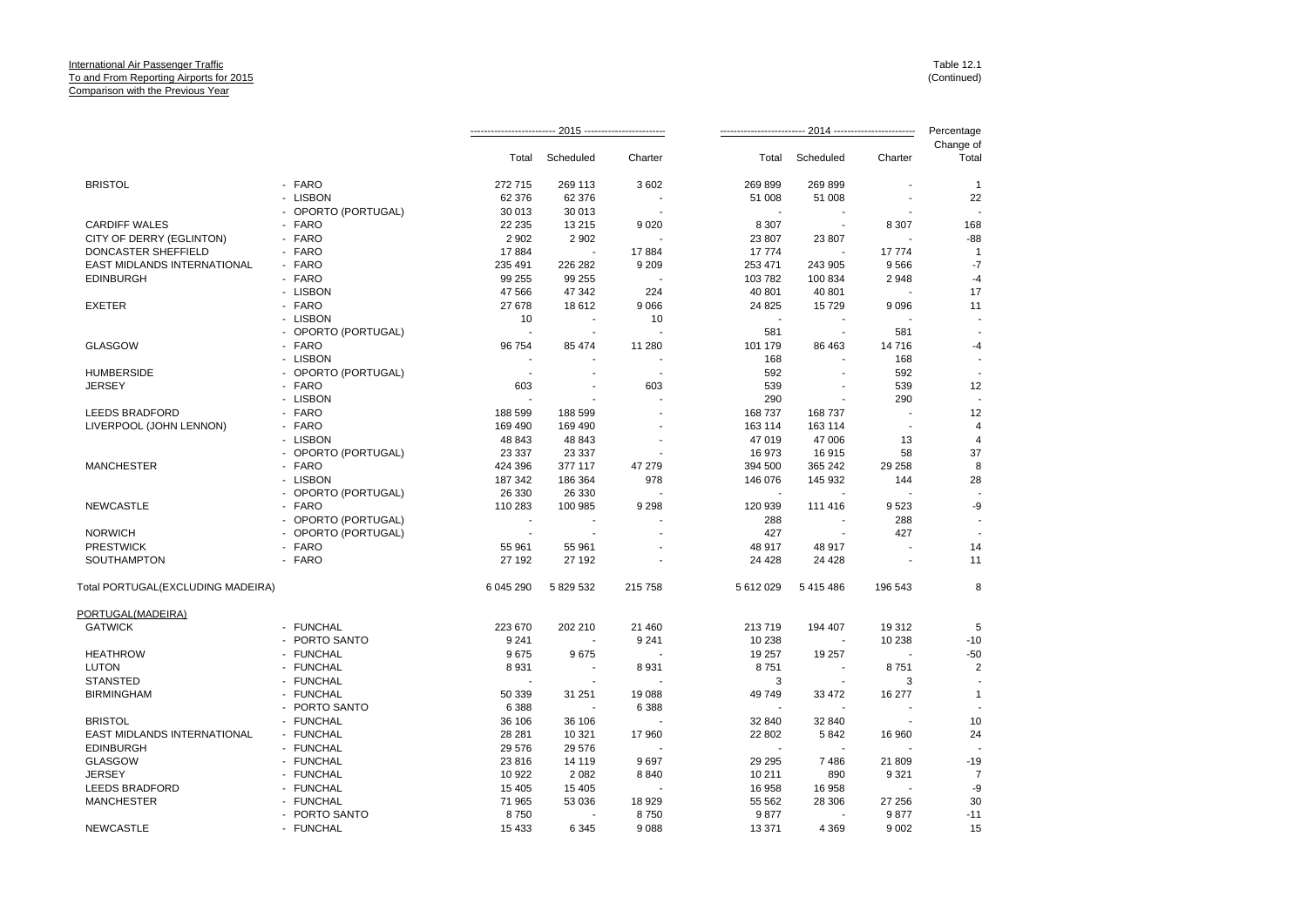|                                   |                     |                |                |                |           |                          |         | Percentage     |
|-----------------------------------|---------------------|----------------|----------------|----------------|-----------|--------------------------|---------|----------------|
|                                   |                     |                |                |                |           |                          |         | Change of      |
|                                   |                     | Total          | Scheduled      | Charter        | Total     | Scheduled                | Charter | Total          |
| <b>BRISTOL</b>                    | - FARO              | 272 715        | 269 113        | 3602           | 269 899   | 269 899                  |         | $\mathbf{1}$   |
|                                   | - LISBON            | 62 376         | 62 376         |                | 51 008    | 51 008                   |         | 22             |
|                                   | - OPORTO (PORTUGAL) | 30 013         | 30 013         | $\overline{a}$ |           |                          |         |                |
| <b>CARDIFF WALES</b>              | - FARO              | 22 2 35        | 13 215         | 9020           | 8 3 0 7   | $\sim$                   | 8 3 0 7 | 168            |
| CITY OF DERRY (EGLINTON)          | - FARO              | 2 9 0 2        | 2 9 0 2        |                | 23 807    | 23 807                   |         | $-88$          |
| <b>DONCASTER SHEFFIELD</b>        | - FARO              | 17884          |                | 17884          | 17774     |                          | 17 774  | $\overline{1}$ |
| EAST MIDLANDS INTERNATIONAL       | - FARO              | 235 491        | 226 282        | 9 2 0 9        | 253 471   | 243 905                  | 9566    | $-7$           |
| <b>EDINBURGH</b>                  | - FARO              | 99 255         | 99 255         |                | 103 782   | 100 834                  | 2948    | $-4$           |
|                                   | - LISBON            | 47 566         | 47 342         | 224            | 40 801    | 40 801                   |         | 17             |
| <b>EXETER</b>                     | - FARO              | 27 678         | 18612          | 9066           | 24 8 25   | 15729                    | 9096    | 11             |
|                                   | - LISBON            | 10             |                | 10             |           |                          |         |                |
|                                   | - OPORTO (PORTUGAL) | $\sim$         |                |                | 581       | $\overline{\phantom{a}}$ | 581     |                |
| <b>GLASGOW</b>                    | - FARO              | 96 754         | 85 474         | 11 280         | 101 179   | 86 463                   | 14716   | $-4$           |
|                                   | - LISBON            |                |                |                | 168       |                          | 168     |                |
| <b>HUMBERSIDE</b>                 | - OPORTO (PORTUGAL) | $\sim$         |                |                | 592       |                          | 592     |                |
| <b>JERSEY</b>                     | - FARO              | 603            |                | 603            | 539       |                          | 539     | 12             |
|                                   | - LISBON            | ÷.             |                |                | 290       |                          | 290     |                |
| <b>LEEDS BRADFORD</b>             | - FARO              | 188 599        | 188 599        |                | 168737    | 168737                   | $\sim$  | 12             |
| LIVERPOOL (JOHN LENNON)           | - FARO              | 169 490        | 169 490        |                | 163 114   | 163 114                  |         | $\overline{4}$ |
|                                   | - LISBON            | 48 843         | 48 843         |                | 47 019    | 47 006                   | 13      | 4              |
|                                   | - OPORTO (PORTUGAL) | 23 3 3 7       | 23 3 3 7       |                | 16973     | 16915                    | 58      | 37             |
| <b>MANCHESTER</b>                 | - FARO              | 424 396        | 377 117        | 47 279         | 394 500   | 365 242                  | 29 25 8 | 8              |
|                                   | - LISBON            | 187 342        | 186 364        | 978            | 146 076   | 145 932                  | 144     | 28             |
|                                   | - OPORTO (PORTUGAL) | 26 330         | 26 330         |                |           |                          |         |                |
| <b>NEWCASTLE</b>                  | - FARO              | 110 283        | 100 985        | 9 2 9 8        | 120 939   | 111 416                  | 9523    | -9             |
|                                   | - OPORTO (PORTUGAL) | $\blacksquare$ |                |                | 288       |                          | 288     |                |
| <b>NORWICH</b>                    | - OPORTO (PORTUGAL) | $\sim$         | $\blacksquare$ |                | 427       |                          | 427     |                |
| <b>PRESTWICK</b>                  | - FARO              | 55 961         | 55 961         |                | 48 917    | 48 917                   |         | 14             |
| SOUTHAMPTON                       | - FARO              | 27 192         | 27 192         |                | 24 4 28   | 24 4 28                  |         | 11             |
|                                   |                     |                |                |                |           |                          |         |                |
| Total PORTUGAL(EXCLUDING MADEIRA) |                     | 6 045 290      | 5 829 532      | 215 758        | 5 612 029 | 5415486                  | 196 543 | 8              |
| PORTUGAL(MADEIRA)                 |                     |                |                |                |           |                          |         |                |
| <b>GATWICK</b>                    | - FUNCHAL           | 223 670        | 202 210        | 21 460         | 213719    | 194 407                  | 19312   | 5              |
|                                   | - PORTO SANTO       | 9 2 4 1        | ÷,             | 9 2 4 1        | 10 238    | $\sim$                   | 10 238  | $-10$          |
| <b>HEATHROW</b>                   | - FUNCHAL           | 9675           | 9675           |                | 19 257    | 19 257                   |         | $-50$          |
| <b>LUTON</b>                      | - FUNCHAL           | 8931           |                | 8931           | 8751      |                          | 8751    | $\mathbf{2}$   |
| <b>STANSTED</b>                   | - FUNCHAL           |                |                |                | 3         | ÷.                       | 3       |                |
| <b>BIRMINGHAM</b>                 | - FUNCHAL           | 50 339         | 31 251         | 19 088         | 49 749    | 33 472                   | 16 277  | $\overline{1}$ |
|                                   | - PORTO SANTO       | 6 3 8 8        |                | 6 3 8 8        |           |                          |         |                |
| <b>BRISTOL</b>                    | - FUNCHAL           | 36 106         | 36 106         |                | 32 840    | 32 840                   |         | 10             |
| EAST MIDLANDS INTERNATIONAL       | - FUNCHAL           | 28 28 1        | 10 321         | 17 960         | 22 802    | 5842                     | 16 960  | 24             |
| <b>EDINBURGH</b>                  | - FUNCHAL           | 29 576         | 29 576         |                |           | $\sim$                   |         |                |
| <b>GLASGOW</b>                    | - FUNCHAL           | 23 816         | 14 119         | 9697           | 29 29 5   | 7486                     | 21 809  | $-19$          |
| <b>JERSEY</b>                     | - FUNCHAL           | 10 922         | 2 0 8 2        | 8840           | 10 211    | 890                      | 9 3 21  | $\overline{7}$ |
| <b>LEEDS BRADFORD</b>             | - FUNCHAL           | 15 4 05        | 15 405         |                | 16 958    | 16 958                   |         | -9             |
| <b>MANCHESTER</b>                 | - FUNCHAL           | 71 965         | 53 036         | 18 9 29        | 55 562    | 28 30 6                  | 27 25 6 | 30             |
|                                   | - PORTO SANTO       | 8750           |                | 8750           | 9877      |                          | 9877    | $-11$          |
| <b>NEWCASTLE</b>                  | - FUNCHAL           | 15 4 33        | 6 3 4 5        | 9088           | 13 371    | 4 3 6 9                  | 9 0 0 2 | 15             |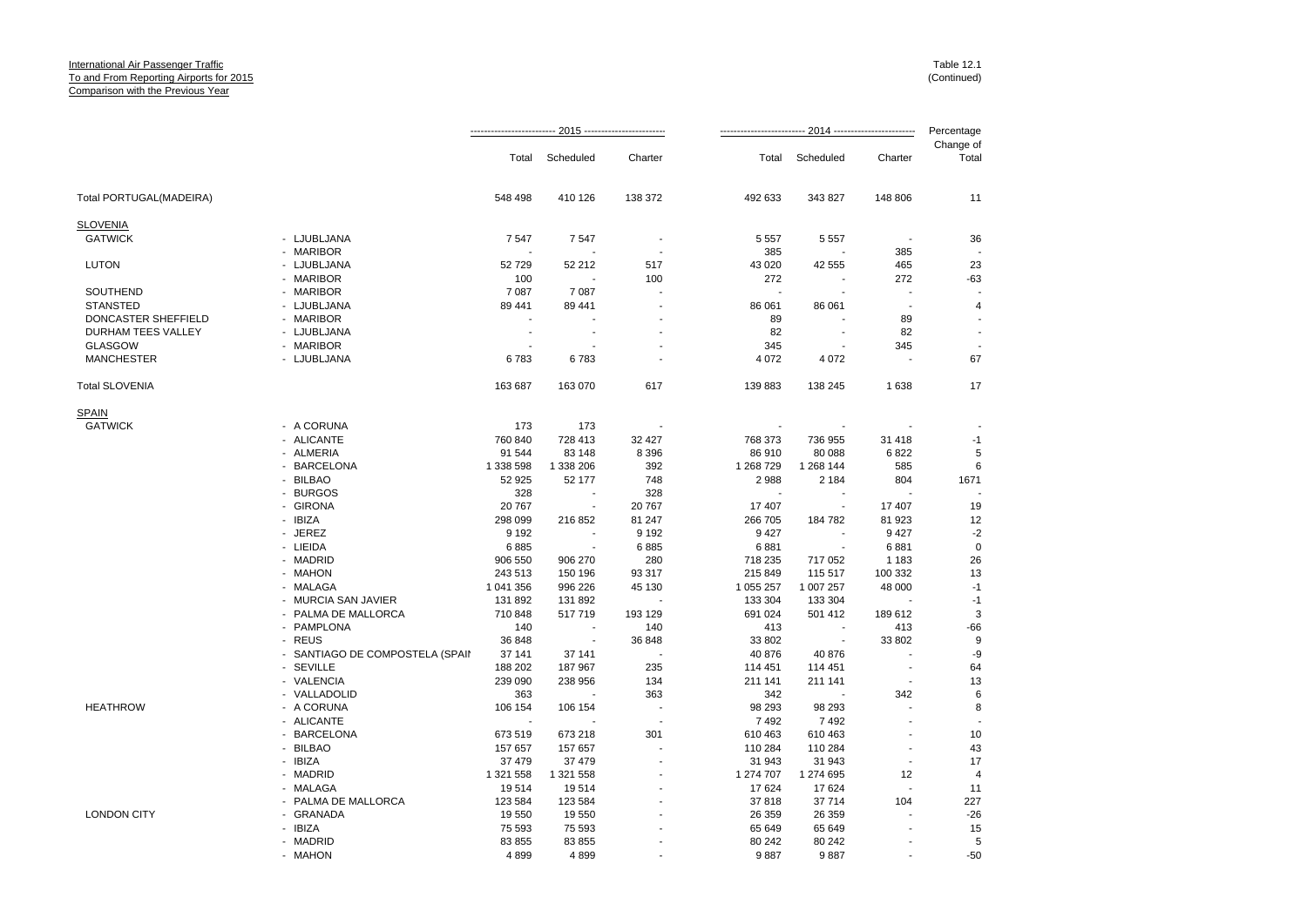|                         |                                 |                |           |                          | Percentage |                          |         |                    |
|-------------------------|---------------------------------|----------------|-----------|--------------------------|------------|--------------------------|---------|--------------------|
|                         |                                 | Total          | Scheduled | Charter                  | Total      | Scheduled                | Charter | Change of<br>Total |
| Total PORTUGAL(MADEIRA) |                                 | 548 498        | 410 126   | 138 372                  | 492 633    | 343 827                  | 148 806 | 11                 |
| <b>SLOVENIA</b>         |                                 |                |           |                          |            |                          |         |                    |
| <b>GATWICK</b>          | - LJUBLJANA                     | 7547           | 7547      | $\overline{\phantom{a}}$ | 5 5 5 7    | 5 5 5 7                  |         | 36                 |
|                         | - MARIBOR                       |                |           |                          | 385        |                          | 385     |                    |
| <b>LUTON</b>            | - LJUBLJANA                     | 52729          | 52 212    | 517                      | 43 0 20    | 42 555                   | 465     | 23                 |
|                         | - MARIBOR                       | 100            |           | 100                      | 272        |                          | 272     | $-63$              |
| SOUTHEND                | - MARIBOR                       | 7 0 8 7        | 7 0 8 7   |                          | ÷.         |                          |         |                    |
| <b>STANSTED</b>         | - LJUBLJANA                     | 89 441         | 89 441    |                          | 86 061     | 86 061                   | $\sim$  | 4                  |
| DONCASTER SHEFFIELD     | - MARIBOR                       |                |           |                          | 89         |                          | 89      |                    |
| DURHAM TEES VALLEY      | - LJUBLJANA                     | $\blacksquare$ |           |                          | 82         |                          | 82      |                    |
| <b>GLASGOW</b>          | - MARIBOR                       |                |           |                          | 345        |                          | 345     |                    |
| <b>MANCHESTER</b>       | - LJUBLJANA                     | 6783           | 6783      |                          | 4 0 7 2    | 4 0 7 2                  |         | 67                 |
| <b>Total SLOVENIA</b>   |                                 | 163 687        | 163 070   | 617                      | 139 883    | 138 245                  | 1638    | 17                 |
| <b>SPAIN</b>            |                                 |                |           |                          |            |                          |         |                    |
| <b>GATWICK</b>          | - A CORUNA                      | 173            | 173       |                          |            |                          |         |                    |
|                         | - ALICANTE                      | 760 840        | 728 413   | 32 4 27                  | 768 373    | 736 955                  | 31 418  | $-1$               |
|                         | - ALMERIA                       | 91 544         | 83 148    | 8 3 9 6                  | 86 910     | 80 088                   | 6822    | 5                  |
|                         | - BARCELONA                     | 1 338 598      | 1 338 206 | 392                      | 1 268 7 29 | 1 268 144                | 585     | 6                  |
|                         | - BILBAO                        | 52 925         | 52 177    | 748                      | 2988       | 2 1 8 4                  | 804     | 1671               |
|                         | - BURGOS                        | 328            |           | 328                      |            |                          |         |                    |
|                         | - GIRONA                        | 20 767         | $\sim$    | 20767                    | 17 407     | ÷.                       | 17 407  | 19                 |
|                         | - IBIZA                         | 298 099        | 216 852   | 81 247                   | 266 705    | 184 782                  | 81 923  | 12                 |
|                         | - JEREZ                         | 9 1 9 2        | ÷         | 9 1 9 2                  | 9 4 2 7    | $\overline{\phantom{a}}$ | 9 4 27  | $-2$               |
|                         | - LIEIDA                        | 6885           |           | 6885                     | 6881       |                          | 6881    | $\mathbf 0$        |
|                         | - MADRID                        | 906 550        | 906 270   | 280                      | 718 235    | 717 052                  | 1 1 8 3 | 26                 |
|                         | - MAHON                         | 243 513        | 150 196   | 93 317                   | 215 849    | 115 517                  | 100 332 | 13                 |
|                         | - MALAGA                        | 1 041 356      | 996 226   | 45 130                   | 1 055 257  | 1 007 257                | 48 000  | $-1$               |
|                         | - MURCIA SAN JAVIER             | 131 892        | 131 892   | $\overline{\phantom{a}}$ | 133 304    | 133 304                  |         | $-1$               |
|                         | - PALMA DE MALLORCA             | 710 848        | 517719    | 193 129                  | 691 024    | 501 412                  | 189 612 | 3                  |
|                         | - PAMPLONA                      | 140            |           | 140                      | 413        |                          | 413     | $-66$              |
|                         | - REUS                          | 36 848         | ۰.        | 36 848                   | 33 802     | $\sim$                   | 33 802  | 9                  |
|                         | - SANTIAGO DE COMPOSTELA (SPAII | 37 141         | 37 141    |                          | 40 876     | 40 876                   |         | -9                 |
|                         | - SEVILLE                       | 188 202        | 187 967   | 235                      | 114 451    | 114 451                  |         | 64                 |
|                         | - VALENCIA                      | 239 090        | 238 956   | 134                      | 211 141    | 211 141                  |         | 13                 |
|                         | - VALLADOLID                    | 363            |           | 363                      | 342        |                          | 342     | 6                  |
| <b>HEATHROW</b>         | - A CORUNA                      | 106 154        | 106 154   | $\blacksquare$           | 98 293     | 98 293                   |         | 8                  |
|                         | - ALICANTE                      |                |           |                          | 7492       | 7492                     |         |                    |
|                         | - BARCELONA                     | 673 519        | 673 218   | 301                      | 610 463    | 610 463                  |         | 10                 |
|                         | - BILBAO                        | 157 657        | 157 657   |                          | 110 284    | 110 284                  |         | 43                 |
|                         | - IBIZA                         | 37 479         | 37 479    |                          | 31 943     | 31 943                   |         | 17                 |
|                         | - MADRID                        | 1 321 558      | 1 321 558 |                          | 1 274 707  | 1 274 695                | 12      | $\overline{4}$     |
|                         | - MALAGA                        | 19514          | 19514     |                          | 17624      | 17624                    |         | 11                 |
|                         | - PALMA DE MALLORCA             | 123 584        | 123 584   |                          | 37818      | 37 714                   | 104     | 227                |
| <b>LONDON CITY</b>      | - GRANADA                       | 19 550         | 19 550    |                          | 26 35 9    | 26 359                   |         | $-26$              |
|                         | - IBIZA                         | 75 593         | 75 593    |                          | 65 649     | 65 649                   |         | 15                 |
|                         | - MADRID                        | 83 855         | 83 855    |                          | 80 24 2    | 80 24 2                  |         | 5                  |
|                         | - MAHON                         | 4899           | 4899      |                          | 9887       | 9887                     |         | $-50$              |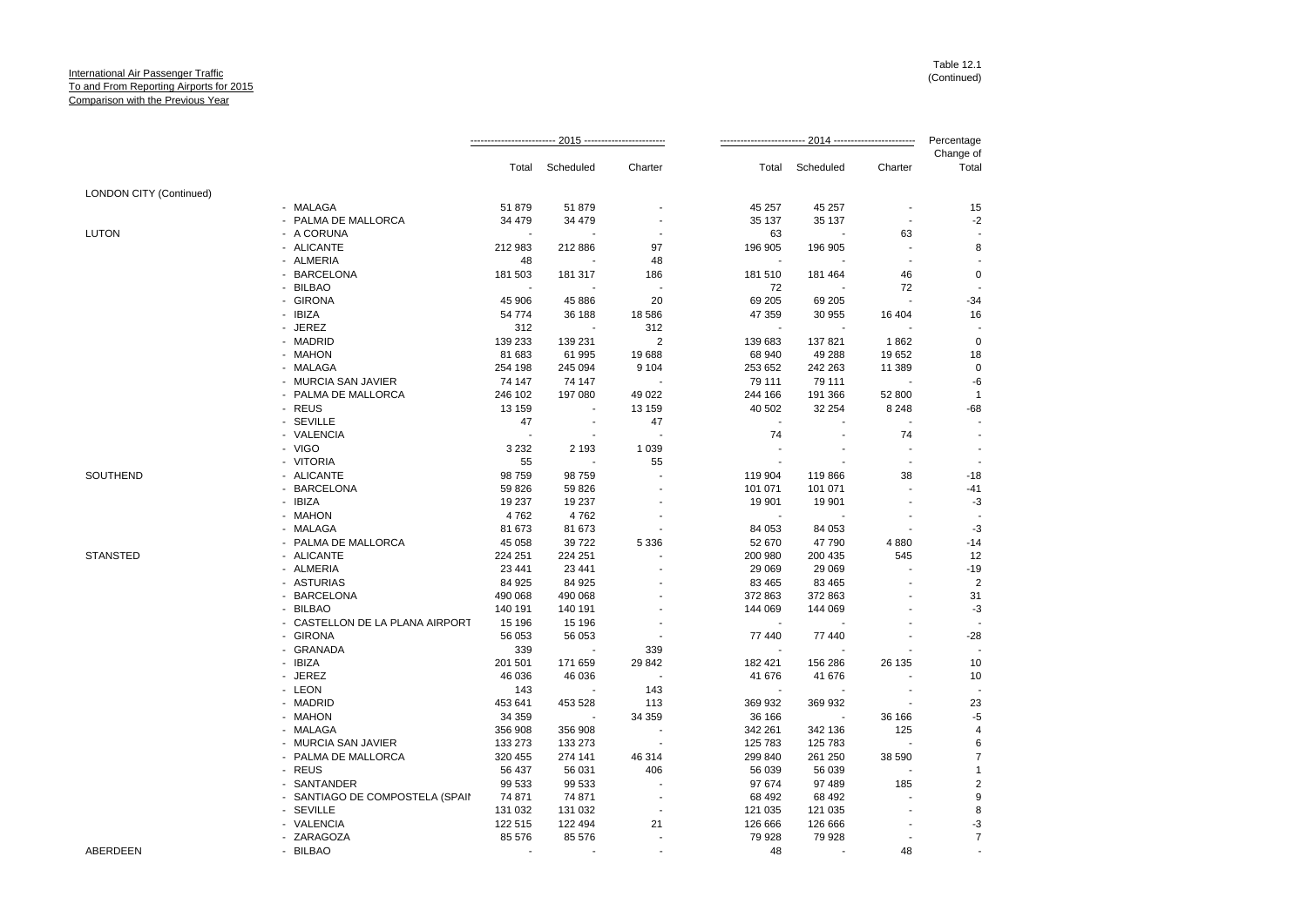|                                |                                 | · 2015 -------------------<br>2014 ---------- |                          |         | Percentage |           |         |                         |
|--------------------------------|---------------------------------|-----------------------------------------------|--------------------------|---------|------------|-----------|---------|-------------------------|
|                                |                                 | Total                                         | Scheduled                | Charter | Total      | Scheduled | Charter | Change of<br>Total      |
| <b>LONDON CITY (Continued)</b> |                                 |                                               |                          |         |            |           |         |                         |
|                                | - MALAGA                        | 51 879                                        | 51 879                   |         | 45 257     | 45 257    |         | 15                      |
|                                | - PALMA DE MALLORCA             | 34 479                                        | 34 479                   |         | 35 137     | 35 137    |         | $-2$                    |
| <b>LUTON</b>                   | - A CORUNA                      |                                               |                          |         | 63         |           | 63      |                         |
|                                | - ALICANTE                      | 212 983                                       | 212 886                  | 97      | 196 905    | 196 905   |         | 8                       |
|                                | - ALMERIA                       | 48                                            |                          | 48      |            |           |         |                         |
|                                | - BARCELONA                     | 181 503                                       | 181 317                  | 186     | 181 510    | 181 464   | 46      | $\mathbf 0$             |
|                                | - BILBAO                        |                                               |                          |         | 72         |           | 72      |                         |
|                                | - GIRONA                        | 45 906                                        | 45 886                   | 20      | 69 205     | 69 205    |         | $-34$                   |
|                                | - IBIZA                         | 54 774                                        | 36 188                   | 18 586  | 47 359     | 30 955    | 16 404  | 16                      |
|                                | - JEREZ                         | 312                                           |                          | 312     |            |           |         |                         |
|                                | - MADRID                        | 139 233                                       | 139 231                  | 2       | 139 683    | 137 821   | 1862    | $\mathbf 0$             |
|                                | - MAHON                         | 81 683                                        | 61 995                   | 19688   | 68 940     | 49 288    | 19652   | 18                      |
|                                | - MALAGA                        | 254 198                                       | 245 094                  | 9 1 0 4 | 253 652    | 242 263   | 11 389  | $\mathbf 0$             |
|                                | - MURCIA SAN JAVIER             | 74 147                                        | 74 147                   |         | 79 111     | 79 111    |         | -6                      |
|                                | - PALMA DE MALLORCA             | 246 102                                       | 197 080                  | 49 0 22 | 244 166    | 191 366   | 52 800  | $\mathbf{1}$            |
|                                | - REUS                          | 13 159                                        |                          | 13 159  | 40 502     | 32 254    | 8 2 4 8 | $-68$                   |
|                                | - SEVILLE                       | 47                                            | $\overline{\phantom{a}}$ | 47      |            |           |         |                         |
|                                | - VALENCIA                      | ÷                                             |                          |         | 74         |           | 74      |                         |
|                                | - VIGO                          | 3 2 3 2                                       | 2 1 9 3                  | 1 0 3 9 |            |           |         |                         |
|                                | - VITORIA                       | 55                                            |                          | 55      |            |           |         |                         |
| SOUTHEND                       | - ALICANTE                      | 98 759                                        | 98 759                   |         | 119 904    | 119 866   | 38      | $-18$                   |
|                                | - BARCELONA                     | 59 826                                        | 59 826                   |         | 101 071    | 101 071   |         | $-41$                   |
|                                | - IBIZA                         | 19 237                                        | 19 237                   |         | 19 901     | 19 901    |         | $-3$                    |
|                                | - MAHON                         | 4762                                          | 4762                     |         |            |           |         |                         |
|                                | - MALAGA                        | 81 673                                        | 81 673                   |         | 84 053     | 84 053    |         | $-3$                    |
|                                | - PALMA DE MALLORCA             | 45 058                                        | 39 722                   | 5 3 3 6 | 52 670     | 47 790    | 4 8 8 0 | $-14$                   |
| <b>STANSTED</b>                | - ALICANTE                      | 224 251                                       | 224 251                  |         | 200 980    | 200 435   | 545     | 12                      |
|                                | - ALMERIA                       | 23 441                                        | 23 441                   |         | 29 0 69    | 29 069    |         | $-19$                   |
|                                | - ASTURIAS                      | 84 925                                        | 84 925                   |         | 83 4 65    | 83 465    |         | $\overline{2}$          |
|                                | - BARCELONA                     | 490 068                                       | 490 068                  |         | 372 863    | 372 863   |         | 31                      |
|                                | - BILBAO                        | 140 191                                       | 140 191                  |         | 144 069    | 144 069   |         | $-3$                    |
|                                | - CASTELLON DE LA PLANA AIRPORT | 15 196                                        | 15 196                   |         |            |           |         |                         |
|                                | - GIRONA                        | 56 053                                        | 56 053                   |         | 77 440     | 77 440    |         | $-28$                   |
|                                | - GRANADA                       | 339                                           |                          | 339     |            |           |         |                         |
|                                | - IBIZA                         | 201 501                                       | 171 659                  | 29 842  | 182 421    | 156 286   | 26 135  | 10                      |
|                                | - JEREZ                         | 46 036                                        | 46 036                   |         | 41 676     | 41 676    |         | 10                      |
|                                | - LEON                          | 143                                           |                          | 143     |            |           |         |                         |
|                                | - MADRID                        | 453 641                                       | 453 528                  | 113     | 369 932    | 369 932   |         | 23                      |
|                                | - MAHON                         | 34 359                                        |                          | 34 359  | 36 166     |           | 36 166  | $-5$                    |
|                                | - MALAGA                        | 356 908                                       | 356 908                  |         | 342 261    | 342 136   | 125     | $\overline{4}$          |
|                                | - MURCIA SAN JAVIER             | 133 273                                       | 133 273                  |         | 125 783    | 125 783   |         | 6                       |
|                                | - PALMA DE MALLORCA             | 320 455                                       | 274 141                  | 46 314  | 299 840    | 261 250   | 38 590  | $\overline{7}$          |
|                                | - REUS                          | 56 437                                        | 56 031                   | 406     | 56 039     | 56 039    |         | $\overline{1}$          |
|                                | - SANTANDER                     | 99 533                                        | 99 533                   |         | 97 674     | 97 489    | 185     | $\overline{\mathbf{c}}$ |
|                                | - SANTIAGO DE COMPOSTELA (SPAII | 74 871                                        | 74 871                   |         | 68 4 92    | 68 492    |         | 9                       |
|                                | - SEVILLE                       | 131 032                                       | 131 032                  | ÷,      | 121 035    | 121 035   |         | 8                       |
|                                | - VALENCIA                      | 122 515                                       | 122 494                  | 21      | 126 666    | 126 666   |         | $-3$                    |
|                                | - ZARAGOZA                      | 85 576                                        | 85 576                   |         | 79 928     | 79 928    |         | $\overline{7}$          |
| ABERDEEN                       | - BILBAO                        | ÷.                                            |                          |         | 48         |           | 48      |                         |
|                                |                                 |                                               |                          |         |            |           |         |                         |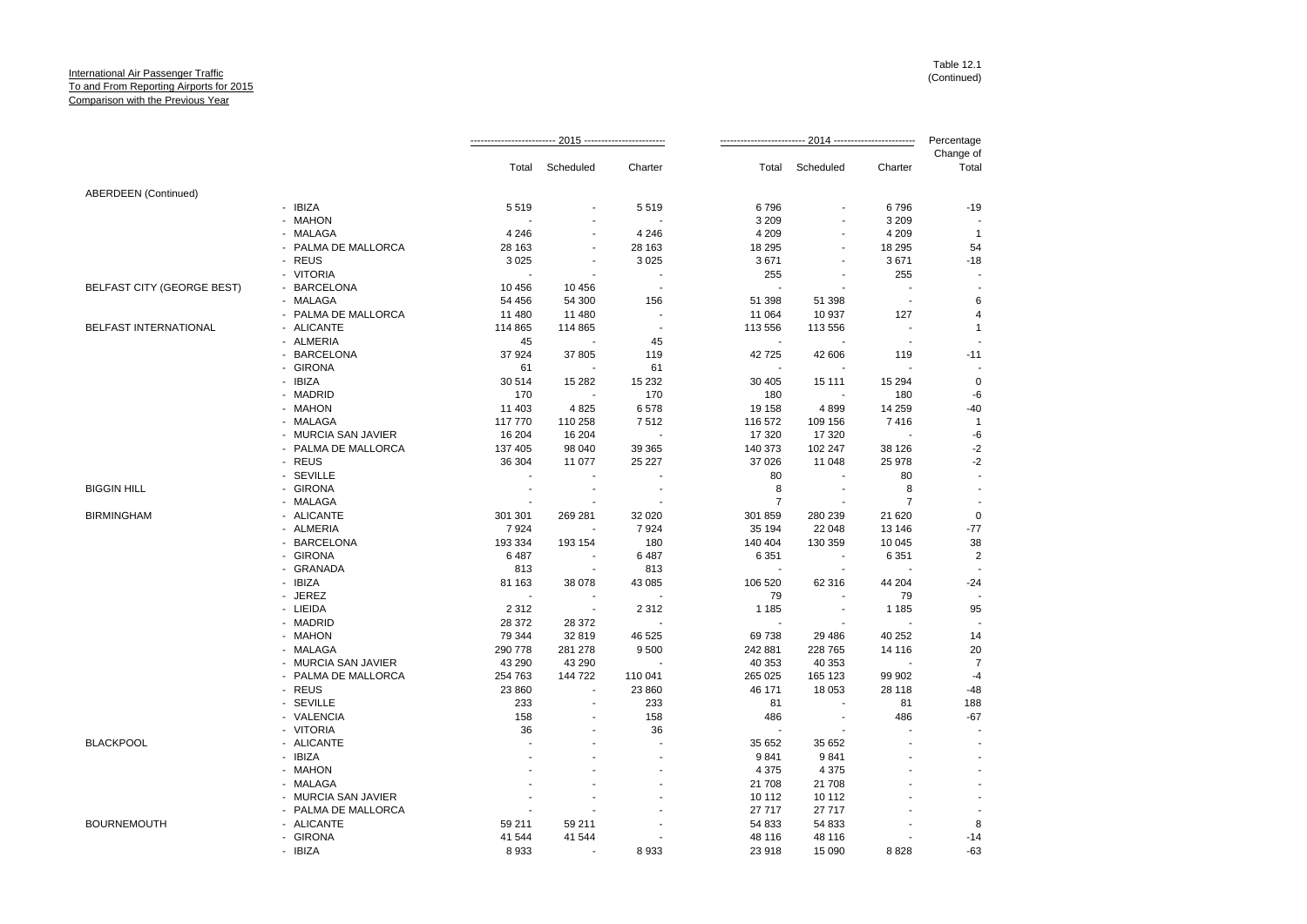|                             |                     |         | -- 2015 ------------------ |                          |                | 2014 --------            |                          | Percentage         |
|-----------------------------|---------------------|---------|----------------------------|--------------------------|----------------|--------------------------|--------------------------|--------------------|
|                             |                     | Total   | Scheduled                  | Charter                  | Total          | Scheduled                | Charter                  | Change of<br>Total |
| <b>ABERDEEN</b> (Continued) |                     |         |                            |                          |                |                          |                          |                    |
|                             | - IBIZA             | 5519    |                            | 5519                     | 6796           |                          | 6796                     | $-19$              |
|                             | - MAHON             |         |                            |                          | 3 2 0 9        | ä,                       | 3 2 0 9                  |                    |
|                             | - MALAGA            | 4 2 4 6 |                            | 4 2 4 6                  | 4 2 0 9        |                          | 4 2 0 9                  | $\overline{1}$     |
|                             | - PALMA DE MALLORCA | 28 163  |                            | 28 163                   | 18 29 5        | $\blacksquare$           | 18 295                   | 54                 |
|                             | - REUS              | 3 0 2 5 |                            | 3 0 2 5                  | 3671           |                          | 3671                     | $-18$              |
|                             | - VITORIA           |         |                            | $\overline{a}$           | 255            | ä,                       | 255                      |                    |
| BELFAST CITY (GEORGE BEST)  | - BARCELONA         | 10 456  | 10 456                     | $\overline{\phantom{a}}$ |                |                          |                          |                    |
|                             | - MALAGA            | 54 456  | 54 300                     | 156                      | 51 398         | 51 398                   | $\overline{\phantom{a}}$ |                    |
|                             | - PALMA DE MALLORCA | 11 480  | 11 480                     | $\overline{\phantom{a}}$ | 11 064         | 10 937                   | 127                      | 4                  |
| BELFAST INTERNATIONAL       | - ALICANTE          | 114 865 | 114 865                    |                          | 113 556        | 113 556                  | $\sim$                   | $\overline{1}$     |
|                             | - ALMERIA           | 45      |                            | 45                       | $\blacksquare$ |                          | $\overline{\phantom{a}}$ |                    |
|                             | - BARCELONA         | 37 924  | 37 805                     | 119                      | 42725          | 42 606                   | 119                      | $-11$              |
|                             | - GIRONA            | 61      |                            | 61                       | $\sim$         |                          |                          |                    |
|                             | - IBIZA             | 30 514  | 15 282                     | 15 232                   | 30 40 5        | 15 111                   | 15 2 94                  | 0                  |
|                             | - MADRID            | 170     |                            | 170                      | 180            |                          | 180                      | -6                 |
|                             | - MAHON             | 11 403  | 4 8 2 5                    | 6578                     | 19 158         | 4899                     | 14 259                   | $-40$              |
|                             | - MALAGA            | 117 770 | 110 258                    | 7512                     | 116 572        | 109 156                  | 7416                     | $\overline{1}$     |
|                             | - MURCIA SAN JAVIER | 16 204  | 16 204                     |                          | 17 320         | 17 320                   |                          | -6                 |
|                             | - PALMA DE MALLORCA | 137 405 | 98 040                     | 39 365                   | 140 373        | 102 247                  | 38 126                   | -2                 |
|                             | - REUS              | 36 304  | 11 077                     | 25 227                   | 37 0 26        | 11 048                   | 25 978                   | -2                 |
|                             | - SEVILLE           |         |                            |                          | 80             |                          | 80                       |                    |
| <b>BIGGIN HILL</b>          | - GIRONA            |         |                            |                          | 8              |                          | 8                        |                    |
|                             | - MALAGA            |         |                            |                          | $\overline{7}$ |                          | $\overline{7}$           |                    |
| <b>BIRMINGHAM</b>           | - ALICANTE          | 301 301 | 269 281                    | 32 0 20                  | 301 859        | 280 239                  | 21 6 20                  | $\circ$            |
|                             | - ALMERIA           | 7924    |                            | 7924                     | 35 194         | 22 048                   | 13 146                   | $-77$              |
|                             | - BARCELONA         | 193 334 | 193 154                    | 180                      | 140 404        | 130 359                  | 10 045                   | 38                 |
|                             | - GIRONA            | 6487    |                            | 6487                     | 6 3 5 1        | $\sim$                   | 6 3 5 1                  | $\overline{a}$     |
|                             | - GRANADA           | 813     |                            | 813                      | $\sim$         | $\overline{\phantom{a}}$ |                          |                    |
|                             | - IBIZA             | 81 163  | 38 078                     | 43 085                   | 106 520        | 62 316                   | 44 204                   | $-24$              |
|                             | - JEREZ             |         |                            |                          | 79             |                          | 79                       |                    |
|                             | - LIEIDA            | 2 3 1 2 | $\sim$                     | 2 3 1 2                  | 1 1 8 5        | $\blacksquare$           | 1 1 8 5                  | 95                 |
|                             | - MADRID            | 28 372  | 28 372                     |                          |                |                          |                          |                    |
|                             | - MAHON             | 79 344  | 32 819                     | 46 525                   | 69738          | 29 4 86                  | 40 25 2                  | 14                 |
|                             | - MALAGA            | 290 778 | 281 278                    | 9500                     | 242 881        | 228 765                  | 14 116                   | 20                 |
|                             | - MURCIA SAN JAVIER | 43 290  | 43 290                     |                          | 40 353         | 40 353                   |                          | $\overline{7}$     |
|                             | - PALMA DE MALLORCA | 254 763 | 144 722                    | 110 041                  | 265 025        | 165 123                  | 99 902                   | -4                 |
|                             | - REUS              | 23 860  |                            | 23 860                   | 46 171         | 18 053                   | 28 118                   | $-48$              |
|                             | - SEVILLE           | 233     |                            | 233                      | 81             |                          | 81                       | 188                |
|                             | - VALENCIA          | 158     |                            | 158                      | 486            |                          | 486                      | $-67$              |
|                             | - VITORIA           | 36      |                            | 36                       |                |                          |                          |                    |
| <b>BLACKPOOL</b>            | - ALICANTE          |         |                            |                          | 35 652         | 35 652                   |                          |                    |
|                             | - IBIZA             |         |                            |                          | 9841           | 9841                     |                          |                    |
|                             | - MAHON             |         |                            |                          | 4 3 7 5        | 4 3 7 5                  |                          |                    |
|                             | - MALAGA            |         |                            |                          | 21 708         | 21 708                   |                          |                    |
|                             | - MURCIA SAN JAVIER |         |                            |                          | 10 112         | 10 112                   |                          |                    |
|                             | - PALMA DE MALLORCA |         |                            |                          | 27 717         | 27 717                   |                          |                    |
| <b>BOURNEMOUTH</b>          | - ALICANTE          | 59 211  | 59 211                     |                          | 54 833         | 54 833                   |                          | 8                  |
|                             | - GIRONA            | 41 544  | 41 544                     |                          | 48 116         | 48 116                   |                          | $-14$              |
|                             | - IBIZA             | 8 9 3 3 |                            | 8 9 3 3                  | 23 918         | 15 090                   | 8828                     | $-63$              |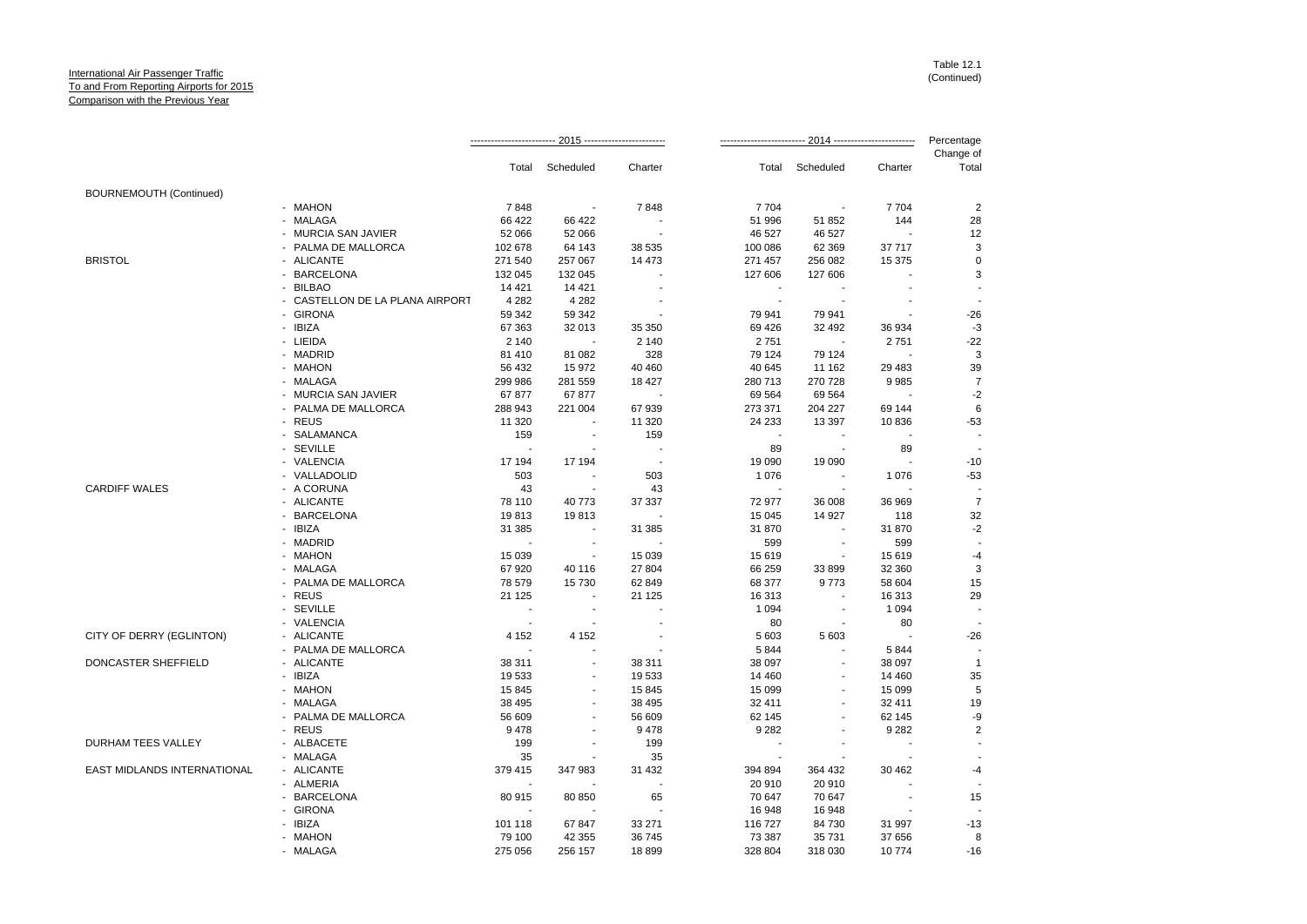|                                |                                 |                |                |                |                   | 2014 ------------------------- | Percentage               |                      |
|--------------------------------|---------------------------------|----------------|----------------|----------------|-------------------|--------------------------------|--------------------------|----------------------|
|                                |                                 | Total          | Scheduled      | Charter        | Total             | Scheduled                      | Charter                  | Change of<br>Total   |
| <b>BOURNEMOUTH (Continued)</b> |                                 |                |                |                |                   |                                |                          |                      |
|                                | - MAHON                         | 7848           |                | 7848           | 7704              | $\sim$                         | 7704                     | $\overline{2}$       |
|                                | - MALAGA                        | 66 422         | 66 422         |                | 51 996            | 51 852                         | 144                      | 28                   |
|                                | - MURCIA SAN JAVIER             | 52 066         | 52 066         |                | 46 527            | 46 527                         |                          | 12                   |
|                                | - PALMA DE MALLORCA             | 102 678        | 64 143         | 38 535         | 100 086           | 62 3 69                        | 37 717                   | 3                    |
| <b>BRISTOL</b>                 | - ALICANTE                      | 271 540        | 257 067        | 14 473         | 271 457           | 256 082                        | 15 375                   | $\mathbf 0$          |
|                                | - BARCELONA                     | 132 045        | 132 045        |                | 127 606           | 127 606                        |                          | 3                    |
|                                | - BILBAO                        | 14 4 21        | 14 4 21        |                | $\sim$            |                                |                          |                      |
|                                | - CASTELLON DE LA PLANA AIRPORT | 4 2 8 2        | 4 2 8 2        |                | $\sim$            | $\sim$                         |                          |                      |
|                                | - GIRONA                        | 59 342         | 59 342         |                | 79 941            | 79 941                         |                          | $-26$                |
|                                | - IBIZA                         | 67 363         | 32 013         | 35 350         | 69 4 26           | 32 492                         | 36 934                   | $-3$                 |
|                                | - LIEIDA                        | 2 140          |                | 2 1 4 0        | 2751              |                                | 2751                     | $-22$                |
|                                | - MADRID                        | 81 410         | 81 082         | 328            | 79 124            | 79 124                         |                          | 3                    |
|                                | - MAHON                         | 56 432         | 15 972         | 40 460         | 40 645            | 11 162                         | 29 4 83                  | 39                   |
|                                | - MALAGA                        | 299 986        | 281 559        | 18 427         | 280 713           | 270 728                        | 9985                     | 7                    |
|                                | - MURCIA SAN JAVIER             | 67 877         | 67877          |                | 69 5 64           | 69 5 64                        |                          | $-2$                 |
|                                | - PALMA DE MALLORCA             | 288 943        | 221 004        | 67939          | 273 371           | 204 227                        | 69 144                   | 6                    |
|                                | - REUS                          | 11 320         |                | 11 320         | 24 233            | 13 397                         | 10836                    | $-53$                |
|                                | - SALAMANCA                     | 159            |                | 159            | $\sim$            |                                |                          |                      |
|                                | - SEVILLE                       | $\sim$         |                | $\blacksquare$ | 89                | $\sim$                         | 89                       |                      |
|                                | - VALENCIA                      | 17 194         | 17 194         |                | 19 090            | 19 090                         |                          | $-10$                |
|                                | - VALLADOLID                    | 503            |                | 503            | 1 0 7 6           |                                | 1076                     | $-53$                |
| <b>CARDIFF WALES</b>           | - A CORUNA                      | 43             |                | 43             | $\sim$            |                                |                          |                      |
|                                | - ALICANTE                      | 78 110         | 40773          | 37 337         | 72 977            | 36 008                         | 36 969                   | $\overline{7}$       |
|                                | - BARCELONA                     | 19813          | 19813          |                | 15 045            | 14 927                         | 118                      | 32                   |
|                                | - IBIZA                         | 31 385         |                | 31 385         | 31 870            | $\overline{\phantom{a}}$       | 31 870                   | $-2$                 |
|                                | - MADRID                        | ÷.             |                |                | 599               | $\blacksquare$                 | 599                      |                      |
|                                | - MAHON                         | 15 0 39        |                | 15 039         | 15 619            | $\overline{\phantom{a}}$       | 15 619                   | -4                   |
|                                | - MALAGA                        | 67920          | 40 116         | 27 804         | 66 259            | 33 899                         | 32 360                   | 3                    |
|                                | - PALMA DE MALLORCA             | 78 579         | 15730          | 62 849         | 68 377            | 9773                           | 58 604                   | 15                   |
|                                | - REUS                          | 21 1 25        |                | 21 1 25        | 16 313            |                                | 16 313                   | 29                   |
|                                | - SEVILLE                       |                |                |                | 1 0 9 4           | $\blacksquare$                 | 1 0 9 4                  |                      |
|                                | - VALENCIA                      | $\sim$         |                | $\overline{a}$ | 80                | $\sim$                         | 80                       |                      |
| CITY OF DERRY (EGLINTON)       | - ALICANTE                      | 4 1 5 2        | 4 1 5 2        |                | 5 603             | 5 6 0 3                        |                          | $-26$                |
|                                | - PALMA DE MALLORCA             |                |                |                | 5844              | $\overline{\phantom{a}}$       | 5844                     |                      |
| DONCASTER SHEFFIELD            | - ALICANTE                      | 38 311         |                | 38 311         | 38 097            | $\mathbf{r}$                   | 38 097                   | $\overline{1}$       |
|                                | - IBIZA                         | 19 533         |                | 19 533         | 14 4 60           |                                | 14 4 60                  | 35                   |
|                                | - MAHON                         | 15 845         | $\blacksquare$ | 15 845         | 15 099            | $\sim$                         | 15 0 9 9                 | 5                    |
|                                | - MALAGA                        | 38 4 95        |                | 38 4 95        | 32 411            |                                | 32 411                   | 19                   |
|                                | - PALMA DE MALLORCA             |                |                |                |                   |                                |                          |                      |
|                                | - REUS                          | 56 609<br>9478 |                | 56 609<br>9478 | 62 145<br>9 2 8 2 |                                | 62 145<br>9 2 8 2        | -9<br>$\overline{2}$ |
|                                | - ALBACETE                      |                |                |                |                   |                                |                          |                      |
| DURHAM TEES VALLEY             | - MALAGA                        | 199<br>35      |                | 199<br>35      | $\blacksquare$    |                                | $\overline{\phantom{a}}$ |                      |
|                                |                                 |                |                |                |                   |                                |                          |                      |
| EAST MIDLANDS INTERNATIONAL    | - ALICANTE<br>- ALMERIA         | 379 415        | 347 983        | 31 4 32        | 394 894           | 364 432                        | 30 462                   | $-4$                 |
|                                |                                 |                |                |                | 20 910            | 20 910                         |                          |                      |
|                                | - BARCELONA                     | 80 915         | 80 850         | 65             | 70 647            | 70 647                         |                          | 15                   |
|                                | - GIRONA                        |                |                |                | 16 948            | 16 948                         |                          |                      |
|                                | - IBIZA                         | 101 118        | 67847          | 33 271         | 116 727           | 84 730                         | 31 997                   | $-13$                |
|                                | - MAHON                         | 79 100         | 42 355         | 36 745         | 73 387            | 35 731                         | 37 656                   | 8                    |
|                                | - MALAGA                        | 275 056        | 256 157        | 18 899         | 328 804           | 318 030                        | 10774                    | $-16$                |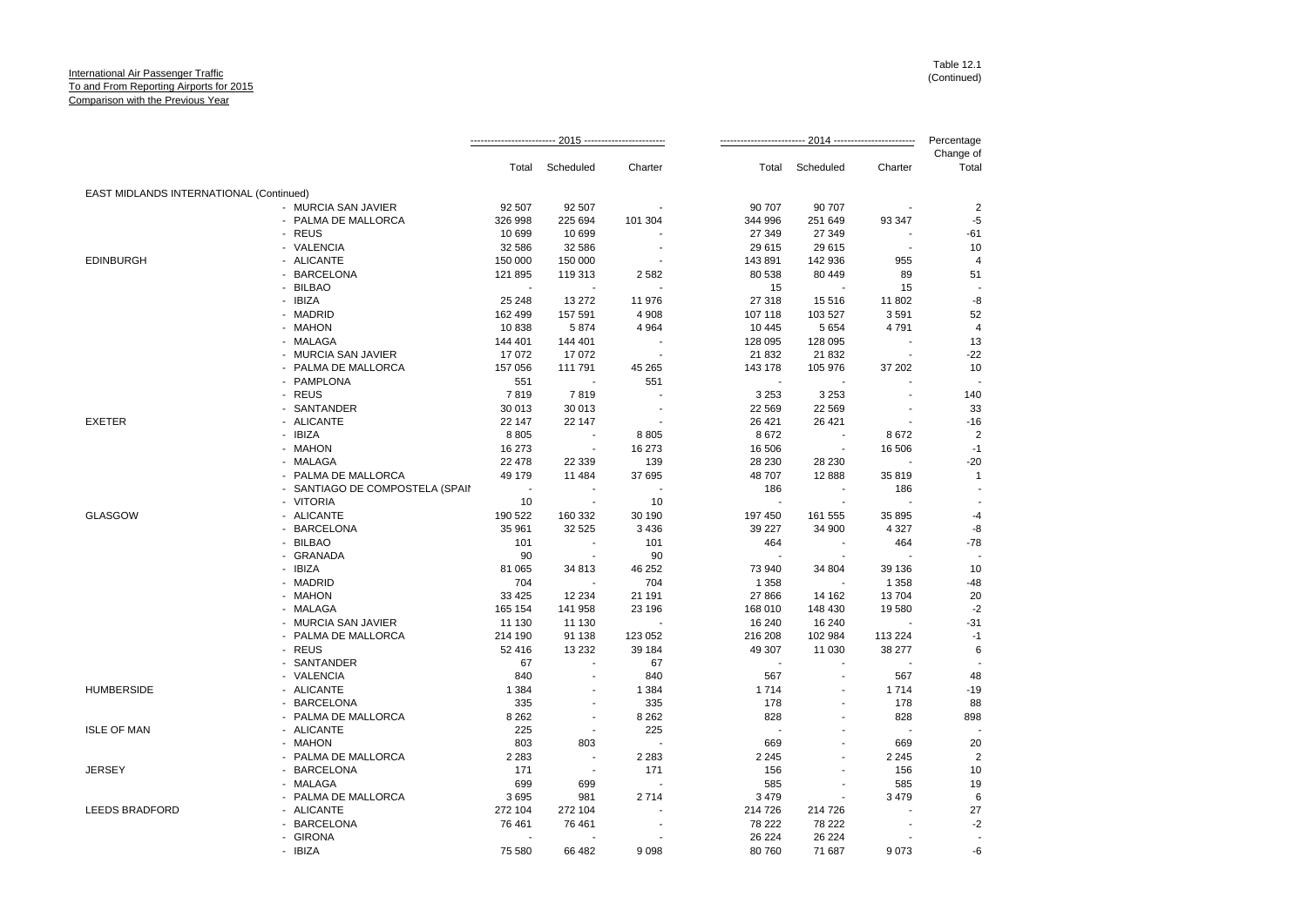|                                         |                                 |         |                          |         |         |           |         | Percentage<br>Change of |
|-----------------------------------------|---------------------------------|---------|--------------------------|---------|---------|-----------|---------|-------------------------|
|                                         |                                 | Total   | Scheduled                | Charter | Total   | Scheduled | Charter | Total                   |
| EAST MIDLANDS INTERNATIONAL (Continued) |                                 |         |                          |         |         |           |         |                         |
|                                         | - MURCIA SAN JAVIER             | 92 507  | 92 507                   |         | 90 707  | 90 707    |         | $\overline{2}$          |
|                                         | - PALMA DE MALLORCA             | 326 998 | 225 694                  | 101 304 | 344 996 | 251 649   | 93 347  | $-5$                    |
|                                         | - REUS                          | 10 699  | 10 699                   |         | 27 349  | 27 349    |         | $-61$                   |
|                                         | - VALENCIA                      | 32 586  | 32 586                   |         | 29 615  | 29 615    |         | 10                      |
| <b>EDINBURGH</b>                        | - ALICANTE                      | 150 000 | 150 000                  |         | 143891  | 142 936   | 955     | $\overline{4}$          |
|                                         | - BARCELONA                     | 121 895 | 119 313                  | 2582    | 80 538  | 80 449    | 89      | 51                      |
|                                         | - BILBAO                        |         |                          |         | 15      |           | 15      |                         |
|                                         | - IBIZA                         | 25 248  | 13 27 2                  | 11 976  | 27 318  | 15 516    | 11 802  | -8                      |
|                                         | - MADRID                        | 162 499 | 157 591                  | 4 9 0 8 | 107 118 | 103 527   | 3591    | 52                      |
|                                         | - MAHON                         | 10838   | 5874                     | 4 9 64  | 10 4 45 | 5 6 5 4   | 4791    | $\overline{4}$          |
|                                         | - MALAGA                        | 144 401 | 144 401                  |         | 128 095 | 128 095   |         | 13                      |
|                                         | - MURCIA SAN JAVIER             | 17072   | 17072                    |         | 21 832  | 21 832    |         | $-22$                   |
|                                         | - PALMA DE MALLORCA             | 157 056 | 111 791                  | 45 265  | 143 178 | 105 976   | 37 202  | 10                      |
|                                         | - PAMPLONA                      | 551     |                          | 551     |         |           |         |                         |
|                                         | - REUS                          | 7819    | 7819                     |         | 3 2 5 3 | 3 2 5 3   |         | 140                     |
|                                         | - SANTANDER                     | 30 013  | 30 013                   |         | 22 5 69 | 22 5 69   |         | 33                      |
| <b>EXETER</b>                           | - ALICANTE                      | 22 147  | 22 147                   |         | 26 4 21 | 26 4 21   |         | $-16$                   |
|                                         | - IBIZA                         | 8805    | $\blacksquare$           | 8805    | 8672    |           | 8672    | $\overline{2}$          |
|                                         | - MAHON                         | 16 273  |                          | 16 273  | 16 506  |           | 16 506  | $-1$                    |
|                                         | - MALAGA                        | 22 478  | 22 339                   | 139     | 28 230  | 28 230    |         | $-20$                   |
|                                         | - PALMA DE MALLORCA             | 49 179  | 11 484                   | 37 695  | 48 707  | 12 8 88   | 35 819  | $\mathbf{1}$            |
|                                         | - SANTIAGO DE COMPOSTELA (SPAII |         |                          |         | 186     |           | 186     |                         |
|                                         | - VITORIA                       | 10      |                          | 10      |         | $\sim$    |         |                         |
| <b>GLASGOW</b>                          | - ALICANTE                      | 190 522 | 160 332                  | 30 190  | 197 450 | 161 555   | 35 895  | $-4$                    |
|                                         | - BARCELONA                     | 35 961  | 32 525                   | 3 4 3 6 | 39 227  | 34 900    | 4 3 2 7 | -8                      |
|                                         | - BILBAO                        | 101     | $\overline{\phantom{a}}$ | 101     | 464     | ÷.        | 464     | $-78$                   |
|                                         | - GRANADA                       | 90      |                          | 90      |         |           |         |                         |
|                                         | - IBIZA                         | 81 065  | 34 813                   | 46 252  | 73 940  | 34 804    | 39 136  | 10                      |
|                                         | - MADRID                        | 704     |                          | 704     | 1 3 5 8 |           | 1 3 5 8 | $-48$                   |
|                                         | - MAHON                         | 33 4 25 | 12 2 34                  | 21 191  | 27 866  | 14 162    | 13704   | 20                      |
|                                         | - MALAGA                        | 165 154 | 141 958                  | 23 196  | 168 010 | 148 430   | 19580   | $-2$                    |
|                                         | - MURCIA SAN JAVIER             | 11 130  | 11 130                   |         | 16 240  | 16 240    |         | $-31$                   |
|                                         | - PALMA DE MALLORCA             | 214 190 | 91 138                   | 123 052 | 216 208 | 102 984   | 113 224 | $-1$                    |
|                                         | - REUS                          | 52 416  | 13 2 32                  | 39 184  | 49 307  | 11 030    | 38 277  | 6                       |
|                                         | - SANTANDER                     | 67      |                          | 67      |         |           |         |                         |
|                                         | - VALENCIA                      | 840     |                          | 840     | 567     |           | 567     | 48                      |
| <b>HUMBERSIDE</b>                       | - ALICANTE                      | 1 3 8 4 |                          | 1 3 8 4 | 1 7 1 4 |           | 1714    | $-19$                   |
|                                         | - BARCELONA                     | 335     |                          | 335     | 178     |           | 178     | 88                      |
|                                         | - PALMA DE MALLORCA             | 8 2 6 2 | $\overline{\phantom{a}}$ | 8 2 6 2 | 828     |           | 828     | 898                     |
| <b>ISLE OF MAN</b>                      | - ALICANTE                      | 225     |                          | 225     |         |           |         |                         |
|                                         | - MAHON                         | 803     | 803                      |         | 669     |           | 669     | 20                      |
|                                         | - PALMA DE MALLORCA             | 2 2 8 3 |                          | 2 2 8 3 | 2 2 4 5 |           | 2 2 4 5 | $\overline{2}$          |
| <b>JERSEY</b>                           | - BARCELONA                     | 171     | $\overline{\phantom{a}}$ | 171     | 156     |           | 156     | 10                      |
|                                         | - MALAGA                        | 699     | 699                      |         | 585     |           | 585     | 19                      |
|                                         | - PALMA DE MALLORCA             | 3695    | 981                      | 2714    | 3 4 7 9 |           | 3 4 7 9 | 6                       |
| <b>LEEDS BRADFORD</b>                   | - ALICANTE                      | 272 104 | 272 104                  |         | 214 726 | 214 726   |         | 27                      |
|                                         | - BARCELONA                     | 76 461  | 76 461                   |         | 78 222  | 78 222    |         | $-2$                    |
|                                         | - GIRONA                        |         |                          |         | 26 224  | 26 224    |         |                         |
|                                         | - IBIZA                         | 75 580  | 66 482                   | 9098    | 80 760  | 71 687    | 9073    | $-6$                    |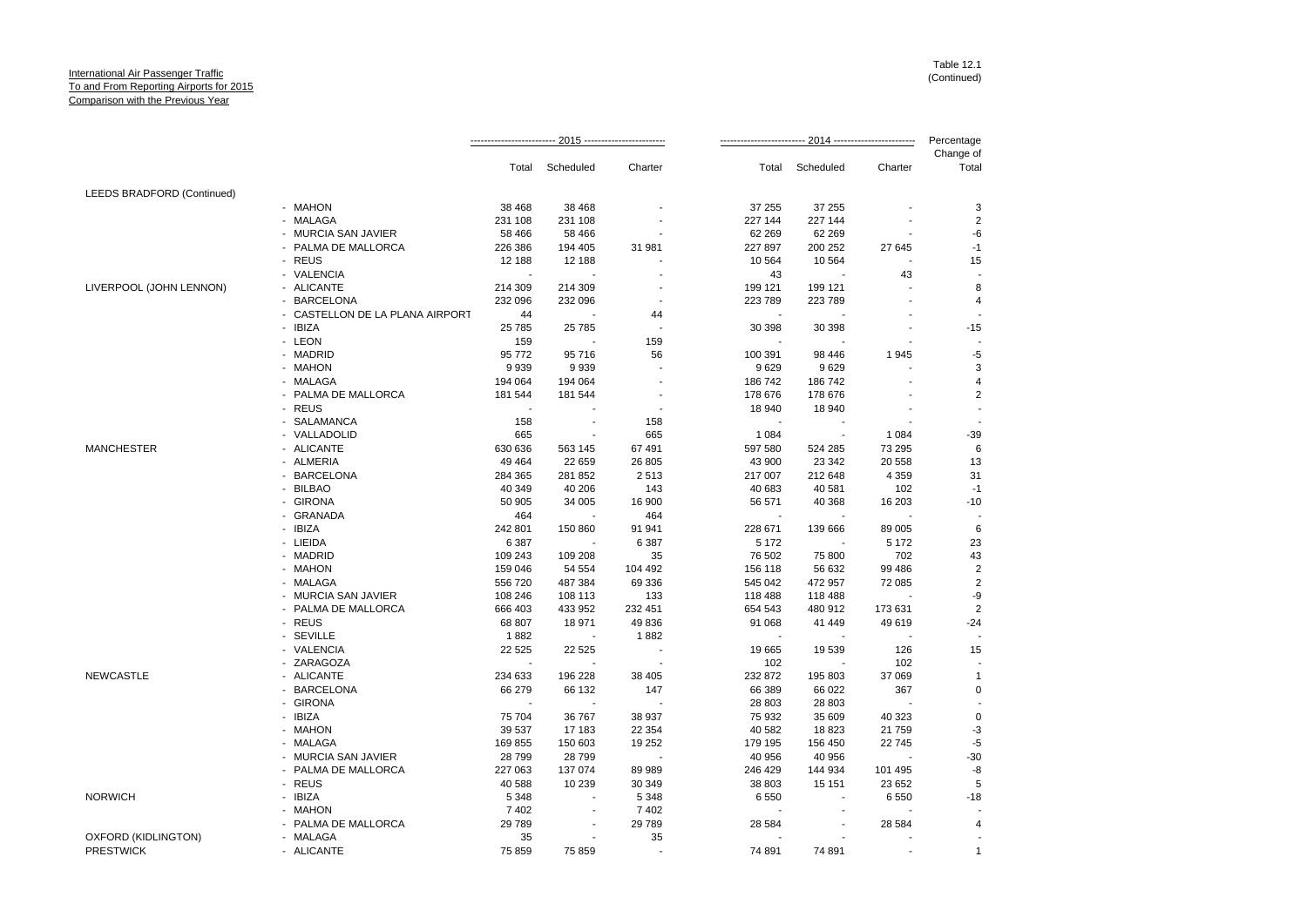|                            |                                 |         |                          |                          |         |                          |         | Percentage         |
|----------------------------|---------------------------------|---------|--------------------------|--------------------------|---------|--------------------------|---------|--------------------|
|                            |                                 | Total   | Scheduled                | Charter                  | Total   | Scheduled                | Charter | Change of<br>Total |
| LEEDS BRADFORD (Continued) |                                 |         |                          |                          |         |                          |         |                    |
|                            | - MAHON                         | 38 4 68 | 38 4 68                  |                          | 37 255  | 37 255                   |         | 3                  |
|                            | - MALAGA                        | 231 108 | 231 108                  |                          | 227 144 | 227 144                  |         | $\overline{a}$     |
|                            | - MURCIA SAN JAVIER             | 58 466  | 58 466                   |                          | 62 269  | 62 269                   |         | -6                 |
|                            | - PALMA DE MALLORCA             | 226 386 | 194 405                  | 31 981                   | 227 897 | 200 252                  | 27 645  | $-1$               |
|                            | - REUS                          | 12 188  | 12 188                   |                          | 10 5 64 | 10 5 64                  |         | 15                 |
|                            | - VALENCIA                      | $\sim$  |                          |                          | 43      |                          | 43      |                    |
| LIVERPOOL (JOHN LENNON)    | - ALICANTE                      | 214 309 | 214 309                  |                          | 199 121 | 199 121                  |         | 8                  |
|                            | - BARCELONA                     | 232 096 | 232 096                  |                          | 223 789 | 223 789                  |         | 4                  |
|                            | - CASTELLON DE LA PLANA AIRPORT | 44      | $\overline{\phantom{a}}$ | 44                       | $\sim$  |                          |         |                    |
|                            | - IBIZA                         | 25 7 85 | 25 785                   |                          | 30 398  | 30 398                   |         | $-15$              |
|                            | - LEON                          | 159     |                          | 159                      |         |                          |         |                    |
|                            | - MADRID                        | 95 772  | 95716                    | 56                       | 100 391 | 98 446                   | 1945    | -5                 |
|                            | - MAHON                         | 9939    | 9939                     |                          | 9629    | 9629                     |         | 3                  |
|                            | - MALAGA                        |         |                          |                          |         |                          |         | 4                  |
|                            |                                 | 194 064 | 194 064                  |                          | 186 742 | 186 742                  |         |                    |
|                            | - PALMA DE MALLORCA             | 181 544 | 181 544                  |                          | 178 676 | 178 676                  |         | $\overline{2}$     |
|                            | - REUS                          | $\sim$  |                          |                          | 18 940  | 18 940                   |         |                    |
|                            | - SALAMANCA                     | 158     |                          | 158                      | ٠.      |                          |         |                    |
|                            | - VALLADOLID                    | 665     |                          | 665                      | 1 0 8 4 | $\overline{\phantom{a}}$ | 1 0 8 4 | $-39$              |
| <b>MANCHESTER</b>          | - ALICANTE                      | 630 636 | 563 145                  | 67 491                   | 597 580 | 524 285                  | 73 295  | 6                  |
|                            | - ALMERIA                       | 49 4 64 | 22 659                   | 26 805                   | 43 900  | 23 342                   | 20 558  | 13                 |
|                            | - BARCELONA                     | 284 365 | 281 852                  | 2513                     | 217 007 | 212 648                  | 4 3 5 9 | 31                 |
|                            | - BILBAO                        | 40 349  | 40 206                   | 143                      | 40 683  | 40 581                   | 102     | $-1$               |
|                            | - GIRONA                        | 50 905  | 34 005                   | 16 900                   | 56 571  | 40 368                   | 16 203  | $-10$              |
|                            | - GRANADA                       | 464     |                          | 464                      |         |                          |         |                    |
|                            | - IBIZA                         | 242 801 | 150 860                  | 91 941                   | 228 671 | 139 666                  | 89 005  | 6                  |
|                            | - LIEIDA                        | 6 3 8 7 |                          | 6 3 8 7                  | 5 1 7 2 |                          | 5 1 7 2 | 23                 |
|                            | - MADRID                        | 109 243 | 109 208                  | 35                       | 76 502  | 75 800                   | 702     | 43                 |
|                            | - MAHON                         | 159 046 | 54 554                   | 104 492                  | 156 118 | 56 632                   | 99 486  | $\overline{2}$     |
|                            | - MALAGA                        | 556 720 | 487 384                  | 69 336                   | 545 042 | 472 957                  | 72 085  | $\overline{a}$     |
|                            | - MURCIA SAN JAVIER             | 108 246 | 108 113                  | 133                      | 118 488 | 118 488                  |         | -9                 |
|                            | - PALMA DE MALLORCA             | 666 403 | 433 952                  | 232 451                  | 654 543 | 480 912                  | 173 631 | $\overline{2}$     |
|                            | - REUS                          | 68 807  | 18 971                   | 49 836                   | 91 068  | 41 449                   | 49 619  | $-24$              |
|                            | - SEVILLE                       | 1882    |                          | 1882                     |         |                          |         |                    |
|                            | - VALENCIA                      | 22 5 25 | 22 5 25                  |                          | 19 665  | 19 539                   | 126     | 15                 |
|                            | - ZARAGOZA                      | $\sim$  |                          | $\overline{\phantom{a}}$ | 102     |                          | 102     |                    |
| <b>NEWCASTLE</b>           | - ALICANTE                      | 234 633 | 196 228                  | 38 405                   | 232 872 | 195 803                  | 37 069  | 1                  |
|                            | - BARCELONA                     | 66 279  | 66 132                   | 147                      | 66 389  | 66 022                   | 367     | 0                  |
|                            | - GIRONA                        |         |                          |                          |         |                          |         |                    |
|                            |                                 |         |                          |                          | 28 803  | 28 803                   |         |                    |
|                            | - IBIZA                         | 75 704  | 36 767                   | 38 937                   | 75 932  | 35 609                   | 40 323  | 0                  |
|                            | - MAHON                         | 39 537  | 17 183                   | 22 354                   | 40 582  | 18 823                   | 21 759  | -3                 |
|                            | - MALAGA                        | 169 855 | 150 603                  | 19 25 2                  | 179 195 | 156 450                  | 22745   | $-5$               |
|                            | - MURCIA SAN JAVIER             | 28 799  | 28799                    | $\sim$                   | 40 956  | 40 956                   |         | $-30$              |
|                            | - PALMA DE MALLORCA             | 227 063 | 137 074                  | 89 989                   | 246 429 | 144 934                  | 101 495 | -8                 |
|                            | - REUS                          | 40 588  | 10 239                   | 30 349                   | 38 803  | 15 151                   | 23 652  | 5                  |
| <b>NORWICH</b>             | - IBIZA                         | 5 3 4 8 |                          | 5 3 4 8                  | 6 5 5 0 | $\sim$                   | 6 5 5 0 | $-18$              |
|                            | - MAHON                         | 7402    |                          | 7402                     |         |                          |         |                    |
|                            | - PALMA DE MALLORCA             | 29 7 89 |                          | 29 789                   | 28 5 84 |                          | 28 5 84 |                    |
| OXFORD (KIDLINGTON)        | - MALAGA                        | 35      |                          | 35                       |         |                          |         |                    |
| <b>PRESTWICK</b>           | - ALICANTE                      | 75 859  | 75 859                   | $\mathbf{r}$             | 74 891  | 74 891                   |         | $\mathbf{1}$       |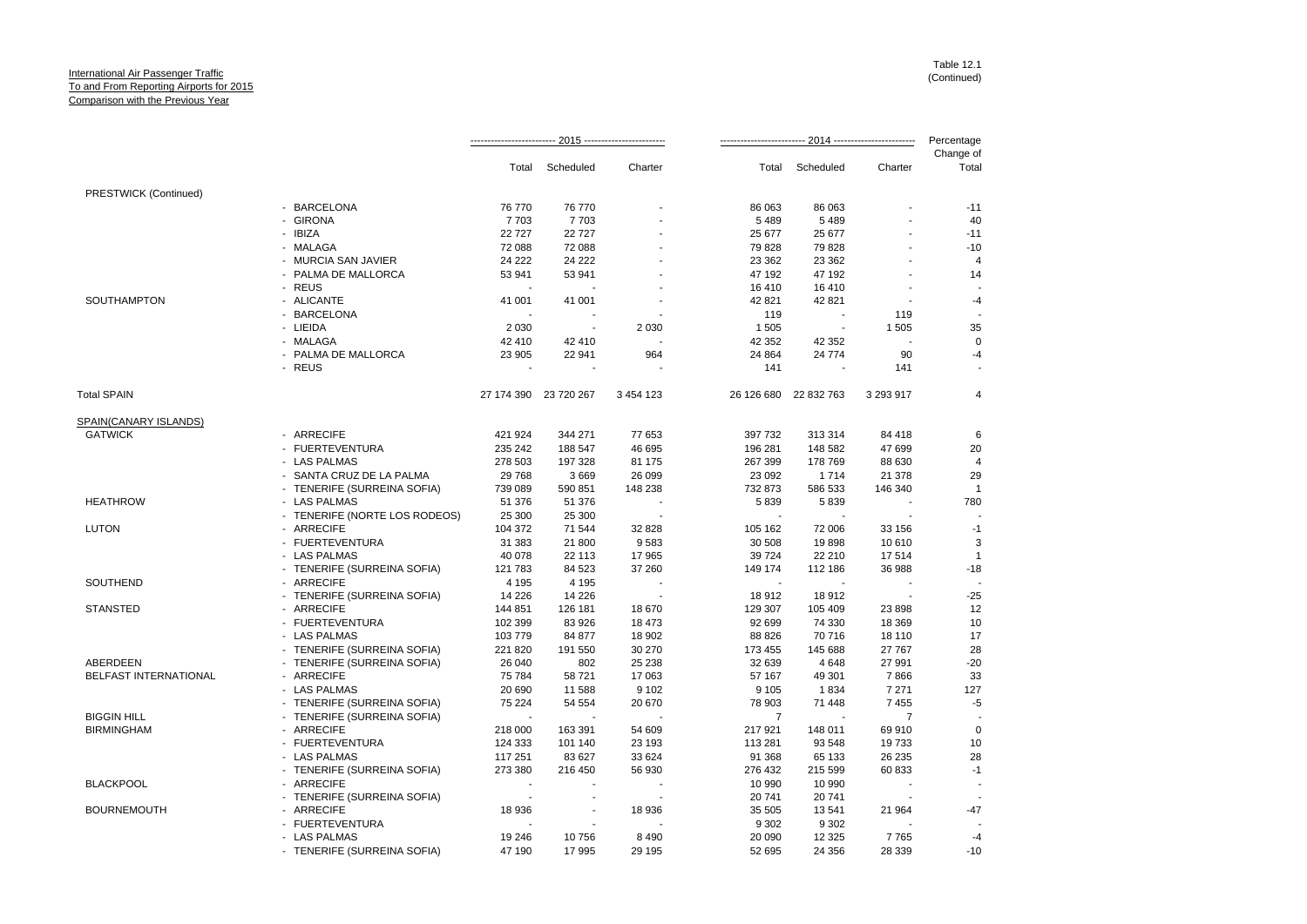|                       |                               |         |                          |                          |                          |                          |                          | Percentage         |
|-----------------------|-------------------------------|---------|--------------------------|--------------------------|--------------------------|--------------------------|--------------------------|--------------------|
|                       |                               |         | Total Scheduled          | Charter                  |                          | Total Scheduled          | Charter                  | Change of<br>Total |
| PRESTWICK (Continued) |                               |         |                          |                          |                          |                          |                          |                    |
|                       | - BARCELONA                   | 76 770  | 76 770                   |                          | 86 063                   | 86 063                   |                          | $-11$              |
|                       | - GIRONA                      | 7703    | 7703                     |                          | 5 4 8 9                  | 5 4 8 9                  |                          | 40                 |
|                       | - IBIZA                       | 22727   | 22727                    |                          | 25 677                   | 25 677                   |                          | $-11$              |
|                       | - MALAGA                      | 72 088  | 72 088                   |                          | 79 828                   | 79 828                   | $\overline{a}$           | $-10$              |
|                       | - MURCIA SAN JAVIER           | 24 222  | 24 222                   |                          | 23 3 6 2                 | 23 3 62                  |                          | $\overline{4}$     |
|                       | - PALMA DE MALLORCA           | 53 941  | 53 941                   |                          | 47 192                   | 47 192                   |                          | 14                 |
|                       | - REUS                        |         |                          |                          | 16 410                   | 16 410                   |                          |                    |
| SOUTHAMPTON           | - ALICANTE                    | 41 001  | 41 001                   |                          | 42 821                   | 42 821                   | $\overline{\phantom{a}}$ | $-4$               |
|                       | - BARCELONA                   |         |                          |                          | 119                      | $\overline{\phantom{a}}$ | 119                      |                    |
|                       | - LIEIDA                      | 2 0 3 0 |                          | 2 0 3 0                  | 1 5 0 5                  |                          | 1 5 0 5                  | 35                 |
|                       | - MALAGA                      | 42 410  | 42 410                   |                          | 42 352                   | 42 352                   |                          | $\mathbf 0$        |
|                       | - PALMA DE MALLORCA           | 23 905  | 22 941                   | 964                      | 24 8 64                  | 24 774                   | 90                       | -4                 |
|                       | - REUS                        |         |                          |                          | 141                      |                          | 141                      |                    |
| <b>Total SPAIN</b>    |                               |         | 27 174 390 23 720 267    | 3 4 5 4 1 2 3            | 26 126 680               | 22 832 763               | 3 293 917                | $\overline{4}$     |
| SPAIN(CANARY ISLANDS) |                               |         |                          |                          |                          |                          |                          |                    |
| <b>GATWICK</b>        | - ARRECIFE                    | 421 924 | 344 271                  | 77 653                   | 397 732                  | 313 314                  | 84 418                   | 6                  |
|                       | - FUERTEVENTURA               | 235 242 | 188 547                  | 46 695                   | 196 281                  | 148 582                  | 47 699                   | 20                 |
|                       | - LAS PALMAS                  | 278 503 | 197 328                  | 81 175                   | 267 399                  | 178 769                  | 88 630                   | $\overline{4}$     |
|                       | - SANTA CRUZ DE LA PALMA      | 29 7 68 | 3669                     | 26 099                   | 23 092                   | 1714                     | 21 378                   | 29                 |
|                       | - TENERIFE (SURREINA SOFIA)   | 739 089 | 590 851                  | 148 238                  | 732 873                  | 586 533                  | 146 340                  | $\overline{1}$     |
| <b>HEATHROW</b>       | - LAS PALMAS                  | 51 376  | 51 376                   |                          | 5839                     | 5839                     |                          | 780                |
|                       | - TENERIFE (NORTE LOS RODEOS) | 25 300  | 25 300                   |                          |                          |                          |                          |                    |
| <b>LUTON</b>          | - ARRECIFE                    | 104 372 | 71 544                   | 32 828                   | 105 162                  | 72 006                   | 33 156                   | $-1$               |
|                       | - FUERTEVENTURA               | 31 383  | 21 800                   | 9583                     | 30 508                   | 19898                    | 10 610                   | 3                  |
|                       | - LAS PALMAS                  | 40 078  | 22 113                   | 17 965                   | 39 7 24                  | 22 210                   | 17514                    | $\overline{1}$     |
|                       | - TENERIFE (SURREINA SOFIA)   | 121 783 | 84 523                   | 37 260                   | 149 174                  | 112 186                  | 36 988                   | $-18$              |
| SOUTHEND              | - ARRECIFE                    | 4 1 9 5 | 4 1 9 5                  |                          | $\overline{\phantom{a}}$ | $\overline{\phantom{a}}$ |                          |                    |
|                       | - TENERIFE (SURREINA SOFIA)   | 14 2 26 | 14 2 26                  |                          | 18912                    | 18912                    |                          | $-25$              |
| <b>STANSTED</b>       | - ARRECIFE                    | 144 851 | 126 181                  | 18 670                   | 129 307                  | 105 409                  | 23 8 98                  | 12                 |
|                       | - FUERTEVENTURA               | 102 399 | 83 926                   | 18 473                   | 92 699                   | 74 330                   | 18 3 69                  | 10                 |
|                       | - LAS PALMAS                  | 103 779 | 84 877                   | 18 902                   | 88 826                   | 70 716                   | 18 110                   | 17                 |
|                       | - TENERIFE (SURREINA SOFIA)   | 221 820 | 191 550                  | 30 270                   | 173 455                  | 145 688                  | 27 767                   | 28                 |
| <b>ABERDEEN</b>       | - TENERIFE (SURREINA SOFIA)   | 26 040  | 802                      | 25 238                   | 32 639                   | 4648                     | 27 991                   | $-20$              |
| BELFAST INTERNATIONAL | - ARRECIFE                    | 75 784  | 58721                    | 17 063                   | 57 167                   | 49 301                   | 7866                     | 33                 |
|                       | - LAS PALMAS                  | 20 690  | 11 588                   | 9 1 0 2                  | 9 1 0 5                  | 1834                     | 7 2 7 1                  | 127                |
|                       | - TENERIFE (SURREINA SOFIA)   | 75 224  | 54 554                   | 20 670                   | 78 903                   | 71 448                   | 7455                     | $-5$               |
| <b>BIGGIN HILL</b>    | - TENERIFE (SURREINA SOFIA)   | $\sim$  |                          |                          | $\overline{7}$           |                          | $\overline{7}$           |                    |
| <b>BIRMINGHAM</b>     | - ARRECIFE                    | 218 000 | 163 391                  | 54 609                   | 217 921                  | 148 011                  | 69 910                   | $\mathbf 0$        |
|                       | - FUERTEVENTURA               | 124 333 | 101 140                  | 23 193                   | 113 281                  | 93 548                   | 19733                    | 10                 |
|                       | - LAS PALMAS                  | 117 251 | 83 627                   | 33 624                   | 91 368                   | 65 133                   | 26 235                   | 28                 |
|                       | - TENERIFE (SURREINA SOFIA)   | 273 380 | 216 450                  | 56 930                   | 276 432                  | 215 599                  | 60 833                   | $-1$               |
| <b>BLACKPOOL</b>      | - ARRECIFE                    |         |                          |                          | 10 990                   | 10 990                   |                          |                    |
|                       | - TENERIFE (SURREINA SOFIA)   | $\sim$  | $\overline{\phantom{a}}$ | $\overline{\phantom{a}}$ | 20 741                   | 20741                    |                          |                    |
| <b>BOURNEMOUTH</b>    | - ARRECIFE                    | 18 936  | $\sim$                   | 18 936                   | 35 505                   | 13541                    | 21 964                   | $-47$              |
|                       | - FUERTEVENTURA               |         |                          |                          | 9 3 0 2                  | 9 3 0 2                  |                          |                    |
|                       | - LAS PALMAS                  | 19 24 6 | 10756                    | 8 4 9 0                  | 20 090                   | 12 3 25                  | 7765                     | $-4$               |
|                       | - TENERIFE (SURREINA SOFIA)   | 47 190  | 17995                    | 29 195                   | 52 695                   | 24 35 6                  | 28 339                   | $-10$              |
|                       |                               |         |                          |                          |                          |                          |                          |                    |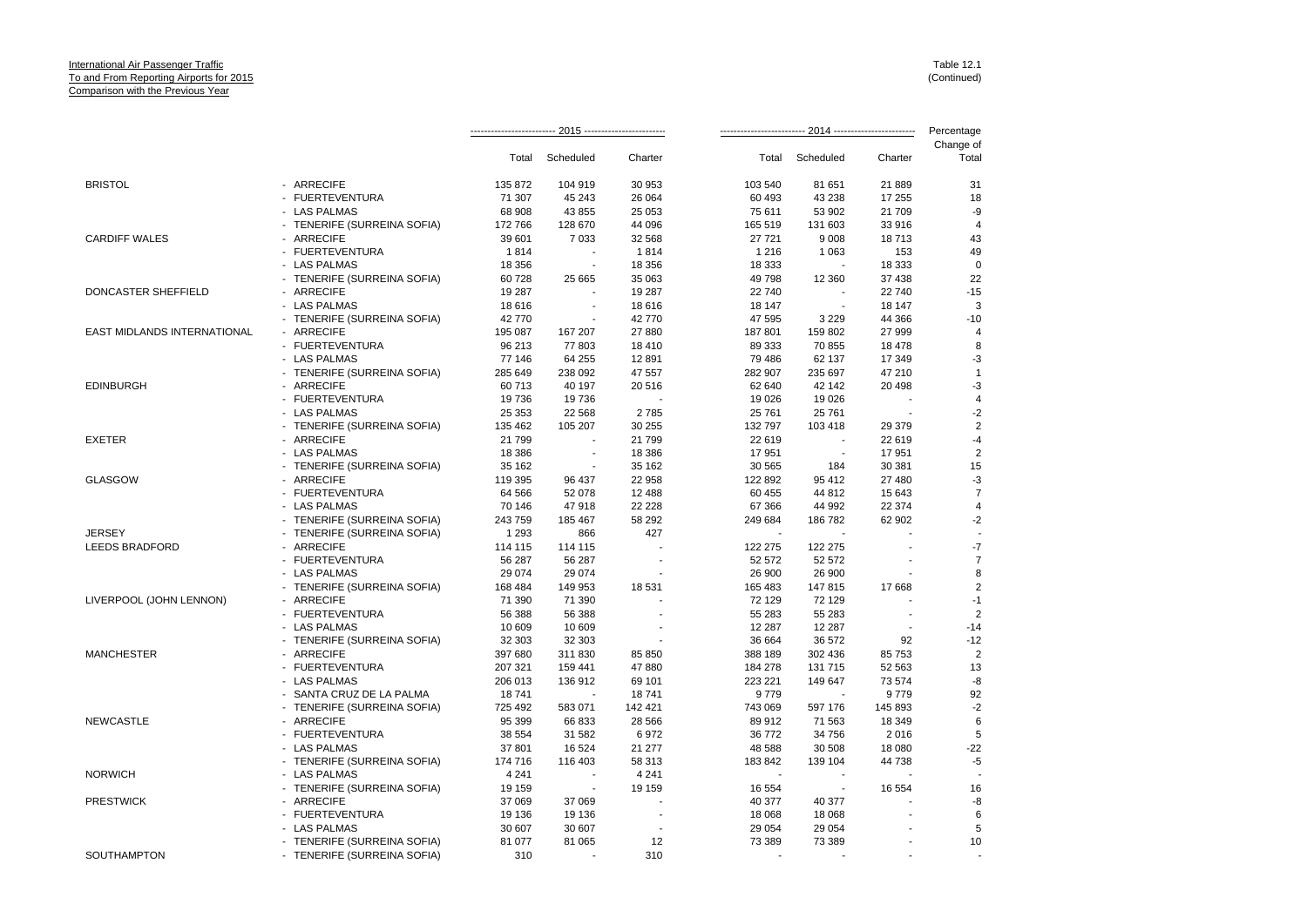|                             |                             |         |           |         |         |                          |                                                                                                                                                                                                                                                                                                                                                | Percentage         |
|-----------------------------|-----------------------------|---------|-----------|---------|---------|--------------------------|------------------------------------------------------------------------------------------------------------------------------------------------------------------------------------------------------------------------------------------------------------------------------------------------------------------------------------------------|--------------------|
|                             |                             | Total   | Scheduled | Charter | Total   | Scheduled                | Charter                                                                                                                                                                                                                                                                                                                                        | Change of<br>Total |
| <b>BRISTOL</b>              | - ARRECIFE                  | 135 872 | 104 919   | 30 953  | 103 540 | 81 651                   | 21 889                                                                                                                                                                                                                                                                                                                                         | 31                 |
|                             | - FUERTEVENTURA             | 71 307  | 45 243    | 26 064  | 60 493  | 43 238                   | 17 255<br>21 709<br>33 916<br>18713<br>153<br>18 333<br>37 438<br>22 740<br>18 147<br>44 366<br>27 999<br>18 478<br>17 349<br>47 210<br>20 4 98<br>29 379<br>22 619<br>17951<br>30 381<br>27 480<br>15 643<br>22 374<br>62 902<br>17668<br>92<br>85 753<br>52 563<br>73 574<br>9779<br>145 893<br>18 349<br>2016<br>18 080<br>44 738<br>16 554 | 18                 |
|                             | - LAS PALMAS                | 68 908  | 43 855    | 25 053  | 75 611  | 53 902                   |                                                                                                                                                                                                                                                                                                                                                | -9                 |
|                             | - TENERIFE (SURREINA SOFIA) | 172 766 | 128 670   | 44 096  | 165 519 | 131 603                  |                                                                                                                                                                                                                                                                                                                                                | $\overline{4}$     |
| <b>CARDIFF WALES</b>        | - ARRECIFE                  | 39 601  | 7 0 3 3   | 32 568  | 27 721  | 9 0 0 8                  |                                                                                                                                                                                                                                                                                                                                                | 43                 |
|                             | - FUERTEVENTURA             | 1814    |           | 1814    | 1 2 1 6 | 1 0 6 3                  |                                                                                                                                                                                                                                                                                                                                                | 49                 |
|                             | - LAS PALMAS                | 18 356  |           | 18 356  | 18 333  |                          |                                                                                                                                                                                                                                                                                                                                                | $\mathbf 0$        |
|                             | - TENERIFE (SURREINA SOFIA) | 60728   | 25 665    | 35 063  | 49 798  | 12 360                   |                                                                                                                                                                                                                                                                                                                                                | 22                 |
| DONCASTER SHEFFIELD         | - ARRECIFE                  | 19 287  |           | 19 287  | 22 740  |                          |                                                                                                                                                                                                                                                                                                                                                | $-15$              |
|                             | - LAS PALMAS                | 18 6 16 |           | 18 616  | 18 147  |                          |                                                                                                                                                                                                                                                                                                                                                | 3                  |
|                             | - TENERIFE (SURREINA SOFIA) | 42 770  |           | 42770   | 47 595  | 3 2 2 9                  |                                                                                                                                                                                                                                                                                                                                                | $-10$              |
| EAST MIDLANDS INTERNATIONAL | - ARRECIFE                  | 195 087 | 167 207   | 27 880  | 187 801 | 159 802                  |                                                                                                                                                                                                                                                                                                                                                | 4                  |
|                             | - FUERTEVENTURA             | 96 213  | 77803     | 18 410  | 89 333  | 70 855                   |                                                                                                                                                                                                                                                                                                                                                | 8                  |
|                             | - LAS PALMAS                | 77 146  | 64 255    | 12 891  | 79 486  | 62 137                   |                                                                                                                                                                                                                                                                                                                                                | -3                 |
|                             | - TENERIFE (SURREINA SOFIA) | 285 649 | 238 092   | 47 557  | 282 907 | 235 697                  |                                                                                                                                                                                                                                                                                                                                                | $\overline{1}$     |
| <b>EDINBURGH</b>            | - ARRECIFE                  | 60713   | 40 197    | 20 516  | 62 640  | 42 142                   |                                                                                                                                                                                                                                                                                                                                                | $-3$               |
|                             | - FUERTEVENTURA             | 19736   | 19736     |         | 19 0 26 | 19 0 26                  |                                                                                                                                                                                                                                                                                                                                                | 4                  |
|                             | - LAS PALMAS                | 25 35 3 | 22 5 68   | 2785    | 25 761  | 25 761                   |                                                                                                                                                                                                                                                                                                                                                | $-2$               |
|                             | - TENERIFE (SURREINA SOFIA) | 135 462 | 105 207   | 30 255  | 132 797 | 103 418                  |                                                                                                                                                                                                                                                                                                                                                | $\overline{2}$     |
| <b>EXETER</b>               | - ARRECIFE                  | 21 799  |           | 21 799  | 22 619  |                          |                                                                                                                                                                                                                                                                                                                                                | $-4$               |
|                             | - LAS PALMAS                | 18 386  |           | 18 386  | 17951   |                          |                                                                                                                                                                                                                                                                                                                                                | $\overline{2}$     |
|                             | - TENERIFE (SURREINA SOFIA) | 35 162  |           | 35 162  | 30 565  | 184                      |                                                                                                                                                                                                                                                                                                                                                | 15                 |
| <b>GLASGOW</b>              | - ARRECIFE                  | 119 395 | 96 437    | 22 958  | 122 892 | 95 412                   |                                                                                                                                                                                                                                                                                                                                                | -3                 |
|                             | - FUERTEVENTURA             | 64 566  | 52 078    | 12 488  | 60 455  | 44 812                   |                                                                                                                                                                                                                                                                                                                                                | $\overline{7}$     |
|                             | - LAS PALMAS                | 70 146  | 47918     | 22 2 28 | 67 366  | 44 992                   |                                                                                                                                                                                                                                                                                                                                                | 4                  |
|                             | - TENERIFE (SURREINA SOFIA) | 243 759 | 185 467   | 58 29 2 | 249 684 | 186 782                  |                                                                                                                                                                                                                                                                                                                                                | -2                 |
| <b>JERSEY</b>               | - TENERIFE (SURREINA SOFIA) | 1 2 9 3 | 866       | 427     |         |                          |                                                                                                                                                                                                                                                                                                                                                |                    |
| <b>LEEDS BRADFORD</b>       | - ARRECIFE                  | 114 115 | 114 115   |         | 122 275 | 122 275                  |                                                                                                                                                                                                                                                                                                                                                | $-7$               |
|                             | - FUERTEVENTURA             | 56 287  | 56 287    |         | 52 572  | 52 572                   |                                                                                                                                                                                                                                                                                                                                                | $\overline{7}$     |
|                             | - LAS PALMAS                | 29 0 74 | 29 074    |         | 26 900  | 26 900                   |                                                                                                                                                                                                                                                                                                                                                | 8                  |
|                             | - TENERIFE (SURREINA SOFIA) | 168 484 | 149 953   | 18 531  | 165 483 | 147815                   |                                                                                                                                                                                                                                                                                                                                                | $\overline{c}$     |
| LIVERPOOL (JOHN LENNON)     | - ARRECIFE                  | 71 390  | 71 390    |         | 72 129  | 72 129                   |                                                                                                                                                                                                                                                                                                                                                | $-1$               |
|                             | - FUERTEVENTURA             | 56 388  | 56 388    |         | 55 283  | 55 283                   |                                                                                                                                                                                                                                                                                                                                                | $\overline{2}$     |
|                             | - LAS PALMAS                | 10 609  | 10 609    |         | 12 287  | 12 287                   |                                                                                                                                                                                                                                                                                                                                                | $-14$              |
|                             | - TENERIFE (SURREINA SOFIA) | 32 303  | 32 303    |         | 36 664  | 36 572                   |                                                                                                                                                                                                                                                                                                                                                | $-12$              |
| <b>MANCHESTER</b>           | - ARRECIFE                  | 397 680 | 311 830   | 85 850  | 388 189 | 302 436                  |                                                                                                                                                                                                                                                                                                                                                | $\overline{2}$     |
|                             | - FUERTEVENTURA             | 207 321 | 159 441   | 47880   | 184 278 | 131 715                  |                                                                                                                                                                                                                                                                                                                                                | 13                 |
|                             | - LAS PALMAS                | 206 013 | 136 912   | 69 101  | 223 221 | 149 647                  |                                                                                                                                                                                                                                                                                                                                                | -8                 |
|                             | - SANTA CRUZ DE LA PALMA    | 18741   |           | 18741   | 9779    |                          |                                                                                                                                                                                                                                                                                                                                                | 92                 |
|                             | - TENERIFE (SURREINA SOFIA) | 725 492 | 583 071   | 142 421 | 743 069 | 597 176                  |                                                                                                                                                                                                                                                                                                                                                | $-2$               |
| <b>NEWCASTLE</b>            | - ARRECIFE                  | 95 399  | 66 833    | 28 5 66 | 89 912  | 71 563                   |                                                                                                                                                                                                                                                                                                                                                | 6                  |
|                             | - FUERTEVENTURA             | 38 554  | 31 582    | 6972    | 36 772  | 34 756                   |                                                                                                                                                                                                                                                                                                                                                | 5                  |
|                             | - LAS PALMAS                | 37 801  | 16 524    | 21 277  | 48 588  | 30 508                   |                                                                                                                                                                                                                                                                                                                                                | $-22$              |
|                             | - TENERIFE (SURREINA SOFIA) | 174 716 | 116 403   | 58 313  | 183 842 | 139 104                  |                                                                                                                                                                                                                                                                                                                                                | $-5$               |
| <b>NORWICH</b>              | - LAS PALMAS                | 4 2 4 1 |           | 4 2 4 1 |         |                          |                                                                                                                                                                                                                                                                                                                                                |                    |
|                             | - TENERIFE (SURREINA SOFIA) | 19 159  |           | 19 159  | 16 554  | $\overline{\phantom{a}}$ |                                                                                                                                                                                                                                                                                                                                                | 16                 |
| <b>PRESTWICK</b>            | - ARRECIFE                  | 37 069  | 37 069    |         | 40 377  | 40 377                   |                                                                                                                                                                                                                                                                                                                                                | -8                 |
|                             | - FUERTEVENTURA             | 19 136  | 19 136    |         | 18 068  | 18 068                   |                                                                                                                                                                                                                                                                                                                                                | 6                  |
|                             | - LAS PALMAS                | 30 607  | 30 607    |         | 29 054  | 29 054                   |                                                                                                                                                                                                                                                                                                                                                | 5                  |
|                             | - TENERIFE (SURREINA SOFIA) | 81 077  | 81 065    | 12      | 73 389  | 73 389                   |                                                                                                                                                                                                                                                                                                                                                | 10                 |
| SOUTHAMPTON                 | - TENERIFE (SURREINA SOFIA) | 310     |           | 310     |         |                          |                                                                                                                                                                                                                                                                                                                                                |                    |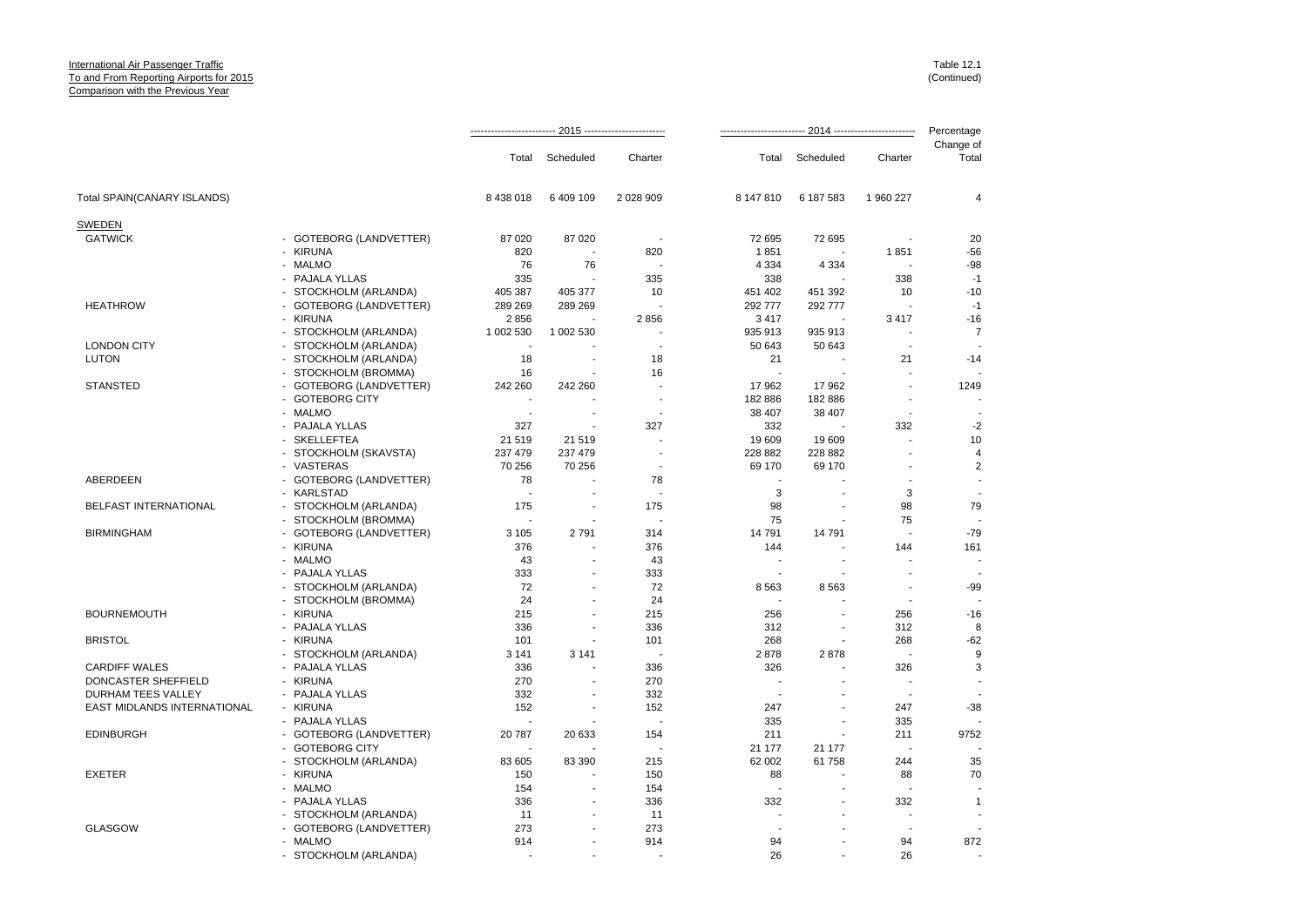|                                                        |                          |                          |                          |                          | Percentage |                                  |                          |
|--------------------------------------------------------|--------------------------|--------------------------|--------------------------|--------------------------|------------|----------------------------------|--------------------------|
|                                                        | Total                    | Scheduled                | Charter                  | Total                    | Scheduled  | Charter                          | Change of<br>Total       |
| Total SPAIN(CANARY ISLANDS)                            | 8 438 018                | 6 409 109                | 2 0 28 9 09              | 8 147 810                | 6 187 583  | 1 960 227                        | 4                        |
| SWEDEN                                                 |                          |                          |                          |                          |            |                                  |                          |
| <b>GATWICK</b><br>- GOTEBORG (LANDVETTER)              | 87 0 20                  | 87 0 20                  | $\overline{\phantom{a}}$ | 72 695                   | 72 695     | ÷,                               | 20                       |
| - KIRUNA                                               | 820                      | $\overline{a}$           | 820                      | 1851                     |            | 1851                             | $-56$                    |
| - MALMO                                                | 76                       | 76                       |                          | 4 3 3 4                  | 4 3 3 4    |                                  | $-98$                    |
| - PAJALA YLLAS                                         | 335                      |                          | 335                      | 338                      |            | 338                              | $-1$                     |
| - STOCKHOLM (ARLANDA)                                  | 405 387                  | 405 377                  | 10                       | 451 402                  | 451 392    | 10                               | $-10$                    |
| <b>HEATHROW</b><br>- GOTEBORG (LANDVETTER)             | 289 269                  | 289 269                  |                          | 292 777                  | 292 777    | $\sim$                           | $-1$                     |
| - KIRUNA                                               | 2856                     |                          | 2856                     | 3417                     |            | 3417                             | $-16$                    |
| - STOCKHOLM (ARLANDA)                                  | 1 002 530                | 1 002 530                | ä,                       | 935 913                  | 935 913    |                                  | $\overline{7}$           |
| - STOCKHOLM (ARLANDA)<br><b>LONDON CITY</b>            | $\overline{\phantom{a}}$ |                          | ÷,                       | 50 643                   | 50 643     | $\blacksquare$                   |                          |
| <b>LUTON</b><br>- STOCKHOLM (ARLANDA)                  | 18                       |                          | 18                       | 21                       |            | 21                               | $-14$                    |
| - STOCKHOLM (BROMMA)                                   | 16                       |                          | 16                       | ٠.                       |            |                                  |                          |
| <b>STANSTED</b><br>- GOTEBORG (LANDVETTER)             | 242 260                  | 242 260                  | ä,                       | 17962                    | 17 962     |                                  | 1249                     |
| - GOTEBORG CITY                                        |                          |                          | $\overline{a}$           | 182 886                  | 182886     | $\overline{a}$                   |                          |
| - MALMO                                                | $\sim$                   | ä,                       | $\overline{\phantom{a}}$ | 38 407                   | 38 407     | $\blacksquare$                   | $\overline{a}$           |
| - PAJALA YLLAS                                         | 327                      | $\overline{\phantom{a}}$ | 327                      | 332                      |            | 332                              | $-2$                     |
| - SKELLEFTEA                                           | 21 519                   | 21 519                   | ÷,                       | 19 609                   | 19 609     | ä,                               | 10                       |
| - STOCKHOLM (SKAVSTA)                                  | 237 479                  | 237 479                  |                          | 228 882                  | 228 882    |                                  | $\overline{4}$           |
| - VASTERAS                                             | 70 256                   | 70 256                   | $\overline{a}$           | 69 170                   | 69 170     |                                  | 2                        |
| <b>ABERDEEN</b><br>- GOTEBORG (LANDVETTER)             | 78                       |                          | 78                       |                          |            |                                  | $\sim$                   |
| - KARLSTAD                                             | ÷.                       |                          |                          | 3                        |            | 3                                |                          |
| <b>BELFAST INTERNATIONAL</b><br>- STOCKHOLM (ARLANDA)  | 175                      |                          | 175                      | 98                       |            | 98                               | 79                       |
| - STOCKHOLM (BROMMA)                                   | $\blacksquare$           |                          | ÷                        | 75                       |            | 75                               | $\overline{\phantom{a}}$ |
| <b>BIRMINGHAM</b><br>- GOTEBORG (LANDVETTER)           | 3 1 0 5                  | 2791                     | 314                      | 14791                    | 14 791     | $\overline{\phantom{a}}$         | $-79$                    |
| - KIRUNA                                               | 376                      |                          | 376                      | 144                      |            | 144<br>÷,                        | 161                      |
| - MALMO                                                | 43                       | $\sim$                   | 43                       | ٠.                       |            |                                  | $\blacksquare$<br>$\sim$ |
| - PAJALA YLLAS                                         | 333<br>72                | ÷                        | 333<br>72                |                          |            | $\blacksquare$<br>$\blacksquare$ | $-99$                    |
| - STOCKHOLM (ARLANDA)                                  | 24                       |                          | 24                       | 8563                     | 8563       | $\blacksquare$                   |                          |
| - STOCKHOLM (BROMMA)<br><b>BOURNEMOUTH</b><br>- KIRUNA | 215                      | ä,                       | 215                      | 256                      |            | 256                              | $-16$                    |
| - PAJALA YLLAS                                         | 336                      | Ĭ.                       | 336                      | 312                      |            | 312                              | 8                        |
| <b>BRISTOL</b><br>- KIRUNA                             | 101                      |                          | 101                      | 268                      |            | 268                              | $-62$                    |
| - STOCKHOLM (ARLANDA)                                  | 3 1 4 1                  | 3 1 4 1                  | $\overline{\phantom{a}}$ | 2878                     | 2878       | $\sim$                           | 9                        |
| <b>CARDIFF WALES</b><br>- PAJALA YLLAS                 | 336                      |                          | 336                      | 326                      |            | 326                              | 3                        |
| DONCASTER SHEFFIELD<br>- KIRUNA                        | 270                      | ÷                        | 270                      |                          | ۷          | ÷                                |                          |
| - PAJALA YLLAS<br>DURHAM TEES VALLEY                   | 332                      |                          | 332                      |                          |            |                                  |                          |
| EAST MIDLANDS INTERNATIONAL<br>- KIRUNA                | 152                      |                          | 152                      | 247                      |            | 247                              | $-38$                    |
| - PAJALA YLLAS                                         | $\tilde{\phantom{a}}$    |                          | $\overline{a}$           | 335                      | ä,         | 335                              |                          |
| <b>EDINBURGH</b><br>- GOTEBORG (LANDVETTER)            | 20787                    | 20 633                   | 154                      | 211                      |            | 211                              | 9752                     |
| - GOTEBORG CITY                                        |                          |                          | ÷.                       | 21 177                   | 21 177     | $\overline{a}$                   |                          |
| - STOCKHOLM (ARLANDA)                                  | 83 605                   | 83 390                   | 215                      | 62 002                   | 61 758     | 244                              | 35                       |
| - KIRUNA<br><b>EXETER</b>                              | 150                      |                          | 150                      | 88                       |            | 88                               | 70                       |
| - MALMO                                                | 154                      |                          | 154                      | ÷                        |            |                                  |                          |
| - PAJALA YLLAS                                         | 336                      | ٠                        | 336                      | 332                      |            | 332                              | $\mathbf{1}$             |
| - STOCKHOLM (ARLANDA)                                  | 11                       |                          | 11                       | $\overline{\phantom{a}}$ |            | $\blacksquare$                   |                          |
| <b>GLASGOW</b><br>- GOTEBORG (LANDVETTER)              | 273                      | ÷                        | 273                      | $\overline{\phantom{a}}$ | ۷          | $\overline{a}$                   |                          |
| - MALMO                                                | 914                      |                          | 914                      | 94                       |            | 94                               | 872                      |
| - STOCKHOLM (ARLANDA)                                  | $\overline{a}$           | ÷.                       |                          | 26                       |            | 26                               | $\overline{a}$           |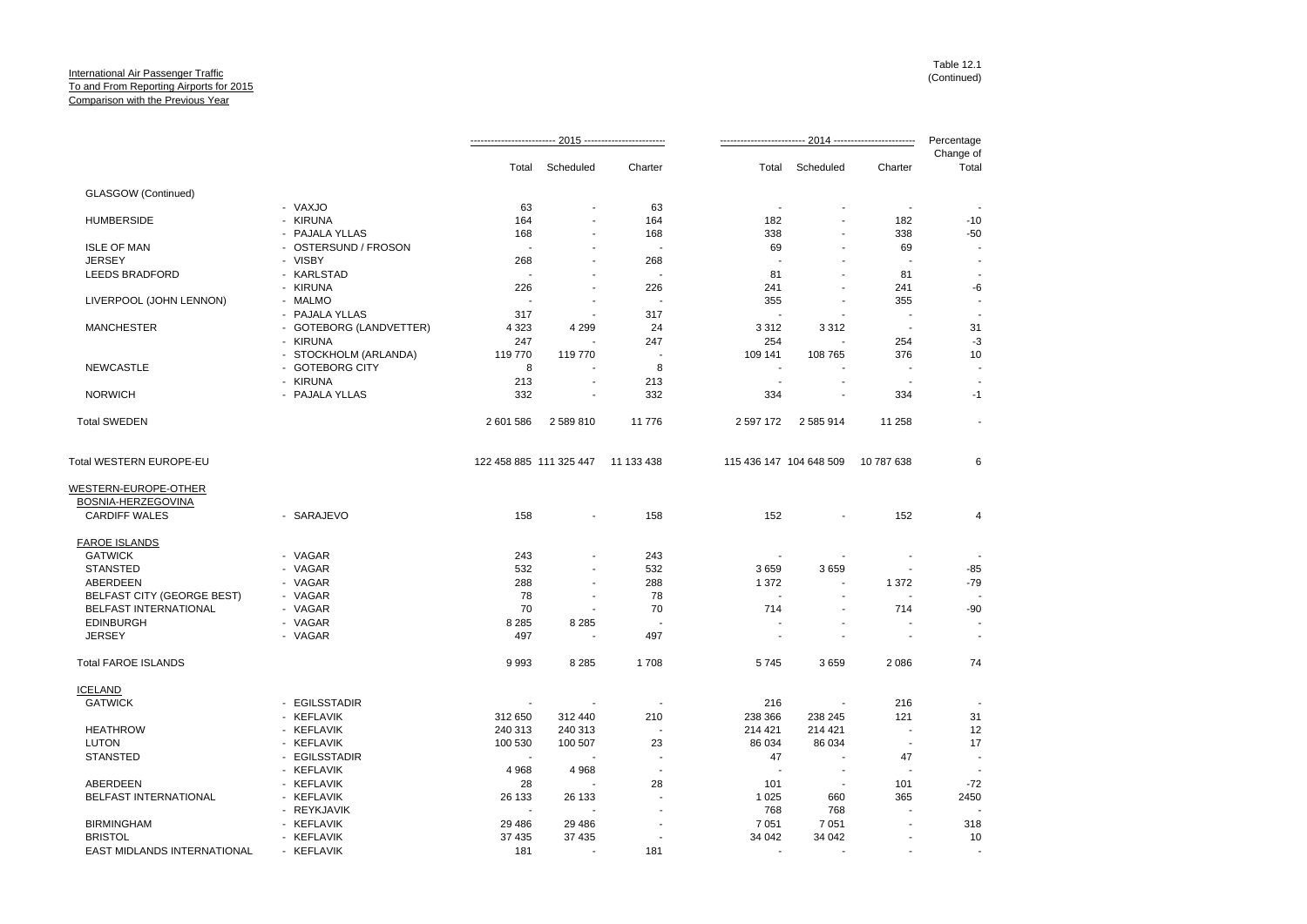|                                                   |                         |           |                                    |                          |                         |                          |                          | Percentage         |
|---------------------------------------------------|-------------------------|-----------|------------------------------------|--------------------------|-------------------------|--------------------------|--------------------------|--------------------|
|                                                   |                         | Total     | Scheduled                          | Charter                  | Total                   | Scheduled                | Charter                  | Change of<br>Total |
| <b>GLASGOW</b> (Continued)                        |                         |           |                                    |                          |                         |                          |                          |                    |
|                                                   | - VAXJO                 | 63        |                                    | 63                       |                         |                          |                          |                    |
| <b>HUMBERSIDE</b>                                 | - KIRUNA                | 164       |                                    | 164                      | 182                     |                          | 182                      | $-10$              |
|                                                   | - PAJALA YLLAS          | 168       |                                    | 168                      | 338                     | ٠                        | 338                      | $-50$              |
| <b>ISLE OF MAN</b>                                | - OSTERSUND / FROSON    |           |                                    | $\sim$                   | 69                      |                          | 69                       |                    |
| <b>JERSEY</b>                                     | - VISBY                 | 268       |                                    | 268                      |                         |                          |                          |                    |
| <b>LEEDS BRADFORD</b>                             | - KARLSTAD              |           |                                    |                          | 81                      |                          | 81                       |                    |
|                                                   | - KIRUNA                | 226       |                                    | 226                      | 241                     |                          | 241                      | -6                 |
| LIVERPOOL (JOHN LENNON)                           | - MALMO                 |           |                                    |                          | 355                     | $\blacksquare$           | 355                      |                    |
|                                                   | PAJALA YLLAS            | 317       |                                    | 317                      |                         |                          | $\overline{\phantom{a}}$ |                    |
| <b>MANCHESTER</b>                                 | - GOTEBORG (LANDVETTER) | 4 3 2 3   | 4 2 9 9                            | 24                       | 3 3 1 2                 | 3 3 1 2                  | ٠.                       | 31                 |
|                                                   | - KIRUNA                | 247       |                                    | 247                      | 254                     |                          | 254                      | $-3$               |
|                                                   | - STOCKHOLM (ARLANDA)   | 119770    | 119 770                            | $\overline{a}$           | 109 141                 | 108 765                  | 376                      | 10                 |
| <b>NEWCASTLE</b>                                  | - GOTEBORG CITY         | 8         |                                    | 8                        | $\blacksquare$          |                          |                          |                    |
|                                                   |                         |           |                                    |                          |                         |                          |                          |                    |
|                                                   | - KIRUNA                | 213       |                                    | 213                      |                         |                          |                          |                    |
| <b>NORWICH</b>                                    | - PAJALA YLLAS          | 332       |                                    | 332                      | 334                     |                          | 334                      | -1                 |
| <b>Total SWEDEN</b>                               |                         | 2 601 586 | 2589810                            | 11 776                   | 2 597 172               | 2 585 914                | 11 258                   | $\blacksquare$     |
| Total WESTERN EUROPE-EU                           |                         |           | 122 458 885 111 325 447 11 133 438 |                          | 115 436 147 104 648 509 |                          | 10 787 638               | 6                  |
|                                                   |                         |           |                                    |                          |                         |                          |                          |                    |
| WESTERN-EUROPE-OTHER                              |                         |           |                                    |                          |                         |                          |                          |                    |
| <b>BOSNIA-HERZEGOVINA</b><br><b>CARDIFF WALES</b> | - SARAJEVO              | 158       | $\blacksquare$                     | 158                      | 152                     |                          | 152                      | 4                  |
|                                                   |                         |           |                                    |                          |                         |                          |                          |                    |
| <b>FAROE ISLANDS</b>                              |                         |           |                                    |                          |                         |                          |                          |                    |
| <b>GATWICK</b>                                    | - VAGAR                 | 243       |                                    | 243                      |                         |                          |                          |                    |
| <b>STANSTED</b>                                   | - VAGAR                 | 532       |                                    | 532                      | 3659                    | 3659                     |                          | $-85$              |
| ABERDEEN                                          | - VAGAR                 | 288       |                                    | 288                      | 1 3 7 2                 |                          | 1 3 7 2                  | $-79$              |
| BELFAST CITY (GEORGE BEST)                        | - VAGAR                 | 78        |                                    | 78                       |                         |                          |                          |                    |
| <b>BELFAST INTERNATIONAL</b>                      | - VAGAR                 | 70        |                                    | 70                       | 714                     |                          | 714                      | $-90$              |
| <b>EDINBURGH</b>                                  | - VAGAR                 | 8 2 8 5   | 8 2 8 5                            |                          |                         |                          |                          |                    |
| <b>JERSEY</b>                                     | - VAGAR                 | 497       |                                    | 497                      |                         |                          |                          |                    |
| <b>Total FAROE ISLANDS</b>                        |                         | 9993      | 8 2 8 5                            | 1708                     | 5745                    | 3659                     | 2 0 8 6                  | 74                 |
| <b>ICELAND</b>                                    |                         |           |                                    |                          |                         |                          |                          |                    |
| <b>GATWICK</b>                                    | - EGILSSTADIR           |           |                                    |                          | 216                     |                          | 216                      |                    |
|                                                   | - KEFLAVIK              | 312 650   | 312 440                            | 210                      | 238 366                 | 238 245                  | 121                      | 31                 |
| <b>HEATHROW</b>                                   | - KEFLAVIK              | 240 313   | 240 313                            | $\overline{\phantom{a}}$ | 214 421                 | 214 421                  | $\overline{\phantom{a}}$ | 12                 |
| <b>LUTON</b>                                      | - KEFLAVIK              | 100 530   | 100 507                            | 23                       | 86 034                  | 86 034                   | $\sim$                   | 17                 |
| <b>STANSTED</b>                                   | - EGILSSTADIR           |           |                                    |                          | 47                      |                          | 47                       |                    |
|                                                   | - KEFLAVIK              | 4 9 6 8   | 4 9 6 8                            | $\overline{a}$           | ÷.                      | $\overline{\phantom{a}}$ | $\overline{\phantom{a}}$ |                    |
| ABERDEEN                                          | - KEFLAVIK              | 28        |                                    | 28                       | 101                     | ÷.                       | 101                      | $-72$              |
| <b>BELFAST INTERNATIONAL</b>                      | KEFLAVIK<br>$\sim$      | 26 133    | 26 133                             |                          | 1 0 2 5                 | 660                      | 365                      | 2450               |
|                                                   | - REYKJAVIK             | $\sim$    |                                    |                          | 768                     | 768                      |                          |                    |
|                                                   |                         |           |                                    |                          |                         |                          |                          |                    |
| <b>BIRMINGHAM</b>                                 | - KEFLAVIK              | 29 4 8 6  | 29 4 86                            |                          | 7 0 5 1                 | 7 0 5 1                  |                          | 318                |
| <b>BRISTOL</b>                                    | - KEFLAVIK              | 37 435    | 37 435                             |                          | 34 042                  | 34 042                   |                          | 10                 |
| <b>EAST MIDLANDS INTERNATIONAL</b>                | - KEFLAVIK              | 181       |                                    | 181                      |                         |                          |                          |                    |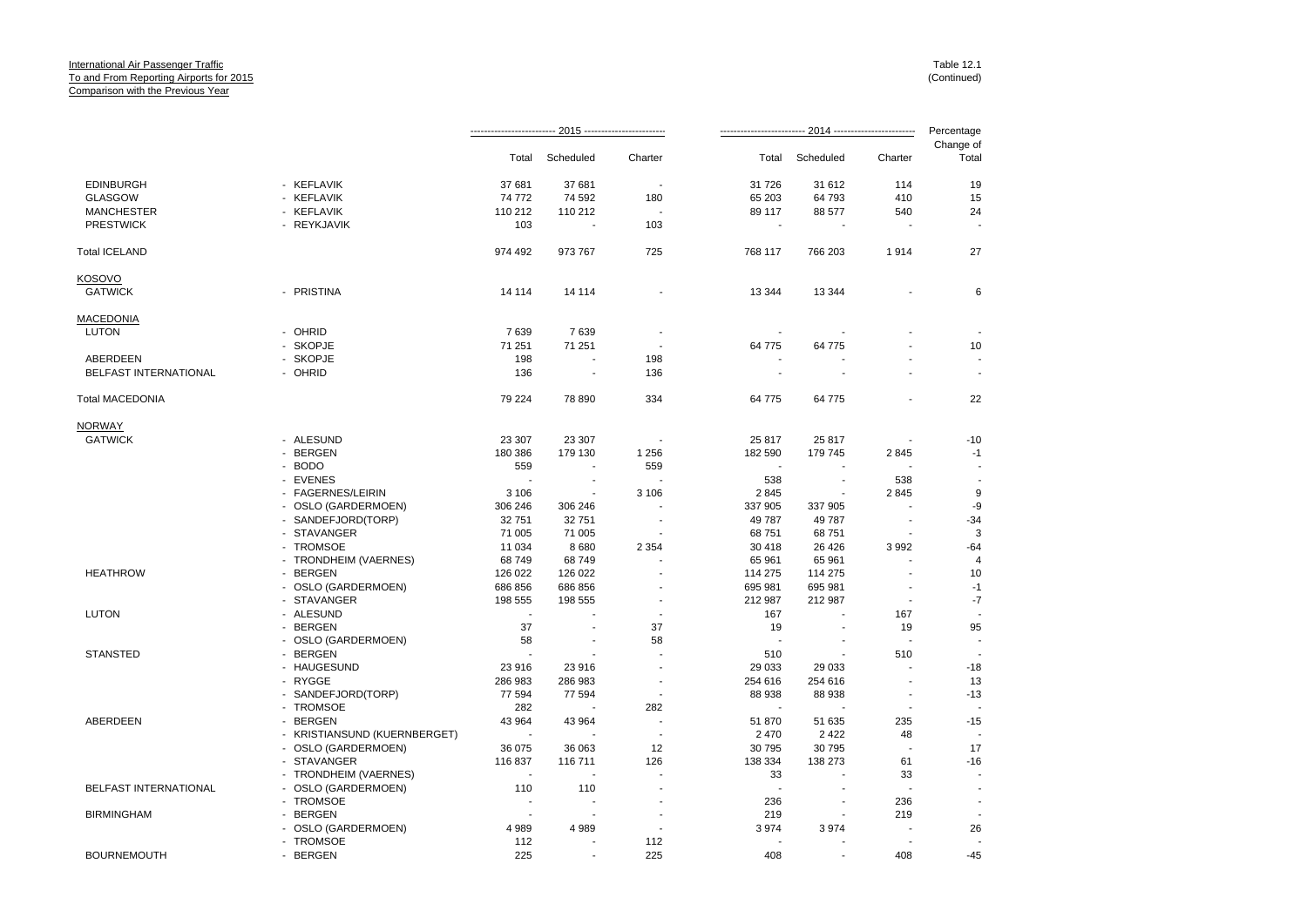|                        |                              | Percentage               |           |                |          |           |                          |                          |
|------------------------|------------------------------|--------------------------|-----------|----------------|----------|-----------|--------------------------|--------------------------|
|                        |                              | Total                    | Scheduled | Charter        | Total    | Scheduled | Charter                  | Change of<br>Total       |
| <b>EDINBURGH</b>       | - KEFLAVIK                   | 37 681                   | 37 681    | $\blacksquare$ | 31 7 26  | 31 612    | 114                      | 19                       |
| <b>GLASGOW</b>         | - KEFLAVIK                   | 74 772                   | 74 592    | 180            | 65 203   | 64 793    | 410                      | 15                       |
| <b>MANCHESTER</b>      | - KEFLAVIK                   | 110 212                  | 110 212   | ÷,             | 89 117   | 88 577    | 540                      | 24                       |
| <b>PRESTWICK</b>       | - REYKJAVIK                  | 103                      |           | 103            |          |           |                          |                          |
| <b>Total ICELAND</b>   |                              | 974 492                  | 973 767   | 725            | 768 117  | 766 203   | 1914                     | 27                       |
| <b>KOSOVO</b>          |                              |                          |           |                |          |           |                          |                          |
| <b>GATWICK</b>         | - PRISTINA                   | 14 114                   | 14 114    |                | 13 3 44  | 13 344    |                          | 6                        |
| <b>MACEDONIA</b>       |                              |                          |           |                |          |           |                          |                          |
| LUTON                  | - OHRID                      | 7639                     | 7639      |                |          |           |                          |                          |
|                        | - SKOPJE                     | 71 251                   | 71 251    | J.             | 64 775   | 64 775    |                          | 10                       |
| ABERDEEN               | - SKOPJE                     | 198                      |           | 198            |          |           |                          |                          |
| BELFAST INTERNATIONAL  | - OHRID                      | 136                      | ÷,        | 136            |          |           |                          | ÷,                       |
| <b>Total MACEDONIA</b> |                              | 79 224                   | 78 890    | 334            | 64 775   | 64 775    |                          | 22                       |
| <b>NORWAY</b>          |                              |                          |           |                |          |           |                          |                          |
| <b>GATWICK</b>         | - ALESUND                    | 23 307                   | 23 307    |                | 25 817   | 25 817    |                          | $-10$                    |
|                        | - BERGEN                     | 180 386                  | 179 130   | 1 2 5 6        | 182 590  | 179 745   | 2845                     | $-1$                     |
|                        | - BODO                       | 559                      |           | 559            |          |           |                          |                          |
|                        | - EVENES                     | $\overline{\phantom{a}}$ |           |                | 538      |           | 538                      |                          |
|                        | - FAGERNES/LEIRIN            | 3 1 0 6                  |           | 3 1 0 6        | 2845     |           | 2845                     | 9                        |
|                        |                              |                          |           |                |          |           |                          |                          |
|                        | - OSLO (GARDERMOEN)          | 306 246                  | 306 246   |                | 337 905  | 337 905   |                          | -9                       |
|                        | - SANDEFJORD(TORP)           | 32 751                   | 32 751    |                | 49 787   | 49 787    |                          | $-34$                    |
|                        | - STAVANGER                  | 71 005                   | 71 005    |                | 68 751   | 68751     |                          | 3                        |
|                        | - TROMSOE                    | 11 0 34                  | 8680      | 2 3 5 4        | 30 418   | 26 4 26   | 3 9 9 2                  | $-64$                    |
|                        | - TRONDHEIM (VAERNES)        | 68749                    | 68749     |                | 65 961   | 65 961    | $\overline{a}$           | $\overline{4}$           |
| <b>HEATHROW</b>        | - BERGEN                     | 126 022                  | 126 022   |                | 114 275  | 114 275   |                          | 10                       |
|                        | - OSLO (GARDERMOEN)          | 686 856                  | 686 856   |                | 695 981  | 695 981   |                          | $-1$                     |
|                        | - STAVANGER                  | 198 555                  | 198 555   |                | 212 987  | 212 987   | $\overline{\phantom{a}}$ | $\mathbf{-7}$            |
| <b>LUTON</b>           | - ALESUND                    | $\overline{\phantom{a}}$ |           |                | 167      |           | 167                      |                          |
|                        | - BERGEN                     | 37                       |           | 37             | 19       |           | 19                       | 95                       |
|                        | - OSLO (GARDERMOEN)          | 58                       |           | 58             | <b>.</b> |           | $\overline{a}$           | $\overline{a}$           |
| <b>STANSTED</b>        | - BERGEN                     | ÷,                       |           |                | 510      |           | 510                      |                          |
|                        | - HAUGESUND                  | 23 916                   | 23 916    |                | 29 033   | 29 033    |                          | $-18$                    |
|                        | - RYGGE                      | 286 983                  | 286 983   |                | 254 616  | 254 616   | ÷,                       | 13                       |
|                        | - SANDEFJORD(TORP)           | 77 594                   | 77 594    |                | 88 938   | 88 938    | $\blacksquare$           | $-13$                    |
|                        | - TROMSOE                    | 282                      |           | 282            |          |           |                          |                          |
| ABERDEEN               | - BERGEN                     | 43 964                   | 43 964    | ÷,             | 51 870   | 51 635    | 235                      | $-15$                    |
|                        | - KRISTIANSUND (KUERNBERGET) | $\overline{\phantom{a}}$ |           | ÷              | 2 4 7 0  | 2 4 2 2   | 48                       | $\overline{a}$           |
|                        | - OSLO (GARDERMOEN)          | 36 075                   | 36 063    | 12             | 30 795   | 30 795    | $\overline{\phantom{a}}$ | 17                       |
|                        | - STAVANGER                  |                          |           | 126            |          | 138 273   |                          | $-16$                    |
|                        |                              | 116 837                  | 116 711   |                | 138 334  |           | 61                       |                          |
|                        | - TRONDHEIM (VAERNES)        | ÷.                       |           |                | 33       |           | 33                       |                          |
| BELFAST INTERNATIONAL  | - OSLO (GARDERMOEN)          | 110                      | 110       |                | ٠.       |           |                          | $\blacksquare$           |
|                        | - TROMSOE                    | $\blacksquare$           |           |                | 236      |           | 236                      | $\overline{\phantom{a}}$ |
| <b>BIRMINGHAM</b>      | - BERGEN                     | ÷,                       | ÷         |                | 219      |           | 219                      | $\blacksquare$           |
|                        | - OSLO (GARDERMOEN)          | 4989                     | 4989      |                | 3974     | 3974      |                          | 26                       |
|                        | - TROMSOE                    | 112                      | ٠         | 112            | ÷        |           |                          |                          |
| <b>BOURNEMOUTH</b>     | - BERGEN                     | 225                      |           | 225            | 408      |           | 408                      | $-45$                    |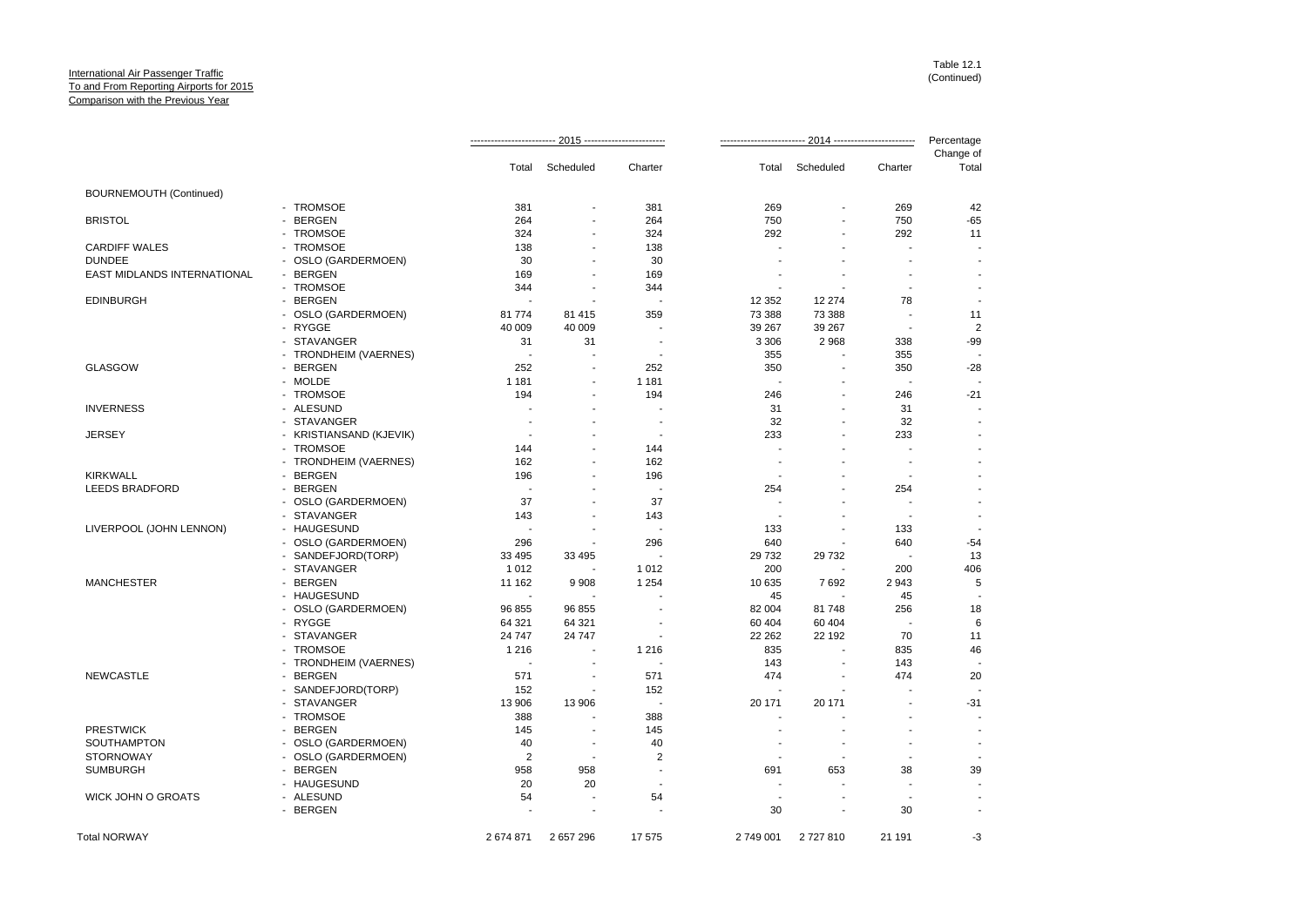|                             |                         |                          |                |                         |           |                          |                          | Percentage               |
|-----------------------------|-------------------------|--------------------------|----------------|-------------------------|-----------|--------------------------|--------------------------|--------------------------|
|                             |                         | Total                    | Scheduled      | Charter                 |           | Total Scheduled          | Charter                  | Change of<br>Total       |
| BOURNEMOUTH (Continued)     |                         |                          |                |                         |           |                          |                          |                          |
|                             | - TROMSOE               | 381                      |                | 381                     | 269       |                          | 269                      | 42                       |
| <b>BRISTOL</b>              | - BERGEN                | 264                      |                | 264                     | 750       |                          | 750                      | $-65$                    |
|                             | - TROMSOE               | 324                      | $\blacksquare$ | 324                     | 292       | $\overline{a}$           | 292                      | 11                       |
| <b>CARDIFF WALES</b>        | - TROMSOE               | 138                      |                | 138                     |           |                          | $\overline{\phantom{a}}$ |                          |
| <b>DUNDEE</b>               | - OSLO (GARDERMOEN)     | 30                       |                | 30                      |           |                          | ÷                        |                          |
| EAST MIDLANDS INTERNATIONAL | - BERGEN                | 169                      |                | 169                     |           |                          |                          |                          |
|                             | - TROMSOE               | 344                      |                | 344                     |           |                          |                          |                          |
| <b>EDINBURGH</b>            | - BERGEN                | ÷.                       |                |                         | 12 3 52   | 12 274                   | 78                       | $\sim$                   |
|                             | - OSLO (GARDERMOEN)     | 81 774                   | 81 415         | 359                     | 73 388    | 73 388                   | $\overline{\phantom{a}}$ | 11                       |
|                             | - RYGGE                 | 40 009                   | 40 009         |                         | 39 267    | 39 267                   | $\overline{\phantom{a}}$ | $\overline{2}$           |
|                             | - STAVANGER             | 31                       | 31             |                         | 3 3 0 6   | 2968                     | 338                      | $-99$                    |
|                             | - TRONDHEIM (VAERNES)   | $\blacksquare$           |                |                         | 355       |                          | 355                      |                          |
| <b>GLASGOW</b>              | - BERGEN                | 252                      |                | 252                     | 350       | $\overline{\phantom{a}}$ | 350                      | $-28$                    |
|                             | - MOLDE                 | 1 1 8 1                  |                | 1 1 8 1                 | ۰.        |                          | $\overline{\phantom{a}}$ |                          |
|                             | - TROMSOE               | 194                      | ÷.             | 194                     | 246       | ÷                        | 246                      | $-21$                    |
|                             |                         |                          |                |                         |           |                          |                          |                          |
| <b>INVERNESS</b>            | - ALESUND               |                          |                |                         | 31        |                          | 31                       |                          |
|                             | - STAVANGER             |                          |                |                         | 32        | $\overline{\phantom{a}}$ | 32                       |                          |
| <b>JERSEY</b>               | - KRISTIANSAND (KJEVIK) |                          |                |                         | 233       |                          | 233                      |                          |
|                             | - TROMSOE               | 144                      |                | 144                     |           |                          |                          |                          |
|                             | - TRONDHEIM (VAERNES)   | 162                      |                | 162                     |           | ÷                        | ۰.                       |                          |
| <b>KIRKWALL</b>             | - BERGEN                | 196                      |                | 196                     |           |                          | $\overline{\phantom{a}}$ |                          |
| <b>LEEDS BRADFORD</b>       | - BERGEN                | $\sim$                   |                |                         | 254       |                          | 254                      |                          |
|                             | - OSLO (GARDERMOEN)     | 37                       |                | 37                      |           |                          |                          |                          |
|                             | - STAVANGER             | 143                      |                | 143                     |           |                          | $\overline{\phantom{a}}$ | $\sim$                   |
| LIVERPOOL (JOHN LENNON)     | - HAUGESUND             |                          |                |                         | 133       |                          | 133                      |                          |
|                             | - OSLO (GARDERMOEN)     | 296                      | $\blacksquare$ | 296                     | 640       | $\blacksquare$           | 640                      | $-54$                    |
|                             | - SANDEFJORD(TORP)      | 33 4 95                  | 33 495         |                         | 29 732    | 29 732                   | $\overline{\phantom{a}}$ | 13                       |
|                             | - STAVANGER             | 1 0 1 2                  |                | 1 0 1 2                 | 200       | ÷.                       | 200                      | 406                      |
| <b>MANCHESTER</b>           | - BERGEN                | 11 162                   | 9908           | 1 2 5 4                 | 10 635    | 7692                     | 2943                     | 5                        |
|                             | - HAUGESUND             | $\overline{\phantom{a}}$ |                |                         | 45        |                          | 45                       |                          |
|                             | - OSLO (GARDERMOEN)     | 96 855                   | 96 855         |                         | 82 004    | 81748                    | 256                      | 18                       |
|                             | - RYGGE                 | 64 321                   | 64 321         |                         | 60 40 4   | 60 40 4                  |                          | 6                        |
|                             | - STAVANGER             | 24 747                   | 24 747         |                         | 22 2 62   | 22 192                   | 70                       | 11                       |
|                             | - TROMSOE               | 1 2 1 6                  | $\blacksquare$ | 1 2 1 6                 | 835       | ÷.                       | 835                      | 46                       |
|                             | - TRONDHEIM (VAERNES)   | $\sim$                   |                |                         | 143       |                          | 143                      |                          |
| <b>NEWCASTLE</b>            | - BERGEN                | 571                      |                | 571                     | 474       |                          | 474                      | 20                       |
|                             | - SANDEFJORD(TORP)      | 152                      | $\blacksquare$ | 152                     |           |                          |                          |                          |
|                             | - STAVANGER             | 13 906                   | 13 906         | $\blacksquare$          | 20 171    | 20 171                   |                          | $-31$                    |
|                             | - TROMSOE               | 388                      |                | 388                     |           |                          |                          |                          |
| <b>PRESTWICK</b>            | - BERGEN                | 145                      | $\blacksquare$ | 145                     |           |                          | ÷                        |                          |
| SOUTHAMPTON                 | - OSLO (GARDERMOEN)     | 40                       | $\sim$         | 40                      |           | $\overline{\phantom{a}}$ | $\overline{\phantom{a}}$ | $\overline{\phantom{a}}$ |
| <b>STORNOWAY</b>            | - OSLO (GARDERMOEN)     | $\overline{2}$           |                | $\overline{\mathbf{c}}$ |           |                          |                          |                          |
| <b>SUMBURGH</b>             | - BERGEN                | 958                      | 958            | $\overline{a}$          | 691       | 653                      | 38                       | 39                       |
|                             | - HAUGESUND             | 20                       | 20             |                         |           |                          |                          |                          |
| WICK JOHN O GROATS          | - ALESUND               | 54                       |                | 54                      |           |                          |                          |                          |
|                             | - BERGEN                |                          | $\blacksquare$ |                         | 30        | $\overline{\phantom{a}}$ | 30                       | $\sim$                   |
|                             |                         |                          |                |                         |           |                          |                          |                          |
| <b>Total NORWAY</b>         |                         | 2674871                  | 2657296        | 17 575                  | 2 749 001 | 2727810                  | 21 191                   | -3                       |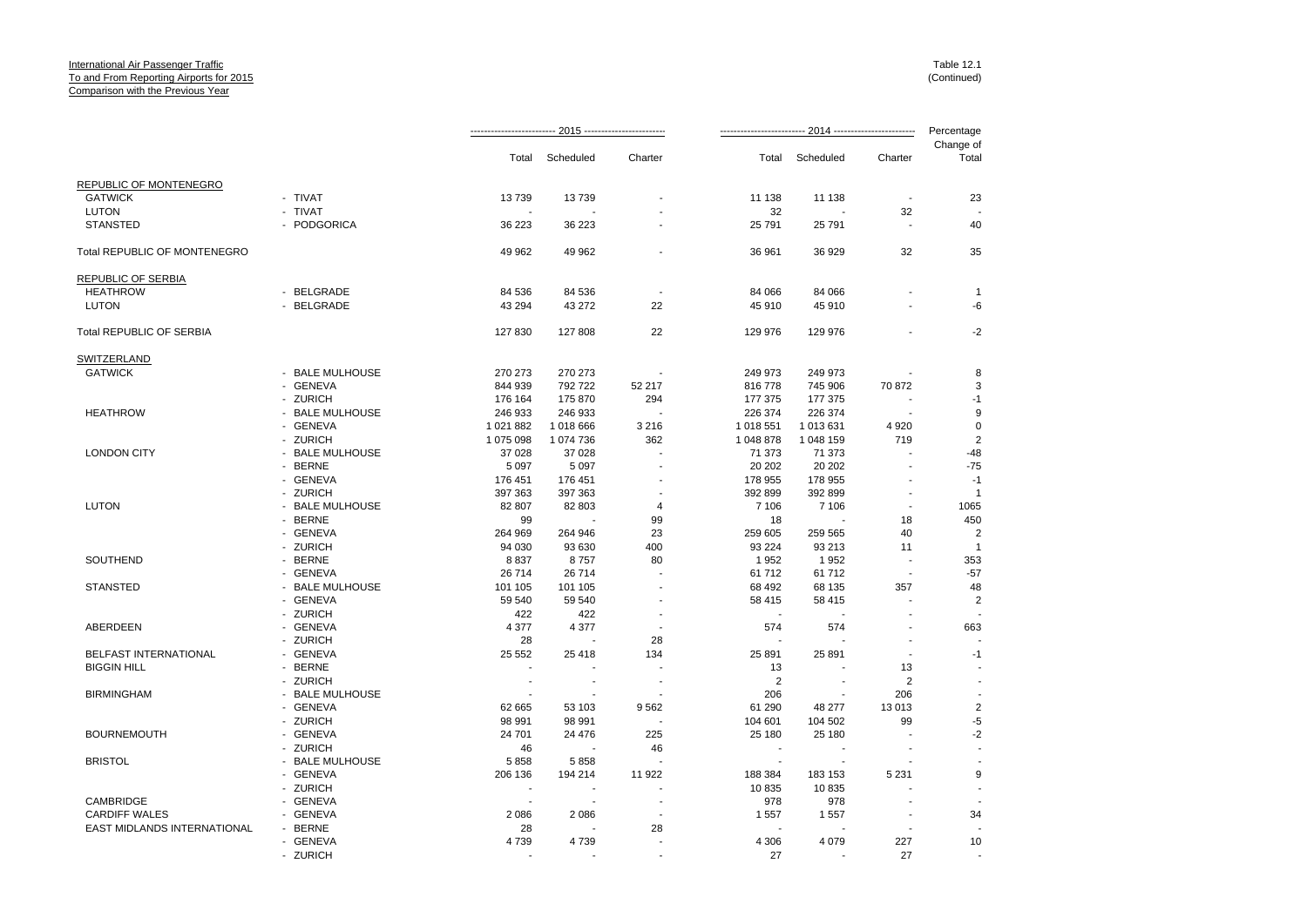|                                     |                 |                          |           |                          |                |                          |                          | Percentage              |
|-------------------------------------|-----------------|--------------------------|-----------|--------------------------|----------------|--------------------------|--------------------------|-------------------------|
|                                     |                 | Total                    | Scheduled | Charter                  | Total          | Scheduled                | Charter                  | Change of<br>Total      |
| REPUBLIC OF MONTENEGRO              |                 |                          |           |                          |                |                          |                          |                         |
| <b>GATWICK</b>                      | - TIVAT         | 13739                    | 13739     |                          | 11 138         | 11 138                   |                          | 23                      |
| <b>LUTON</b>                        | - TIVAT         |                          |           |                          | 32             |                          | 32                       |                         |
| <b>STANSTED</b>                     | - PODGORICA     | 36 223                   | 36 223    |                          | 25 791         | 25 791                   |                          | 40                      |
| <b>Total REPUBLIC OF MONTENEGRO</b> |                 | 49 962                   | 49 962    |                          | 36 961         | 36 929                   | 32                       | 35                      |
| REPUBLIC OF SERBIA                  |                 |                          |           |                          |                |                          |                          |                         |
| <b>HEATHROW</b>                     | - BELGRADE      | 84 536                   | 84 536    | $\overline{\phantom{a}}$ | 84 066         | 84 066                   |                          | $\mathbf{1}$            |
| LUTON                               | - BELGRADE      | 43 294                   | 43 27 2   | 22                       | 45 910         | 45 910                   |                          | -6                      |
| Total REPUBLIC OF SERBIA            |                 | 127 830                  | 127 808   | 22                       | 129 976        | 129 976                  |                          | $-2$                    |
| SWITZERLAND                         |                 |                          |           |                          |                |                          |                          |                         |
| <b>GATWICK</b>                      | - BALE MULHOUSE | 270 273                  | 270 273   |                          | 249 973        | 249 973                  |                          | 8                       |
|                                     | - GENEVA        | 844 939                  | 792 722   | 52 217                   | 816778         | 745 906                  | 70 872                   | 3                       |
|                                     | - ZURICH        | 176 164                  | 175 870   | 294                      | 177 375        | 177 375                  |                          | $-1$                    |
| <b>HEATHROW</b>                     | - BALE MULHOUSE | 246 933                  | 246 933   | $\sim$                   | 226 374        | 226 374                  | $\overline{\phantom{a}}$ | 9                       |
|                                     | - GENEVA        | 1 021 882                | 1018666   | 3 2 1 6                  | 1 018 551      | 1 013 631                | 4 9 20                   | $\mathbf 0$             |
|                                     | - ZURICH        | 1 075 098                | 1074736   | 362                      | 1 048 878      | 1 048 159                | 719                      | $\overline{2}$          |
| <b>LONDON CITY</b>                  | - BALE MULHOUSE | 37 0 28                  | 37 0 28   |                          | 71 373         | 71 373                   |                          | $-48$                   |
|                                     | - BERNE         | 5 0 9 7                  | 5 0 9 7   |                          | 20 20 2        | 20 20 2                  |                          | $-75$                   |
|                                     | - GENEVA        | 176 451                  | 176 451   |                          | 178 955        | 178 955                  |                          | $-1$                    |
|                                     | - ZURICH        | 397 363                  | 397 363   |                          | 392 899        | 392 899                  |                          | $\overline{1}$          |
| <b>LUTON</b>                        | - BALE MULHOUSE | 82 807                   | 82 803    | $\overline{4}$           | 7 10 6         | 7 10 6                   | $\overline{\phantom{a}}$ | 1065                    |
|                                     | - BERNE         | 99                       |           | 99                       | 18             |                          | 18                       | 450                     |
|                                     | - GENEVA        | 264 969                  | 264 946   | 23                       | 259 605        | 259 565                  | 40                       | $\overline{2}$          |
|                                     | - ZURICH        | 94 030                   | 93 630    | 400                      | 93 224         | 93 213                   | 11                       | $\overline{1}$          |
| SOUTHEND                            | - BERNE         | 8837                     | 8757      | 80                       | 1952           | 1952                     |                          | 353                     |
|                                     | - GENEVA        | 26 714                   | 26 714    |                          | 61712          | 61712                    | $\blacksquare$           | $-57$                   |
| <b>STANSTED</b>                     | - BALE MULHOUSE | 101 105                  | 101 105   |                          | 68 492         | 68 135                   | 357                      | 48                      |
|                                     | - GENEVA        | 59 540                   | 59 540    |                          | 58 415         | 58 415                   |                          | 2                       |
|                                     | - ZURICH        | 422                      | 422       |                          | $\blacksquare$ | $\sim$                   |                          |                         |
| ABERDEEN                            | - GENEVA        | 4 3 7 7                  | 4 3 7 7   |                          | 574            | 574                      |                          | 663                     |
|                                     | - ZURICH        | 28                       |           | 28                       |                |                          |                          |                         |
| BELFAST INTERNATIONAL               | - GENEVA        | 25 552                   | 25 4 18   | 134                      | 25 891         | 25 891                   |                          | -1                      |
| <b>BIGGIN HILL</b>                  | - BERNE         |                          |           |                          | 13             |                          | 13                       |                         |
|                                     | - ZURICH        |                          |           |                          | 2              |                          | 2                        |                         |
| <b>BIRMINGHAM</b>                   | - BALE MULHOUSE |                          |           |                          | 206            |                          | 206                      |                         |
|                                     | - GENEVA        | 62 665                   | 53 103    | 9562                     | 61 290         | 48 277                   | 13 013                   | $\overline{\mathbf{c}}$ |
|                                     | - ZURICH        | 98 991                   | 98 991    | $\overline{\phantom{a}}$ | 104 601        | 104 502                  | 99                       | -5                      |
| <b>BOURNEMOUTH</b>                  | - GENEVA        | 24 701                   | 24 476    | 225                      | 25 180         | 25 180                   |                          | $-2$                    |
|                                     | - ZURICH        | 46                       |           | 46                       |                |                          |                          |                         |
| <b>BRISTOL</b>                      | - BALE MULHOUSE | 5858                     | 5858      | $\blacksquare$           | $\blacksquare$ | $\overline{\phantom{a}}$ |                          |                         |
|                                     | - GENEVA        | 206 136                  | 194 214   | 11 922                   | 188 384        | 183 153                  | 5 2 3 1                  | 9                       |
|                                     | - ZURICH        | $\overline{\phantom{a}}$ |           |                          | 10835          | 10835                    |                          |                         |
| CAMBRIDGE                           | - GENEVA        | $\overline{\phantom{a}}$ |           | $\blacksquare$           | 978            | 978                      |                          |                         |
| <b>CARDIFF WALES</b>                | - GENEVA        | 2086                     | 2086      |                          | 1 5 5 7        | 1557                     |                          | 34                      |
| EAST MIDLANDS INTERNATIONAL         | - BERNE         | 28                       |           | 28                       |                |                          |                          |                         |
|                                     | - GENEVA        | 4739                     | 4739      |                          | 4 3 0 6        | 4 0 7 9                  | 227                      | 10                      |
|                                     | - ZURICH        |                          |           | $\blacksquare$           | 27             |                          | 27                       |                         |
|                                     |                 |                          |           |                          |                |                          |                          |                         |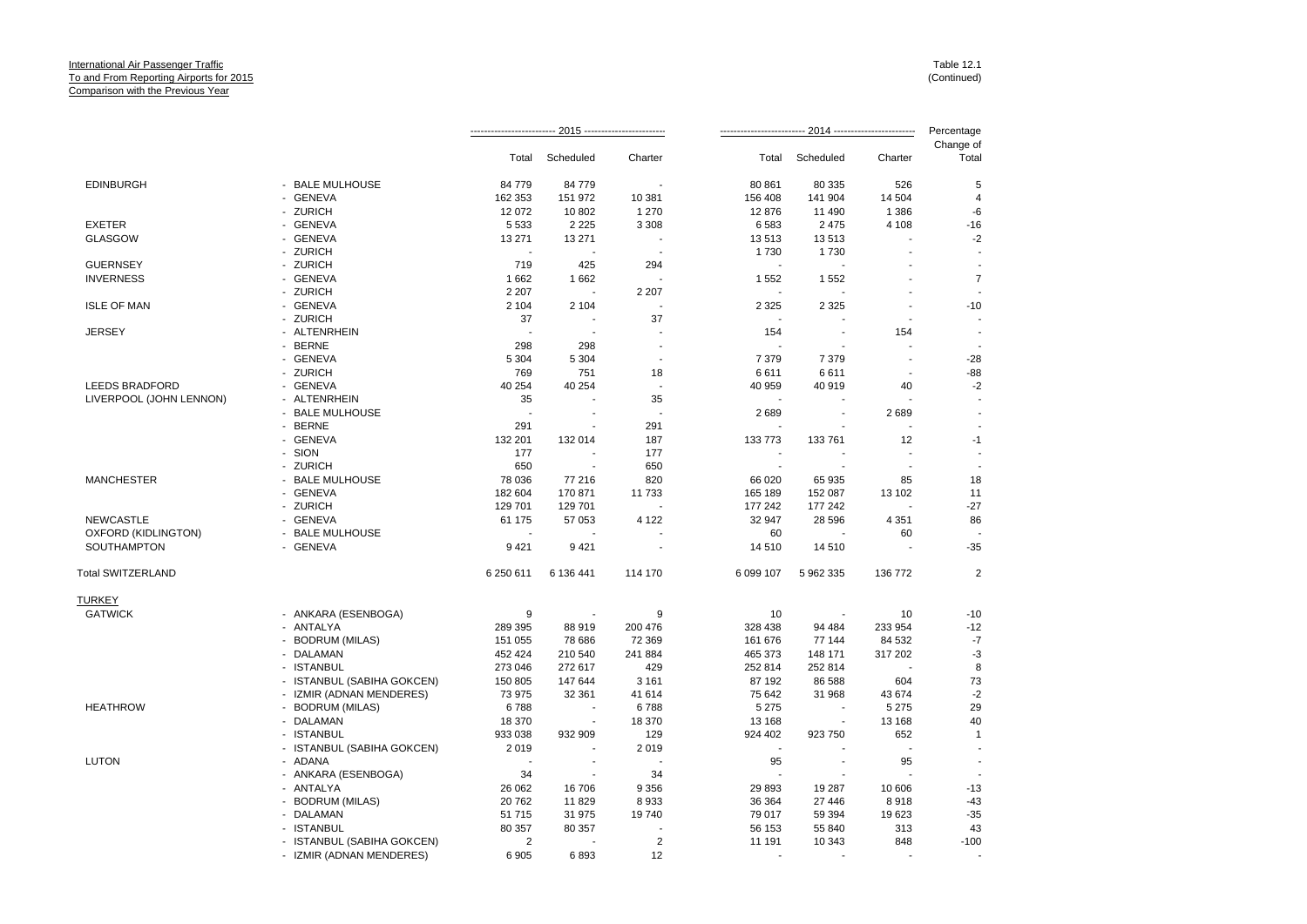|                         |                            |           |                          |                          |                          |                 |                          | Percentage         |
|-------------------------|----------------------------|-----------|--------------------------|--------------------------|--------------------------|-----------------|--------------------------|--------------------|
|                         |                            | Total     | Scheduled                | Charter                  |                          | Total Scheduled | Charter                  | Change of<br>Total |
| <b>EDINBURGH</b>        | - BALE MULHOUSE            | 84 779    | 84 779                   |                          | 80 861                   | 80 335          | 526                      | 5                  |
|                         | - GENEVA                   | 162 353   | 151 972                  | 10 381                   | 156 408                  | 141 904         | 14 504                   | 4                  |
|                         | - ZURICH                   | 12 072    | 10 802                   | 1 2 7 0                  | 12876                    | 11 490          | 1 3 8 6                  | -6                 |
| <b>EXETER</b>           | - GENEVA                   | 5 5 3 3   | 2 2 2 5                  | 3 3 0 8                  | 6583                     | 2 4 7 5         | 4 1 0 8                  | $-16$              |
| <b>GLASGOW</b>          | - GENEVA                   | 13 271    | 13 271                   |                          | 13513                    | 13513           |                          | $-2$               |
|                         | - ZURICH                   | ÷.        |                          |                          | 1730                     | 1730            |                          |                    |
| <b>GUERNSEY</b>         | - ZURICH                   | 719       | 425                      | 294                      |                          |                 |                          |                    |
| <b>INVERNESS</b>        | - GENEVA                   | 1662      | 1662                     |                          | 1 5 5 2                  | 1552            |                          | $\overline{7}$     |
|                         | - ZURICH                   | 2 2 0 7   |                          | 2 2 0 7                  |                          |                 |                          |                    |
| <b>ISLE OF MAN</b>      | - GENEVA                   | 2 1 0 4   | 2 1 0 4                  |                          | 2 3 2 5                  | 2 3 2 5         |                          | $-10$              |
|                         | - ZURICH                   | 37        |                          | 37                       |                          |                 |                          |                    |
| <b>JERSEY</b>           | - ALTENRHEIN               |           |                          |                          | 154                      |                 | 154                      |                    |
|                         | - BERNE                    | 298       | 298                      |                          |                          |                 |                          |                    |
|                         | - GENEVA                   | 5 3 0 4   | 5 3 0 4                  | $\overline{a}$           | 7 3 7 9                  | 7 3 7 9         | $\overline{\phantom{a}}$ | $-28$              |
|                         | - ZURICH                   | 769       | 751                      | 18                       | 6611                     | 6611            |                          | $-88$              |
| <b>LEEDS BRADFORD</b>   | - GENEVA                   | 40 254    | 40 254                   |                          | 40 959                   | 40 919          | 40                       | $-2$               |
|                         |                            |           |                          |                          |                          |                 |                          |                    |
| LIVERPOOL (JOHN LENNON) | - ALTENRHEIN               | 35        |                          | 35                       |                          | $\sim$          |                          |                    |
|                         | - BALE MULHOUSE            | $\sim$    |                          |                          | 2689                     |                 | 2689                     |                    |
|                         | - BERNE                    | 291       |                          | 291                      |                          |                 |                          |                    |
|                         | - GENEVA                   | 132 201   | 132 014                  | 187                      | 133 773                  | 133 761         | 12                       | $-1$               |
|                         | - SION                     | 177       |                          | 177                      |                          |                 |                          |                    |
|                         | - ZURICH                   | 650       | $\overline{\phantom{a}}$ | 650                      | $\overline{\phantom{a}}$ | ÷.              |                          |                    |
| <b>MANCHESTER</b>       | - BALE MULHOUSE            | 78 036    | 77 216                   | 820                      | 66 020                   | 65 935          | 85                       | 18                 |
|                         | - GENEVA                   | 182 604   | 170 871                  | 11 733                   | 165 189                  | 152 087         | 13 102                   | 11                 |
|                         | - ZURICH                   | 129 701   | 129 701                  | $\overline{\phantom{a}}$ | 177 242                  | 177 242         |                          | $-27$              |
| <b>NEWCASTLE</b>        | - GENEVA                   | 61 175    | 57 053                   | 4 1 2 2                  | 32 947                   | 28 596          | 4 3 5 1                  | 86                 |
| OXFORD (KIDLINGTON)     | - BALE MULHOUSE            |           |                          |                          | 60                       |                 | 60                       |                    |
| SOUTHAMPTON             | - GENEVA                   | 9421      | 9421                     |                          | 14 510                   | 14 510          |                          | $-35$              |
| Total SWITZERLAND       |                            | 6 250 611 | 6 136 441                | 114 170                  | 6 099 107                | 5 962 335       | 136 772                  | $\overline{a}$     |
| TURKEY                  |                            |           |                          |                          |                          |                 |                          |                    |
| <b>GATWICK</b>          | - ANKARA (ESENBOGA)        | 9         |                          | 9                        | 10                       |                 | 10                       | $-10$              |
|                         | - ANTALYA                  | 289 395   | 88 919                   | 200 476                  | 328 438                  | 94 484          | 233 954                  | $-12$              |
|                         | - BODRUM (MILAS)           | 151 055   | 78 686                   | 72 369                   | 161 676                  | 77 144          | 84 532                   | $-7$               |
|                         | - DALAMAN                  | 452 424   | 210 540                  | 241 884                  | 465 373                  | 148 171         | 317 202                  | $-3$               |
|                         | - ISTANBUL                 | 273 046   | 272 617                  | 429                      | 252 814                  | 252 814         |                          | 8                  |
|                         | - ISTANBUL (SABIHA GOKCEN) | 150 805   | 147 644                  | 3 1 6 1                  | 87 192                   | 86 588          | 604                      | 73                 |
|                         | - IZMIR (ADNAN MENDERES)   | 73 975    | 32 361                   | 41 614                   | 75 642                   | 31 968          | 43 674                   | $-2$               |
| <b>HEATHROW</b>         | - BODRUM (MILAS)           | 6788      |                          | 6788                     | 5 2 7 5                  |                 | 5 2 7 5                  | 29                 |
|                         | - DALAMAN                  | 18 370    | $\overline{\phantom{a}}$ | 18 370                   | 13 168                   | $\blacksquare$  | 13 168                   | 40                 |
|                         | - ISTANBUL                 | 933 038   | 932 909                  | 129                      | 924 402                  | 923 750         | 652                      | $\overline{1}$     |
|                         | - ISTANBUL (SABIHA GOKCEN) | 2019      |                          | 2019                     | $\overline{\phantom{a}}$ |                 | $\sim$                   |                    |
| <b>LUTON</b>            | - ADANA                    | ۰.        | $\sim$                   |                          | 95                       | ÷.              | 95                       |                    |
|                         | - ANKARA (ESENBOGA)        | 34        |                          | 34                       |                          |                 |                          |                    |
|                         | - ANTALYA                  | 26 062    | 16 706                   | 9 3 5 6                  | 29 893                   | 19 287          | 10 606                   | $-13$              |
|                         | - BODRUM (MILAS)           | 20762     | 11829                    | 8933                     | 36 364                   | 27 446          | 8918                     | $-43$              |
|                         | - DALAMAN                  | 51 715    | 31 975                   | 19740                    | 79 017                   | 59 394          | 19 623                   | $-35$              |
|                         | - ISTANBUL                 | 80 357    | 80 357                   |                          | 56 153                   | 55 840          | 313                      | 43                 |
|                         | - ISTANBUL (SABIHA GOKCEN) | 2         |                          | 2                        | 11 191                   | 10 343          | 848                      | $-100$             |
|                         | - IZMIR (ADNAN MENDERES)   | 6905      | 6893                     | 12                       | $\sim$                   |                 |                          |                    |
|                         |                            |           |                          |                          |                          |                 |                          |                    |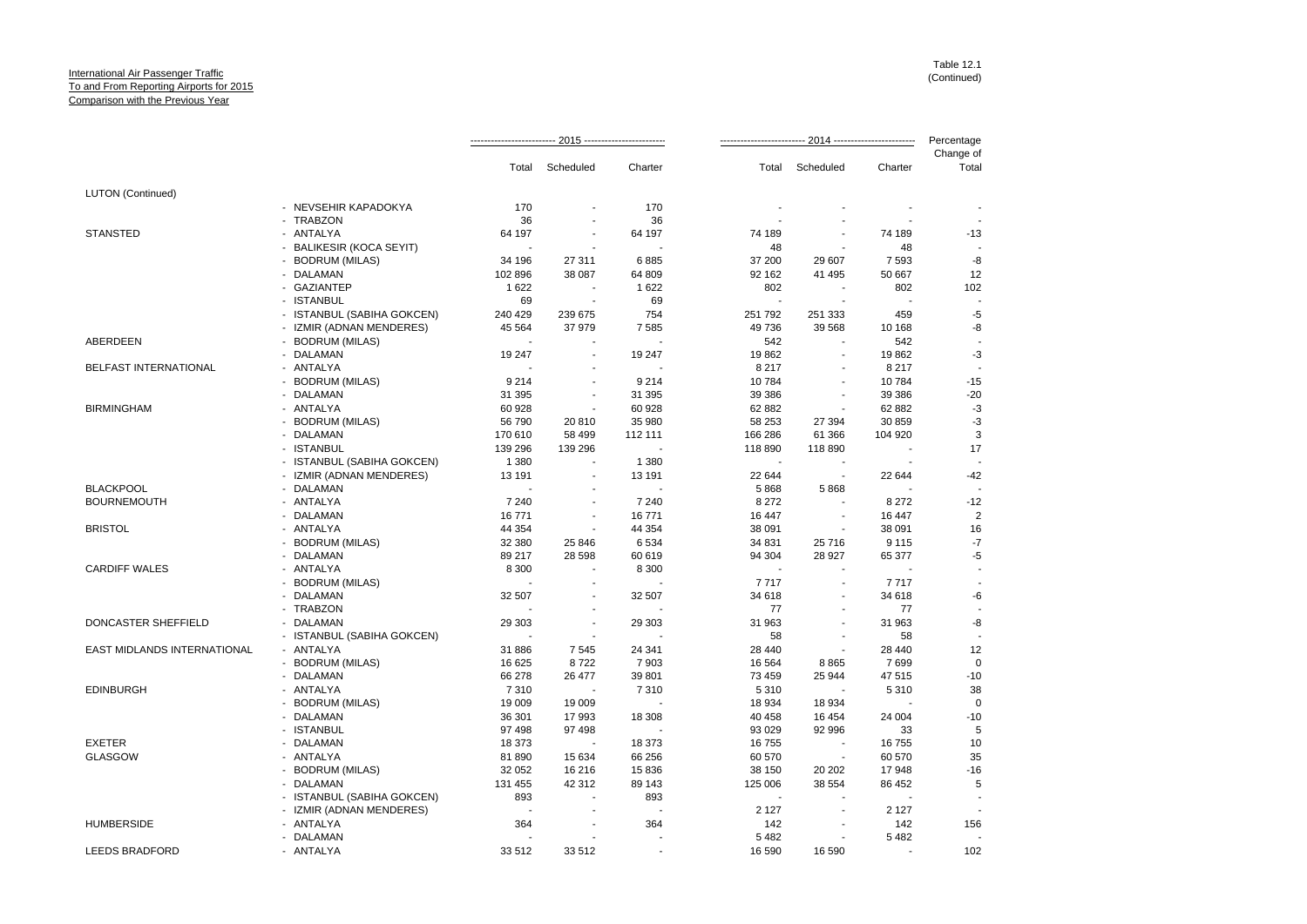|                             |                            |         |                          |                          |         |                          |         | Percentage         |
|-----------------------------|----------------------------|---------|--------------------------|--------------------------|---------|--------------------------|---------|--------------------|
|                             |                            | Total   | Scheduled                | Charter                  |         | Total Scheduled          | Charter | Change of<br>Total |
| <b>LUTON</b> (Continued)    |                            |         |                          |                          |         |                          |         |                    |
|                             | - NEVSEHIR KAPADOKYA       | 170     |                          | 170                      |         |                          |         |                    |
|                             | - TRABZON                  | 36      |                          | 36                       |         |                          |         |                    |
| <b>STANSTED</b>             | - ANTALYA                  | 64 197  |                          | 64 197                   | 74 189  |                          | 74 189  | $-13$              |
|                             | - BALIKESIR (KOCA SEYIT)   |         |                          |                          | 48      | $\overline{\phantom{a}}$ | 48      |                    |
|                             | - BODRUM (MILAS)           | 34 196  | 27 311                   | 6885                     | 37 200  | 29 607                   | 7 5 9 3 | -8                 |
|                             | - DALAMAN                  | 102 896 | 38 087                   | 64 809                   | 92 162  | 41 495                   | 50 667  | 12                 |
|                             | - GAZIANTEP                | 1622    |                          | 1622                     | 802     |                          | 802     | 102                |
|                             | - ISTANBUL                 | 69      |                          | 69                       |         |                          |         |                    |
|                             | - ISTANBUL (SABIHA GOKCEN) | 240 429 | 239 675                  | 754                      | 251 792 | 251 333                  | 459     | $-5$               |
|                             | - IZMIR (ADNAN MENDERES)   | 45 5 64 | 37979                    | 7585                     | 49 736  | 39 568                   | 10 168  | -8                 |
| <b>ABERDEEN</b>             | - BODRUM (MILAS)           |         |                          |                          | 542     |                          | 542     |                    |
|                             | - DALAMAN                  | 19 247  |                          | 19 247                   | 19862   | $\sim$                   | 19862   | $-3$               |
| BELFAST INTERNATIONAL       | - ANTALYA                  |         |                          |                          | 8 2 1 7 |                          | 8 2 1 7 |                    |
|                             | - BODRUM (MILAS)           | 9 2 1 4 | $\blacksquare$           | 9 2 1 4                  | 10784   | $\sim$                   | 10784   | $-15$              |
|                             | - DALAMAN                  | 31 395  |                          | 31 395                   | 39 386  |                          | 39 386  | $-20$              |
| <b>BIRMINGHAM</b>           | - ANTALYA                  | 60 928  | $\overline{\phantom{a}}$ | 60 928                   | 62 882  | $\blacksquare$           | 62 882  | $-3$               |
|                             | - BODRUM (MILAS)           | 56 790  | 20 810                   | 35 980                   | 58 253  | 27 394                   | 30 859  | $-3$               |
|                             | - DALAMAN                  | 170 610 | 58 499                   | 112 111                  | 166 286 | 61 366                   | 104 920 | 3                  |
|                             | - ISTANBUL                 | 139 296 | 139 296                  | $\overline{\phantom{a}}$ | 118 890 | 118 890                  |         | 17                 |
|                             | - ISTANBUL (SABIHA GOKCEN) | 1 3 8 0 |                          | 1 3 8 0                  |         |                          |         |                    |
|                             | - IZMIR (ADNAN MENDERES)   | 13 191  | $\sim$                   | 13 191                   | 22 644  | $\blacksquare$           | 22 644  | $-42$              |
| <b>BLACKPOOL</b>            | - DALAMAN                  |         |                          |                          | 5868    | 5868                     |         |                    |
| <b>BOURNEMOUTH</b>          | - ANTALYA                  | 7 2 4 0 |                          | 7 2 4 0                  | 8 2 7 2 |                          | 8 2 7 2 | $-12$              |
|                             | - DALAMAN                  | 16771   | $\overline{\phantom{a}}$ | 16 771                   | 16 447  | $\sim$                   | 16 447  | $\overline{2}$     |
| <b>BRISTOL</b>              | - ANTALYA                  | 44 354  |                          | 44 354                   | 38 091  |                          | 38 091  | 16                 |
|                             | - BODRUM (MILAS)           | 32 380  | 25 846                   | 6534                     | 34 831  | 25 716                   | 9 1 1 5 | $-7$               |
|                             | - DALAMAN                  | 89 217  | 28 5 98                  | 60 619                   | 94 304  | 28 927                   | 65 377  | $-5$               |
| <b>CARDIFF WALES</b>        | - ANTALYA                  | 8 3 0 0 |                          | 8 3 0 0                  |         |                          |         |                    |
|                             | - BODRUM (MILAS)           | $\sim$  | $\overline{\phantom{a}}$ | $\sim$                   | 7717    | $\sim$                   | 7717    |                    |
|                             | - DALAMAN                  | 32 507  |                          | 32 507                   | 34 618  |                          | 34 618  | -6                 |
|                             | - TRABZON                  |         |                          |                          | 77      | $\blacksquare$           | 77      |                    |
| DONCASTER SHEFFIELD         | - DALAMAN                  | 29 30 3 |                          | 29 30 3                  | 31 963  |                          | 31 963  | -8                 |
|                             | - ISTANBUL (SABIHA GOKCEN) |         | ÷.                       |                          | 58      | ÷.                       | 58      |                    |
| EAST MIDLANDS INTERNATIONAL | - ANTALYA                  | 31 886  | 7545                     | 24 341                   | 28 440  | $\blacksquare$           | 28 440  | 12                 |
|                             | - BODRUM (MILAS)           | 16 625  | 8722                     | 7903                     | 16 5 64 | 8865                     | 7699    | $\mathbf 0$        |
|                             | - DALAMAN                  | 66 278  | 26 477                   | 39 801                   | 73 459  | 25 944                   | 47 515  | $-10$              |
| <b>EDINBURGH</b>            | - ANTALYA                  | 7310    |                          | 7310                     | 5 3 1 0 |                          | 5 3 1 0 | 38                 |
|                             | - BODRUM (MILAS)           | 19 009  | 19 009                   |                          | 18 934  | 18 934                   |         | $\Omega$           |
|                             | - DALAMAN                  | 36 301  | 17993                    | 18 308                   | 40 458  | 16 454                   | 24 004  | $-10$              |
|                             | - ISTANBUL                 | 97 498  | 97498                    |                          | 93 0 29 | 92 996                   | 33      | 5                  |
| <b>EXETER</b>               | - DALAMAN                  | 18 373  |                          | 18 373                   | 16755   |                          | 16755   | 10                 |
| <b>GLASGOW</b>              | - ANTALYA                  | 81 890  | 15 634                   | 66 256                   | 60 570  | $\sim$                   | 60 570  | 35                 |
|                             | - BODRUM (MILAS)           | 32 052  | 16 216                   | 15 836                   | 38 150  | 20 20 2                  | 17948   | $-16$              |
|                             | - DALAMAN                  | 131 455 | 42 312                   | 89 143                   | 125 006 | 38 554                   | 86 452  | 5                  |
|                             | - ISTANBUL (SABIHA GOKCEN) | 893     |                          | 893                      |         |                          |         |                    |
|                             | - IZMIR (ADNAN MENDERES)   | $\sim$  |                          |                          | 2 1 2 7 |                          | 2 1 2 7 |                    |
| <b>HUMBERSIDE</b>           | - ANTALYA                  | 364     |                          | 364                      | 142     |                          | 142     | 156                |
|                             | - DALAMAN                  |         |                          |                          | 5 4 8 2 | $\blacksquare$           | 5 4 8 2 |                    |
| <b>LEEDS BRADFORD</b>       | - ANTALYA                  | 33 512  | 33 512                   |                          | 16 590  | 16 590                   |         | 102                |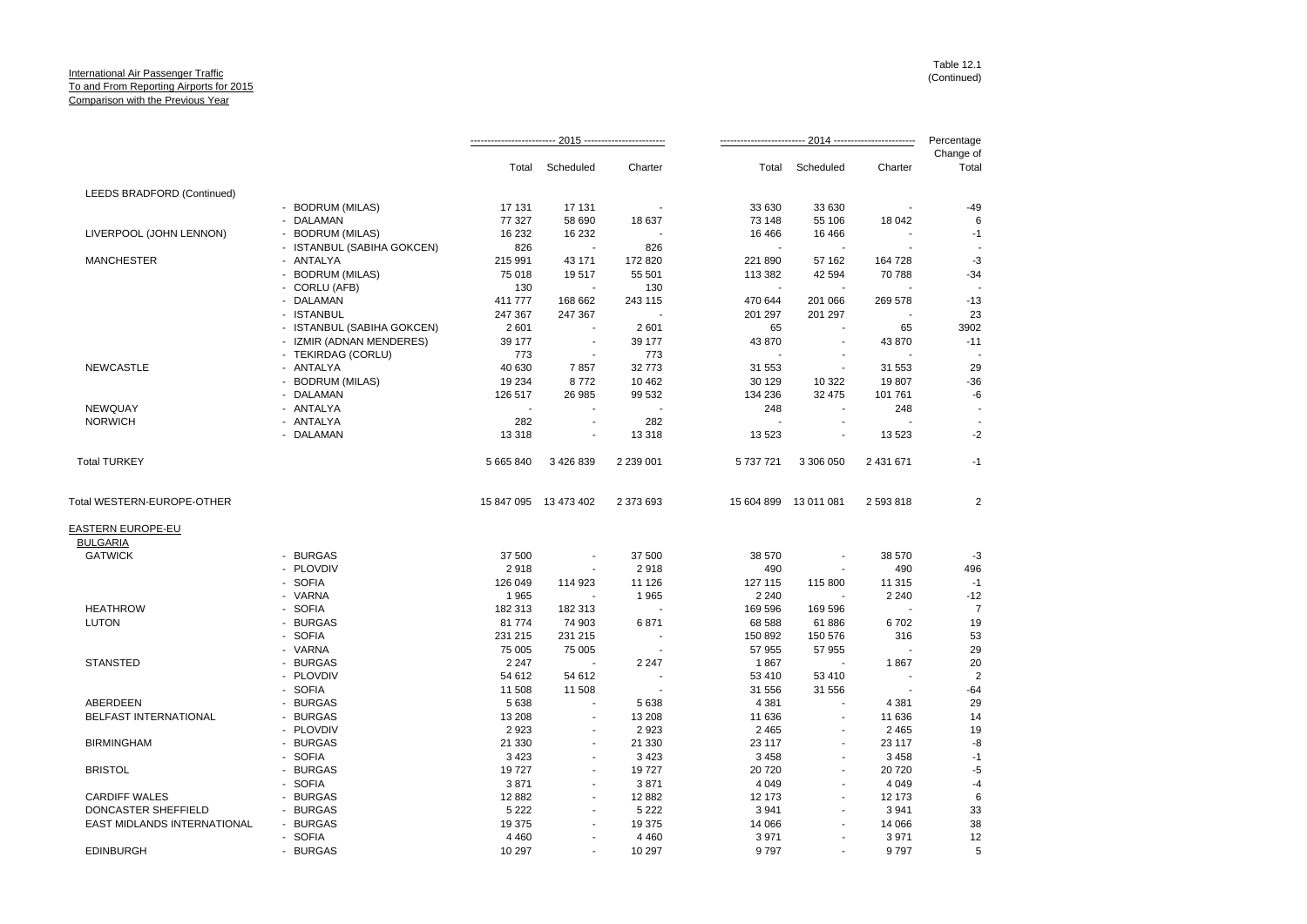|                                      |                                                   |                          |                       |             |           |                       |           | Percentage         |
|--------------------------------------|---------------------------------------------------|--------------------------|-----------------------|-------------|-----------|-----------------------|-----------|--------------------|
|                                      |                                                   | Total                    | Scheduled             | Charter     | Total     | Scheduled             | Charter   | Change of<br>Total |
| LEEDS BRADFORD (Continued)           |                                                   |                          |                       |             |           |                       |           |                    |
|                                      | - BODRUM (MILAS)                                  | 17 131                   | 17 131                |             | 33 630    | 33 630                |           | $-49$              |
|                                      | - DALAMAN                                         | 77 327                   | 58 690                | 18 637      | 73 148    | 55 106                | 18 042    | 6                  |
| LIVERPOOL (JOHN LENNON)              | <b>BODRUM (MILAS)</b><br>$\blacksquare$           | 16 232                   | 16 232                |             | 16 4 66   | 16 4 66               |           | $-1$               |
|                                      | <b>ISTANBUL (SABIHA GOKCEN)</b><br>$\blacksquare$ | 826                      |                       | 826         |           |                       |           |                    |
| <b>MANCHESTER</b>                    | - ANTALYA                                         | 215 991                  | 43 171                | 172 820     | 221 890   | 57 162                | 164 728   | $-3$               |
|                                      | <b>BODRUM (MILAS)</b><br>$\sim$                   | 75 018                   | 19517                 | 55 501      | 113 382   | 42 594                | 70 788    | $-34$              |
|                                      | - CORLU (AFB)                                     | 130                      |                       | 130         |           |                       |           |                    |
|                                      | - DALAMAN                                         | 411 777                  | 168 662               | 243 115     | 470 644   | 201 066               | 269 578   | $-13$              |
|                                      | - ISTANBUL                                        | 247 367                  | 247 367               |             | 201 297   | 201 297               |           | 23                 |
|                                      | - ISTANBUL (SABIHA GOKCEN)                        | 2601                     |                       | 2601        | 65        |                       | 65        | 3902               |
|                                      | - IZMIR (ADNAN MENDERES)                          | 39 177                   | $\sim$                | 39 177      | 43 870    | $\sim$                | 43 870    | $-11$              |
|                                      | - TEKIRDAG (CORLU)                                | 773                      |                       | 773         |           |                       |           |                    |
| <b>NEWCASTLE</b>                     | - ANTALYA                                         | 40 630                   | 7857                  | 32 773      | 31 553    |                       | 31 553    | 29                 |
|                                      | - BODRUM (MILAS)                                  | 19 234                   | 8772                  | 10 4 62     | 30 129    | 10 322                | 19807     | $-36$              |
|                                      | - DALAMAN                                         | 126 517                  | 26 985                | 99 532      | 134 236   | 32 475                | 101 761   | -6                 |
| NEWQUAY                              | - ANTALYA                                         | $\overline{\phantom{a}}$ |                       |             | 248       | $\sim$                | 248       |                    |
| <b>NORWICH</b>                       | - ANTALYA                                         | 282                      |                       | 282         |           |                       |           |                    |
|                                      | - DALAMAN                                         | 13 3 18                  |                       | 13 318      | 13 5 23   |                       | 13 5 23   | $-2$               |
| <b>Total TURKEY</b>                  |                                                   | 5 665 840                | 3 426 839             | 2 2 3 0 0 1 | 5 737 721 | 3 306 050             | 2 431 671 | $-1$               |
| Total WESTERN-EUROPE-OTHER           |                                                   |                          | 15 847 095 13 473 402 | 2 373 693   |           | 15 604 899 13 011 081 | 2 593 818 | $\overline{2}$     |
| EASTERN EUROPE-EU<br><b>BULGARIA</b> |                                                   |                          |                       |             |           |                       |           |                    |
| <b>GATWICK</b>                       | - BURGAS                                          | 37 500                   |                       | 37 500      | 38 570    |                       | 38 570    | $-3$               |
|                                      | - PLOVDIV                                         | 2918                     |                       | 2918        | 490       |                       | 490       | 496                |
|                                      | - SOFIA                                           | 126 049                  | 114 923               | 11 126      | 127 115   | 115 800               | 11 315    | $-1$               |
|                                      | - VARNA                                           | 1965                     |                       | 1965        | 2 2 4 0   |                       | 2 2 4 0   | $-12$              |
| <b>HEATHROW</b>                      | - SOFIA                                           | 182 313                  | 182 313               |             | 169 596   | 169 596               |           | $\overline{7}$     |
| <b>LUTON</b>                         | - BURGAS                                          | 81 774                   | 74 903                | 6871        | 68 588    | 61886                 | 6702      | 19                 |
|                                      | - SOFIA                                           | 231 215                  | 231 215               |             | 150 892   | 150 576               | 316       | 53                 |
|                                      | - VARNA                                           | 75 005                   | 75 005                |             | 57 955    | 57 955                |           | 29                 |
| <b>STANSTED</b>                      | <b>BURGAS</b>                                     | 2 2 4 7                  |                       | 2 2 4 7     | 1867      |                       | 1867      | 20                 |
|                                      | - PLOVDIV                                         | 54 612                   | 54 612                |             | 53 410    | 53 410                |           | $\overline{c}$     |
|                                      | <b>SOFIA</b><br>$\sim$                            | 11 508                   | 11 508                |             | 31 556    | 31 556                |           | $-64$              |
| <b>ABERDEEN</b>                      | <b>BURGAS</b>                                     | 5638                     |                       | 5 6 38      | 4 3 8 1   |                       | 4 3 8 1   | 29                 |
| <b>BELFAST INTERNATIONAL</b>         | - BURGAS                                          | 13 208                   | ÷.                    | 13 208      | 11 636    | $\sim$                | 11 636    | 14                 |
|                                      | PLOVDIV<br>$\blacksquare$                         | 2923                     |                       | 2923        | 2 4 6 5   |                       | 2 4 6 5   | 19                 |
| <b>BIRMINGHAM</b>                    | - BURGAS                                          | 21 330                   |                       | 21 330      | 23 117    |                       | 23 117    | -8                 |
|                                      | - SOFIA                                           | 3 4 2 3                  |                       | 3 4 2 3     | 3 4 5 8   |                       | 3 4 5 8   | $-1$               |
| <b>BRISTOL</b>                       | <b>BURGAS</b>                                     | 19727                    | $\sim$                | 19727       | 20 7 20   |                       | 20720     | $-5$               |
|                                      | <b>SOFIA</b>                                      | 3871                     | ÷.                    | 3871        | 4 0 4 9   |                       | 4 0 4 9   | $-4$               |
| <b>CARDIFF WALES</b>                 | <b>BURGAS</b><br>$\overline{a}$                   | 12882                    | $\sim$                | 12 882      | 12 173    |                       | 12 173    | 6                  |
| DONCASTER SHEFFIELD                  | - BURGAS                                          | 5 2 2 2                  |                       | 5 2 2 2     | 3 9 4 1   |                       | 3 9 4 1   | 33                 |
| EAST MIDLANDS INTERNATIONAL          | - BURGAS                                          | 19 375                   |                       | 19 375      | 14 066    |                       | 14 066    | 38                 |
|                                      |                                                   | 4 4 6 0                  |                       | 4 4 6 0     | 3 9 7 1   |                       | 3 9 7 1   | 12                 |
| <b>EDINBURGH</b>                     | - SOFIA<br>- BURGAS                               | 10 297                   |                       | 10 297      | 9797      |                       | 9797      | 5                  |
|                                      |                                                   |                          |                       |             |           |                       |           |                    |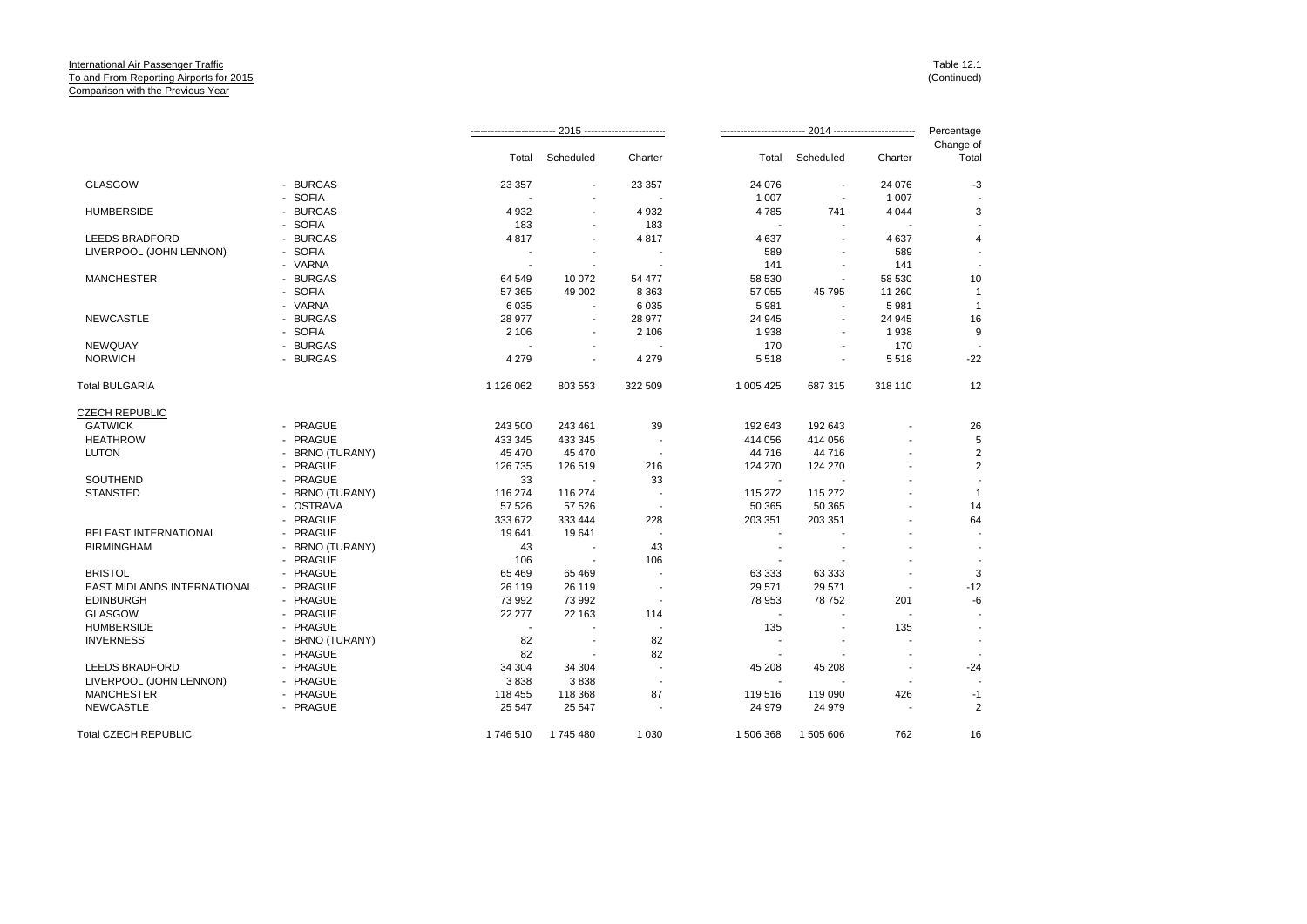|                              |                 |                |                          |                          |           |                          |                          | Percentage         |
|------------------------------|-----------------|----------------|--------------------------|--------------------------|-----------|--------------------------|--------------------------|--------------------|
|                              |                 | Total          | Scheduled                | Charter                  | Total     | Scheduled                | Charter                  | Change of<br>Total |
| <b>GLASGOW</b>               | - BURGAS        | 23 357         | $\blacksquare$           | 23 357                   | 24 0 76   | ÷.                       | 24 0 76                  | $-3$               |
|                              | - SOFIA         |                |                          |                          | 1 0 0 7   | $\overline{\phantom{a}}$ | 1 0 0 7                  |                    |
| <b>HUMBERSIDE</b>            | - BURGAS        | 4932           |                          | 4 9 3 2                  | 4785      | 741                      | 4 0 4 4                  | 3                  |
|                              | - SOFIA         | 183            | $\blacksquare$           | 183                      |           | ÷.                       |                          |                    |
| <b>LEEDS BRADFORD</b>        | - BURGAS        | 4817           |                          | 4817                     | 4 6 3 7   | $\sim$                   | 4 6 3 7                  | $\overline{4}$     |
| LIVERPOOL (JOHN LENNON)      | - SOFIA         |                |                          |                          | 589       |                          | 589                      |                    |
|                              | - VARNA         | $\blacksquare$ |                          |                          | 141       | $\blacksquare$           | 141                      |                    |
| <b>MANCHESTER</b>            | - BURGAS        | 64 549         | 10 072                   | 54 477                   | 58 530    | $\sim$                   | 58 530                   | 10                 |
|                              | - SOFIA         | 57 365         | 49 002                   | 8 3 6 3                  | 57 055    | 45 795                   | 11 260                   | $\overline{1}$     |
|                              | - VARNA         | 6 0 3 5        |                          | 6 0 3 5                  | 5 9 8 1   | ÷,                       | 5981                     | $\overline{1}$     |
| <b>NEWCASTLE</b>             | - BURGAS        | 28 977         | $\overline{\phantom{a}}$ | 28 977                   | 24 945    | $\blacksquare$           | 24 945                   | 16                 |
|                              | - SOFIA         | 2 1 0 6        |                          | 2 10 6                   | 1938      |                          | 1938                     | 9                  |
| <b>NEWQUAY</b>               | - BURGAS        |                |                          | $\overline{a}$           | 170       | $\blacksquare$           | 170                      |                    |
| <b>NORWICH</b>               | - BURGAS        | 4 2 7 9        |                          | 4 2 7 9                  | 5518      |                          | 5518                     | $-22$              |
| <b>Total BULGARIA</b>        |                 | 1 126 062      | 803 553                  | 322 509                  | 1 005 425 | 687 315                  | 318 110                  | 12                 |
| <b>CZECH REPUBLIC</b>        |                 |                |                          |                          |           |                          |                          |                    |
| <b>GATWICK</b>               | - PRAGUE        | 243 500        | 243 461                  | 39                       | 192 643   | 192 643                  |                          | 26                 |
| <b>HEATHROW</b>              | - PRAGUE        | 433 345        | 433 345                  |                          | 414 056   | 414 056                  |                          | 5                  |
| <b>LUTON</b>                 | - BRNO (TURANY) | 45 470         | 45 470                   | $\overline{\phantom{a}}$ | 44 716    | 44 716                   |                          | $\mathbf{2}$       |
|                              | - PRAGUE        | 126 735        | 126 519                  | 216                      | 124 270   | 124 270                  |                          | $\overline{2}$     |
| SOUTHEND                     | - PRAGUE        | 33             |                          | 33                       |           |                          |                          |                    |
| <b>STANSTED</b>              | - BRNO (TURANY) | 116 274        | 116 274                  | $\overline{\phantom{a}}$ | 115 272   | 115 272                  |                          | $\mathbf{1}$       |
|                              | - OSTRAVA       | 57 526         | 57 526                   |                          | 50 365    | 50 365                   |                          | 14                 |
|                              | - PRAGUE        | 333 672        | 333 444                  | 228                      | 203 351   | 203 351                  |                          | 64                 |
| <b>BELFAST INTERNATIONAL</b> | - PRAGUE        | 19641          | 19641                    | $\overline{\phantom{a}}$ |           |                          | ÷                        |                    |
| <b>BIRMINGHAM</b>            | - BRNO (TURANY) | 43             |                          | 43                       |           |                          |                          |                    |
|                              | - PRAGUE        | 106            |                          | 106                      |           |                          |                          |                    |
| <b>BRISTOL</b>               | - PRAGUE        | 65 4 69        | 65 4 69                  | $\overline{\phantom{a}}$ | 63 333    | 63 333                   |                          | 3                  |
| EAST MIDLANDS INTERNATIONAL  | - PRAGUE        | 26 119         | 26 119                   |                          | 29 571    | 29 571                   |                          | $-12$              |
| <b>EDINBURGH</b>             | - PRAGUE        | 73 992         | 73 992                   |                          | 78 953    | 78 752                   | 201                      | -6                 |
| <b>GLASGOW</b>               | - PRAGUE        | 22 277         | 22 163                   | 114                      |           |                          |                          |                    |
| <b>HUMBERSIDE</b>            | - PRAGUE        |                |                          |                          | 135       |                          | 135                      |                    |
| <b>INVERNESS</b>             | - BRNO (TURANY) | 82             |                          | 82                       |           |                          |                          |                    |
|                              | - PRAGUE        | 82             |                          | 82                       |           |                          |                          |                    |
| <b>LEEDS BRADFORD</b>        | - PRAGUE        | 34 304         | 34 304                   | $\overline{a}$           | 45 208    | 45 208                   |                          | -24                |
| LIVERPOOL (JOHN LENNON)      | - PRAGUE        | 3838           | 3838                     | $\overline{\phantom{a}}$ |           |                          | $\overline{\phantom{a}}$ |                    |
| <b>MANCHESTER</b>            | - PRAGUE        | 118 455        | 118 368                  | 87                       | 119516    | 119 090                  | 426                      | $-1$               |
| <b>NEWCASTLE</b>             | - PRAGUE        | 25 547         | 25 547                   |                          | 24 979    | 24 979                   | $\overline{\phantom{a}}$ | $\overline{2}$     |
| <b>Total CZECH REPUBLIC</b>  |                 | 1746 510       | 1745480                  | 1 0 3 0                  | 1 506 368 | 1 505 606                | 762                      | 16                 |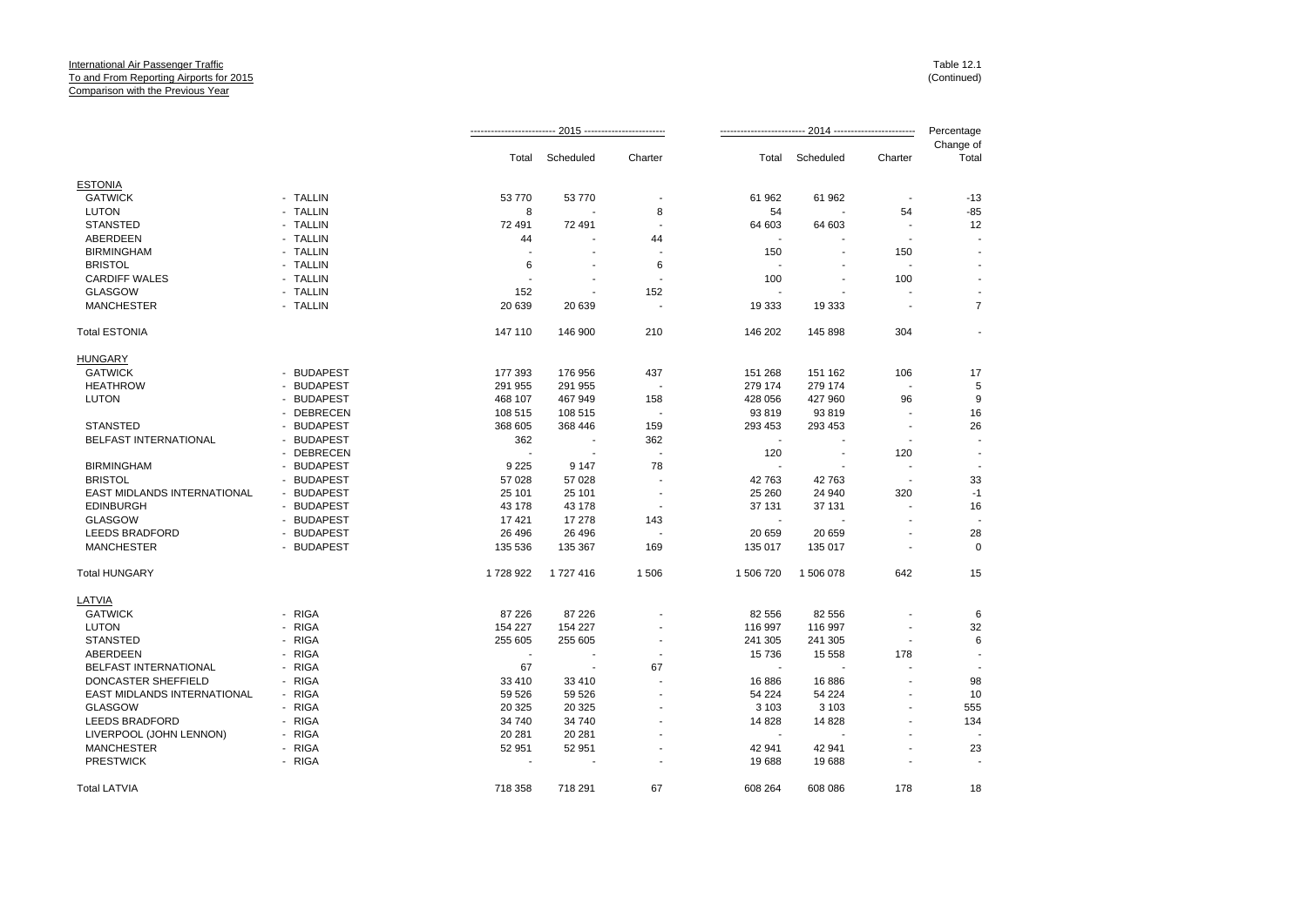|                             |            |                |                          |                          |                |                          |                          | Percentage               |
|-----------------------------|------------|----------------|--------------------------|--------------------------|----------------|--------------------------|--------------------------|--------------------------|
|                             |            | Total          | Scheduled                | Charter                  |                | Total Scheduled          | Charter                  | Change of<br>Total       |
| <b>ESTONIA</b>              |            |                |                          |                          |                |                          |                          |                          |
| <b>GATWICK</b>              | - TALLIN   | 53 770         | 53 770                   |                          | 61 962         | 61 962                   |                          | $-13$                    |
| <b>LUTON</b>                | - TALLIN   | 8              |                          | 8                        | 54             |                          | 54                       | $-85$                    |
| <b>STANSTED</b>             | - TALLIN   | 72 491         | 72 491                   | ä,                       | 64 603         | 64 603                   | ÷,                       | 12                       |
| ABERDEEN                    | - TALLIN   | 44             |                          | 44                       |                |                          | $\overline{\phantom{a}}$ |                          |
| <b>BIRMINGHAM</b>           | - TALLIN   |                |                          |                          | 150            |                          | 150                      |                          |
| <b>BRISTOL</b>              | - TALLIN   | 6              | $\blacksquare$           | 6                        |                | $\overline{\phantom{a}}$ |                          |                          |
| <b>CARDIFF WALES</b>        | - TALLIN   | ä,             |                          | $\sim$                   | 100            |                          | 100                      |                          |
| <b>GLASGOW</b>              | - TALLIN   | 152            | $\overline{\phantom{a}}$ | 152                      |                |                          |                          |                          |
| <b>MANCHESTER</b>           | - TALLIN   | 20 639         | 20 639                   | $\sim$                   | 19 333         | 19 333                   | $\overline{\phantom{a}}$ | $\overline{7}$           |
| <b>Total ESTONIA</b>        |            | 147 110        | 146 900                  | 210                      | 146 202        | 145 898                  | 304                      |                          |
| <b>HUNGARY</b>              |            |                |                          |                          |                |                          |                          |                          |
| <b>GATWICK</b>              | - BUDAPEST | 177 393        | 176 956                  | 437                      | 151 268        | 151 162                  | 106                      | 17                       |
| <b>HEATHROW</b>             | - BUDAPEST | 291 955        | 291 955                  |                          | 279 174        | 279 174                  | $\overline{\phantom{a}}$ | 5                        |
| <b>LUTON</b>                | - BUDAPEST | 468 107        | 467 949                  | 158                      | 428 056        | 427 960                  | 96                       | 9                        |
|                             | - DEBRECEN | 108 515        | 108 515                  | $\sim$                   | 93 819         | 93 819                   | $\blacksquare$           | 16                       |
| <b>STANSTED</b>             | - BUDAPEST | 368 605        | 368 446                  | 159                      | 293 453        | 293 453                  | $\overline{\phantom{a}}$ | 26                       |
| BELFAST INTERNATIONAL       | - BUDAPEST | 362            | $\overline{\phantom{a}}$ | 362                      |                |                          |                          |                          |
|                             | - DEBRECEN | $\sim$         | $\overline{\phantom{a}}$ | $\blacksquare$           | 120            | $\overline{\phantom{a}}$ | 120                      | $\overline{\phantom{a}}$ |
| <b>BIRMINGHAM</b>           | - BUDAPEST | 9 2 2 5        | 9 1 4 7                  | 78                       |                |                          | $\sim$                   |                          |
| <b>BRISTOL</b>              | - BUDAPEST | 57 028         | 57 028                   |                          | 42763          | 42 763                   | $\overline{\phantom{a}}$ | 33                       |
| EAST MIDLANDS INTERNATIONAL | - BUDAPEST | 25 101         | 25 101                   |                          | 25 260         | 24 940                   | 320                      | $-1$                     |
| <b>EDINBURGH</b>            | - BUDAPEST | 43 178         | 43 178                   | $\overline{\phantom{a}}$ | 37 131         | 37 131                   | $\overline{\phantom{a}}$ |                          |
|                             |            |                |                          |                          |                |                          |                          | 16                       |
| <b>GLASGOW</b>              | - BUDAPEST | 17421          | 17 278                   | 143                      |                |                          |                          |                          |
| LEEDS BRADFORD              | - BUDAPEST | 26 49 6        | 26 49 6                  |                          | 20 659         | 20 659                   | $\overline{\phantom{a}}$ | 28                       |
| <b>MANCHESTER</b>           | - BUDAPEST | 135 536        | 135 367                  | 169                      | 135 017        | 135 017                  |                          | $\Omega$                 |
| <b>Total HUNGARY</b>        |            | 1728922        | 1727416                  | 1506                     | 1 506 720      | 1 506 078                | 642                      | 15                       |
| LATVIA                      |            |                |                          |                          |                |                          |                          |                          |
| <b>GATWICK</b>              | - RIGA     | 87 226         | 87 226                   |                          | 82 556         | 82 556                   | $\overline{\phantom{a}}$ | 6                        |
| <b>LUTON</b>                | - RIGA     | 154 227        | 154 227                  |                          | 116 997        | 116 997                  | $\overline{a}$           | 32                       |
| <b>STANSTED</b>             | - RIGA     | 255 605        | 255 605                  | $\overline{\phantom{a}}$ | 241 305        | 241 305                  | . .                      | 6                        |
| ABERDEEN                    | - RIGA     | $\blacksquare$ |                          |                          | 15 7 36        | 15 558                   | 178                      |                          |
| BELFAST INTERNATIONAL       | - RIGA     | 67             | $\sim$                   | 67                       | $\overline{a}$ | $\blacksquare$           |                          |                          |
| DONCASTER SHEFFIELD         | - RIGA     | 33 410         | 33 410                   |                          | 16886          | 16886                    |                          | 98                       |
| EAST MIDLANDS INTERNATIONAL | - RIGA     | 59 526         | 59 526                   |                          | 54 224         | 54 224                   | $\overline{\phantom{a}}$ | 10                       |
| <b>GLASGOW</b>              | - RIGA     | 20 325         | 20 325                   |                          | 3 1 0 3        | 3 1 0 3                  |                          | 555                      |
| <b>LEEDS BRADFORD</b>       | - RIGA     | 34 740         | 34 740                   |                          | 14 8 28        | 14 8 28                  | $\blacksquare$           | 134                      |
| LIVERPOOL (JOHN LENNON)     | - RIGA     | 20 281         | 20 281                   |                          |                |                          |                          |                          |
| <b>MANCHESTER</b>           | - RIGA     | 52 951         | 52 951                   |                          | 42 941         | 42 941                   | $\overline{a}$           | 23                       |
| <b>PRESTWICK</b>            | - RIGA     |                |                          |                          | 19688          | 19688                    |                          |                          |
| <b>Total LATVIA</b>         |            | 718 358        | 718 291                  | 67                       | 608 264        | 608 086                  | 178                      | 18                       |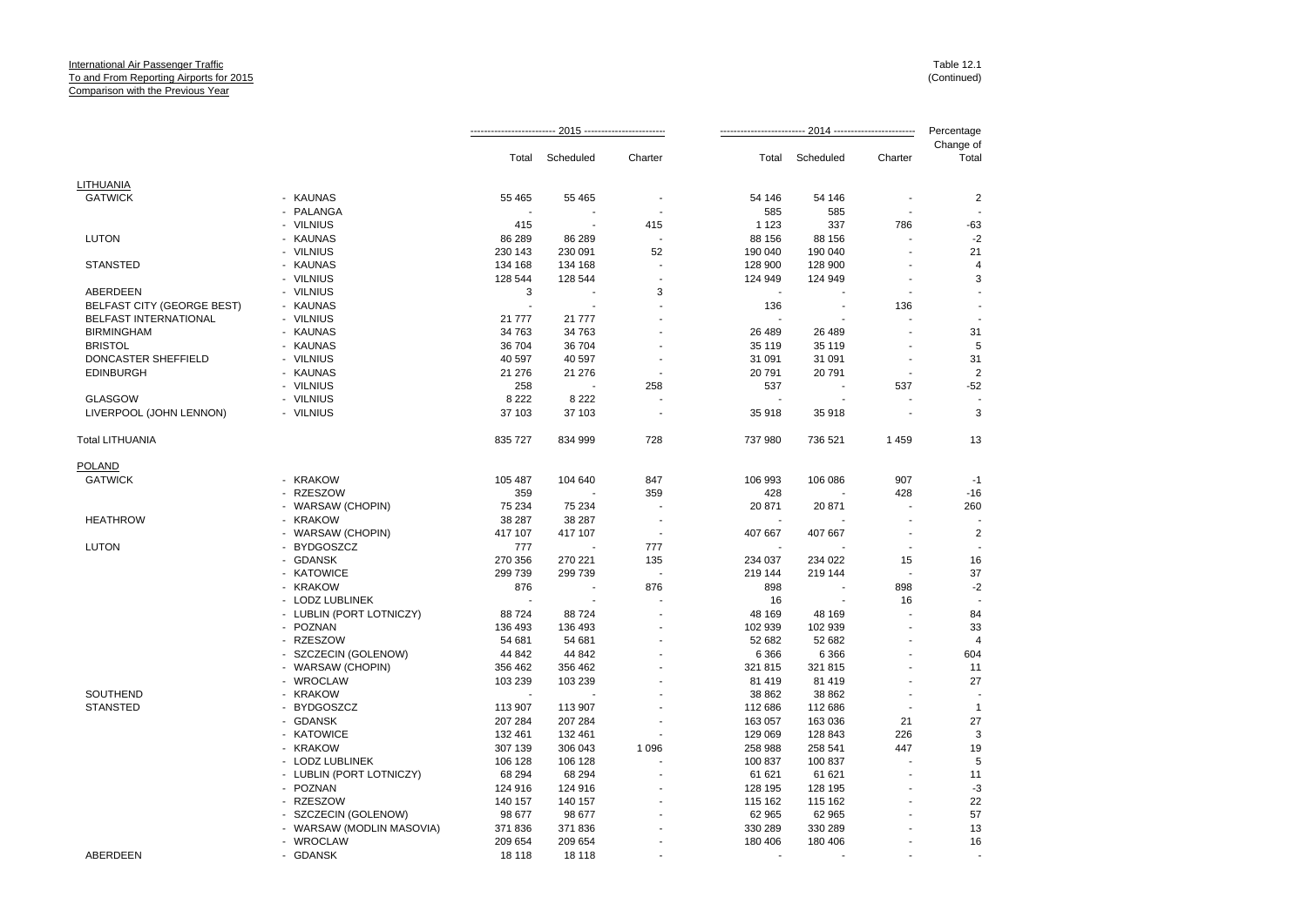|                              |                           |                |           |         | Percentage |           |         |                    |
|------------------------------|---------------------------|----------------|-----------|---------|------------|-----------|---------|--------------------|
|                              |                           | Total          | Scheduled | Charter | Total      | Scheduled | Charter | Change of<br>Total |
| LITHUANIA                    |                           |                |           |         |            |           |         |                    |
| <b>GATWICK</b>               | - KAUNAS                  | 55 4 65        | 55 465    |         | 54 146     | 54 146    |         | $\overline{2}$     |
|                              | - PALANGA                 | $\blacksquare$ |           |         | 585        | 585       |         |                    |
|                              | - VILNIUS                 | 415            |           | 415     | 1 1 2 3    | 337       | 786     | $-63$              |
| <b>LUTON</b>                 | - KAUNAS                  | 86 289         | 86 289    |         | 88 156     | 88 156    |         | $-2$               |
|                              | - VILNIUS                 | 230 143        | 230 091   | 52      | 190 040    | 190 040   |         | 21                 |
| <b>STANSTED</b>              | - KAUNAS                  | 134 168        | 134 168   |         | 128 900    | 128 900   |         | 4                  |
|                              | - VILNIUS                 | 128 544        | 128 544   |         | 124 949    | 124 949   | ÷       | 3                  |
| ABERDEEN                     | - VILNIUS                 | 3              |           | 3       |            |           |         |                    |
| BELFAST CITY (GEORGE BEST)   | - KAUNAS                  | ÷.             |           |         | 136        |           | 136     |                    |
| <b>BELFAST INTERNATIONAL</b> | - VILNIUS                 | 21 777         | 21 777    |         |            |           |         |                    |
| <b>BIRMINGHAM</b>            | - KAUNAS                  | 34 763         | 34 763    |         | 26 489     | 26 489    |         | 31                 |
| <b>BRISTOL</b>               | - KAUNAS                  | 36 704         | 36 704    |         | 35 119     | 35 119    |         | 5                  |
| DONCASTER SHEFFIELD          | - VILNIUS                 | 40 597         | 40 597    |         | 31 091     | 31 091    |         | 31                 |
| <b>EDINBURGH</b>             | - KAUNAS                  | 21 276         | 21 276    |         | 20791      | 20 791    |         | $\overline{2}$     |
|                              | - VILNIUS                 | 258            |           | 258     | 537        |           | 537     | $-52$              |
| <b>GLASGOW</b>               | - VILNIUS                 | 8 2 2 2        | 8 2 2 2   |         |            |           |         |                    |
| LIVERPOOL (JOHN LENNON)      | - VILNIUS                 | 37 103         | 37 103    |         | 35 918     | 35 918    |         | 3                  |
| <b>Total LITHUANIA</b>       |                           | 835 727        | 834 999   | 728     | 737 980    | 736 521   | 1459    | 13                 |
| <b>POLAND</b>                |                           |                |           |         |            |           |         |                    |
| <b>GATWICK</b>               | - KRAKOW                  | 105 487        | 104 640   | 847     | 106 993    | 106 086   | 907     | $-1$               |
|                              | - RZESZOW                 | 359            |           | 359     | 428        |           | 428     | $-16$              |
|                              | - WARSAW (CHOPIN)         | 75 234         | 75 234    |         | 20 871     | 20 871    |         | 260                |
| <b>HEATHROW</b>              | - KRAKOW                  | 38 287         | 38 287    |         |            |           |         |                    |
|                              | - WARSAW (CHOPIN)         | 417 107        | 417 107   |         | 407 667    | 407 667   |         | $\overline{2}$     |
| <b>LUTON</b>                 | - BYDGOSZCZ               | 777            |           | 777     |            |           |         |                    |
|                              | - GDANSK                  | 270 356        | 270 221   | 135     | 234 037    | 234 022   | 15      | 16                 |
|                              | - KATOWICE                | 299 739        | 299 739   |         | 219 144    | 219 144   |         | 37                 |
|                              | - KRAKOW                  | 876            |           | 876     | 898        |           | 898     | $-2$               |
|                              | - LODZ LUBLINEK           | ÷.             |           |         | 16         |           | 16      |                    |
|                              | - LUBLIN (PORT LOTNICZY)  | 88724          | 88724     |         | 48 169     | 48 169    |         | 84                 |
|                              | - POZNAN                  | 136 493        | 136 493   |         | 102 939    | 102 939   |         | 33                 |
|                              | - RZESZOW                 | 54 681         | 54 681    |         | 52 682     | 52 682    |         | $\overline{4}$     |
|                              | - SZCZECIN (GOLENOW)      | 44 842         | 44 842    |         | 6 3 6 6    | 6 3 6 6   |         | 604                |
|                              | - WARSAW (CHOPIN)         | 356 462        | 356 462   |         | 321 815    | 321 815   |         | 11                 |
|                              | - WROCLAW                 | 103 239        | 103 239   |         | 81 419     | 81 419    |         | 27                 |
| SOUTHEND                     | - KRAKOW                  |                |           |         | 38 862     | 38 862    | ÷.      |                    |
| <b>STANSTED</b>              | - BYDGOSZCZ               | 113 907        | 113 907   |         | 112 686    | 112 686   |         | $\overline{1}$     |
|                              | - GDANSK                  | 207 284        | 207 284   |         | 163 057    | 163 036   | 21      | 27                 |
|                              | - KATOWICE                | 132 461        | 132 461   |         | 129 069    | 128 843   | 226     | 3                  |
|                              | - KRAKOW                  | 307 139        | 306 043   | 1 0 9 6 | 258 988    | 258 541   | 447     | 19                 |
|                              | - LODZ LUBLINEK           | 106 128        | 106 128   |         | 100 837    | 100 837   |         | 5                  |
|                              | - LUBLIN (PORT LOTNICZY)  | 68 294         | 68 294    |         | 61 621     | 61 621    |         | 11                 |
|                              | - POZNAN                  | 124 916        | 124 916   |         | 128 195    | 128 195   |         | $-3$               |
|                              | - RZESZOW                 | 140 157        | 140 157   |         | 115 162    | 115 162   |         | 22                 |
|                              | - SZCZECIN (GOLENOW)      | 98 677         | 98 677    |         | 62 965     | 62 965    |         | 57                 |
|                              | - WARSAW (MODLIN MASOVIA) | 371 836        | 371 836   |         | 330 289    | 330 289   |         | 13                 |
|                              | - WROCLAW                 | 209 654        | 209 654   |         | 180 406    | 180 406   |         | 16                 |
| ABERDEEN                     | - GDANSK                  | 18 118         | 18 118    |         | $\sim$     |           |         |                    |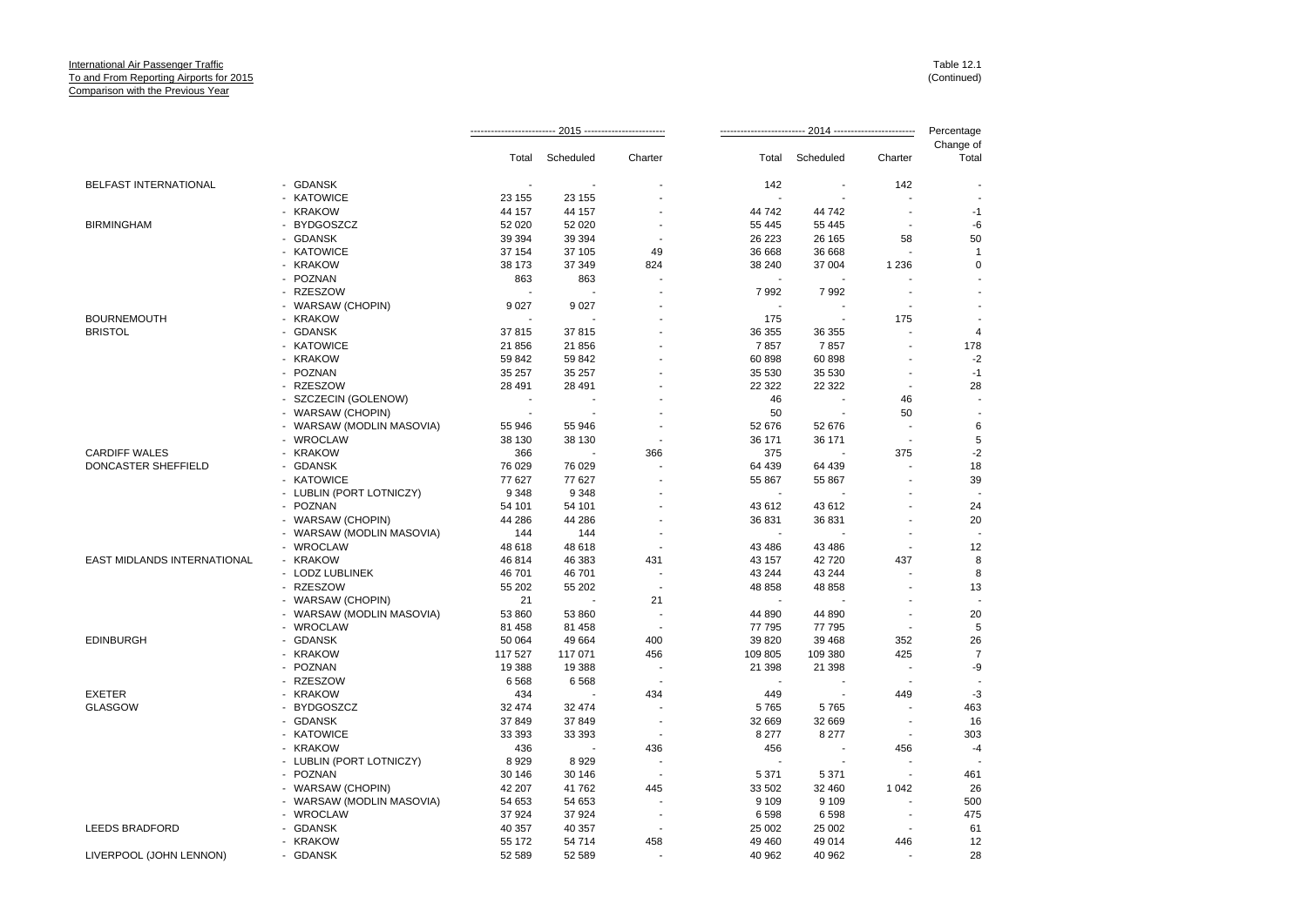|                                    |                           |                          |                 |                          |                                 |                          |                          | Percentage         |
|------------------------------------|---------------------------|--------------------------|-----------------|--------------------------|---------------------------------|--------------------------|--------------------------|--------------------|
|                                    |                           |                          | Total Scheduled | Charter                  | Total                           | Scheduled                | Charter                  | Change of<br>Total |
|                                    |                           |                          |                 |                          |                                 | $\overline{\phantom{a}}$ |                          |                    |
| BELFAST INTERNATIONAL              | - GDANSK                  |                          |                 |                          | 142<br>$\overline{\phantom{a}}$ |                          | 142<br>÷,                |                    |
|                                    | - KATOWICE                | 23 155                   | 23 155          |                          |                                 |                          |                          |                    |
|                                    | - KRAKOW                  | 44 157                   | 44 157          |                          | 44 742                          | 44 742                   |                          | $-1$               |
| <b>BIRMINGHAM</b>                  | - BYDGOSZCZ               | 52 0 20                  | 52 020          | $\overline{a}$           | 55 4 45                         | 55 445                   | $\blacksquare$           | -6                 |
|                                    | - GDANSK                  | 39 394                   | 39 394          | . .                      | 26 223                          | 26 165                   | 58                       | 50                 |
|                                    | - KATOWICE                | 37 154                   | 37 105          | 49                       | 36 668                          | 36 668                   | ÷,                       | $\overline{1}$     |
|                                    | - KRAKOW                  | 38 173                   | 37 349          | 824                      | 38 240                          | 37 004                   | 1 2 3 6                  | $\mathbf 0$        |
|                                    | - POZNAN                  | 863                      | 863             | ä,                       | ÷,                              |                          |                          |                    |
|                                    | - RZESZOW                 |                          |                 |                          | 7992                            | 7992                     |                          |                    |
|                                    | - WARSAW (CHOPIN)         | 9027                     | 9 0 27          |                          | $\overline{\phantom{a}}$        |                          |                          |                    |
| <b>BOURNEMOUTH</b>                 | - KRAKOW                  |                          |                 |                          | 175                             |                          | 175                      |                    |
| <b>BRISTOL</b>                     | - GDANSK                  | 37815                    | 37815           |                          | 36 355                          | 36 355                   |                          | $\overline{4}$     |
|                                    | - KATOWICE                | 21 856                   | 21 856          |                          | 7857                            | 7857                     |                          | 178                |
|                                    | - KRAKOW                  | 59 842                   | 59 842          |                          | 60 898                          | 60 898                   |                          | $-2$               |
|                                    | - POZNAN                  | 35 257                   | 35 257          |                          | 35 530                          | 35 530                   | $\blacksquare$           | $-1$               |
|                                    | - RZESZOW                 | 28 4 91                  | 28 491          |                          | 22 3 22                         | 22 3 22                  | $\sim$                   | 28                 |
|                                    | - SZCZECIN (GOLENOW)      | $\overline{\phantom{a}}$ |                 |                          | 46                              |                          | 46                       |                    |
|                                    | - WARSAW (CHOPIN)         | $\tilde{\phantom{a}}$    |                 |                          | 50                              |                          | 50                       |                    |
|                                    | - WARSAW (MODLIN MASOVIA) | 55 946                   | 55 946          | ÷                        | 52 676                          | 52 676                   | $\overline{a}$           | 6                  |
|                                    | - WROCLAW                 | 38 130                   | 38 130          |                          | 36 171                          | 36 171                   | $\blacksquare$           | 5                  |
| <b>CARDIFF WALES</b>               | - KRAKOW                  | 366                      |                 | 366                      | 375                             |                          | 375                      | $-2$               |
| DONCASTER SHEFFIELD                | - GDANSK                  | 76 029                   | 76 029          |                          | 64 439                          | 64 439                   |                          | 18                 |
|                                    | - KATOWICE                | 77 627                   | 77 627          |                          | 55 867                          | 55 867                   |                          | 39                 |
|                                    | - LUBLIN (PORT LOTNICZY)  | 9 3 4 8                  | 9 3 4 8         |                          |                                 |                          |                          |                    |
|                                    | - POZNAN                  | 54 101                   | 54 101          |                          | 43 612                          | 43 612                   |                          | 24                 |
|                                    | - WARSAW (CHOPIN)         | 44 286                   | 44 286          |                          | 36 831                          | 36 831                   |                          | 20                 |
|                                    | - WARSAW (MODLIN MASOVIA) | 144                      | 144             | $\overline{\phantom{a}}$ |                                 |                          | $\blacksquare$           |                    |
|                                    | - WROCLAW                 | 48 618                   | 48 618          | $\overline{\phantom{a}}$ | 43 4 8 6                        | 43 486                   | $\overline{\phantom{a}}$ | 12                 |
| <b>EAST MIDLANDS INTERNATIONAL</b> | - KRAKOW                  | 46 814                   | 46 383          | 431                      | 43 157                          | 42720                    | 437                      | 8                  |
|                                    | - LODZ LUBLINEK           | 46 701                   | 46701           | $\overline{\phantom{a}}$ | 43 244                          | 43 244                   | ÷.                       | 8                  |
|                                    | - RZESZOW                 | 55 202                   | 55 202          | $\overline{\phantom{a}}$ | 48 858                          | 48 858                   |                          | 13                 |
|                                    | - WARSAW (CHOPIN)         | 21                       | ÷.              | 21                       | ۰.                              |                          |                          |                    |
|                                    | - WARSAW (MODLIN MASOVIA) | 53 860                   | 53 860          |                          | 44 890                          | 44 890                   | $\blacksquare$           | 20                 |
|                                    | - WROCLAW                 | 81 458                   | 81 458          | $\overline{\phantom{a}}$ | 77 795                          | 77 795                   | $\overline{\phantom{a}}$ | 5                  |
| <b>EDINBURGH</b>                   | - GDANSK                  | 50 064                   | 49 664          | 400                      | 39 820                          | 39 4 68                  | 352                      | 26                 |
|                                    | - KRAKOW                  | 117 527                  | 117 071         | 456                      | 109 805                         | 109 380                  | 425                      | $\overline{7}$     |
|                                    | - POZNAN                  | 19 3 88                  | 19 388          | ٠.                       | 21 398                          | 21 3 98                  | $\blacksquare$           | -9                 |
|                                    | - RZESZOW                 | 6568                     | 6568            | . .                      | ÷.                              | $\overline{\phantom{a}}$ | $\blacksquare$           |                    |
| <b>EXETER</b>                      | - KRAKOW                  | 434                      |                 | 434                      | 449                             | $\overline{\phantom{a}}$ | 449                      | $-3$               |
| <b>GLASGOW</b>                     | - BYDGOSZCZ               | 32 474                   | 32 474          |                          | 5765                            | 5765                     |                          | 463                |
|                                    | - GDANSK                  | 37 849                   | 37849           | ٠.                       | 32 669                          | 32 669                   | $\overline{\phantom{a}}$ | 16                 |
|                                    | - KATOWICE                | 33 393                   | 33 393          |                          | 8 2 7 7                         | 8 2 7 7                  | $\blacksquare$           | 303                |
|                                    | - KRAKOW                  | 436                      |                 | 436                      | 456                             |                          | 456                      | $-4$               |
|                                    | - LUBLIN (PORT LOTNICZY)  | 8929                     | 8929            |                          |                                 |                          |                          |                    |
|                                    | - POZNAN                  | 30 146                   | 30 146          | $\overline{\phantom{a}}$ | 5 3 7 1                         | 5 3 7 1                  | ÷,                       | 461                |
|                                    | - WARSAW (CHOPIN)         | 42 207                   | 41762           | 445                      | 33 502                          | 32 460                   | 1 0 4 2                  | 26                 |
|                                    | - WARSAW (MODLIN MASOVIA) | 54 653                   | 54 653          |                          | 9 1 0 9                         | 9 1 0 9                  |                          | 500                |
|                                    | - WROCLAW                 | 37 924                   | 37924           |                          | 6 5 9 8                         | 6598                     |                          | 475                |
| <b>LEEDS BRADFORD</b>              | - GDANSK                  | 40 357                   | 40 357          | $\overline{\phantom{a}}$ | 25 002                          | 25 002                   | $\blacksquare$           | 61                 |
|                                    | - KRAKOW                  | 55 172                   | 54 714          | 458                      | 49 460                          | 49 014                   | 446                      | 12                 |
| LIVERPOOL (JOHN LENNON)            | - GDANSK                  | 52 589                   | 52 589          |                          | 40 962                          | 40 962                   |                          | 28                 |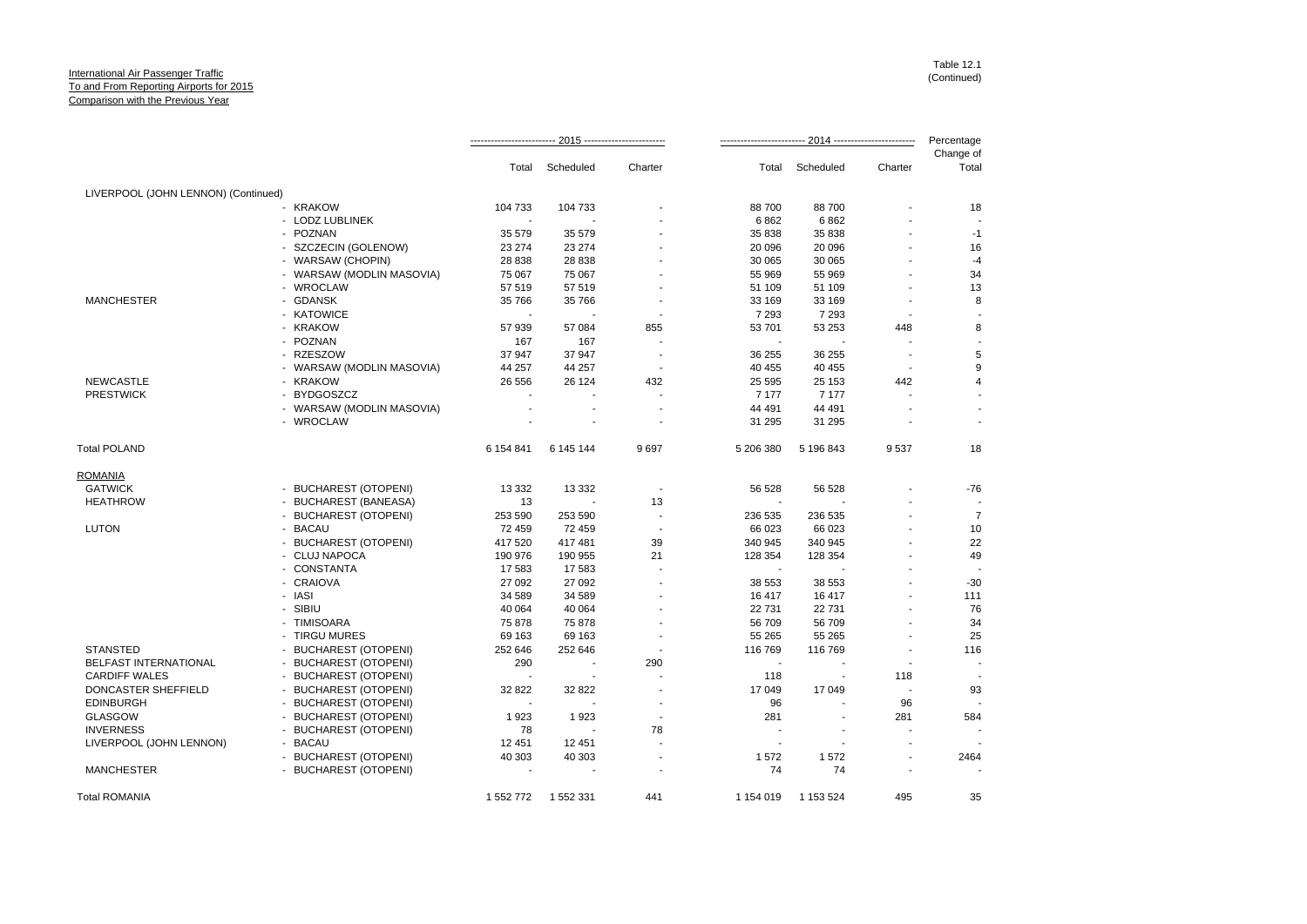|                                     |                           |                |                |                          |                          |                          |                          | Percentage         |
|-------------------------------------|---------------------------|----------------|----------------|--------------------------|--------------------------|--------------------------|--------------------------|--------------------|
|                                     |                           | Total          | Scheduled      | Charter                  | Total                    | Scheduled                | Charter                  | Change of<br>Total |
| LIVERPOOL (JOHN LENNON) (Continued) |                           |                |                |                          |                          |                          |                          |                    |
|                                     | - KRAKOW                  | 104 733        | 104 733        |                          | 88700                    | 88700                    |                          | 18                 |
|                                     | - LODZ LUBLINEK           | $\sim$         |                |                          | 6862                     | 6862                     |                          |                    |
|                                     | - POZNAN                  | 35 579         | 35 579         |                          | 35 838                   | 35 838                   |                          | $-1$               |
|                                     | - SZCZECIN (GOLENOW)      | 23 274         | 23 274         |                          | 20 096                   | 20 096                   |                          | 16                 |
|                                     | - WARSAW (CHOPIN)         | 28 838         | 28 838         |                          | 30 065                   | 30 065                   |                          | $-4$               |
|                                     | - WARSAW (MODLIN MASOVIA) | 75 067         | 75 067         |                          | 55 969                   | 55 969                   |                          | 34                 |
|                                     | - WROCLAW                 | 57 519         | 57 519         |                          | 51 109                   | 51 109                   |                          | 13                 |
| <b>MANCHESTER</b>                   | - GDANSK                  | 35 766         | 35 766         |                          | 33 169                   | 33 169                   |                          | 8                  |
|                                     | - KATOWICE                | ÷.             |                |                          | 7 2 9 3                  | 7 2 9 3                  |                          |                    |
|                                     | - KRAKOW                  | 57 939         | 57 084         | 855                      | 53 701                   | 53 253                   | 448                      | 8                  |
|                                     | - POZNAN                  | 167            | 167            |                          |                          |                          |                          |                    |
|                                     | - RZESZOW                 | 37 947         | 37 947         |                          | 36 255                   | 36 255                   |                          | 5                  |
|                                     | - WARSAW (MODLIN MASOVIA) | 44 257         | 44 257         |                          | 40 455                   | 40 455                   | $\overline{\phantom{a}}$ | $9\,$              |
| <b>NEWCASTLE</b>                    | - KRAKOW                  | 26 556         | 26 124         | 432                      | 25 5 95                  | 25 153                   | 442                      | 4                  |
| <b>PRESTWICK</b>                    | - BYDGOSZCZ               |                |                |                          | 7 1 7 7                  | 7 177                    |                          |                    |
|                                     | - WARSAW (MODLIN MASOVIA) |                |                |                          | 44 491                   | 44 491                   |                          |                    |
|                                     | - WROCLAW                 |                |                |                          | 31 295                   | 31 295                   |                          |                    |
| <b>Total POLAND</b>                 |                           | 6 154 841      | 6 145 144      | 9697                     | 5 206 380                | 5 196 843                | 9537                     | 18                 |
| <b>ROMANIA</b>                      |                           |                |                |                          |                          |                          |                          |                    |
| <b>GATWICK</b>                      | - BUCHAREST (OTOPENI)     | 13 3 3 2       | 13 3 3 2       |                          | 56 528                   | 56 528                   |                          | -76                |
| <b>HEATHROW</b>                     | - BUCHAREST (BANEASA)     | 13             |                | 13                       |                          |                          |                          |                    |
|                                     | - BUCHAREST (OTOPENI)     | 253 590        | 253 590        |                          | 236 535                  | 236 535                  |                          | $\overline{7}$     |
| <b>LUTON</b>                        | - BACAU                   | 72 459         | 72 459         | $\overline{\phantom{a}}$ | 66 023                   | 66 023                   |                          | 10                 |
|                                     | - BUCHAREST (OTOPENI)     | 417 520        | 417 481        | 39                       | 340 945                  | 340 945                  |                          | 22                 |
|                                     | - CLUJ NAPOCA             | 190 976        | 190 955        | 21                       | 128 354                  | 128 354                  |                          | 49                 |
|                                     | - CONSTANTA               | 17583          | 17 583         |                          |                          |                          |                          |                    |
|                                     | - CRAIOVA                 | 27 092         | 27 092         | ÷                        | 38 553                   | 38 553                   |                          | $-30$              |
|                                     | - IASI                    | 34 589         | 34 589         |                          | 16417                    | 16 417                   |                          | 111                |
|                                     | - SIBIU                   | 40 064         | 40 064         |                          | 22 7 31                  | 22 7 31                  | $\blacksquare$           | 76                 |
|                                     | - TIMISOARA               | 75 878         | 75 878         |                          | 56 709                   | 56 709                   |                          | 34                 |
|                                     | - TIRGU MURES             | 69 163         | 69 163         | ÷                        | 55 265                   | 55 265                   | ÷                        | 25                 |
| <b>STANSTED</b>                     | - BUCHAREST (OTOPENI)     | 252 646        | 252 646        |                          | 116 769                  | 116 769                  |                          | 116                |
| <b>BELFAST INTERNATIONAL</b>        | - BUCHAREST (OTOPENI)     | 290            | $\blacksquare$ | 290                      | ÷.                       | $\overline{\phantom{a}}$ |                          |                    |
| <b>CARDIFF WALES</b>                | - BUCHAREST (OTOPENI)     |                |                |                          | 118                      | $\blacksquare$           | 118                      |                    |
| DONCASTER SHEFFIELD                 | - BUCHAREST (OTOPENI)     | 32 822         | 32 822         |                          | 17 049                   | 17 049                   | $\overline{\phantom{a}}$ | 93                 |
| <b>EDINBURGH</b>                    | - BUCHAREST (OTOPENI)     | $\blacksquare$ |                | $\blacksquare$           | 96                       |                          | 96                       |                    |
| <b>GLASGOW</b>                      | - BUCHAREST (OTOPENI)     | 1923           | 1923           | $\blacksquare$           | 281                      | $\overline{\phantom{a}}$ | 281                      | 584                |
| <b>INVERNESS</b>                    | - BUCHAREST (OTOPENI)     | 78             |                | 78                       |                          |                          |                          |                    |
| LIVERPOOL (JOHN LENNON)             | - BACAU                   | 12 4 51        | 12 451         | $\overline{a}$           | $\overline{\phantom{a}}$ | $\blacksquare$           | $\blacksquare$           |                    |
|                                     | - BUCHAREST (OTOPENI)     | 40 303         | 40 303         |                          | 1572                     | 1572                     |                          | 2464               |
| <b>MANCHESTER</b>                   | - BUCHAREST (OTOPENI)     |                |                |                          | 74                       | 74                       |                          |                    |
| <b>Total ROMANIA</b>                |                           | 1 552 772      | 1 552 331      | 441                      | 1 154 019                | 1 153 524                | 495                      | 35                 |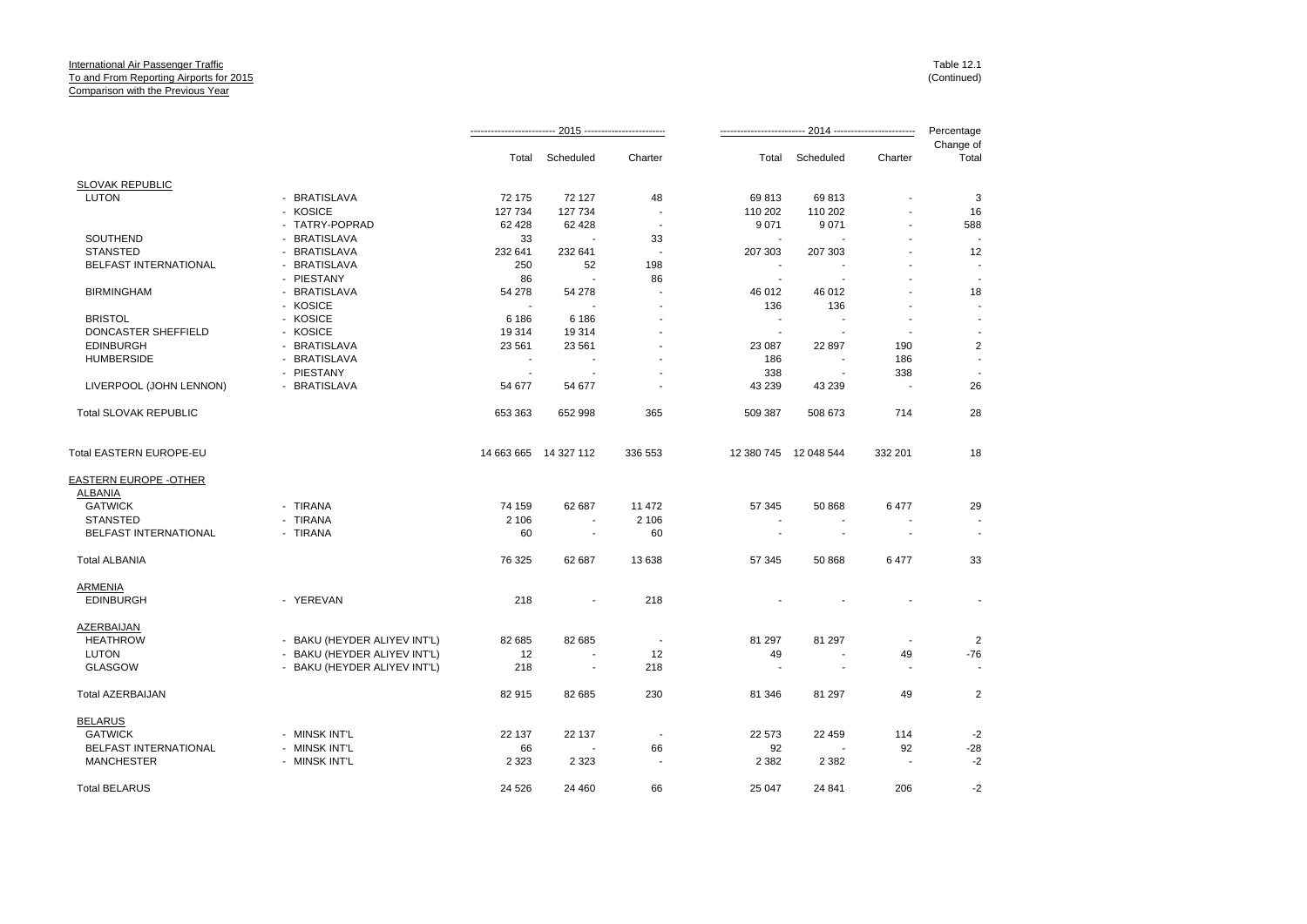|                                |                              |                          |                          |                          |                          |                       |                          | Percentage               |
|--------------------------------|------------------------------|--------------------------|--------------------------|--------------------------|--------------------------|-----------------------|--------------------------|--------------------------|
|                                |                              | Total                    | Scheduled                | Charter                  |                          | Total Scheduled       | Charter                  | Change of<br>Total       |
| <b>SLOVAK REPUBLIC</b>         |                              |                          |                          |                          |                          |                       |                          |                          |
| <b>LUTON</b>                   | - BRATISLAVA                 | 72 175                   | 72 127                   | 48                       | 69813                    | 69813                 |                          | 3                        |
|                                | - KOSICE                     | 127 734                  | 127 734                  | $\blacksquare$           | 110 202                  | 110 202               |                          | 16                       |
|                                | - TATRY-POPRAD               | 62 4 28                  | 62 4 28                  | $\overline{\phantom{a}}$ | 9 0 7 1                  | 9071                  |                          | 588                      |
| <b>SOUTHEND</b>                | - BRATISLAVA                 | 33                       | $\sim$                   | 33                       |                          |                       |                          |                          |
| <b>STANSTED</b>                | - BRATISLAVA                 | 232 641                  | 232 641                  | $\overline{\phantom{a}}$ | 207 303                  | 207 303               |                          | 12                       |
| BELFAST INTERNATIONAL          | - BRATISLAVA                 | 250                      | 52                       | 198                      |                          |                       |                          |                          |
|                                | - PIESTANY                   |                          | $\overline{\phantom{a}}$ |                          |                          |                       |                          | $\overline{\phantom{a}}$ |
|                                |                              | 86                       |                          | 86                       | $\overline{\phantom{a}}$ |                       |                          |                          |
| <b>BIRMINGHAM</b>              | - BRATISLAVA                 | 54 278                   | 54 278                   | $\overline{\phantom{a}}$ | 46 012                   | 46 012                |                          | 18                       |
|                                | - KOSICE                     |                          |                          |                          | 136                      | 136                   |                          | $\overline{\phantom{a}}$ |
| <b>BRISTOL</b>                 | - KOSICE                     | 6 18 6                   | 6 18 6                   |                          |                          |                       | $\overline{\phantom{a}}$ | $\overline{\phantom{a}}$ |
| <b>DONCASTER SHEFFIELD</b>     | - KOSICE                     | 19314                    | 19314                    |                          |                          |                       |                          |                          |
| <b>EDINBURGH</b>               | - BRATISLAVA                 | 23 561                   | 23 5 61                  |                          | 23 087                   | 22 897                | 190                      | $\overline{2}$           |
| <b>HUMBERSIDE</b>              | - BRATISLAVA                 |                          |                          |                          | 186                      |                       | 186                      | $\blacksquare$           |
|                                | - PIESTANY                   | $\overline{\phantom{a}}$ | $\overline{\phantom{a}}$ |                          | 338                      | $\blacksquare$        | 338                      | $\overline{\phantom{a}}$ |
| LIVERPOOL (JOHN LENNON)        | - BRATISLAVA                 | 54 677                   | 54 677                   |                          | 43 239                   | 43 239                | $\blacksquare$           | 26                       |
| <b>Total SLOVAK REPUBLIC</b>   |                              | 653 363                  | 652 998                  | 365                      | 509 387                  | 508 673               | 714                      | 28                       |
| <b>Total EASTERN EUROPE-EU</b> |                              |                          | 14 663 665 14 327 112    | 336 553                  |                          | 12 380 745 12 048 544 | 332 201                  | 18                       |
| EASTERN EUROPE - OTHER         |                              |                          |                          |                          |                          |                       |                          |                          |
| <b>ALBANIA</b>                 |                              |                          |                          |                          |                          |                       |                          |                          |
| <b>GATWICK</b>                 | - TIRANA                     | 74 159                   | 62 687                   | 11 472                   | 57 345                   | 50 868                | 6477                     | 29                       |
| <b>STANSTED</b>                | - TIRANA                     | 2 106                    |                          | 2 10 6                   |                          |                       |                          |                          |
| BELFAST INTERNATIONAL          | - TIRANA                     | 60                       | $\blacksquare$           | 60                       | $\sim$                   | $\blacksquare$        | $\blacksquare$           | $\sim$                   |
| <b>Total ALBANIA</b>           |                              | 76 325                   | 62 687                   | 13 638                   | 57 345                   | 50 868                | 6 477                    | 33                       |
| <b>ARMENIA</b>                 |                              |                          |                          |                          |                          |                       |                          |                          |
| <b>EDINBURGH</b>               | - YEREVAN                    | 218                      | $\overline{\phantom{a}}$ | 218                      |                          |                       |                          |                          |
| AZERBAIJAN                     |                              |                          |                          |                          |                          |                       |                          |                          |
| <b>HEATHROW</b>                | - BAKU (HEYDER ALIYEV INT'L) | 82 685                   | 82 685                   | $\overline{\phantom{a}}$ | 81 297                   | 81 297                |                          | 2                        |
| <b>LUTON</b>                   | - BAKU (HEYDER ALIYEV INT'L) | 12                       |                          | 12                       | 49                       |                       | 49                       | $-76$                    |
| <b>GLASGOW</b>                 | - BAKU (HEYDER ALIYEV INT'L) | 218                      | $\overline{\phantom{a}}$ | 218                      |                          |                       | $\overline{a}$           |                          |
| <b>Total AZERBAIJAN</b>        |                              | 82 915                   | 82 685                   | 230                      | 81 346                   | 81 297                | 49                       | $\overline{\mathbf{c}}$  |
| <b>BELARUS</b>                 |                              |                          |                          |                          |                          |                       |                          |                          |
| <b>GATWICK</b>                 | - MINSK INT'L                | 22 137                   | 22 137                   | $\overline{\phantom{a}}$ | 22 573                   | 22 459                | 114                      | $-2$                     |
| BELFAST INTERNATIONAL          | - MINSK INT'L                | 66                       |                          | 66                       | 92                       |                       | 92                       | $-28$                    |
| <b>MANCHESTER</b>              | - MINSK INT'L                | 2 3 2 3                  | 2 3 2 3                  | $\blacksquare$           | 2 3 8 2                  | 2 3 8 2               | $\blacksquare$           | $-2$                     |
| <b>Total BELARUS</b>           |                              | 24 5 26                  | 24 460                   | 66                       | 25 047                   | 24 841                | 206                      | $-2$                     |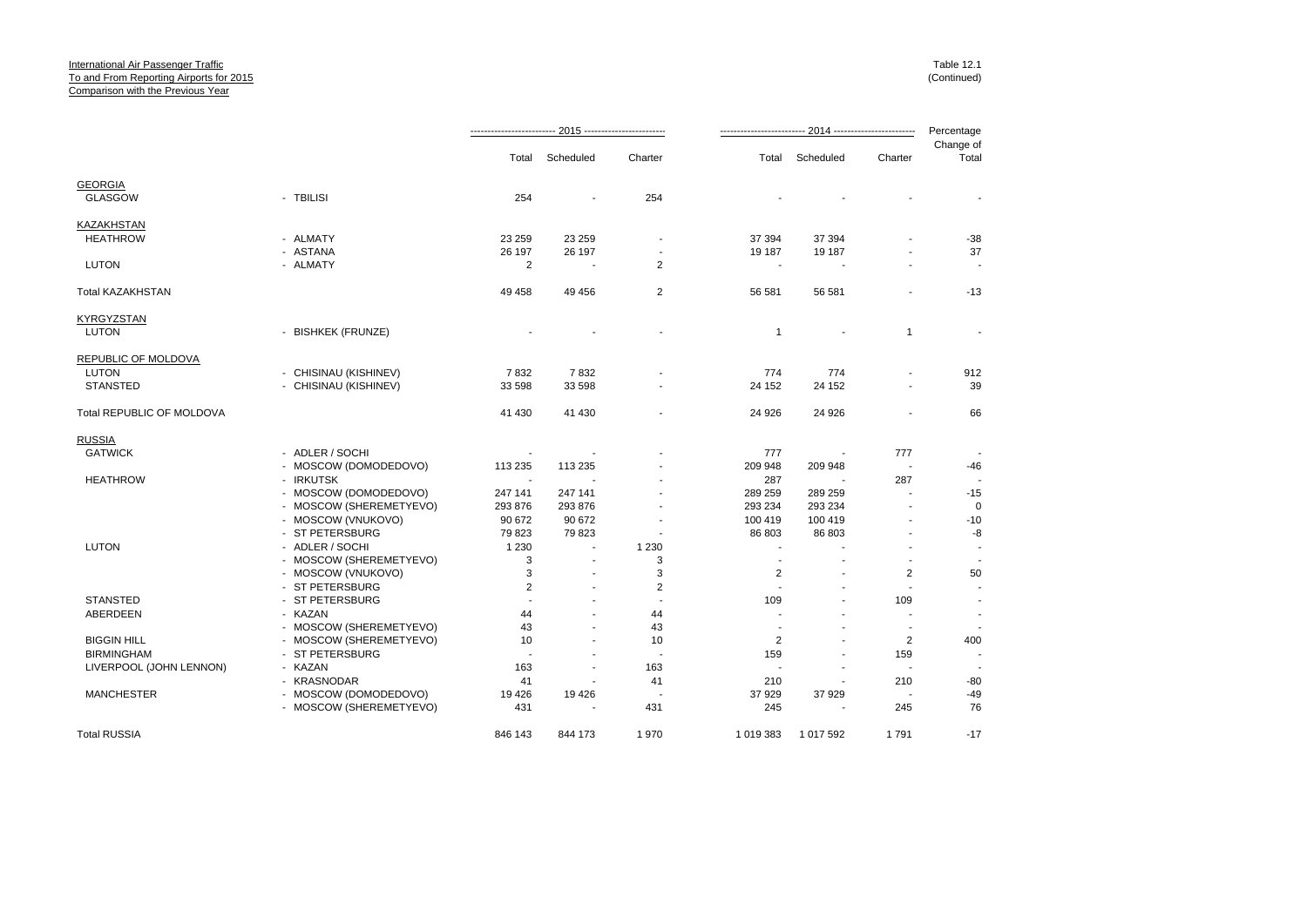|                           |                         | 2015 ------------------------ |                |                | -- 2014 ------------------------ |           |                          |                    |
|---------------------------|-------------------------|-------------------------------|----------------|----------------|----------------------------------|-----------|--------------------------|--------------------|
|                           |                         | Total                         | Scheduled      | Charter        | Total                            | Scheduled | Charter                  | Change of<br>Total |
| <b>GEORGIA</b>            |                         |                               |                |                |                                  |           |                          |                    |
| <b>GLASGOW</b>            | - TBILISI               | 254                           |                | 254            |                                  |           |                          |                    |
| KAZAKHSTAN                |                         |                               |                |                |                                  |           |                          |                    |
| <b>HEATHROW</b>           | - ALMATY                | 23 259                        | 23 259         |                | 37 394                           | 37 394    |                          | -38                |
|                           | - ASTANA                | 26 197                        | 26 197         | $\overline{a}$ | 19 187                           | 19 187    | ä,                       | 37                 |
| LUTON                     | - ALMATY                | 2                             |                | $\overline{2}$ |                                  |           |                          |                    |
| Total KAZAKHSTAN          |                         | 49 458                        | 49 45 6        | $\overline{2}$ | 56 581                           | 56 581    | ä,                       | $-13$              |
| KYRGYZSTAN                |                         |                               |                |                |                                  |           |                          |                    |
| LUTON                     | - BISHKEK (FRUNZE)      |                               |                |                | $\mathbf{1}$                     | ÷         | $\mathbf{1}$             |                    |
| REPUBLIC OF MOLDOVA       |                         |                               |                |                |                                  |           |                          |                    |
| LUTON                     | - CHISINAU (KISHINEV)   | 7832                          | 7832           |                | 774                              | 774       | $\blacksquare$           | 912                |
| <b>STANSTED</b>           | - CHISINAU (KISHINEV)   | 33 598                        | 33 598         |                | 24 152                           | 24 152    |                          | 39                 |
| Total REPUBLIC OF MOLDOVA |                         | 41 430                        | 41 430         |                | 24 926                           | 24 926    |                          | 66                 |
| <b>RUSSIA</b>             |                         |                               |                |                |                                  |           |                          |                    |
| <b>GATWICK</b>            | - ADLER / SOCHI         |                               |                |                | 777                              |           | 777                      |                    |
|                           | - MOSCOW (DOMODEDOVO)   | 113 235                       | 113 235        |                | 209 948                          | 209 948   | $\overline{\phantom{a}}$ | $-46$              |
| <b>HEATHROW</b>           | - IRKUTSK               |                               |                |                | 287                              |           | 287                      |                    |
|                           | - MOSCOW (DOMODEDOVO)   | 247 141                       | 247 141        |                | 289 259                          | 289 259   | $\blacksquare$           | $-15$              |
|                           | - MOSCOW (SHEREMETYEVO) | 293 876                       | 293 876        |                | 293 234                          | 293 234   |                          | $\mathbf 0$        |
|                           | - MOSCOW (VNUKOVO)      | 90 672                        | 90 672         |                | 100 419                          | 100 419   |                          | $-10$              |
|                           | - ST PETERSBURG         | 79 823                        | 79 823         |                | 86 803                           | 86 803    |                          | $-8$               |
| <b>LUTON</b>              | - ADLER / SOCHI         | 1 2 3 0                       | $\blacksquare$ | 1 2 3 0        | $\overline{a}$                   |           |                          |                    |
|                           | - MOSCOW (SHEREMETYEVO) | 3                             |                | 3              |                                  |           |                          |                    |
|                           | - MOSCOW (VNUKOVO)      | 3                             | ٠              | 3              | 2                                | ÷         | 2                        | 50                 |
|                           | - ST PETERSBURG         | $\overline{2}$                |                | $\overline{2}$ |                                  |           | $\overline{\phantom{a}}$ |                    |
| <b>STANSTED</b>           | - ST PETERSBURG         | $\overline{a}$                |                |                | 109                              |           | 109                      |                    |
| ABERDEEN                  | - KAZAN                 | 44                            |                | 44             |                                  |           |                          |                    |
|                           | - MOSCOW (SHEREMETYEVO) | 43                            |                | 43             |                                  | ٠         | $\overline{\phantom{a}}$ |                    |
| <b>BIGGIN HILL</b>        | - MOSCOW (SHEREMETYEVO) | 10                            |                | 10             | $\mathbf{2}$                     |           | $\overline{2}$           | 400                |
| <b>BIRMINGHAM</b>         | - ST PETERSBURG         | $\overline{\phantom{a}}$      |                |                | 159                              | ٠         | 159                      |                    |
| LIVERPOOL (JOHN LENNON)   | - KAZAN                 | 163                           |                | 163            |                                  |           | $\blacksquare$           |                    |
|                           | - KRASNODAR             | 41                            | $\overline{a}$ | 41             | 210                              | ä,        | 210                      | $-80$              |
| <b>MANCHESTER</b>         | - MOSCOW (DOMODEDOVO)   | 19 4 26                       | 19426          |                | 37 929                           | 37 929    | $\blacksquare$           | $-49$              |
|                           | - MOSCOW (SHEREMETYEVO) | 431                           |                | 431            | 245                              |           | 245                      | 76                 |
| <b>Total RUSSIA</b>       |                         | 846 143                       | 844 173        | 1970           | 1 019 383                        | 1 017 592 | 1791                     | $-17$              |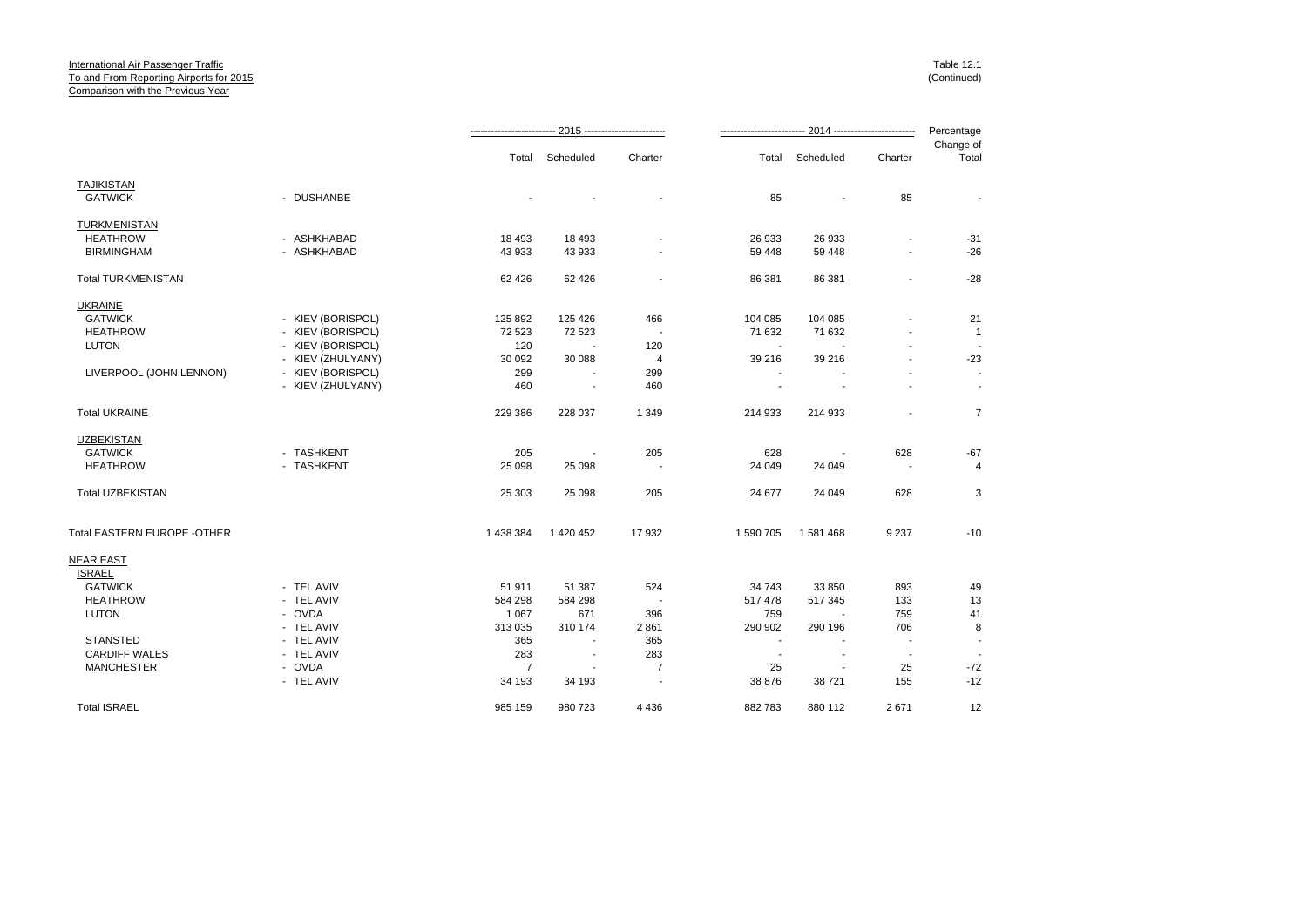|                              |                   |           | Total Scheduled          | Charter                  |                          | Total Scheduled | Charter                  | Change of<br>Total |
|------------------------------|-------------------|-----------|--------------------------|--------------------------|--------------------------|-----------------|--------------------------|--------------------|
| <b>TAJIKISTAN</b>            |                   |           |                          |                          |                          |                 |                          |                    |
| <b>GATWICK</b>               | - DUSHANBE        |           |                          |                          | 85                       | $\blacksquare$  | 85                       |                    |
| TURKMENISTAN                 |                   |           |                          |                          |                          |                 |                          |                    |
| <b>HEATHROW</b>              | - ASHKHABAD       | 18 4 93   | 18 493                   |                          | 26 933                   | 26 933          |                          | $-31$              |
| <b>BIRMINGHAM</b>            | - ASHKHABAD       | 43 933    | 43 933                   |                          | 59 448                   | 59 448          | $\sim$                   | $-26$              |
| <b>Total TURKMENISTAN</b>    |                   | 62 4 26   | 62 4 26                  | $\overline{\phantom{a}}$ | 86 381                   | 86 381          | $\blacksquare$           | $-28$              |
| <b>UKRAINE</b>               |                   |           |                          |                          |                          |                 |                          |                    |
| <b>GATWICK</b>               | - KIEV (BORISPOL) | 125 892   | 125 426                  | 466                      | 104 085                  | 104 085         | $\blacksquare$           | 21                 |
| <b>HEATHROW</b>              | - KIEV (BORISPOL) | 72 523    | 72 523                   |                          | 71 632                   | 71 632          |                          | $\mathbf{1}$       |
| <b>LUTON</b>                 | - KIEV (BORISPOL) | 120       |                          | 120                      | $\overline{\phantom{a}}$ |                 |                          |                    |
|                              | - KIEV (ZHULYANY) | 30 092    | 30 088                   | 4                        | 39 216                   | 39 216          | $\blacksquare$           | $-23$              |
| LIVERPOOL (JOHN LENNON)      | - KIEV (BORISPOL) | 299       |                          | 299                      |                          |                 |                          |                    |
|                              | - KIEV (ZHULYANY) | 460       |                          | 460                      |                          |                 | $\blacksquare$           | $\sim$             |
| <b>Total UKRAINE</b>         |                   | 229 386   | 228 037                  | 1 3 4 9                  | 214 933                  | 214 933         | $\overline{\phantom{a}}$ | $\overline{7}$     |
| <b>UZBEKISTAN</b>            |                   |           |                          |                          |                          |                 |                          |                    |
| <b>GATWICK</b>               | - TASHKENT        | 205       | $\blacksquare$           | 205                      | 628                      |                 | 628                      | $-67$              |
| <b>HEATHROW</b>              | - TASHKENT        | 25 0 98   | 25 098                   | $\overline{\phantom{a}}$ | 24 049                   | 24 049          | $\overline{\phantom{a}}$ | $\overline{4}$     |
| <b>Total UZBEKISTAN</b>      |                   | 25 303    | 25 098                   | 205                      | 24 677                   | 24 049          | 628                      | 3                  |
| Total EASTERN EUROPE - OTHER |                   | 1 438 384 | 1 420 452                | 17932                    | 1 590 705                | 1581468         | 9 2 3 7                  | $-10$              |
| <b>NEAR EAST</b>             |                   |           |                          |                          |                          |                 |                          |                    |
| <b>ISRAEL</b>                |                   |           |                          |                          |                          |                 |                          |                    |
| <b>GATWICK</b>               | - TEL AVIV        | 51 911    | 51 387                   | 524                      | 34 743                   | 33 850          | 893                      | 49                 |
| <b>HEATHROW</b>              | - TEL AVIV        | 584 298   | 584 298                  | $\overline{\phantom{a}}$ | 517 478                  | 517 345         | 133                      | 13                 |
| LUTON                        | - OVDA            | 1 0 6 7   | 671                      | 396                      | 759                      |                 | 759                      | 41                 |
|                              | - TEL AVIV        | 313 035   | 310 174                  | 2861                     | 290 902                  | 290 196         | 706                      | 8                  |
| <b>STANSTED</b>              | - TEL AVIV        | 365       | $\blacksquare$           | 365                      | $\overline{\phantom{a}}$ |                 |                          |                    |
| <b>CARDIFF WALES</b>         | - TEL AVIV        | 283       | $\overline{\phantom{a}}$ | 283                      | $\sim$                   | $\blacksquare$  | $\overline{\phantom{a}}$ |                    |
| <b>MANCHESTER</b>            | - OVDA            | 7         |                          | 7                        | 25                       |                 | 25                       | $-72$              |
|                              | - TEL AVIV        | 34 193    | 34 193                   | $\overline{\phantom{a}}$ | 38 876                   | 38 721          | 155                      | $-12$              |
| <b>Total ISRAEL</b>          |                   | 985 159   | 980 723                  | 4 4 3 6                  | 882783                   | 880 112         | 2671                     | 12                 |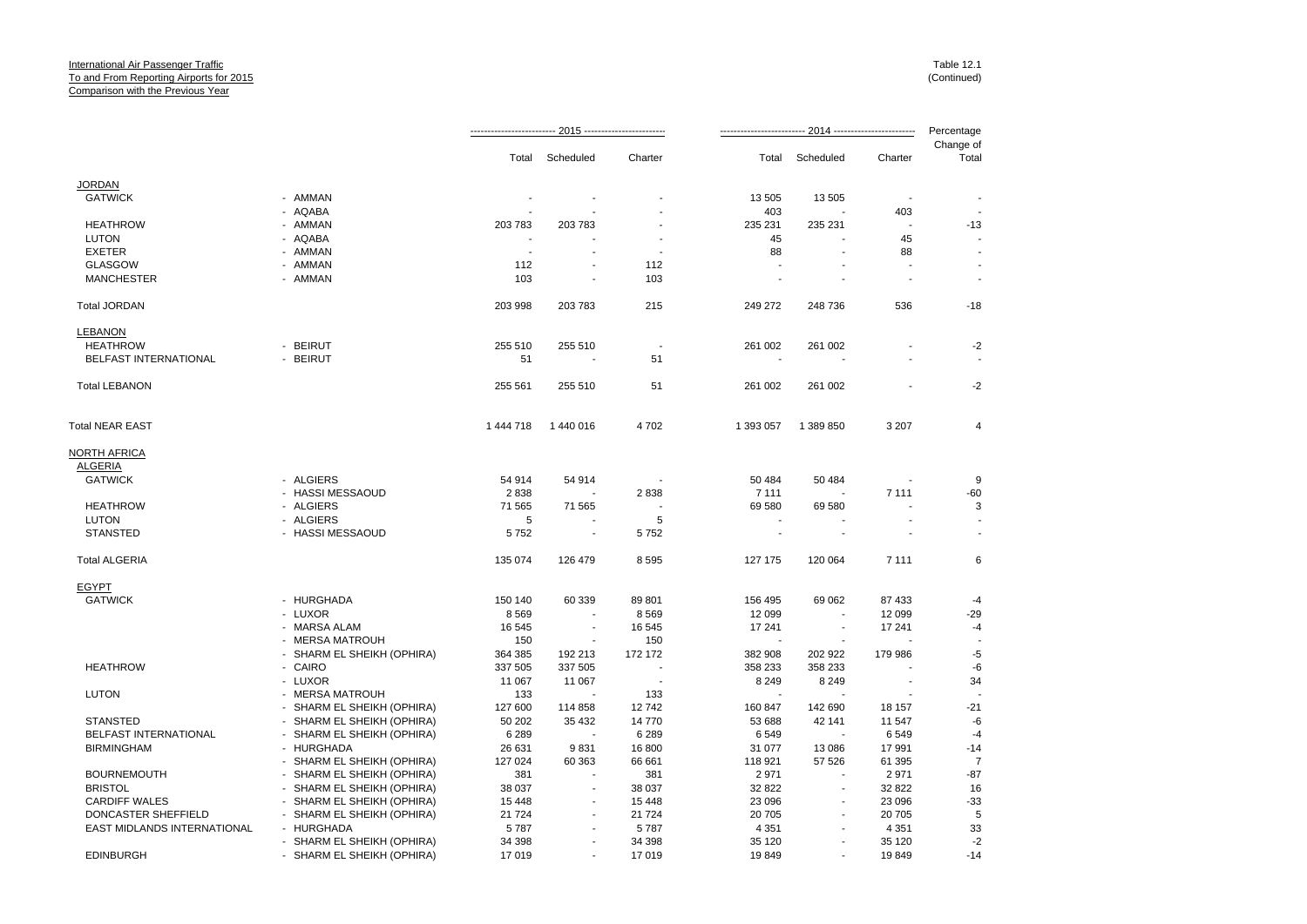|                             |                            |           |                |         |           |                          |                          | Percentage         |
|-----------------------------|----------------------------|-----------|----------------|---------|-----------|--------------------------|--------------------------|--------------------|
|                             |                            | Total     | Scheduled      | Charter | Total     | Scheduled                | Charter                  | Change of<br>Total |
| <b>JORDAN</b>               |                            |           |                |         |           |                          |                          |                    |
| <b>GATWICK</b>              | - AMMAN                    |           |                |         | 13 505    | 13 505                   |                          |                    |
|                             | - AQABA                    |           |                |         | 403       |                          | 403                      |                    |
| <b>HEATHROW</b>             | - AMMAN                    | 203 783   | 203 783        |         | 235 231   | 235 231                  | $\sim$                   | $-13$              |
| <b>LUTON</b>                | - AQABA                    |           |                |         | 45        |                          | 45                       |                    |
| <b>EXETER</b>               | - AMMAN                    |           |                |         | 88        |                          | 88                       |                    |
| <b>GLASGOW</b>              | - AMMAN                    | 112       |                | 112     |           |                          |                          |                    |
| <b>MANCHESTER</b>           | - AMMAN                    | 103       | $\blacksquare$ | 103     |           |                          | $\blacksquare$           | $\overline{a}$     |
| <b>Total JORDAN</b>         |                            | 203 998   | 203 783        | 215     | 249 272   | 248 736                  | 536                      | $-18$              |
| <b>LEBANON</b>              |                            |           |                |         |           |                          |                          |                    |
| <b>HEATHROW</b>             | - BEIRUT                   | 255 510   | 255 510        |         | 261 002   | 261 002                  |                          | $-2$               |
| BELFAST INTERNATIONAL       | - BEIRUT                   | 51        | ÷.             | 51      |           |                          |                          |                    |
| <b>Total LEBANON</b>        |                            | 255 561   | 255 510        | 51      | 261 002   | 261 002                  |                          | $-2$               |
| <b>Total NEAR EAST</b>      |                            | 1 444 718 | 1 440 016      | 4702    | 1 393 057 | 1 389 850                | 3 2 0 7                  | 4                  |
| <b>NORTH AFRICA</b>         |                            |           |                |         |           |                          |                          |                    |
| <b>ALGERIA</b>              |                            |           |                |         |           |                          |                          |                    |
| <b>GATWICK</b>              | - ALGIERS                  | 54 914    | 54 914         |         | 50 484    | 50 484                   |                          | 9                  |
|                             | - HASSI MESSAOUD           | 2838      |                | 2838    | 7 1 1 1   |                          | 7 1 1 1                  | $-60$              |
| <b>HEATHROW</b>             | - ALGIERS                  | 71 565    | 71 565         |         | 69 580    | 69 580                   |                          | 3                  |
| <b>LUTON</b>                | - ALGIERS                  | 5         |                | 5       |           |                          |                          |                    |
| <b>STANSTED</b>             | - HASSI MESSAOUD           | 5752      | $\sim$         | 5752    |           |                          |                          |                    |
| <b>Total ALGERIA</b>        |                            | 135 074   | 126 479        | 8595    | 127 175   | 120 064                  | 7 1 1 1                  | 6                  |
| <b>EGYPT</b>                |                            |           |                |         |           |                          |                          |                    |
| <b>GATWICK</b>              | - HURGHADA                 | 150 140   | 60 339         | 89 801  | 156 495   | 69 062                   | 87 433                   | $-4$               |
|                             | - LUXOR                    | 8569      |                | 8569    | 12 099    | $\overline{\phantom{a}}$ | 12 099                   | $-29$              |
|                             | - MARSA ALAM               | 16 545    |                | 16 545  | 17 241    | $\overline{\phantom{a}}$ | 17 241                   | $-4$               |
|                             | - MERSA MATROUH            | 150       | ÷              | 150     |           |                          |                          |                    |
|                             | - SHARM EL SHEIKH (OPHIRA) | 364 385   | 192 213        | 172 172 | 382 908   | 202 922                  | 179 986                  | $-5$               |
| <b>HEATHROW</b>             | - CAIRO                    | 337 505   | 337 505        |         | 358 233   | 358 233                  |                          | -6                 |
|                             | - LUXOR                    | 11 067    | 11 067         |         | 8 2 4 9   | 8 2 4 9                  | $\overline{\phantom{a}}$ | 34                 |
| <b>LUTON</b>                | - MERSA MATROUH            | 133       |                | 133     |           |                          |                          |                    |
|                             | - SHARM EL SHEIKH (OPHIRA) | 127 600   | 114 858        | 12742   | 160 847   | 142 690                  | 18 157                   | $-21$              |
| <b>STANSTED</b>             | - SHARM EL SHEIKH (OPHIRA) | 50 20 2   | 35 4 32        | 14 770  | 53 688    | 42 141                   | 11 547                   | -6                 |
| BELFAST INTERNATIONAL       | - SHARM EL SHEIKH (OPHIRA) | 6 2 8 9   |                | 6 2 8 9 | 6549      |                          | 6549                     | $-4$               |
| <b>BIRMINGHAM</b>           | - HURGHADA                 | 26 631    | 9831           | 16 800  | 31 077    | 13 086                   | 17991                    | $-14$              |
|                             | - SHARM EL SHEIKH (OPHIRA) | 127 024   | 60 363         | 66 661  | 118 921   | 57 526                   | 61 395                   | $\overline{7}$     |
| <b>BOURNEMOUTH</b>          | - SHARM EL SHEIKH (OPHIRA) | 381       |                | 381     | 2971      |                          | 2971                     | $-87$              |
| <b>BRISTOL</b>              | - SHARM EL SHEIKH (OPHIRA) | 38 037    |                | 38 037  | 32 822    | $\overline{\phantom{a}}$ | 32 822                   | 16                 |
| <b>CARDIFF WALES</b>        | - SHARM EL SHEIKH (OPHIRA) | 15 4 48   |                | 15 4 48 | 23 096    |                          | 23 096                   | $-33$              |
| DONCASTER SHEFFIELD         | - SHARM EL SHEIKH (OPHIRA) | 21 7 24   |                | 21 7 24 | 20 705    |                          | 20 705                   | 5                  |
| EAST MIDLANDS INTERNATIONAL | - HURGHADA                 | 5787      |                | 5787    | 4 3 5 1   |                          | 4 3 5 1                  | 33                 |
|                             | - SHARM EL SHEIKH (OPHIRA) | 34 398    |                | 34 398  | 35 120    |                          | 35 1 20                  | $-2$               |
| <b>EDINBURGH</b>            | - SHARM EL SHEIKH (OPHIRA) | 17019     |                | 17 019  | 19849     |                          | 19849                    | $-14$              |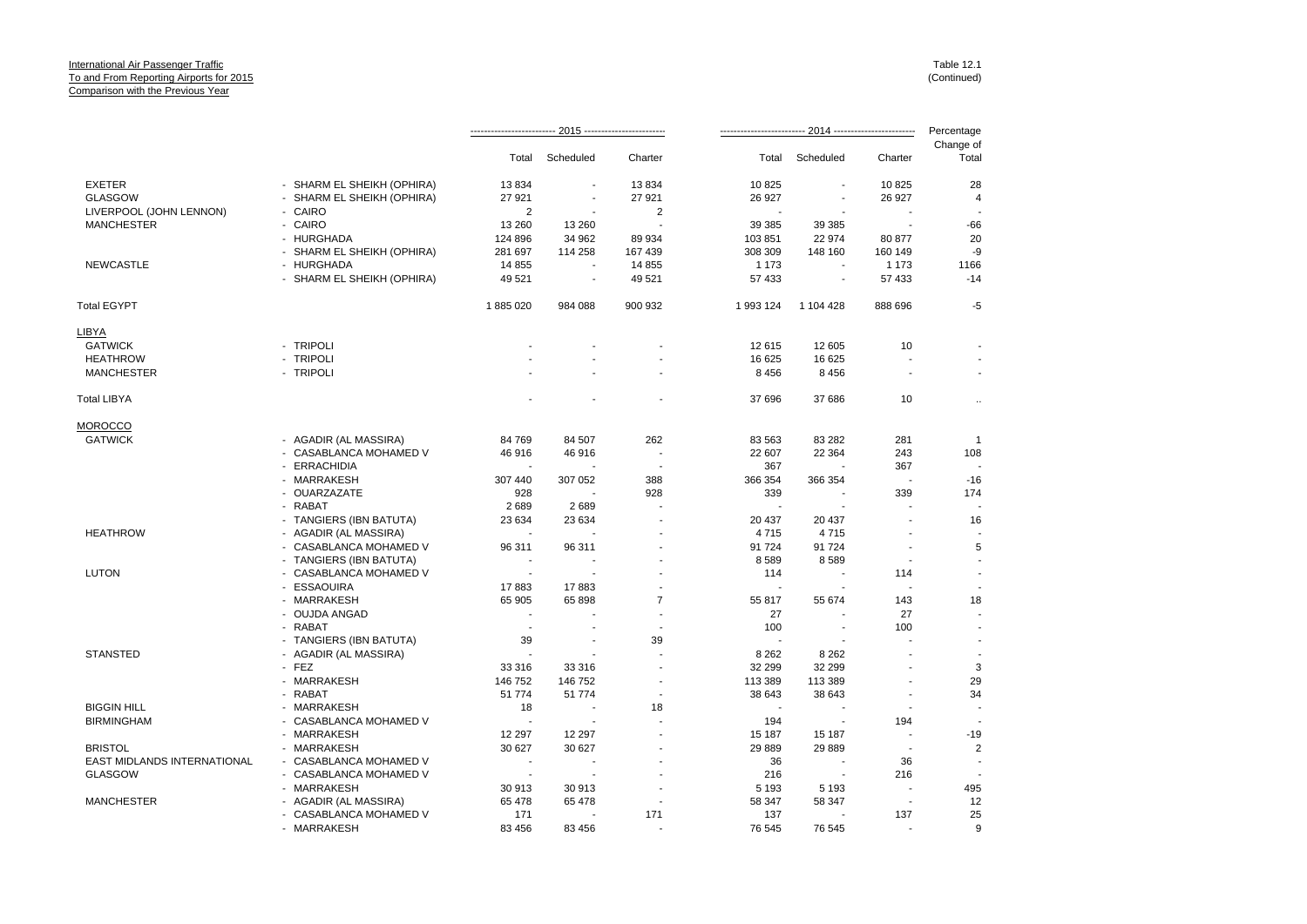|                             |                            |                          |                          |                |                          | 2014 ------------------------- |                          | Percentage               |  |
|-----------------------------|----------------------------|--------------------------|--------------------------|----------------|--------------------------|--------------------------------|--------------------------|--------------------------|--|
|                             |                            | Total                    | Scheduled                | Charter        | Total                    | Scheduled                      | Charter                  | Change of<br>Total       |  |
| <b>EXETER</b>               | - SHARM EL SHEIKH (OPHIRA) | 13834                    | $\sim$                   | 13834          | 10825                    | ÷                              | 10825                    | 28                       |  |
| <b>GLASGOW</b>              | - SHARM EL SHEIKH (OPHIRA) | 27 921                   |                          | 27 921         | 26 927                   |                                | 26 927                   | 4                        |  |
| LIVERPOOL (JOHN LENNON)     | - CAIRO                    | 2                        |                          | 2              |                          |                                |                          |                          |  |
| <b>MANCHESTER</b>           | - CAIRO                    | 13 260                   | 13 260                   |                | 39 385                   | 39 385                         | $\overline{\phantom{a}}$ | $-66$                    |  |
|                             | - HURGHADA                 | 124 896                  | 34 962                   | 89 934         | 103851                   | 22 974                         | 80 877                   | 20                       |  |
|                             | - SHARM EL SHEIKH (OPHIRA) | 281 697                  | 114 258                  | 167 439        | 308 309                  | 148 160                        | 160 149                  | -9                       |  |
| <b>NEWCASTLE</b>            | - HURGHADA                 | 14 855                   |                          | 14 855         | 1 1 7 3                  |                                | 1 1 7 3                  | 1166                     |  |
|                             | - SHARM EL SHEIKH (OPHIRA) | 49 521                   | $\overline{\phantom{a}}$ | 49 521         | 57 433                   | $\blacksquare$                 | 57 433                   | $-14$                    |  |
| Total EGYPT                 |                            | 1885020                  | 984 088                  | 900 932        | 1 993 124                | 1 104 428                      | 888 696                  | $-5$                     |  |
| <u>LIBYA</u>                |                            |                          |                          |                |                          |                                |                          |                          |  |
| <b>GATWICK</b>              | - TRIPOLI                  |                          |                          |                | 12615                    | 12 605                         | 10                       |                          |  |
| <b>HEATHROW</b>             | - TRIPOLI                  |                          |                          |                | 16 625                   | 16 625                         |                          |                          |  |
| <b>MANCHESTER</b>           | - TRIPOLI                  |                          |                          |                | 8 4 5 6                  | 8 4 5 6                        | $\overline{\phantom{a}}$ | $\overline{\phantom{a}}$ |  |
| Total LIBYA                 |                            |                          |                          |                | 37 696                   | 37 686                         | 10                       | $\ldots$                 |  |
| MOROCCO                     |                            |                          |                          |                |                          |                                |                          |                          |  |
| <b>GATWICK</b>              | - AGADIR (AL MASSIRA)      | 84 769                   | 84 507                   | 262            | 83 563                   | 83 282                         | 281                      | $\overline{1}$           |  |
|                             | - CASABLANCA MOHAMED V     | 46 916                   | 46 916                   |                | 22 607                   | 22 3 64                        | 243                      | 108                      |  |
|                             | - ERRACHIDIA               | $\blacksquare$           |                          | . .            | 367                      |                                | 367                      |                          |  |
|                             | - MARRAKESH                | 307 440                  | 307 052                  | 388            | 366 354                  | 366 354                        | $\overline{\phantom{a}}$ | $-16$                    |  |
|                             | - OUARZAZATE               | 928                      |                          | 928            | 339                      |                                | 339                      | 174                      |  |
|                             | - RABAT                    | 2689                     | 2689                     |                | $\overline{\phantom{a}}$ | $\blacksquare$                 |                          |                          |  |
|                             | - TANGIERS (IBN BATUTA)    | 23 634                   | 23 634                   |                | 20 437                   | 20 437                         |                          | 16                       |  |
| <b>HEATHROW</b>             | - AGADIR (AL MASSIRA)      |                          |                          |                | 4715                     | 4715                           |                          |                          |  |
|                             | - CASABLANCA MOHAMED V     | 96 311                   | 96 311                   |                | 91 724                   | 91 724                         |                          | 5                        |  |
|                             | - TANGIERS (IBN BATUTA)    |                          |                          |                | 8589                     | 8589                           |                          |                          |  |
| <b>LUTON</b>                | - CASABLANCA MOHAMED V     | $\overline{\phantom{a}}$ |                          |                | 114                      |                                | 114                      | $\blacksquare$           |  |
|                             | - ESSAOUIRA                | 17883                    | 17883                    |                | $\overline{\phantom{a}}$ |                                |                          |                          |  |
|                             | - MARRAKESH                | 65 905                   | 65 898                   | $\overline{7}$ | 55 817                   | 55 674                         | 143                      | 18                       |  |
|                             | - OUJDA ANGAD              |                          |                          | $\blacksquare$ | 27                       |                                | 27                       |                          |  |
|                             | - RABAT                    | $\sim$                   |                          |                | 100                      |                                | 100                      |                          |  |
|                             | - TANGIERS (IBN BATUTA)    | 39                       |                          | 39             | $\overline{\phantom{a}}$ |                                | $\overline{a}$           | $\blacksquare$           |  |
| <b>STANSTED</b>             | - AGADIR (AL MASSIRA)      | ÷,                       |                          |                | 8 2 6 2                  | 8 2 6 2                        |                          | $\overline{\phantom{a}}$ |  |
|                             | - FEZ                      | 33 316                   | 33 316                   |                | 32 299                   | 32 299                         |                          | 3                        |  |
|                             | - MARRAKESH                | 146 752                  | 146 752                  |                | 113 389                  | 113 389                        |                          | 29                       |  |
|                             | - RABAT                    | 51 774                   | 51 774                   |                | 38 643                   | 38 643                         |                          | 34                       |  |
| <b>BIGGIN HILL</b>          | - MARRAKESH                | 18                       | $\overline{\phantom{a}}$ | 18             | $\overline{\phantom{a}}$ |                                |                          | $\overline{\phantom{a}}$ |  |
| <b>BIRMINGHAM</b>           | - CASABLANCA MOHAMED V     | ÷.                       |                          |                | 194                      |                                | 194                      |                          |  |
|                             | - MARRAKESH                | 12 297                   | 12 297                   |                | 15 187                   | 15 187                         | $\ddot{\phantom{0}}$     | $-19$                    |  |
| <b>BRISTOL</b>              | - MARRAKESH                | 30 627                   | 30 627                   |                | 29 889                   | 29 889                         | $\overline{\phantom{a}}$ | $\sqrt{2}$               |  |
| EAST MIDLANDS INTERNATIONAL | - CASABLANCA MOHAMED V     | ÷.                       |                          |                | 36                       |                                | 36                       |                          |  |
| <b>GLASGOW</b>              | - CASABLANCA MOHAMED V     | $\overline{\phantom{a}}$ |                          |                | 216                      | $\overline{\phantom{a}}$       | 216                      |                          |  |
|                             | - MARRAKESH                | 30 913                   | 30 913                   |                | 5 1 9 3                  | 5 1 9 3                        | $\blacksquare$           | 495                      |  |
| <b>MANCHESTER</b>           | - AGADIR (AL MASSIRA)      | 65 478                   | 65 478                   |                | 58 347                   | 58 347                         | $\overline{\phantom{a}}$ | 12                       |  |
|                             | - CASABLANCA MOHAMED V     | 171                      |                          | 171            | 137                      |                                | 137                      | 25                       |  |
|                             | - MARRAKESH                | 83 456                   | 83 456                   |                | 76 545                   | 76 545                         |                          | 9                        |  |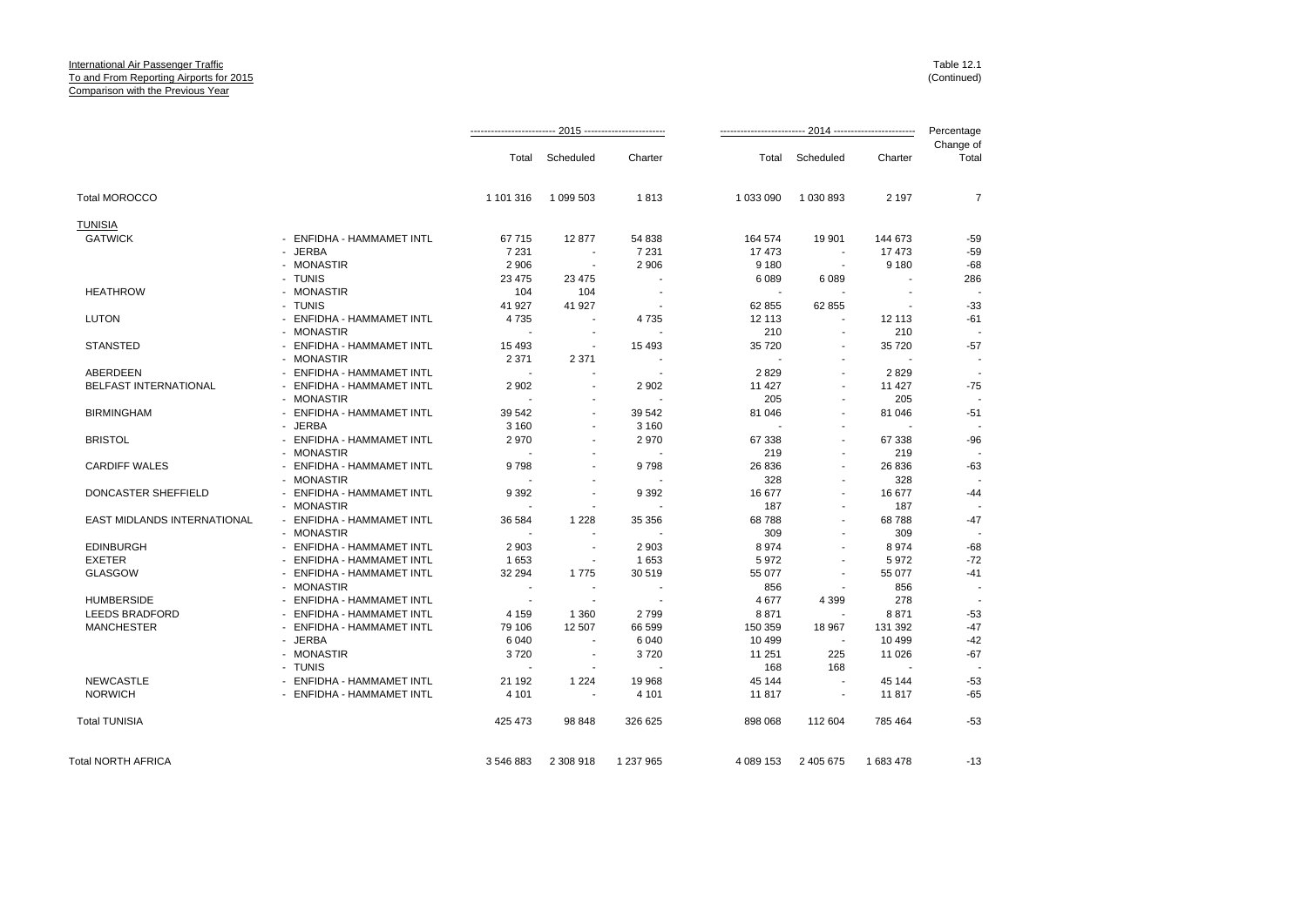|                                    |                           |                          |                          |                |           |                          |           | Change of |
|------------------------------------|---------------------------|--------------------------|--------------------------|----------------|-----------|--------------------------|-----------|-----------|
|                                    |                           | Total                    | Scheduled                | Charter        | Total     | Scheduled                | Charter   | Total     |
| <b>Total MOROCCO</b>               |                           | 1 101 316                | 1 099 503                | 1813           | 1 033 090 | 1 030 893                | 2 1 9 7   | 7         |
| <b>TUNISIA</b>                     |                           |                          |                          |                |           |                          |           |           |
| <b>GATWICK</b>                     | - ENFIDHA - HAMMAMET INTL | 67715                    | 12877                    | 54 838         | 164 574   | 19 901                   | 144 673   | $-59$     |
|                                    | - JERBA                   | 7 2 3 1                  | $\overline{\phantom{a}}$ | 7 2 3 1        | 17473     | $\sim$                   | 17 473    | $-59$     |
|                                    | - MONASTIR                | 2 9 0 6                  | $\overline{\phantom{a}}$ | 2 9 0 6        | 9 1 8 0   | $\overline{\phantom{a}}$ | 9 1 8 0   | $-68$     |
|                                    | - TUNIS                   | 23 475                   | 23 4 7 5                 |                | 6 0 8 9   | 6089                     |           | 286       |
| <b>HEATHROW</b>                    | - MONASTIR                | 104                      | 104                      | . .            |           |                          |           |           |
|                                    | - TUNIS                   | 41 927                   | 41 927                   |                | 62 855    | 62 855                   |           | $-33$     |
| <b>LUTON</b>                       | - ENFIDHA - HAMMAMET INTL | 4735                     | $\overline{\phantom{a}}$ | 4735           | 12 113    | $\blacksquare$           | 12 113    | -61       |
|                                    | - MONASTIR                | $\overline{\phantom{a}}$ |                          |                | 210       |                          | 210       |           |
| <b>STANSTED</b>                    | - ENFIDHA - HAMMAMET INTL | 15 4 9 3                 | $\overline{\phantom{a}}$ | 15 4 93        | 35 7 20   | $\blacksquare$           | 35 720    | $-57$     |
|                                    | - MONASTIR                | 2 3 7 1                  | 2 3 7 1                  |                |           |                          |           |           |
| <b>ABERDEEN</b>                    | ENFIDHA - HAMMAMET INTL   |                          |                          |                | 2829      | $\sim$                   | 2829      |           |
| <b>BELFAST INTERNATIONAL</b>       | - ENFIDHA - HAMMAMET INTL | 2 9 0 2                  | $\overline{\phantom{a}}$ | 2 9 0 2        | 11 427    | $\blacksquare$           | 11 427    | $-75$     |
|                                    | - MONASTIR                |                          |                          |                | 205       |                          | 205       |           |
| <b>BIRMINGHAM</b>                  | - ENFIDHA - HAMMAMET INTL | 39 542                   | $\overline{\phantom{a}}$ | 39 542         | 81 046    | $\blacksquare$           | 81 046    | $-51$     |
|                                    | - JERBA                   | 3 1 6 0                  |                          | 3 1 6 0        |           |                          |           |           |
| <b>BRISTOL</b>                     | - ENFIDHA - HAMMAMET INTL | 2970                     | $\overline{\phantom{a}}$ | 2970           | 67 338    | $\blacksquare$           | 67 338    | -96       |
|                                    | - MONASTIR                |                          |                          |                | 219       | $\blacksquare$           | 219       |           |
| <b>CARDIFF WALES</b>               | ENFIDHA - HAMMAMET INTL   | 9798                     |                          | 9798           | 26 836    | $\blacksquare$           | 26 836    | $-63$     |
|                                    | - MONASTIR                |                          |                          |                | 328       | $\blacksquare$           | 328       |           |
| DONCASTER SHEFFIELD                | - ENFIDHA - HAMMAMET INTL | 9 3 9 2                  |                          | 9 3 9 2        | 16 677    |                          | 16 677    | $-44$     |
|                                    | - MONASTIR                |                          | $\overline{\phantom{a}}$ | $\overline{a}$ | 187       | $\blacksquare$           | 187       |           |
| <b>EAST MIDLANDS INTERNATIONAL</b> | - ENFIDHA - HAMMAMET INTL | 36 584                   | 1 2 2 8                  | 35 356         | 68788     |                          | 68788     | $-47$     |
|                                    | - MONASTIR                |                          |                          |                | 309       | $\blacksquare$           | 309       |           |
| <b>EDINBURGH</b>                   | - ENFIDHA - HAMMAMET INTL | 2 9 0 3                  |                          | 2 9 0 3        | 8974      | $\sim$                   | 8974      | $-68$     |
| <b>EXETER</b>                      | - ENFIDHA - HAMMAMET INTL | 1653                     | $\overline{\phantom{a}}$ | 1653           | 5972      | $\blacksquare$           | 5972      | $-72$     |
| <b>GLASGOW</b>                     | - ENFIDHA - HAMMAMET INTL | 32 294                   | 1775                     | 30 519         | 55 077    |                          | 55 077    | $-41$     |
|                                    | - MONASTIR                | $\overline{\phantom{a}}$ | $\overline{\phantom{a}}$ |                | 856       |                          | 856       |           |
| <b>HUMBERSIDE</b>                  | - ENFIDHA - HAMMAMET INTL | $\overline{a}$           |                          |                | 4677      | 4 3 9 9                  | 278       |           |
| <b>LEEDS BRADFORD</b>              | - ENFIDHA - HAMMAMET INTL | 4 1 5 9                  | 1 3 6 0                  | 2799           | 8871      |                          | 8871      | $-53$     |
| <b>MANCHESTER</b>                  | - ENFIDHA - HAMMAMET INTL | 79 106                   | 12 507                   | 66 599         | 150 359   | 18 967                   | 131 392   | $-47$     |
|                                    | - JERBA                   | 6 0 4 0                  |                          | 6 0 4 0        | 10 499    | $\sim$                   | 10 499    | $-42$     |
|                                    | - MONASTIR                | 3720                     | $\overline{\phantom{a}}$ | 3720           | 11 251    | 225                      | 11 0 26   | $-67$     |
|                                    | - TUNIS                   |                          |                          |                | 168       | 168                      |           |           |
| <b>NEWCASTLE</b>                   | - ENFIDHA - HAMMAMET INTL | 21 192                   | 1 2 2 4                  | 19 968         | 45 144    |                          | 45 144    | $-53$     |
| <b>NORWICH</b>                     | - ENFIDHA - HAMMAMET INTL | 4 1 0 1                  | $\blacksquare$           | 4 1 0 1        | 11817     | $\sim$                   | 11817     | $-65$     |
| <b>Total TUNISIA</b>               |                           | 425 473                  | 98 848                   | 326 625        | 898 068   | 112 604                  | 785 464   | $-53$     |
| <b>Total NORTH AFRICA</b>          |                           | 3 546 883                | 2 308 918                | 1 237 965      | 4 089 153 | 2 405 675                | 1 683 478 | -13       |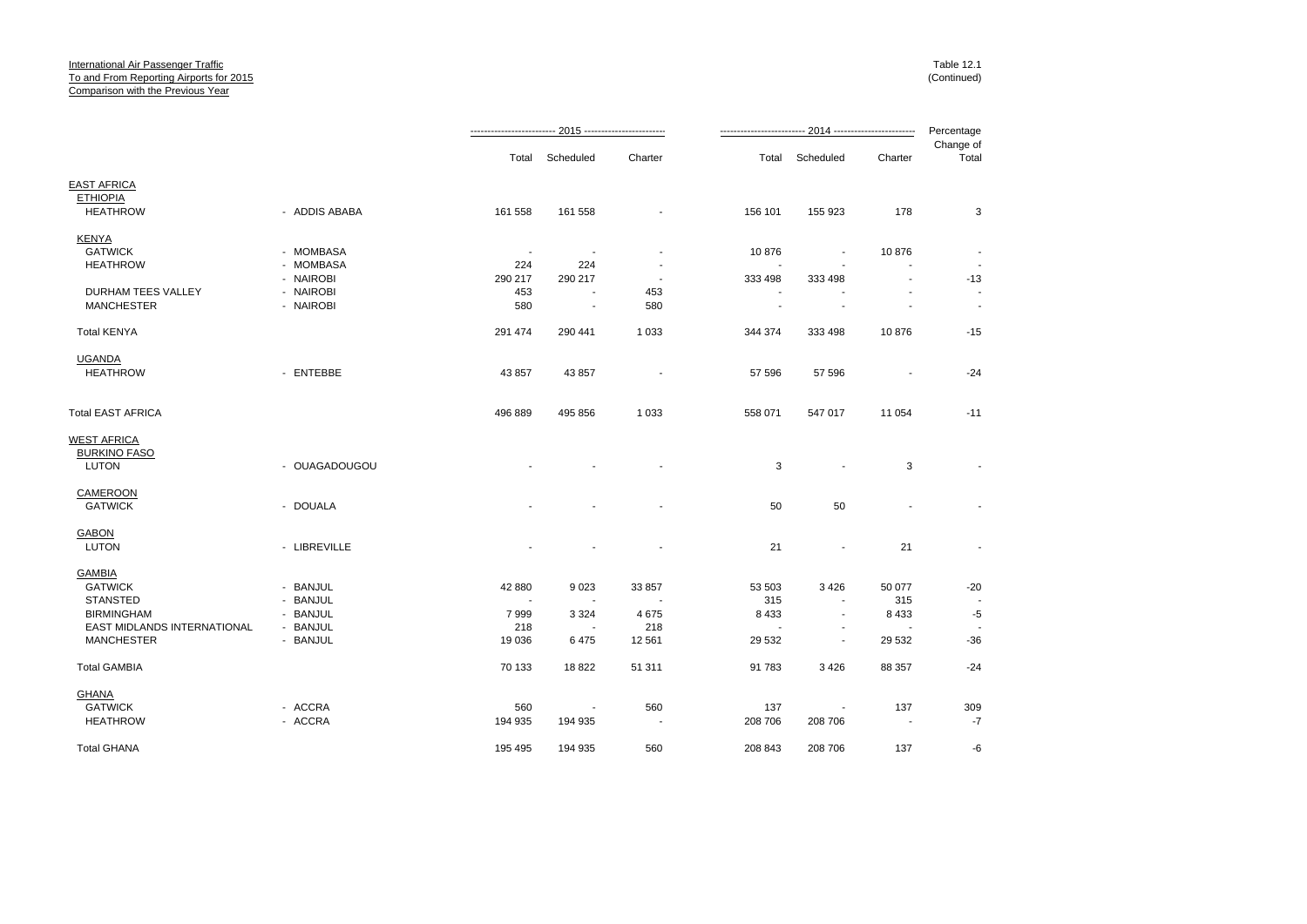|                                    |               |                          | <u>------------------------ 2015 ---</u> -------------------- |                |                          |                          |                          | Percentage         |
|------------------------------------|---------------|--------------------------|---------------------------------------------------------------|----------------|--------------------------|--------------------------|--------------------------|--------------------|
|                                    |               | Total                    | Scheduled                                                     | Charter        | Total                    | Scheduled                | Charter                  | Change of<br>Total |
| <b>EAST AFRICA</b>                 |               |                          |                                                               |                |                          |                          |                          |                    |
| <b>ETHIOPIA</b>                    |               |                          |                                                               |                |                          |                          |                          |                    |
| <b>HEATHROW</b>                    | - ADDIS ABABA | 161 558                  | 161 558                                                       |                | 156 101                  | 155 923                  | 178                      | 3                  |
| <b>KENYA</b>                       |               |                          |                                                               |                |                          |                          |                          |                    |
| <b>GATWICK</b>                     | - MOMBASA     | $\overline{\phantom{a}}$ | $\overline{\phantom{a}}$                                      |                | 10876                    |                          | 10876                    |                    |
| <b>HEATHROW</b>                    | - MOMBASA     | 224                      | 224                                                           |                |                          |                          |                          |                    |
|                                    | - NAIROBI     | 290 217                  | 290 217                                                       |                | 333 498                  | 333 498                  | $\blacksquare$           | $-13$              |
| DURHAM TEES VALLEY                 | - NAIROBI     | 453                      |                                                               | 453            |                          |                          |                          |                    |
| <b>MANCHESTER</b>                  | - NAIROBI     | 580                      | $\overline{\phantom{a}}$                                      | 580            | $\overline{\phantom{a}}$ | $\overline{\phantom{a}}$ | $\blacksquare$           | $\sim$             |
| <b>Total KENYA</b>                 |               | 291 474                  | 290 441                                                       | 1 0 3 3        | 344 374                  | 333 498                  | 10876                    | $-15$              |
| <b>UGANDA</b>                      |               |                          |                                                               |                |                          |                          |                          |                    |
| <b>HEATHROW</b>                    | - ENTEBBE     | 43 857                   | 43 857                                                        | $\blacksquare$ | 57 596                   | 57 596                   | $\overline{\phantom{a}}$ | $-24$              |
| Total EAST AFRICA                  |               | 496 889                  | 495 856                                                       | 1 0 3 3        | 558 071                  | 547 017                  | 11 054                   | $-11$              |
| WEST AFRICA                        |               |                          |                                                               |                |                          |                          |                          |                    |
| <b>BURKINO FASO</b>                |               |                          |                                                               |                |                          |                          |                          |                    |
| <b>LUTON</b>                       | - OUAGADOUGOU |                          |                                                               |                | 3                        | $\overline{a}$           | 3                        |                    |
| CAMEROON                           |               |                          |                                                               |                |                          |                          |                          |                    |
| <b>GATWICK</b>                     | - DOUALA      |                          |                                                               |                | 50                       | 50                       | ٠                        |                    |
| <b>GABON</b>                       |               |                          |                                                               |                |                          |                          |                          |                    |
| <b>LUTON</b>                       | - LIBREVILLE  |                          |                                                               |                | 21                       | $\overline{\phantom{a}}$ | 21                       |                    |
| <b>GAMBIA</b>                      |               |                          |                                                               |                |                          |                          |                          |                    |
| <b>GATWICK</b>                     | - BANJUL      | 42 880                   | 9023                                                          | 33 857         | 53 503                   | 3426                     | 50 077                   | $-20$              |
| <b>STANSTED</b>                    | - BANJUL      |                          |                                                               |                | 315                      |                          | 315                      |                    |
| <b>BIRMINGHAM</b>                  | - BANJUL      | 7999                     | 3 3 2 4                                                       | 4675           | 8 4 3 3                  | $\overline{\phantom{a}}$ | 8 4 3 3                  | $-5$               |
| <b>EAST MIDLANDS INTERNATIONAL</b> | - BANJUL      | 218                      |                                                               | 218            | $\blacksquare$           |                          | $\overline{\phantom{a}}$ |                    |
| <b>MANCHESTER</b>                  | - BANJUL      | 19 0 36                  | 6475                                                          | 12 5 61        | 29 532                   | ÷                        | 29 5 32                  | $-36$              |
| <b>Total GAMBIA</b>                |               | 70 133                   | 18822                                                         | 51 311         | 91 783                   | 3426                     | 88 357                   | $-24$              |
| GHANA                              |               |                          |                                                               |                |                          |                          |                          |                    |
| <b>GATWICK</b>                     | - ACCRA       | 560                      | $\overline{\phantom{a}}$                                      | 560            | 137                      | $\overline{\phantom{a}}$ | 137                      | 309                |
| <b>HEATHROW</b>                    | - ACCRA       | 194 935                  | 194 935                                                       |                | 208 706                  | 208 706                  |                          | $-7$               |
| <b>Total GHANA</b>                 |               | 195 495                  | 194 935                                                       | 560            | 208 843                  | 208 706                  | 137                      | -6                 |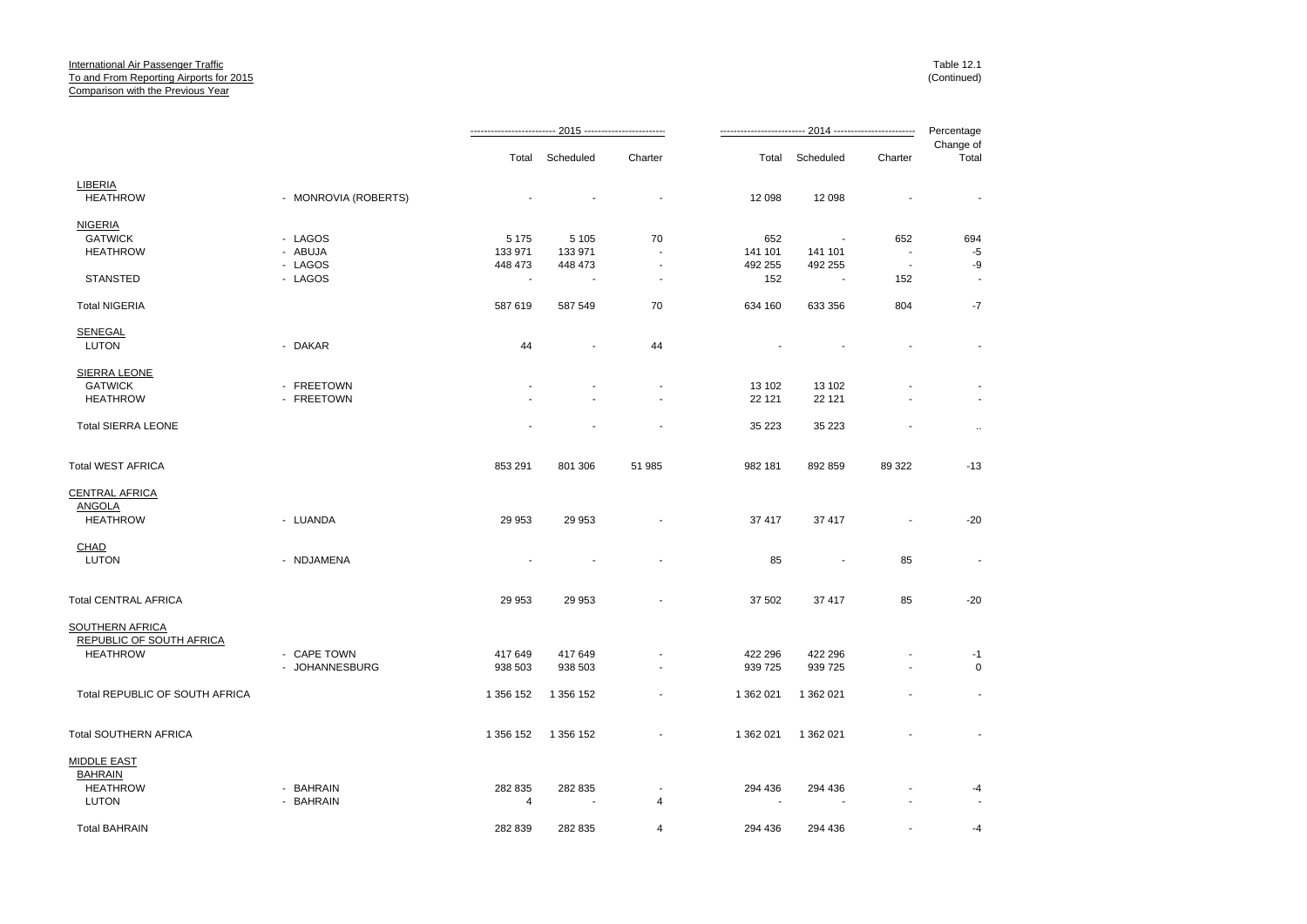|                                |                      |                          |                          |                |           |                          |                          | Percentage               |
|--------------------------------|----------------------|--------------------------|--------------------------|----------------|-----------|--------------------------|--------------------------|--------------------------|
|                                |                      |                          | Total Scheduled          | Charter        |           | Total Scheduled          | Charter                  | Change of<br>Total       |
| <b>LIBERIA</b>                 |                      |                          |                          |                |           |                          |                          |                          |
| <b>HEATHROW</b>                | - MONROVIA (ROBERTS) |                          |                          | $\blacksquare$ | 12 098    | 12 098                   |                          | $\overline{\phantom{a}}$ |
| <b>NIGERIA</b>                 |                      |                          |                          |                |           |                          |                          |                          |
| <b>GATWICK</b>                 | - LAGOS              | 5 1 7 5                  | 5 1 0 5                  | 70             | 652       |                          | 652                      | 694                      |
| <b>HEATHROW</b>                | - ABUJA              | 133 971                  | 133 971                  |                | 141 101   | 141 101                  | $\sim$                   | $-5$                     |
|                                | - LAGOS              | 448 473                  | 448 473                  |                | 492 255   | 492 255                  | $\overline{\phantom{a}}$ | -9                       |
| <b>STANSTED</b>                | - LAGOS              | $\overline{\phantom{a}}$ | $\overline{\phantom{a}}$ |                | 152       |                          | 152                      |                          |
| <b>Total NIGERIA</b>           |                      | 587 619                  | 587 549                  | 70             | 634 160   | 633 356                  | 804                      | $-7$                     |
| <b>SENEGAL</b>                 |                      |                          |                          |                |           |                          |                          |                          |
| LUTON                          | - DAKAR              | 44                       | $\blacksquare$           | 44             |           |                          |                          | $\blacksquare$           |
| SIERRA LEONE                   |                      |                          |                          |                |           |                          |                          |                          |
| <b>GATWICK</b>                 | - FREETOWN           |                          |                          |                | 13 102    | 13 102                   |                          |                          |
| <b>HEATHROW</b>                | - FREETOWN           |                          |                          |                | 22 1 21   | 22 121                   |                          |                          |
| <b>Total SIERRA LEONE</b>      |                      |                          |                          |                | 35 2 23   | 35 223                   |                          | $\ldots$                 |
| Total WEST AFRICA              |                      | 853 291                  | 801 306                  | 51 985         | 982 181   | 892 859                  | 89 322                   | $-13$                    |
| CENTRAL AFRICA                 |                      |                          |                          |                |           |                          |                          |                          |
| <b>ANGOLA</b>                  |                      |                          |                          |                |           |                          |                          |                          |
| <b>HEATHROW</b>                | - LUANDA             | 29 953                   | 29 953                   |                | 37 417    | 37 417                   | $\blacksquare$           | $-20$                    |
| <b>CHAD</b>                    |                      |                          |                          |                |           |                          |                          |                          |
| <b>LUTON</b>                   | - NDJAMENA           |                          | $\overline{\phantom{a}}$ |                | 85        | $\overline{\phantom{a}}$ | 85                       |                          |
| <b>Total CENTRAL AFRICA</b>    |                      | 29 953                   | 29 953                   |                | 37 502    | 37 417                   | 85                       | $-20$                    |
| SOUTHERN AFRICA                |                      |                          |                          |                |           |                          |                          |                          |
| REPUBLIC OF SOUTH AFRICA       |                      |                          |                          |                |           |                          |                          |                          |
| <b>HEATHROW</b>                | - CAPE TOWN          | 417 649                  | 417 649                  |                | 422 296   | 422 296                  |                          | -1                       |
|                                | - JOHANNESBURG       | 938 503                  | 938 503                  |                | 939 725   | 939 725                  |                          | $\mathbf 0$              |
| Total REPUBLIC OF SOUTH AFRICA |                      | 1 356 152                | 1 356 152                |                | 1 362 021 | 1 362 021                |                          | $\blacksquare$           |
| Total SOUTHERN AFRICA          |                      | 1 356 152                | 1 356 152                |                | 1 362 021 | 1 362 021                |                          |                          |
| <b>MIDDLE EAST</b>             |                      |                          |                          |                |           |                          |                          |                          |
| <b>BAHRAIN</b>                 |                      |                          |                          |                |           |                          |                          |                          |
| <b>HEATHROW</b>                | - BAHRAIN            | 282 835                  | 282 835                  |                | 294 436   | 294 436                  |                          | -4                       |
| LUTON                          | - BAHRAIN            | 4                        |                          | 4              |           |                          |                          |                          |
| <b>Total BAHRAIN</b>           |                      | 282 839                  | 282 835                  | 4              | 294 436   | 294 436                  |                          | -4                       |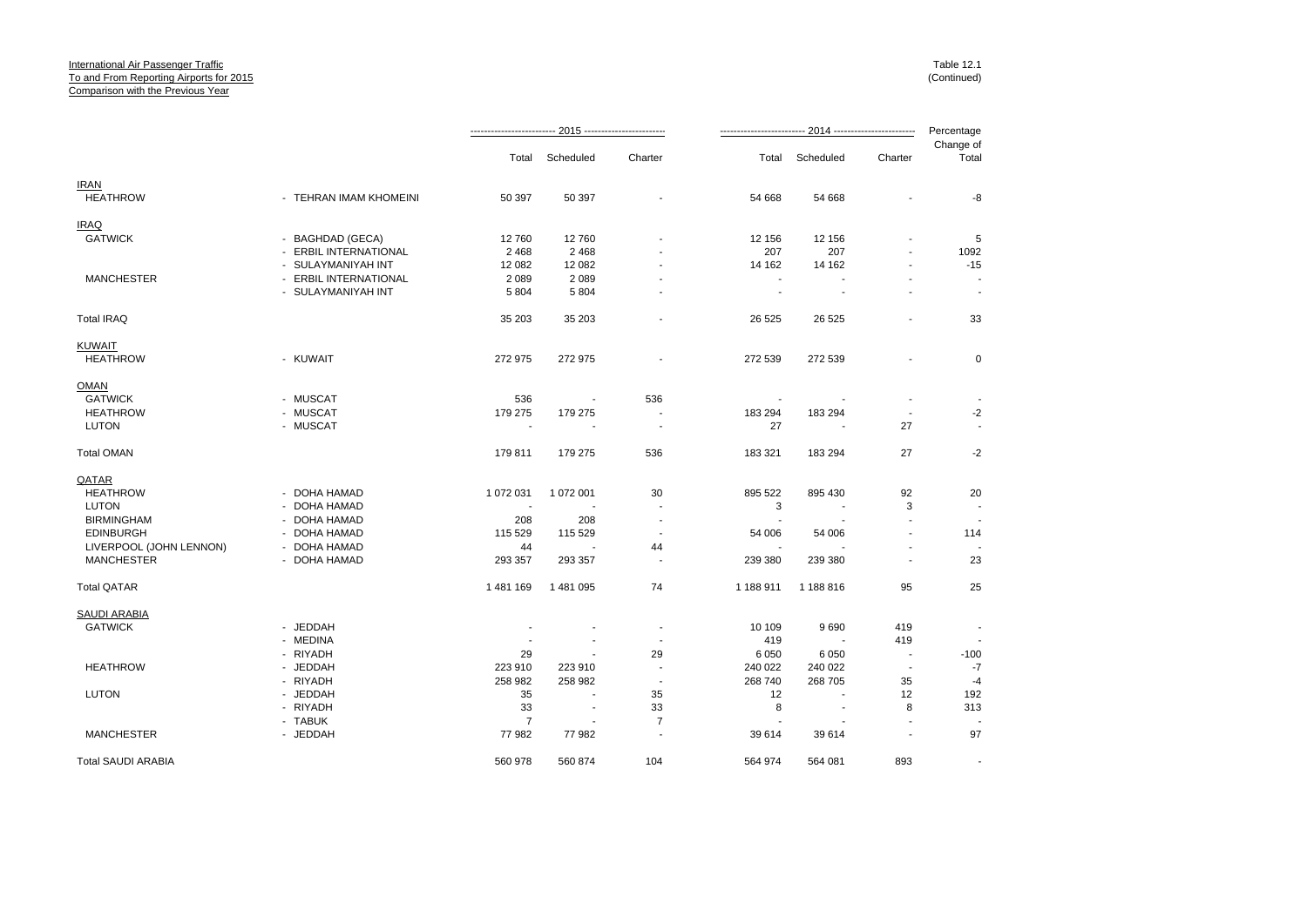|                                |                                           |                          |                          |                          |                |                          | 2014 ------------------------- | Percentage               |
|--------------------------------|-------------------------------------------|--------------------------|--------------------------|--------------------------|----------------|--------------------------|--------------------------------|--------------------------|
|                                |                                           | Total                    | Scheduled                | Charter                  | Total          | Scheduled                | Charter                        | Change of<br>Total       |
| <b>IRAN</b><br><b>HEATHROW</b> | - TEHRAN IMAM KHOMEINI                    | 50 397                   | 50 397                   |                          | 54 668         | 54 668                   |                                | -8                       |
|                                |                                           |                          |                          |                          |                |                          |                                |                          |
| <b>IRAQ</b><br><b>GATWICK</b>  |                                           |                          |                          |                          |                |                          |                                | 5                        |
|                                | - BAGHDAD (GECA)<br>- ERBIL INTERNATIONAL | 12760<br>2 4 6 8         | 12760<br>2 4 6 8         |                          | 12 156<br>207  | 12 156<br>207            |                                |                          |
|                                | - SULAYMANIYAH INT                        | 12 082                   | 12 082                   |                          | 14 162         | 14 162                   |                                | 1092<br>$-15$            |
| <b>MANCHESTER</b>              | - ERBIL INTERNATIONAL                     | 2 0 8 9                  | 2 0 8 9                  |                          |                |                          |                                |                          |
|                                | - SULAYMANIYAH INT                        | 5 8 0 4                  | 5 8 0 4                  |                          | $\blacksquare$ | $\blacksquare$           |                                | $\overline{\phantom{a}}$ |
| <b>Total IRAQ</b>              |                                           | 35 203                   | 35 203                   |                          | 26 5 25        | 26 5 25                  |                                | 33                       |
| <b>KUWAIT</b>                  |                                           |                          |                          |                          |                |                          |                                |                          |
| <b>HEATHROW</b>                | - KUWAIT                                  | 272 975                  | 272 975                  |                          | 272 539        | 272 539                  |                                | 0                        |
| <b>OMAN</b>                    |                                           |                          |                          |                          |                |                          |                                |                          |
| <b>GATWICK</b>                 | - MUSCAT                                  | 536                      | $\overline{\phantom{a}}$ | 536                      |                |                          |                                |                          |
| <b>HEATHROW</b>                | - MUSCAT                                  | 179 275                  | 179 275                  | $\blacksquare$           | 183 294        | 183 294                  | $\sim$                         | $-2$                     |
| <b>LUTON</b>                   | - MUSCAT                                  |                          |                          | $\blacksquare$           | 27             |                          | 27                             |                          |
| <b>Total OMAN</b>              |                                           | 179 811                  | 179 275                  | 536                      | 183 321        | 183 294                  | 27                             | $-2$                     |
| QATAR                          |                                           |                          |                          |                          |                |                          |                                |                          |
| <b>HEATHROW</b>                | - DOHA HAMAD                              | 1 072 031                | 1 072 001                | 30                       | 895 522        | 895 430                  | 92                             | 20                       |
| <b>LUTON</b>                   | - DOHA HAMAD                              | $\overline{\phantom{a}}$ |                          |                          | 3              |                          | 3                              |                          |
| <b>BIRMINGHAM</b>              | - DOHA HAMAD                              | 208                      | 208                      | $\overline{\phantom{a}}$ |                |                          |                                |                          |
| <b>EDINBURGH</b>               | - DOHA HAMAD                              | 115 529                  | 115 529                  | $\overline{\phantom{a}}$ | 54 006         | 54 006                   | $\blacksquare$                 | 114                      |
| LIVERPOOL (JOHN LENNON)        | - DOHA HAMAD                              | 44                       |                          | 44                       |                |                          |                                |                          |
| <b>MANCHESTER</b>              | - DOHA HAMAD                              | 293 357                  | 293 357                  | $\overline{\phantom{a}}$ | 239 380        | 239 380                  | $\blacksquare$                 | 23                       |
| <b>Total QATAR</b>             |                                           | 1481169                  | 1 481 095                | 74                       | 1 188 911      | 1 188 816                | 95                             | 25                       |
| <b>SAUDI ARABIA</b>            |                                           |                          |                          |                          |                |                          |                                |                          |
| <b>GATWICK</b>                 | - JEDDAH                                  |                          |                          |                          | 10 109         | 9690                     | 419                            | $\frac{1}{2}$            |
|                                | - MEDINA                                  |                          |                          |                          | 419            |                          | 419                            |                          |
|                                | - RIYADH                                  | 29                       |                          | 29                       | 6 0 5 0        | 6 0 5 0                  | $\overline{\phantom{a}}$       | $-100$                   |
| <b>HEATHROW</b>                | - JEDDAH                                  | 223 910                  | 223 910                  | $\blacksquare$           | 240 022        | 240 022                  | $\blacksquare$                 | $-7$                     |
|                                | - RIYADH                                  | 258 982                  | 258 982                  | $\blacksquare$           | 268 740        | 268 705                  | 35                             | $-4$                     |
| <b>LUTON</b>                   | - JEDDAH                                  | 35                       |                          | 35                       | 12             |                          | 12                             | 192                      |
|                                | - RIYADH                                  | 33                       | $\overline{\phantom{a}}$ | 33                       | 8              | $\overline{\phantom{a}}$ | 8                              | 313                      |
|                                | - TABUK                                   | $\overline{7}$           |                          | $\overline{7}$           |                |                          |                                |                          |
| <b>MANCHESTER</b>              | - JEDDAH                                  | 77982                    | 77982                    | $\blacksquare$           | 39 614         | 39 614                   | $\sim$                         | 97                       |
| <b>Total SAUDI ARABIA</b>      |                                           | 560 978                  | 560 874                  | 104                      | 564 974        | 564 081                  | 893                            | $\overline{\phantom{a}}$ |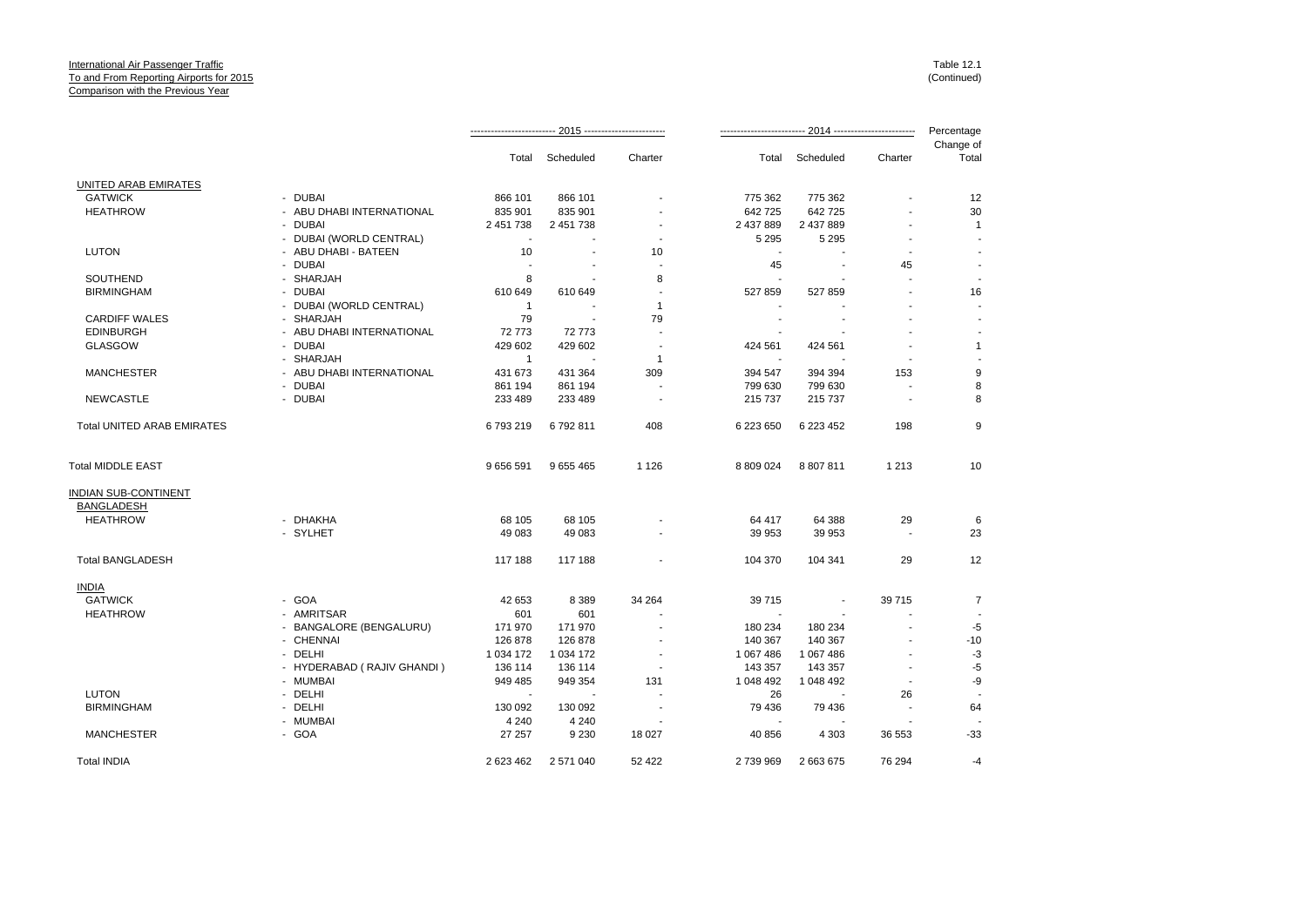|                                   |                            |                          |             |                          |                          |           | Percentage |                    |
|-----------------------------------|----------------------------|--------------------------|-------------|--------------------------|--------------------------|-----------|------------|--------------------|
|                                   |                            | Total                    | Scheduled   | Charter                  | Total                    | Scheduled | Charter    | Change of<br>Total |
| UNITED ARAB EMIRATES              |                            |                          |             |                          |                          |           |            |                    |
| <b>GATWICK</b>                    | - DUBAI                    | 866 101                  | 866 101     |                          | 775 362                  | 775 362   |            | 12                 |
| <b>HEATHROW</b>                   | - ABU DHABI INTERNATIONAL  | 835 901                  | 835 901     |                          | 642 725                  | 642 725   |            | 30                 |
|                                   | - DUBAI                    | 2 451 738                | 2 451 738   |                          | 2 437 889                | 2 437 889 |            | $\mathbf{1}$       |
|                                   | - DUBAI (WORLD CENTRAL)    | $\blacksquare$           |             |                          | 5 2 9 5                  | 5 2 9 5   |            |                    |
| <b>LUTON</b>                      | - ABU DHABI - BATEEN       | 10                       |             | 10                       | $\overline{\phantom{a}}$ |           |            |                    |
|                                   | <b>DUBAI</b>               |                          |             |                          | 45                       |           | 45         |                    |
| SOUTHEND                          | - SHARJAH                  | 8                        |             | 8                        |                          |           |            |                    |
| <b>BIRMINGHAM</b>                 | - DUBAI                    | 610 649                  | 610 649     | $\overline{\phantom{a}}$ | 527 859                  | 527 859   |            | 16                 |
|                                   |                            |                          |             |                          |                          |           |            |                    |
|                                   | - DUBAI (WORLD CENTRAL)    | $\overline{1}$           |             | $\mathbf{1}$             |                          |           |            |                    |
| <b>CARDIFF WALES</b>              | - SHARJAH                  | 79                       | $\sim$      | 79                       |                          |           |            |                    |
| <b>EDINBURGH</b>                  | - ABU DHABI INTERNATIONAL  | 72 773                   | 72773       | $\overline{a}$           |                          |           |            |                    |
| <b>GLASGOW</b>                    | - DUBAI                    | 429 602                  | 429 602     |                          | 424 561                  | 424 561   |            | $\mathbf{1}$       |
|                                   | - SHARJAH                  | $\overline{1}$           |             | 1                        |                          |           |            |                    |
| <b>MANCHESTER</b>                 | - ABU DHABI INTERNATIONAL  | 431 673                  | 431 364     | 309                      | 394 547                  | 394 394   | 153        | 9                  |
|                                   | - DUBAI                    | 861 194                  | 861 194     |                          | 799 630                  | 799 630   |            | 8                  |
| <b>NEWCASTLE</b>                  | - DUBAI                    | 233 489                  | 233 489     |                          | 215 737                  | 215 737   |            | 8                  |
| <b>Total UNITED ARAB EMIRATES</b> |                            | 6793219                  | 6792811     | 408                      | 6 223 650                | 6 223 452 | 198        | 9                  |
| Total MIDDLE EAST                 |                            | 9 656 591                | 9 655 465   | 1 1 2 6                  | 8 809 024                | 8 807 811 | 1 2 1 3    | 10                 |
| INDIAN SUB-CONTINENT              |                            |                          |             |                          |                          |           |            |                    |
| BANGLADESH                        |                            |                          |             |                          |                          |           |            |                    |
| <b>HEATHROW</b>                   | - DHAKHA                   | 68 105                   | 68 105      |                          | 64 417                   | 64 388    | 29         | 6                  |
|                                   | - SYLHET                   | 49 083                   | 49 083      |                          | 39 953                   | 39 953    |            | 23                 |
|                                   |                            |                          |             |                          |                          |           |            |                    |
| <b>Total BANGLADESH</b>           |                            | 117 188                  | 117 188     |                          | 104 370                  | 104 341   | 29         | 12                 |
| <u>INDIA</u>                      |                            |                          |             |                          |                          |           |            |                    |
| <b>GATWICK</b>                    | - GOA                      | 42 653                   | 8 3 8 9     | 34 264                   | 39 715                   | $\sim$    | 39715      | $\overline{7}$     |
| <b>HEATHROW</b>                   | - AMRITSAR                 | 601                      | 601         |                          |                          |           |            |                    |
|                                   | - BANGALORE (BENGALURU)    | 171 970                  | 171 970     |                          | 180 234                  | 180 234   |            | -5                 |
|                                   | - CHENNAI                  | 126 878                  | 126 878     |                          | 140 367                  | 140 367   |            | $-10$              |
|                                   | - DELHI                    | 1 0 34 1 72              | 1 0 34 1 72 |                          | 1 067 486                | 1 067 486 |            | $-3$               |
|                                   | - HYDERABAD (RAJIV GHANDI) | 136 114                  | 136 114     |                          | 143 357                  | 143 357   |            | $-5$               |
|                                   | - MUMBAI                   | 949 485                  | 949 354     | 131                      | 1 048 492                | 1 048 492 |            | -9                 |
| <b>LUTON</b>                      | - DELHI                    | $\overline{\phantom{a}}$ |             |                          | 26                       |           | 26         |                    |
| <b>BIRMINGHAM</b>                 | - DELHI                    | 130 092                  | 130 092     |                          | 79 436                   | 79 436    |            | 64                 |
|                                   | - MUMBAI                   | 4 2 4 0                  |             |                          |                          |           |            |                    |
|                                   |                            |                          | 4 2 4 0     |                          |                          |           |            |                    |
| <b>MANCHESTER</b>                 | - GOA                      | 27 257                   | 9 2 3 0     | 18 027                   | 40 856                   | 4 3 0 3   | 36 553     | $-33$              |
| <b>Total INDIA</b>                |                            | 2 623 462                | 2 571 040   | 52 422                   | 2739969                  | 2 663 675 | 76 294     | -4                 |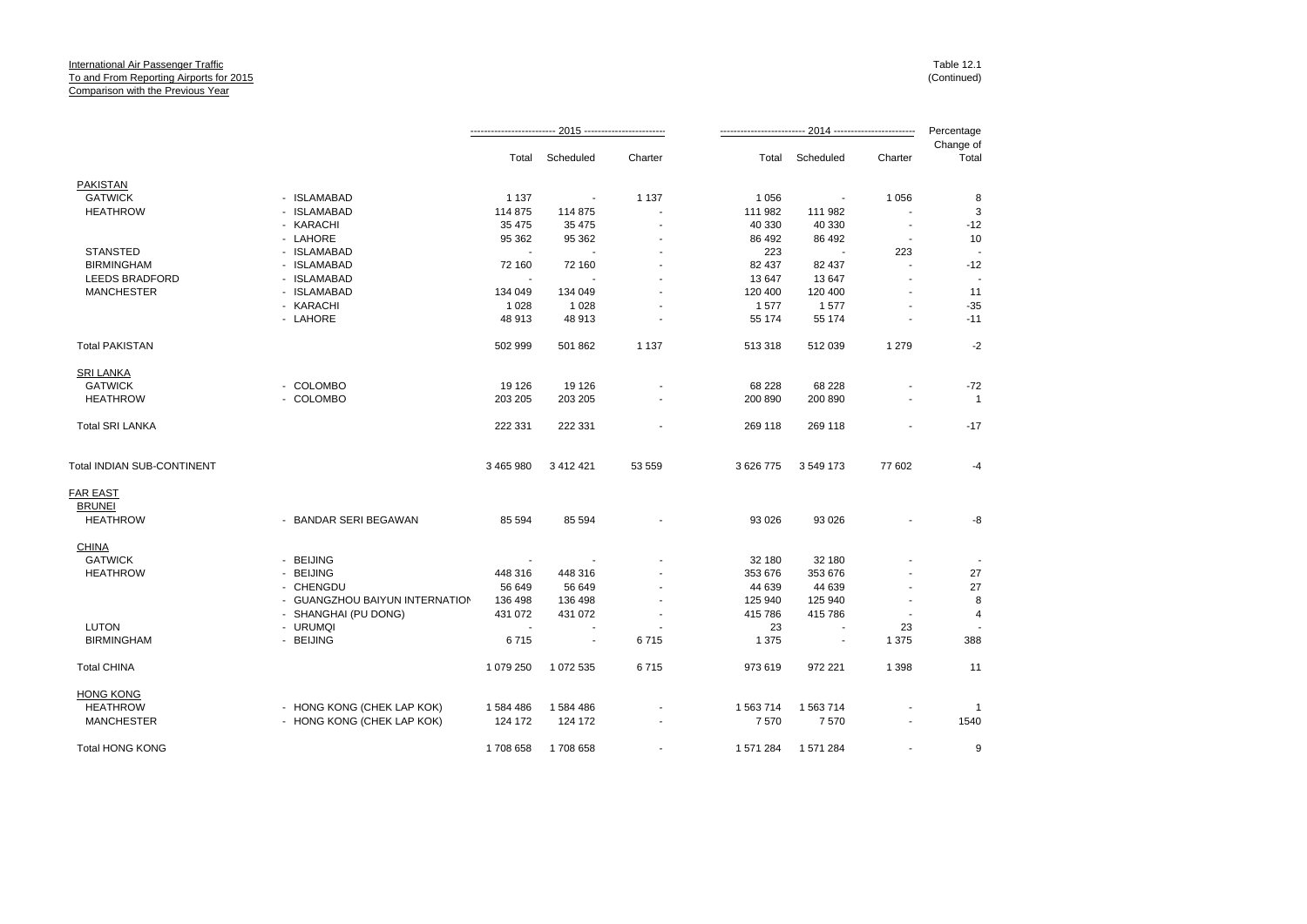|                            |                                |                   |                          |         |                   |                          |                          | Percentage         |
|----------------------------|--------------------------------|-------------------|--------------------------|---------|-------------------|--------------------------|--------------------------|--------------------|
|                            |                                | Total             | Scheduled                | Charter | Total             | Scheduled                | Charter                  | Change of<br>Total |
| <b>PAKISTAN</b>            |                                |                   |                          |         |                   |                          |                          |                    |
| <b>GATWICK</b>             | - ISLAMABAD                    | 1 1 3 7           | $\overline{\phantom{a}}$ | 1 1 3 7 | 1 0 5 6           | $\overline{\phantom{a}}$ | 1 0 5 6                  | 8                  |
| <b>HEATHROW</b>            | - ISLAMABAD                    | 114 875           | 114 875                  |         | 111 982           | 111 982                  |                          | 3                  |
|                            | - KARACHI                      | 35 475            | 35 475                   |         | 40 330            | 40 330                   | $\overline{\phantom{a}}$ | $-12$              |
|                            | - LAHORE                       | 95 362            | 95 362                   |         | 86 492            | 86 492                   |                          | 10                 |
| <b>STANSTED</b>            | - ISLAMABAD                    |                   |                          |         | 223               | $\sim$                   | 223                      |                    |
| <b>BIRMINGHAM</b>          | - ISLAMABAD                    | 72 160            | 72 160                   |         | 82 437            | 82 437                   | $\sim$                   | $-12$              |
| <b>LEEDS BRADFORD</b>      | - ISLAMABAD                    |                   |                          |         | 13 647            | 13 647                   |                          |                    |
| <b>MANCHESTER</b>          | - ISLAMABAD                    | 134 049           | 134 049                  |         | 120 400           | 120 400                  |                          | 11                 |
|                            | - KARACHI                      | 1 0 28            | 1 0 2 8                  |         | 1577              | 1577                     |                          | $-35$              |
|                            | - LAHORE                       | 48 913            | 48 913                   |         | 55 174            | 55 174                   |                          | $-11$              |
| <b>Total PAKISTAN</b>      |                                | 502 999           | 501 862                  | 1 1 3 7 | 513 318           | 512 039                  | 1 2 7 9                  | $-2$               |
| SRI LANKA                  |                                |                   |                          |         |                   |                          |                          |                    |
| <b>GATWICK</b>             | - COLOMBO                      | 19 126            | 19 126                   |         | 68 228            | 68 228                   |                          | $-72$              |
| <b>HEATHROW</b>            | - COLOMBO                      | 203 205           | 203 205                  |         | 200 890           | 200 890                  | $\blacksquare$           | $\overline{1}$     |
| <b>Total SRI LANKA</b>     |                                | 222 331           | 222 331                  |         | 269 118           | 269 118                  |                          | $-17$              |
| Total INDIAN SUB-CONTINENT |                                | 3 465 980         | 3 4 1 2 4 2 1            | 53 559  | 3 626 775         | 3 549 173                | 77 602                   | -4                 |
| <b>FAR EAST</b>            |                                |                   |                          |         |                   |                          |                          |                    |
| <b>BRUNEI</b>              |                                |                   |                          |         |                   |                          |                          |                    |
| <b>HEATHROW</b>            | - BANDAR SERI BEGAWAN          | 85 594            | 85 594                   |         | 93 0 26           | 93 0 26                  |                          | -8                 |
| <b>CHINA</b>               |                                |                   |                          |         |                   |                          |                          |                    |
| <b>GATWICK</b>             | - BEIJING                      |                   |                          |         | 32 180            | 32 180                   |                          |                    |
| <b>HEATHROW</b>            | - BEIJING<br>- CHENGDU         | 448 316<br>56 649 | 448 316<br>56 649        |         | 353 676<br>44 639 | 353 676<br>44 639        |                          | 27<br>27           |
|                            | - GUANGZHOU BAIYUN INTERNATION | 136 498           | 136 498                  |         | 125 940           | 125 940                  |                          | 8                  |
|                            | - SHANGHAI (PU DONG)           | 431 072           | 431 072                  |         | 415 786           | 415 786                  |                          | $\overline{4}$     |
| <b>LUTON</b>               | - URUMQI                       |                   |                          |         | 23                |                          | 23                       |                    |
| <b>BIRMINGHAM</b>          | - BEIJING                      | 6715              | $\sim$                   | 6715    | 1 3 7 5           | $\blacksquare$           | 1 3 7 5                  | 388                |
| <b>Total CHINA</b>         |                                | 1 079 250         | 1 072 535                | 6715    | 973 619           | 972 221                  | 1 3 9 8                  | 11                 |
| <b>HONG KONG</b>           |                                |                   |                          |         |                   |                          |                          |                    |
| <b>HEATHROW</b>            | - HONG KONG (CHEK LAP KOK)     | 1584486           | 1 584 486                |         | 1 563 714         | 1 563 714                |                          | -1                 |
| <b>MANCHESTER</b>          | - HONG KONG (CHEK LAP KOK)     | 124 172           | 124 172                  |         | 7570              | 7570                     |                          | 1540               |
| <b>Total HONG KONG</b>     |                                | 1708 658          | 1708 658                 |         | 1 571 284         | 1571284                  |                          | 9                  |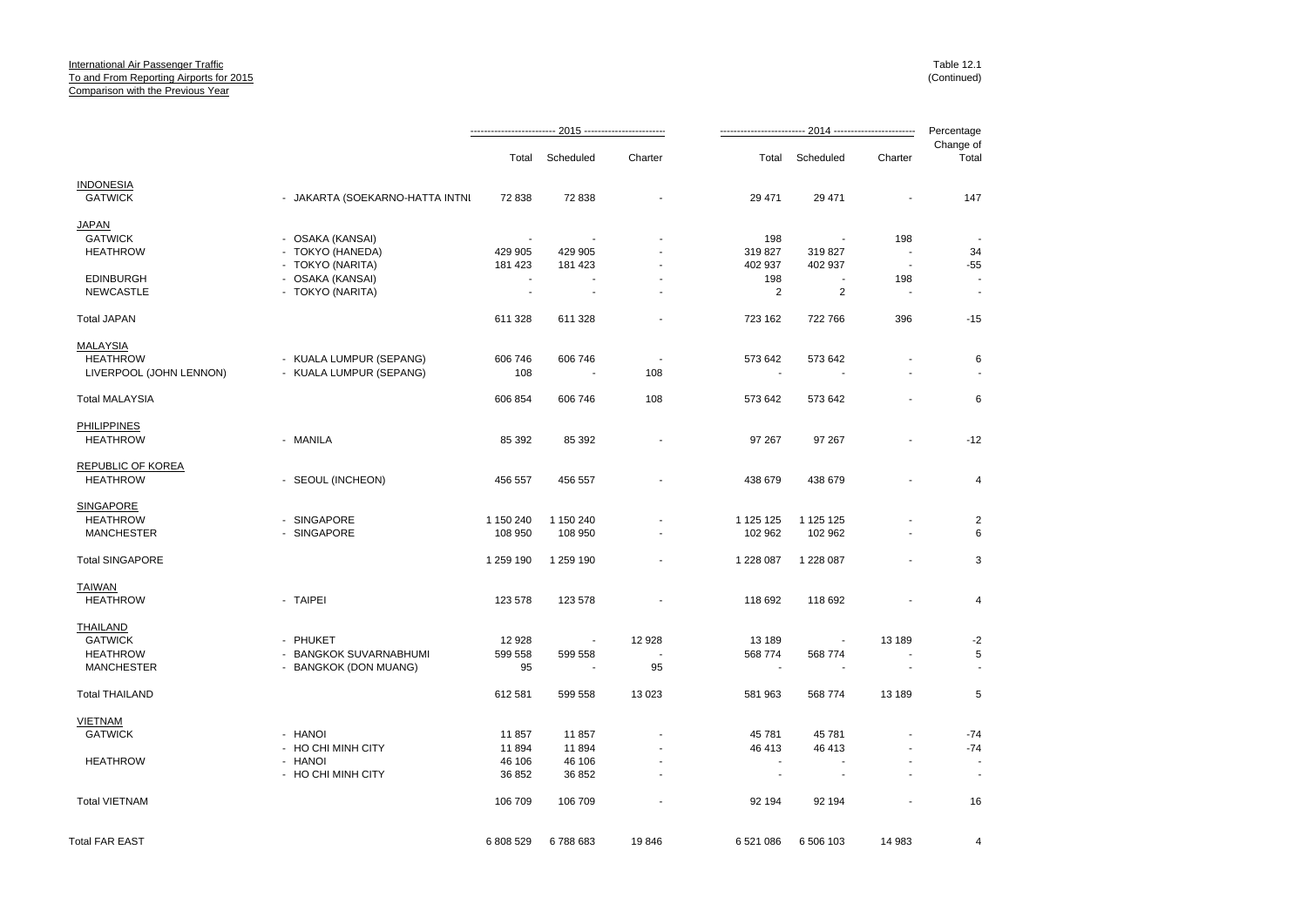|                         |                                 |           |                          |                          |                          |                          |                          | Percentage         |
|-------------------------|---------------------------------|-----------|--------------------------|--------------------------|--------------------------|--------------------------|--------------------------|--------------------|
|                         |                                 |           | Total Scheduled          | Charter                  |                          | Total Scheduled          | Charter                  | Change of<br>Total |
| <b>INDONESIA</b>        |                                 |           |                          |                          |                          |                          |                          |                    |
| <b>GATWICK</b>          | - JAKARTA (SOEKARNO-HATTA INTNI | 72 838    | 72 838                   | $\blacksquare$           | 29 471                   | 29 471                   | $\blacksquare$           | 147                |
| JAPAN                   |                                 |           |                          |                          |                          |                          |                          |                    |
| <b>GATWICK</b>          | - OSAKA (KANSAI)                |           |                          |                          | 198                      | $\overline{\phantom{a}}$ | 198                      |                    |
| <b>HEATHROW</b>         | - TOKYO (HANEDA)                | 429 905   | 429 905                  |                          | 319827                   | 319 827                  | $\sim$                   | 34                 |
|                         | - TOKYO (NARITA)                | 181 423   | 181 423                  |                          | 402 937                  | 402 937                  | $\overline{\phantom{a}}$ | -55                |
| <b>EDINBURGH</b>        | - OSAKA (KANSAI)                |           |                          |                          | 198                      |                          | 198                      |                    |
| <b>NEWCASTLE</b>        | - TOKYO (NARITA)                | ÷,        | $\sim$                   |                          | 2                        | 2                        | ÷.                       |                    |
| <b>Total JAPAN</b>      |                                 | 611 328   | 611 328                  |                          | 723 162                  | 722 766                  | 396                      | $-15$              |
| <b>MALAYSIA</b>         |                                 |           |                          |                          |                          |                          |                          |                    |
| <b>HEATHROW</b>         | - KUALA LUMPUR (SEPANG)         | 606 746   | 606 746                  | $\overline{\phantom{a}}$ | 573 642                  | 573 642                  |                          | 6                  |
| LIVERPOOL (JOHN LENNON) | - KUALA LUMPUR (SEPANG)         | 108       | $\overline{\phantom{a}}$ | 108                      | $\overline{\phantom{a}}$ | $\sim$                   | $\blacksquare$           |                    |
| <b>Total MALAYSIA</b>   |                                 | 606 854   | 606 746                  | 108                      | 573 642                  | 573 642                  | ÷,                       | 6                  |
| <b>PHILIPPINES</b>      |                                 |           |                          |                          |                          |                          |                          |                    |
| <b>HEATHROW</b>         | - MANILA                        | 85 392    | 85 392                   |                          | 97 267                   | 97 267                   | $\overline{\phantom{a}}$ | $-12$              |
| REPUBLIC OF KOREA       |                                 |           |                          |                          |                          |                          |                          |                    |
| <b>HEATHROW</b>         | - SEOUL (INCHEON)               | 456 557   | 456 557                  | $\blacksquare$           | 438 679                  | 438 679                  | ä,                       | 4                  |
| <b>SINGAPORE</b>        |                                 |           |                          |                          |                          |                          |                          |                    |
| <b>HEATHROW</b>         | - SINGAPORE                     | 1 150 240 | 1 150 240                |                          | 1 125 125                | 1 125 125                |                          | $\sqrt{2}$         |
| <b>MANCHESTER</b>       | - SINGAPORE                     | 108 950   | 108 950                  |                          | 102 962                  | 102 962                  | $\blacksquare$           | 6                  |
| <b>Total SINGAPORE</b>  |                                 | 1 259 190 | 1 259 190                |                          | 1 228 087                | 1 228 087                | $\overline{a}$           | 3                  |
| <b>TAIWAN</b>           |                                 |           |                          |                          |                          |                          |                          |                    |
| <b>HEATHROW</b>         | - TAIPEI                        | 123 578   | 123 578                  | $\blacksquare$           | 118 692                  | 118 692                  | $\overline{a}$           | $\overline{4}$     |
| THAILAND                |                                 |           |                          |                          |                          |                          |                          |                    |
| <b>GATWICK</b>          | - PHUKET                        | 12 9 28   | $\overline{\phantom{a}}$ | 12 928                   | 13 189                   | $\overline{\phantom{a}}$ | 13 189                   | $-2$               |
| <b>HEATHROW</b>         | - BANGKOK SUVARNABHUMI          | 599 558   | 599 558                  |                          | 568 774                  | 568 774                  |                          | 5                  |
| <b>MANCHESTER</b>       | - BANGKOK (DON MUANG)           | 95        |                          | 95                       | $\overline{\phantom{a}}$ |                          |                          |                    |
| <b>Total THAILAND</b>   |                                 | 612 581   | 599 558                  | 13 0 23                  | 581 963                  | 568 774                  | 13 189                   | 5                  |
| <b>VIETNAM</b>          |                                 |           |                          |                          |                          |                          |                          |                    |
| <b>GATWICK</b>          | - HANOI                         | 11 857    | 11857                    |                          | 45 781                   | 45 781                   |                          | $-74$              |
|                         | - HO CHI MINH CITY              | 11894     | 11894                    |                          | 46 413                   | 46 413                   | $\overline{a}$           | $-74$              |
| <b>HEATHROW</b>         | - HANOI                         | 46 106    | 46 106                   |                          | $\sim$                   |                          |                          |                    |
|                         | - HO CHI MINH CITY              | 36 852    | 36 852                   | $\mathbf{r}$             | $\sim$                   | $\sim$                   | ä,                       | $\blacksquare$     |
| <b>Total VIETNAM</b>    |                                 | 106 709   | 106 709                  |                          | 92 194                   | 92 194                   | ä,                       | 16                 |
| <b>Total FAR EAST</b>   |                                 | 6 808 529 | 6788683                  | 19846                    | 6 521 086                | 6 506 103                | 14 983                   | 4                  |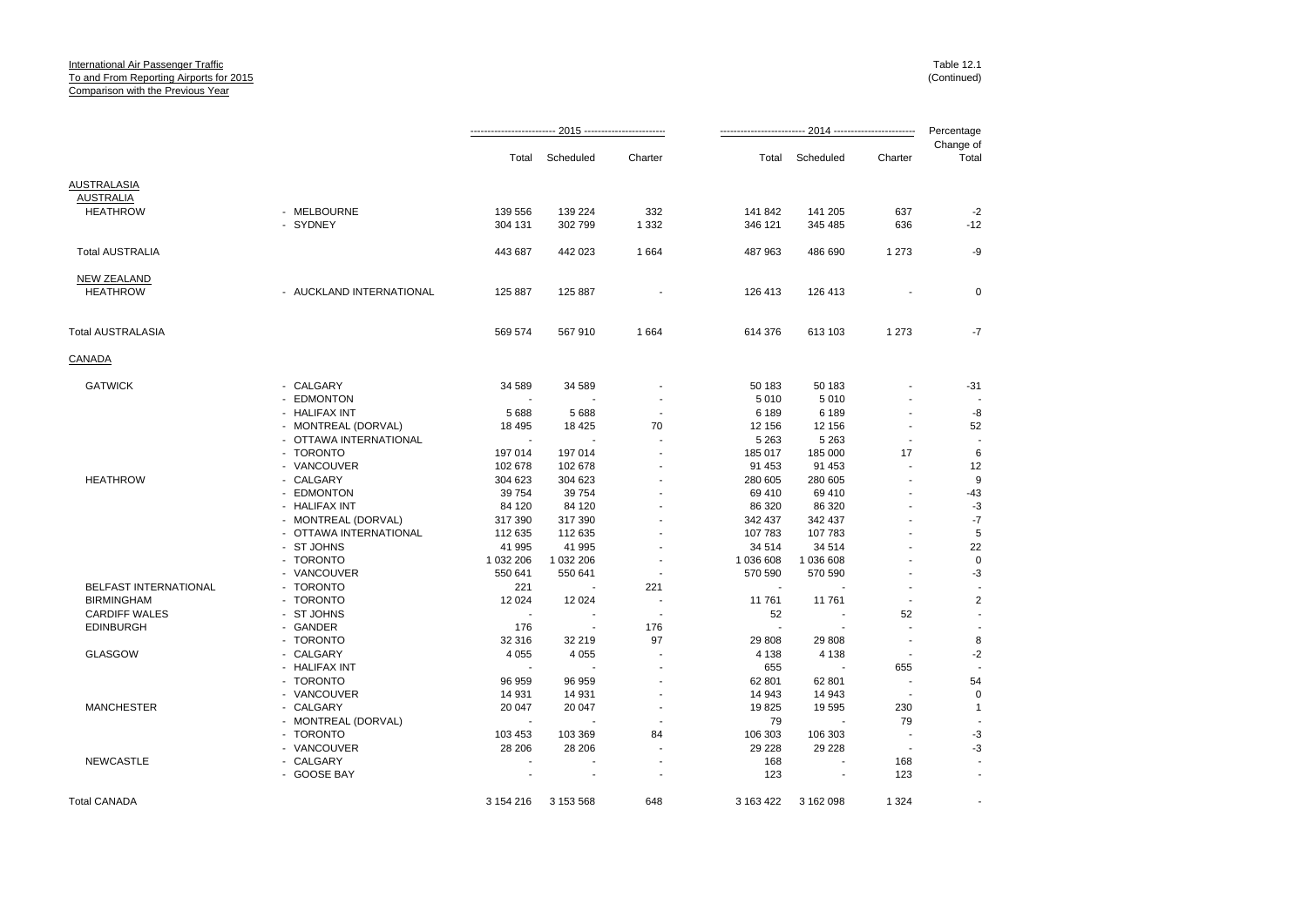|                        |                          |                          |           |         |           |           |         | Percentage         |
|------------------------|--------------------------|--------------------------|-----------|---------|-----------|-----------|---------|--------------------|
|                        |                          | Total                    | Scheduled | Charter | Total     | Scheduled | Charter | Change of<br>Total |
| <b>AUSTRALASIA</b>     |                          |                          |           |         |           |           |         |                    |
| <b>AUSTRALIA</b>       |                          |                          |           |         |           |           |         |                    |
| <b>HEATHROW</b>        | - MELBOURNE              | 139 556                  | 139 224   | 332     | 141 842   | 141 205   | 637     | $-2$               |
|                        | - SYDNEY                 | 304 131                  | 302 799   | 1 3 3 2 | 346 121   | 345 485   | 636     | $-12$              |
| <b>Total AUSTRALIA</b> |                          | 443 687                  | 442 023   | 1664    | 487 963   | 486 690   | 1 2 7 3 | -9                 |
| <b>NEW ZEALAND</b>     |                          |                          |           |         |           |           |         |                    |
| <b>HEATHROW</b>        | - AUCKLAND INTERNATIONAL | 125 887                  | 125 887   |         | 126 413   | 126 413   |         | $\mathbf 0$        |
| Total AUSTRALASIA      |                          | 569 574                  | 567 910   | 1664    | 614 376   | 613 103   | 1 2 7 3 | -7                 |
| CANADA                 |                          |                          |           |         |           |           |         |                    |
| <b>GATWICK</b>         | - CALGARY                | 34 589                   | 34 589    |         | 50 183    | 50 183    |         | $-31$              |
|                        | - EDMONTON               | ٠.                       |           |         | 5 0 1 0   | 5 0 1 0   |         |                    |
|                        | - HALIFAX INT            | 5688                     | 5688      |         | 6 189     | 6 189     |         | -8                 |
|                        | - MONTREAL (DORVAL)      | 18 4 95                  | 18 4 25   | 70      | 12 156    | 12 156    |         | 52                 |
|                        | - OTTAWA INTERNATIONAL   | $\sim$                   |           |         | 5 2 6 3   | 5 2 6 3   |         |                    |
|                        | - TORONTO                | 197 014                  | 197 014   |         | 185 017   | 185 000   | 17      | 6                  |
|                        | - VANCOUVER              | 102 678                  | 102 678   |         | 91 453    | 91 453    |         | 12                 |
| <b>HEATHROW</b>        | - CALGARY                | 304 623                  | 304 623   |         | 280 605   | 280 605   |         | 9                  |
|                        | - EDMONTON               | 39 7 54                  | 39 754    |         | 69 410    | 69 410    |         | $-43$              |
|                        | - HALIFAX INT            | 84 120                   | 84 120    |         | 86 320    | 86 320    |         | $-3$               |
|                        | - MONTREAL (DORVAL)      | 317 390                  | 317 390   |         | 342 437   | 342 437   |         | $-7$               |
|                        | - OTTAWA INTERNATIONAL   | 112 635                  | 112 635   |         | 107 783   | 107 783   |         | 5                  |
|                        | - ST JOHNS               | 41 995                   | 41 995    |         | 34 514    | 34 514    |         | 22                 |
|                        | - TORONTO                | 1 032 206                | 1 032 206 |         | 1 036 608 | 1 036 608 |         | $\mathbf 0$        |
|                        | - VANCOUVER              | 550 641                  | 550 641   |         | 570 590   | 570 590   |         | -3                 |
| BELFAST INTERNATIONAL  | - TORONTO                | 221                      |           | 221     |           |           |         |                    |
| <b>BIRMINGHAM</b>      | - TORONTO                | 12 0 24                  | 12 0 24   |         | 11 761    | 11 761    |         | $\overline{2}$     |
| <b>CARDIFF WALES</b>   | - ST JOHNS               | $\sim$                   |           |         | 52        |           | 52      |                    |
| <b>EDINBURGH</b>       | - GANDER                 | 176                      |           | 176     | ÷.        |           |         |                    |
|                        | - TORONTO                | 32 316                   | 32 219    | 97      | 29 808    | 29 808    |         | 8                  |
| <b>GLASGOW</b>         | - CALGARY                | 4 0 5 5                  | 4 0 5 5   |         | 4 1 3 8   | 4 1 3 8   |         | $-2$               |
|                        | - HALIFAX INT            |                          |           |         | 655       |           | 655     |                    |
|                        | - TORONTO                | 96 959                   | 96 959    |         | 62 801    | 62 801    |         | 54                 |
|                        | - VANCOUVER              | 14 931                   | 14 931    |         | 14 943    | 14 943    | $\sim$  | 0                  |
| <b>MANCHESTER</b>      | - CALGARY                | 20 047                   | 20 047    |         | 19825     | 19 595    | 230     | $\mathbf{1}$       |
|                        | - MONTREAL (DORVAL)      | $\overline{\phantom{a}}$ |           |         | 79        |           | 79      |                    |
|                        | - TORONTO                | 103 453                  | 103 369   | 84      | 106 303   | 106 303   |         | $-3$               |
|                        | - VANCOUVER              | 28 20 6                  | 28 20 6   |         | 29 2 28   | 29 228    |         | $-3$               |
| <b>NEWCASTLE</b>       | - CALGARY                |                          |           |         | 168       |           | 168     |                    |
|                        | - GOOSE BAY              |                          |           |         | 123       |           | 123     |                    |
| <b>Total CANADA</b>    |                          | 3 154 216                | 3 153 568 | 648     | 3 163 422 | 3 162 098 | 1 3 2 4 |                    |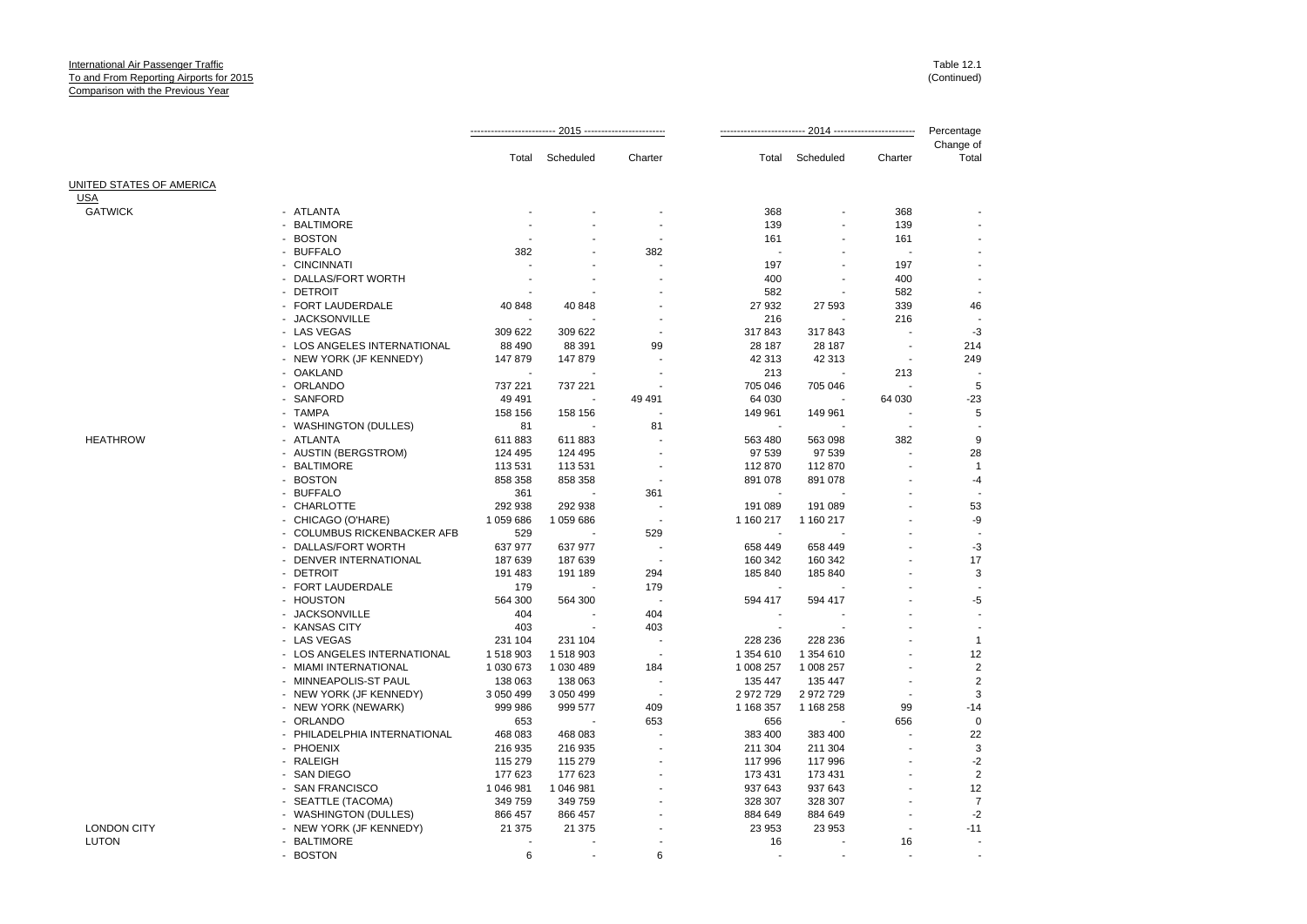|                          |                                  |           |           | 2014 ------------------------ |           |           | Percentage |                    |
|--------------------------|----------------------------------|-----------|-----------|-------------------------------|-----------|-----------|------------|--------------------|
|                          |                                  | Total     | Scheduled | Charter                       | Total     | Scheduled | Charter    | Change of<br>Total |
| UNITED STATES OF AMERICA |                                  |           |           |                               |           |           |            |                    |
| <b>USA</b>               |                                  |           |           |                               |           |           |            |                    |
| <b>GATWICK</b>           | - ATLANTA                        |           |           |                               | 368       |           | 368        |                    |
|                          | <b>BALTIMORE</b>                 |           |           |                               | 139       |           | 139        |                    |
|                          | <b>BOSTON</b><br>$\sim$          |           |           |                               | 161       |           | 161        |                    |
|                          | - BUFFALO                        | 382       |           | 382                           |           |           |            |                    |
|                          | - CINCINNATI                     |           |           |                               | 197       |           | 197        |                    |
|                          | DALLAS/FORT WORTH                |           |           |                               | 400       |           | 400        |                    |
|                          | - DETROIT                        |           |           |                               | 582       |           | 582        |                    |
|                          | FORT LAUDERDALE                  | 40 848    | 40 848    |                               | 27 932    | 27 593    | 339        | 46                 |
|                          | <b>JACKSONVILLE</b>              |           |           |                               | 216       |           | 216        |                    |
|                          | - LAS VEGAS                      | 309 622   | 309 622   |                               | 317843    | 317843    |            | $-3$               |
|                          | - LOS ANGELES INTERNATIONAL      | 88 490    | 88 391    | 99                            | 28 187    | 28 187    |            | 214                |
|                          | - NEW YORK (JF KENNEDY)          | 147879    | 147 879   |                               | 42 313    | 42 313    |            | 249                |
|                          | - OAKLAND                        |           |           |                               | 213       |           | 213        |                    |
|                          | - ORLANDO                        | 737 221   | 737 221   |                               | 705 046   | 705 046   |            | 5                  |
|                          | SANFORD                          | 49 4 91   |           | 49 491                        | 64 030    |           | 64 030     | $-23$              |
|                          | - TAMPA                          | 158 156   | 158 156   |                               | 149 961   | 149 961   |            | 5                  |
|                          | <b>WASHINGTON (DULLES)</b>       | 81        |           | 81                            |           |           |            |                    |
| <b>HEATHROW</b>          | - ATLANTA                        | 611883    | 611883    |                               | 563 480   | 563 098   | 382        | 9                  |
|                          | - AUSTIN (BERGSTROM)             | 124 495   | 124 495   |                               | 97 539    | 97 539    |            | 28                 |
|                          | <b>BALTIMORE</b>                 | 113 531   | 113 531   |                               | 112870    | 112870    |            | $\overline{1}$     |
|                          | - BOSTON                         | 858 358   | 858 358   | ä,                            | 891 078   | 891 078   |            | $-4$               |
|                          | - BUFFALO                        | 361       |           | 361                           |           |           |            |                    |
|                          | - CHARLOTTE                      | 292 938   | 292 938   | ÷.                            | 191 089   | 191 089   |            | 53                 |
|                          | - CHICAGO (O'HARE)               | 1 059 686 | 1 059 686 | $\overline{\phantom{a}}$      | 1 160 217 | 1 160 217 |            | -9                 |
|                          | <b>COLUMBUS RICKENBACKER AFB</b> | 529       |           | 529                           |           |           |            |                    |
|                          | - DALLAS/FORT WORTH              | 637 977   | 637 977   |                               | 658 449   | 658 449   |            | $-3$               |
|                          | - DENVER INTERNATIONAL           | 187 639   | 187 639   | . .                           | 160 342   | 160 342   |            | 17                 |
|                          | <b>DETROIT</b>                   | 191 483   | 191 189   | 294                           | 185 840   | 185 840   |            | 3                  |
|                          | - FORT LAUDERDALE                | 179       |           | 179                           |           |           |            |                    |
|                          | - HOUSTON                        | 564 300   | 564 300   |                               | 594 417   | 594 417   |            | $-5$               |
|                          | <b>JACKSONVILLE</b>              | 404       |           | 404                           |           |           |            |                    |
|                          | - KANSAS CITY                    | 403       |           | 403                           |           |           |            |                    |
|                          | - LAS VEGAS                      | 231 104   | 231 104   |                               | 228 236   | 228 236   |            | $\mathbf{1}$       |
|                          | - LOS ANGELES INTERNATIONAL      | 1518903   | 1518903   | $\overline{\phantom{a}}$      | 1 354 610 | 1 354 610 |            | 12                 |
|                          | - MIAMI INTERNATIONAL            | 1 030 673 | 1 030 489 | 184                           | 1 008 257 | 1 008 257 |            | $\overline{c}$     |
|                          | MINNEAPOLIS-ST PAUL              | 138 063   | 138 063   |                               | 135 447   | 135 447   |            | $\overline{2}$     |
|                          | - NEW YORK (JF KENNEDY)          | 3 050 499 | 3 050 499 |                               | 2 972 729 | 2972729   |            | 3                  |
|                          | - NEW YORK (NEWARK)              | 999 986   | 999 577   | 409                           | 1 168 357 | 1 168 258 | 99         | $-14$              |
|                          | <b>ORLANDO</b>                   | 653       |           | 653                           | 656       |           | 656        | $\mathbf 0$        |
|                          | - PHILADELPHIA INTERNATIONAL     | 468 083   | 468 083   |                               | 383 400   | 383 400   |            | 22                 |
|                          | - PHOENIX                        | 216 935   | 216 935   |                               | 211 304   | 211 304   |            | 3                  |
|                          | <b>RALEIGH</b>                   | 115 279   | 115 279   |                               | 117 996   | 117 996   |            | $-2$               |
|                          | <b>SAN DIEGO</b>                 | 177 623   | 177 623   |                               | 173 431   | 173 431   |            | $\overline{2}$     |
|                          | <b>SAN FRANCISCO</b>             | 1 046 981 | 1 046 981 |                               | 937 643   | 937 643   |            | 12                 |
|                          | - SEATTLE (TACOMA)               | 349 759   | 349 759   |                               | 328 307   | 328 307   |            | $\overline{7}$     |
|                          | - WASHINGTON (DULLES)            | 866 457   | 866 457   |                               | 884 649   | 884 649   |            | $-2$               |
| <b>LONDON CITY</b>       | - NEW YORK (JF KENNEDY)          | 21 375    | 21 375    |                               | 23 953    | 23 953    |            | $-11$              |
| <b>LUTON</b>             | - BALTIMORE                      |           |           |                               | 16        |           | 16         |                    |
|                          | - ROSTON                         | ĥ         |           | ĥ                             |           |           |            |                    |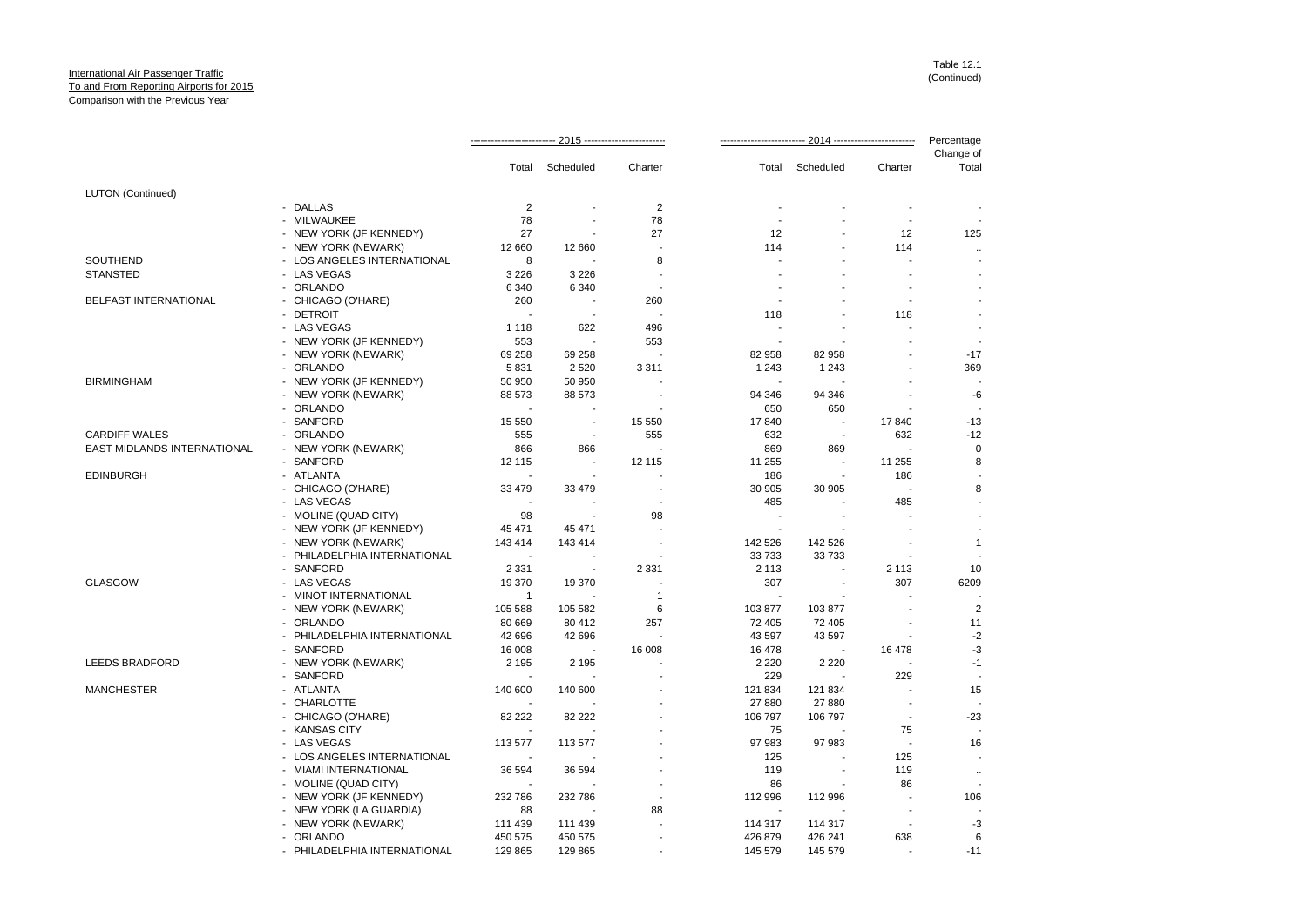|                             |                              |                |                          |                          |                |                |                          | Percentage               |  |
|-----------------------------|------------------------------|----------------|--------------------------|--------------------------|----------------|----------------|--------------------------|--------------------------|--|
|                             |                              |                | Total Scheduled          | Charter                  | Total          | Scheduled      | Charter                  | Change of<br>Total       |  |
| <b>LUTON</b> (Continued)    |                              |                |                          |                          |                |                |                          |                          |  |
|                             | - DALLAS                     | $\overline{2}$ |                          | 2                        |                |                |                          |                          |  |
|                             | MILWAUKEE                    | 78             |                          | 78                       |                |                | $\blacksquare$           |                          |  |
|                             | - NEW YORK (JF KENNEDY)      | 27             |                          | 27                       | 12             |                | 12                       | 125                      |  |
|                             | - NEW YORK (NEWARK)          | 12 660         | 12 660                   | $\overline{\phantom{a}}$ | 114            |                | 114                      | $\ldots$                 |  |
| SOUTHEND                    | - LOS ANGELES INTERNATIONAL  | 8              |                          | 8                        |                |                |                          |                          |  |
| <b>STANSTED</b>             | - LAS VEGAS                  | 3 2 2 6        | 3 2 2 6                  | ÷,                       |                |                | ä,                       |                          |  |
|                             | ORLANDO                      | 6 3 4 0        | 6 3 4 0                  | ÷,                       |                |                | ÷.                       |                          |  |
| BELFAST INTERNATIONAL       | - CHICAGO (O'HARE)           | 260            |                          | 260                      |                |                | $\sim$                   | $\blacksquare$           |  |
|                             | - DETROIT                    |                | $\overline{\phantom{a}}$ | $\overline{\phantom{a}}$ | 118            |                | 118                      |                          |  |
|                             | - LAS VEGAS                  | 1 1 1 8        | 622                      | 496                      |                |                |                          |                          |  |
|                             | - NEW YORK (JF KENNEDY)      | 553            |                          | 553                      |                |                |                          | ÷,                       |  |
|                             | - NEW YORK (NEWARK)          | 69 258         | 69 258                   |                          | 82 958         | 82 958         |                          | $-17$                    |  |
|                             | - ORLANDO                    | 5831           | 2 5 20                   | 3 3 1 1                  | 1 2 4 3        | 1 2 4 3        |                          | 369                      |  |
| <b>BIRMINGHAM</b>           | - NEW YORK (JF KENNEDY)      | 50 950         | 50 950                   |                          |                |                |                          | $\overline{a}$           |  |
|                             | - NEW YORK (NEWARK)          | 88 573         | 88 573                   |                          | 94 346         | 94 346         |                          | $-6$                     |  |
|                             | - ORLANDO                    |                |                          |                          | 650            | 650            |                          | $\overline{\phantom{a}}$ |  |
|                             | - SANFORD                    | 15 550         | $\blacksquare$           | 15 550                   | 17840          |                | 17840                    | $-13$                    |  |
| <b>CARDIFF WALES</b>        | ORLANDO                      | 555            | $\sim$                   | 555                      | 632            | $\sim$         | 632                      | $-12$                    |  |
| EAST MIDLANDS INTERNATIONAL | - NEW YORK (NEWARK)          | 866            | 866                      | ÷,                       | 869            | 869            | $\overline{\phantom{a}}$ | $\mathbf 0$              |  |
|                             | - SANFORD                    | 12 115         | $\overline{\phantom{a}}$ | 12 115                   | 11 255         |                | 11 255                   | 8                        |  |
| <b>EDINBURGH</b>            | - ATLANTA                    |                |                          |                          | 186            | $\blacksquare$ | 186                      |                          |  |
|                             | - CHICAGO (O'HARE)           | 33 479         | 33 479                   |                          | 30 905         | 30 905         | $\overline{\phantom{a}}$ | 8                        |  |
|                             | - LAS VEGAS                  |                |                          | ÷                        | 485            |                | 485                      |                          |  |
|                             | - MOLINE (QUAD CITY)         | 98             |                          | 98                       |                |                |                          |                          |  |
|                             | - NEW YORK (JF KENNEDY)      | 45 471         | 45 471                   | ä,                       |                |                |                          |                          |  |
|                             | - NEW YORK (NEWARK)          | 143 414        | 143 414                  |                          | 142 526        | 142 526        |                          | $\mathbf{1}$             |  |
|                             | PHILADELPHIA INTERNATIONAL   |                |                          |                          | 33 733         | 33 733         |                          |                          |  |
|                             | SANFORD                      | 2 3 3 1        | $\overline{\phantom{a}}$ | 2 3 3 1                  | 2 1 1 3        |                | 2 1 1 3                  | 10                       |  |
| <b>GLASGOW</b>              | - LAS VEGAS                  | 19 370         | 19 370                   | Ĭ.                       | 307            |                | 307                      | 6209                     |  |
|                             | - MINOT INTERNATIONAL        | $\overline{1}$ |                          | $\mathbf{1}$             |                |                |                          |                          |  |
|                             | - NEW YORK (NEWARK)          | 105 588        | 105 582                  | 6                        | 103 877        | 103 877        |                          | 2                        |  |
|                             | - ORLANDO                    | 80 669         | 80 412                   | 257                      | 72 405         | 72 405         |                          | 11                       |  |
|                             | PHILADELPHIA INTERNATIONAL   | 42 696         | 42 696                   |                          | 43 597         | 43 597         |                          | $-2$                     |  |
|                             | - SANFORD                    | 16 008         |                          | 16 008                   | 16 478         |                | 16 478                   | $-3$                     |  |
| <b>LEEDS BRADFORD</b>       | - NEW YORK (NEWARK)          | 2 1 9 5        | 2 1 9 5                  |                          | 2 2 2 0        | 2 2 2 0        |                          | $-1$                     |  |
|                             | SANFORD                      |                |                          |                          | 229            |                | 229                      | $\overline{\phantom{a}}$ |  |
| <b>MANCHESTER</b>           | - ATLANTA                    | 140 600        | 140 600                  |                          | 121 834        | 121 834        | $\blacksquare$           | 15                       |  |
|                             | CHARLOTTE                    |                |                          |                          | 27 880         | 27880          |                          | $\overline{a}$           |  |
|                             | - CHICAGO (O'HARE)           | 82 222         | 82 222                   |                          | 106 797        | 106 797        | $\overline{\phantom{a}}$ | $-23$                    |  |
|                             | - KANSAS CITY                |                |                          |                          | 75             |                | 75                       |                          |  |
|                             | - LAS VEGAS                  | 113 577        | 113 577                  |                          | 97 983         | 97 983         | $\blacksquare$           | 16                       |  |
|                             | - LOS ANGELES INTERNATIONAL  |                |                          |                          | 125            |                | 125                      | $\blacksquare$           |  |
|                             | - MIAMI INTERNATIONAL        | 36 594         | 36 594                   |                          | 119            | $\blacksquare$ | 119                      | $\ddotsc$                |  |
|                             | - MOLINE (QUAD CITY)         |                |                          |                          | 86             |                | 86                       | $\overline{\phantom{a}}$ |  |
|                             | - NEW YORK (JF KENNEDY)      | 232 786        | 232 786                  | $\overline{a}$           | 112 996        | 112 996        | ÷,                       | 106                      |  |
|                             | - NEW YORK (LA GUARDIA)      | 88             |                          | 88                       | $\blacksquare$ |                |                          |                          |  |
|                             | - NEW YORK (NEWARK)          | 111 439        | 111 439                  | $\overline{a}$           | 114 317        | 114 317        | $\sim$                   | $-3$                     |  |
|                             | - ORLANDO                    | 450 575        | 450 575                  |                          | 426 879        | 426 241        | 638                      | 6                        |  |
|                             | - PHILADELPHIA INTERNATIONAL | 129 865        | 129 865                  | $\overline{a}$           | 145 579        | 145 579        |                          | $-11$                    |  |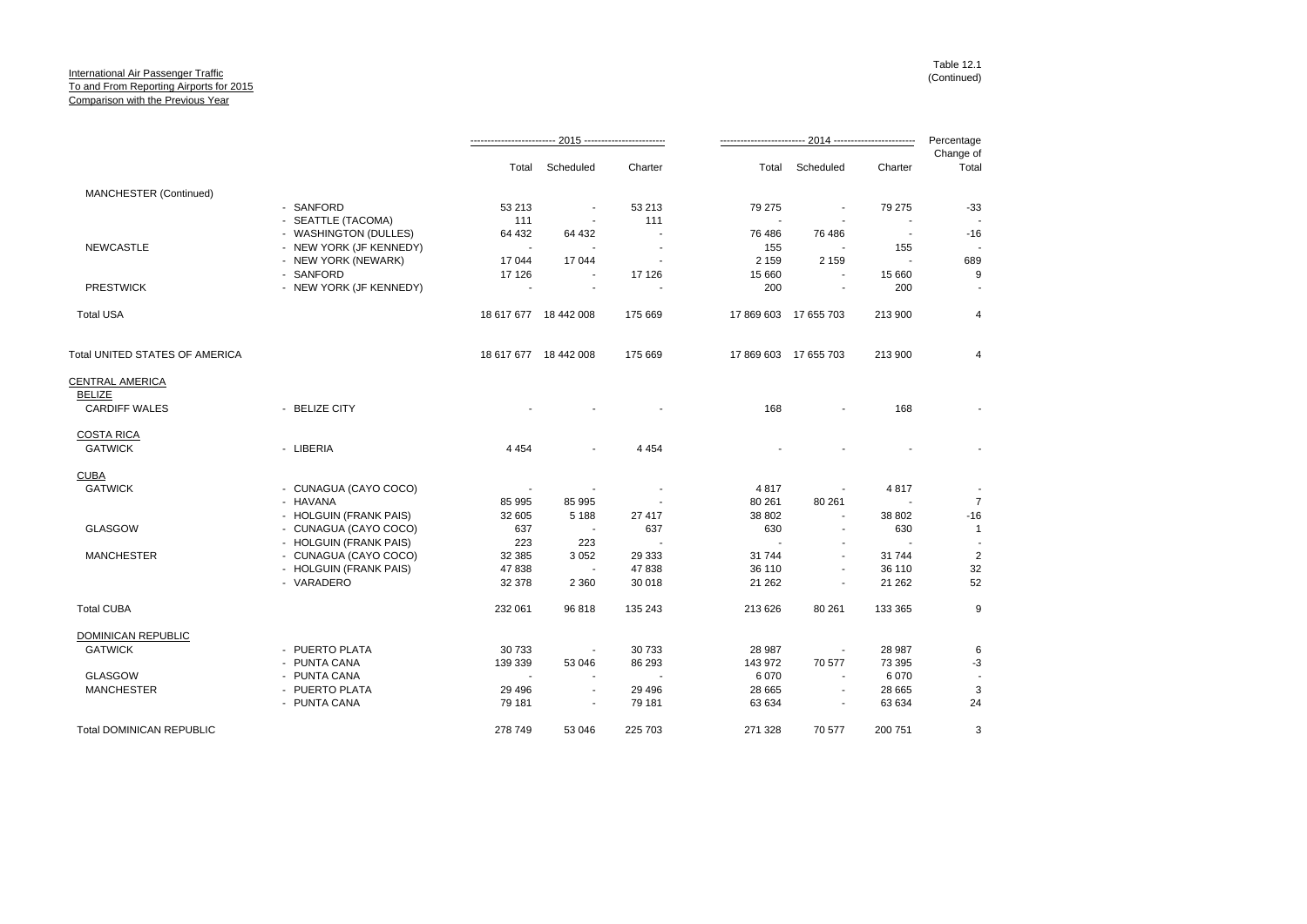|                                 |                         |          |                          |          |                |                          | Percentage               |                          |
|---------------------------------|-------------------------|----------|--------------------------|----------|----------------|--------------------------|--------------------------|--------------------------|
|                                 |                         | Total    | Scheduled                | Charter  | Total          | Scheduled                | Charter                  | Change of<br>Total       |
| MANCHESTER (Continued)          |                         |          |                          |          |                |                          |                          |                          |
|                                 | - SANFORD               | 53 213   | $\overline{\phantom{a}}$ | 53 213   | 79 275         |                          | 79 275                   | $-33$                    |
|                                 | - SEATTLE (TACOMA)      | 111      |                          | 111      |                |                          |                          |                          |
|                                 | - WASHINGTON (DULLES)   | 64 432   | 64 432                   |          | 76 486         | 76 486                   | $\overline{\phantom{a}}$ | $-16$                    |
| <b>NEWCASTLE</b>                | - NEW YORK (JF KENNEDY) | $\sim$   |                          |          | 155            |                          | 155                      | $\blacksquare$           |
|                                 | - NEW YORK (NEWARK)     | 17 044   | 17044                    |          | 2 1 5 9        | 2 1 5 9                  |                          | 689                      |
|                                 | - SANFORD               | 17 126   | $\sim$                   | 17 126   | 15 660         |                          | 15 660                   | 9                        |
| <b>PRESTWICK</b>                | - NEW YORK (JF KENNEDY) |          | $\blacksquare$           |          | 200            | $\blacksquare$           | 200                      |                          |
| <b>Total USA</b>                |                         |          | 18 617 677 18 442 008    | 175 669  |                | 17 869 603 17 655 703    | 213 900                  | $\overline{4}$           |
| Total UNITED STATES OF AMERICA  |                         |          | 18 617 677 18 442 008    | 175 669  |                | 17 869 603 17 655 703    | 213 900                  | $\overline{4}$           |
| <b>CENTRAL AMERICA</b>          |                         |          |                          |          |                |                          |                          |                          |
| <b>BELIZE</b>                   |                         |          |                          |          |                |                          |                          |                          |
| <b>CARDIFF WALES</b>            | - BELIZE CITY           |          |                          |          | 168            | $\blacksquare$           | 168                      |                          |
| <b>COSTA RICA</b>               |                         |          |                          |          |                |                          |                          |                          |
| <b>GATWICK</b>                  | - LIBERIA               | 4 4 5 4  |                          | 4 4 5 4  |                |                          |                          |                          |
| <b>CUBA</b>                     |                         |          |                          |          |                |                          |                          |                          |
| <b>GATWICK</b>                  | - CUNAGUA (CAYO COCO)   | $\sim$   |                          |          | 4817           | $\blacksquare$           | 4817                     |                          |
|                                 | - HAVANA                | 85 995   | 85 995                   |          | 80 261         | 80 261                   |                          | $\overline{7}$           |
|                                 | - HOLGUIN (FRANK PAIS)  | 32 605   | 5 1 8 8                  | 27 417   | 38 802         |                          | 38 802                   | $-16$                    |
| <b>GLASGOW</b>                  | - CUNAGUA (CAYO COCO)   | 637      | $\overline{\phantom{a}}$ | 637      | 630            | $\sim$                   | 630                      | $\overline{1}$           |
|                                 | - HOLGUIN (FRANK PAIS)  | 223      | 223                      |          | $\blacksquare$ |                          |                          |                          |
| <b>MANCHESTER</b>               | - CUNAGUA (CAYO COCO)   | 32 385   | 3 0 5 2                  | 29 333   | 31 744         | $\sim$                   | 31 744                   | $\overline{2}$           |
|                                 | - HOLGUIN (FRANK PAIS)  | 47838    | $\blacksquare$           | 47 838   | 36 110         | $\sim$                   | 36 110                   | 32                       |
|                                 | - VARADERO              | 32 378   | 2 3 6 0                  | 30 018   | 21 26 2        |                          | 21 262                   | 52                       |
| <b>Total CUBA</b>               |                         | 232 061  | 96 818                   | 135 243  | 213 626        | 80 261                   | 133 365                  | 9                        |
| DOMINICAN REPUBLIC              |                         |          |                          |          |                |                          |                          |                          |
| <b>GATWICK</b>                  | - PUERTO PLATA          | 30 733   | $\overline{\phantom{a}}$ | 30 733   | 28 987         | $\blacksquare$           | 28 987                   | 6                        |
|                                 | - PUNTA CANA            | 139 339  | 53 046                   | 86 293   | 143 972        | 70 577                   | 73 395                   | $-3$                     |
| <b>GLASGOW</b>                  | - PUNTA CANA            | $\sim$   |                          |          | 6 0 7 0        | $\sim$                   | 6 0 7 0                  | $\overline{\phantom{a}}$ |
| <b>MANCHESTER</b>               | - PUERTO PLATA          | 29 4 9 6 | $\overline{\phantom{a}}$ | 29 4 9 6 | 28 665         | $\blacksquare$           | 28 665                   | 3                        |
|                                 | - PUNTA CANA            | 79 181   |                          | 79 181   | 63 634         | $\overline{\phantom{a}}$ | 63 634                   | 24                       |
| <b>Total DOMINICAN REPUBLIC</b> |                         | 278 749  | 53 046                   | 225 703  | 271 328        | 70 577                   | 200 751                  | 3                        |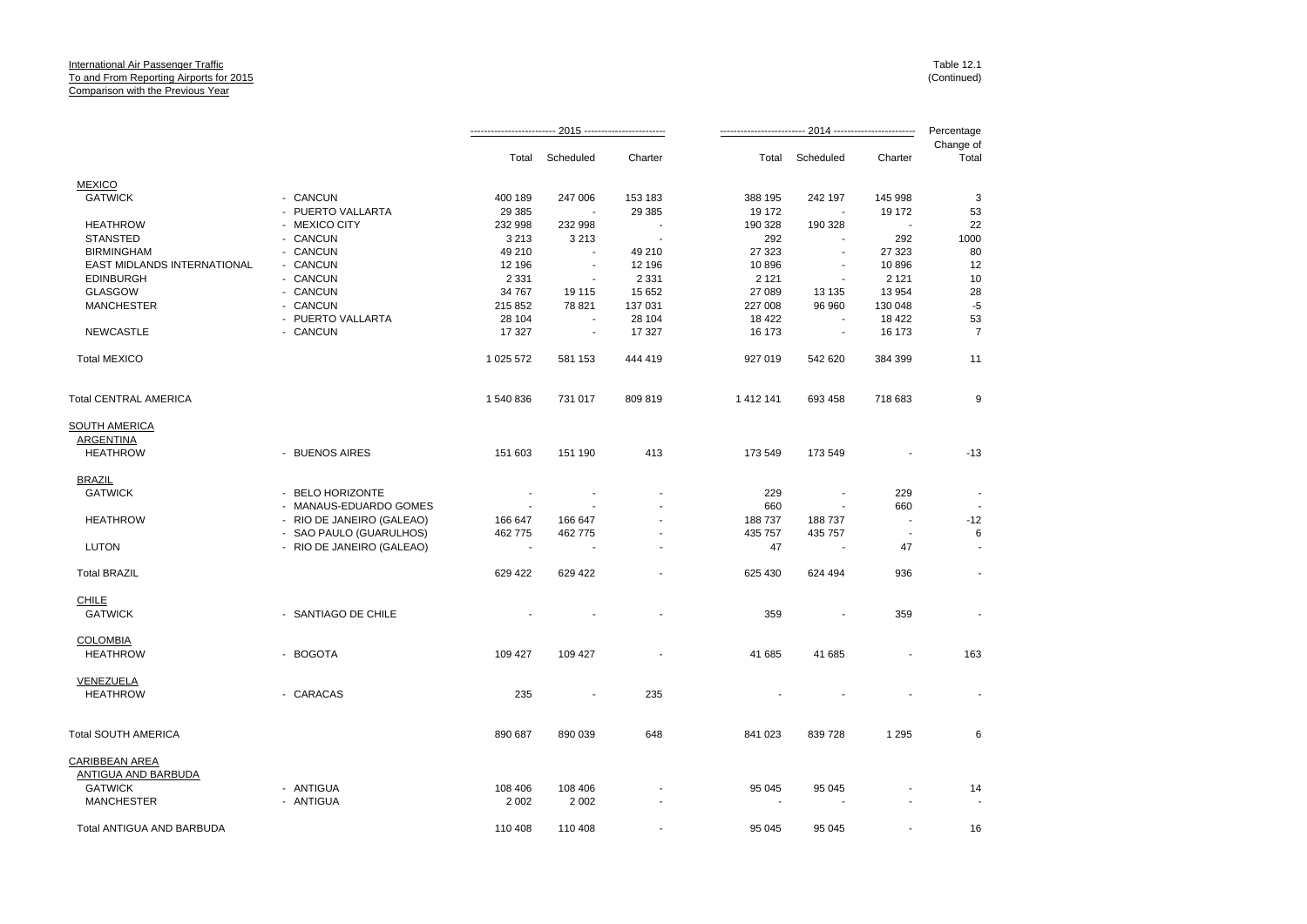|                              |                           |           |                          |                | 2014 ------------------------- |                          |         | Percentage         |
|------------------------------|---------------------------|-----------|--------------------------|----------------|--------------------------------|--------------------------|---------|--------------------|
|                              |                           | Total     | Scheduled                | Charter        | Total                          | Scheduled                | Charter | Change of<br>Total |
| <b>MEXICO</b>                |                           |           |                          |                |                                |                          |         |                    |
| <b>GATWICK</b>               | - CANCUN                  | 400 189   | 247 006                  | 153 183        | 388 195                        | 242 197                  | 145 998 | 3                  |
|                              | - PUERTO VALLARTA         | 29 3 85   |                          | 29 385         | 19 172                         | $\overline{\phantom{a}}$ | 19 172  | 53                 |
| <b>HEATHROW</b>              | - MEXICO CITY             | 232 998   | 232 998                  |                | 190 328                        | 190 328                  | ٠.      | 22                 |
| <b>STANSTED</b>              | - CANCUN                  | 3 2 1 3   | 3 2 1 3                  | $\blacksquare$ | 292                            | ÷                        | 292     | 1000               |
| <b>BIRMINGHAM</b>            | - CANCUN                  | 49 210    |                          | 49 210         | 27 323                         |                          | 27 323  | 80                 |
| EAST MIDLANDS INTERNATIONAL  | - CANCUN                  | 12 196    | ÷,                       | 12 196         | 10896                          |                          | 10896   | 12                 |
| <b>EDINBURGH</b>             | - CANCUN                  | 2 3 3 1   | ÷,                       | 2 3 3 1        | 2 1 2 1                        |                          | 2 1 2 1 | 10                 |
| <b>GLASGOW</b>               | - CANCUN                  | 34 767    | 19 115                   | 15 652         | 27 089                         | 13 135                   | 13 954  | 28                 |
| <b>MANCHESTER</b>            | - CANCUN                  | 215 852   | 78 821                   | 137 031        | 227 008                        | 96 960                   | 130 048 | $-5$               |
|                              | - PUERTO VALLARTA         | 28 104    |                          | 28 104         | 18 4 22                        |                          | 18 4 22 | 53                 |
| <b>NEWCASTLE</b>             | - CANCUN                  | 17 327    | $\overline{\phantom{a}}$ | 17 327         | 16 173                         | $\blacksquare$           | 16 173  | $\overline{7}$     |
| <b>Total MEXICO</b>          |                           | 1 025 572 | 581 153                  | 444 419        | 927 019                        | 542 620                  | 384 399 | 11                 |
| <b>Total CENTRAL AMERICA</b> |                           | 1540836   | 731 017                  | 809 819        | 1 412 141                      | 693 458                  | 718 683 | 9                  |
| SOUTH AMERICA                |                           |           |                          |                |                                |                          |         |                    |
| ARGENTINA                    |                           |           |                          |                |                                |                          |         |                    |
| <b>HEATHROW</b>              | - BUENOS AIRES            | 151 603   | 151 190                  | 413            | 173 549                        | 173 549                  |         | $-13$              |
| <b>BRAZIL</b>                |                           |           |                          |                |                                |                          |         |                    |
| <b>GATWICK</b>               | - BELO HORIZONTE          |           |                          |                | 229                            |                          | 229     |                    |
|                              | - MANAUS-EDUARDO GOMES    |           |                          |                | 660                            | ÷,                       | 660     |                    |
| <b>HEATHROW</b>              | - RIO DE JANEIRO (GALEAO) | 166 647   | 166 647                  |                | 188737                         | 188737                   | ٠.      | $-12$              |
|                              | - SAO PAULO (GUARULHOS)   | 462 775   | 462 775                  | $\overline{a}$ | 435 757                        | 435 757                  | $\sim$  | 6                  |
| <b>LUTON</b>                 | - RIO DE JANEIRO (GALEAO) |           |                          |                | 47                             |                          | 47      |                    |
| <b>Total BRAZIL</b>          |                           | 629 422   | 629 422                  |                | 625 430                        | 624 494                  | 936     | $\sim$             |
| <b>CHILE</b>                 |                           |           |                          |                |                                |                          |         |                    |
| <b>GATWICK</b>               | - SANTIAGO DE CHILE       |           |                          |                | 359                            |                          | 359     |                    |
| <b>COLOMBIA</b>              |                           |           |                          |                |                                |                          |         |                    |
| <b>HEATHROW</b>              | - BOGOTA                  | 109 427   | 109 427                  |                | 41 685                         | 41 685                   |         | 163                |
| VENEZUELA                    |                           |           |                          |                |                                |                          |         |                    |
| <b>HEATHROW</b>              | - CARACAS                 | 235       | $\overline{\phantom{a}}$ | 235            |                                |                          |         |                    |
| <b>Total SOUTH AMERICA</b>   |                           | 890 687   | 890 039                  | 648            | 841 023                        | 839 728                  | 1 2 9 5 | 6                  |
| CARIBBEAN AREA               |                           |           |                          |                |                                |                          |         |                    |
| <b>ANTIGUA AND BARBUDA</b>   |                           |           |                          |                |                                |                          |         |                    |
| <b>GATWICK</b>               | - ANTIGUA                 | 108 406   | 108 406                  |                | 95 045                         | 95 045                   |         | 14                 |
| <b>MANCHESTER</b>            | - ANTIGUA                 | 2 0 0 2   | 2 0 0 2                  |                |                                |                          |         |                    |
| Total ANTIGUA AND BARBUDA    |                           | 110 408   | 110 408                  |                | 95 045                         | 95 045                   |         | 16                 |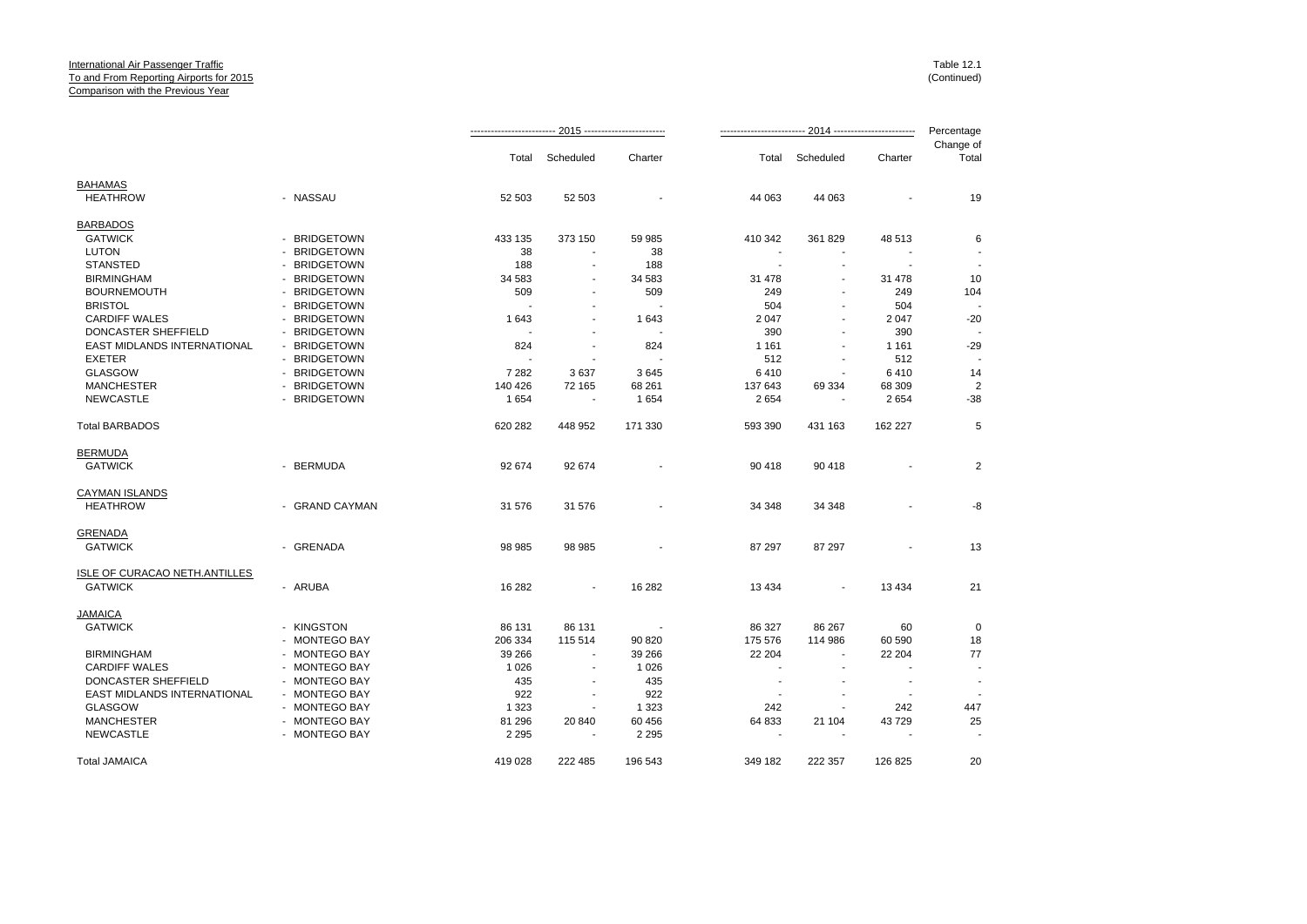|                               |                |         |                          |                |                          |                | 2014 ------------------------- | Percentage               |
|-------------------------------|----------------|---------|--------------------------|----------------|--------------------------|----------------|--------------------------------|--------------------------|
|                               |                | Total   | Scheduled                | Charter        | Total                    | Scheduled      | Charter                        | Change of<br>Total       |
| <b>BAHAMAS</b>                |                |         |                          |                |                          |                |                                |                          |
| <b>HEATHROW</b>               | - NASSAU       | 52 503  | 52 503                   |                | 44 063                   | 44 063         |                                | 19                       |
| <b>BARBADOS</b>               |                |         |                          |                |                          |                |                                |                          |
| <b>GATWICK</b>                | - BRIDGETOWN   | 433 135 | 373 150                  | 59 985         | 410 342                  | 361 829        | 48 513                         | 6                        |
| <b>LUTON</b>                  | - BRIDGETOWN   | 38      | $\blacksquare$           | 38             | $\blacksquare$           | $\blacksquare$ |                                |                          |
| <b>STANSTED</b>               | - BRIDGETOWN   | 188     |                          | 188            |                          |                |                                |                          |
| <b>BIRMINGHAM</b>             | - BRIDGETOWN   | 34 583  | $\blacksquare$           | 34 583         | 31 478                   | ÷.             | 31 478                         | 10                       |
| <b>BOURNEMOUTH</b>            | - BRIDGETOWN   | 509     |                          | 509            | 249                      | $\overline{a}$ | 249                            | 104                      |
| <b>BRISTOL</b>                | - BRIDGETOWN   |         |                          | $\overline{a}$ | 504                      | $\blacksquare$ | 504                            |                          |
| <b>CARDIFF WALES</b>          | - BRIDGETOWN   | 1643    | $\overline{a}$           | 1643           | 2 0 4 7                  | $\sim$         | 2 0 4 7                        | $-20$                    |
| DONCASTER SHEFFIELD           | - BRIDGETOWN   |         |                          | $\overline{a}$ | 390                      |                | 390                            |                          |
| EAST MIDLANDS INTERNATIONAL   | - BRIDGETOWN   | 824     | $\blacksquare$           | 824            | 1 1 6 1                  | $\blacksquare$ | 1 1 6 1                        | $-29$                    |
| <b>EXETER</b>                 | - BRIDGETOWN   |         |                          |                | 512                      |                | 512                            |                          |
| <b>GLASGOW</b>                | - BRIDGETOWN   | 7 2 8 2 | 3637                     | 3645           | 6410                     | $\blacksquare$ | 6410                           | 14                       |
| <b>MANCHESTER</b>             | - BRIDGETOWN   | 140 426 | 72 165                   | 68 261         | 137 643                  | 69 334         | 68 309                         | $\overline{2}$           |
| <b>NEWCASTLE</b>              | - BRIDGETOWN   | 1654    |                          | 1654           | 2654                     |                | 2654                           | $-38$                    |
|                               |                |         |                          |                |                          |                |                                |                          |
| <b>Total BARBADOS</b>         |                | 620 282 | 448 952                  | 171 330        | 593 390                  | 431 163        | 162 227                        | 5                        |
| <b>BERMUDA</b>                |                |         |                          |                |                          |                |                                |                          |
| <b>GATWICK</b>                | - BERMUDA      | 92 674  | 92 674                   |                | 90 418                   | 90 418         |                                | $\overline{2}$           |
| <b>CAYMAN ISLANDS</b>         |                |         |                          |                |                          |                |                                |                          |
| <b>HEATHROW</b>               | - GRAND CAYMAN | 31 576  | 31 576                   |                | 34 348                   | 34 348         |                                | -8                       |
| <b>GRENADA</b>                |                |         |                          |                |                          |                |                                |                          |
| <b>GATWICK</b>                | - GRENADA      | 98 985  | 98 985                   |                | 87 297                   | 87 297         |                                | 13                       |
| ISLE OF CURACAO NETH.ANTILLES |                |         |                          |                |                          |                |                                |                          |
| <b>GATWICK</b>                | - ARUBA        | 16 282  | $\blacksquare$           | 16 282         | 13 4 34                  |                | 13 4 34                        | 21                       |
| <b>JAMAICA</b>                |                |         |                          |                |                          |                |                                |                          |
| <b>GATWICK</b>                | - KINGSTON     | 86 131  | 86 131                   |                | 86 327                   | 86 267         | 60                             | $\mathbf 0$              |
|                               |                |         |                          |                |                          |                |                                |                          |
|                               | - MONTEGO BAY  | 206 334 | 115 514                  | 90 820         | 175 576                  | 114 986        | 60 590                         | 18                       |
| <b>BIRMINGHAM</b>             | - MONTEGO BAY  | 39 266  | ٠                        | 39 266         | 22 204                   | $\sim$         | 22 204                         | 77                       |
| <b>CARDIFF WALES</b>          | - MONTEGO BAY  | 1 0 2 6 | $\overline{\phantom{a}}$ | 1 0 2 6        |                          |                |                                |                          |
| DONCASTER SHEFFIELD           | - MONTEGO BAY  | 435     |                          | 435            | $\overline{\phantom{a}}$ |                | $\blacksquare$                 | $\overline{\phantom{a}}$ |
| EAST MIDLANDS INTERNATIONAL   | - MONTEGO BAY  | 922     | $\blacksquare$           | 922            | $\overline{a}$           | $\blacksquare$ | $\overline{\phantom{a}}$       |                          |
| <b>GLASGOW</b>                | - MONTEGO BAY  | 1 3 2 3 |                          | 1 3 2 3        | 242                      |                | 242                            | 447                      |
| <b>MANCHESTER</b>             | - MONTEGO BAY  | 81 296  | 20 840                   | 60 456         | 64 833                   | 21 104         | 43729                          | 25                       |
| <b>NEWCASTLE</b>              | - MONTEGO BAY  | 2 2 9 5 |                          | 2 2 9 5        |                          |                |                                |                          |
| <b>Total JAMAICA</b>          |                | 419 028 | 222 485                  | 196 543        | 349 182                  | 222 357        | 126 825                        | 20                       |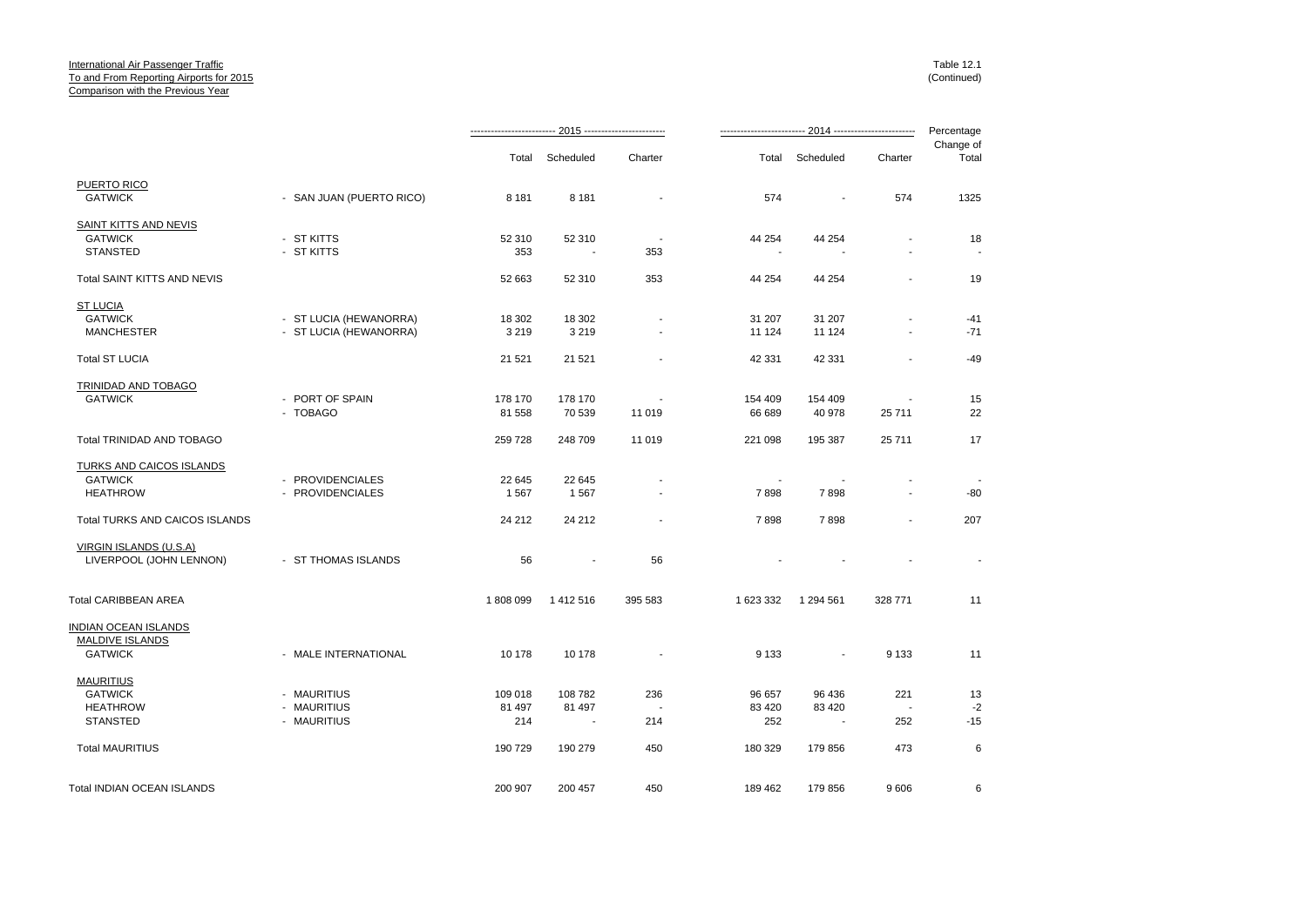|                                |                          |         |                          |                          |           |                          |                          | Percentage         |
|--------------------------------|--------------------------|---------|--------------------------|--------------------------|-----------|--------------------------|--------------------------|--------------------|
|                                |                          | Total   | Scheduled                | Charter                  | Total     | Scheduled                | Charter                  | Change of<br>Total |
| PUERTO RICO                    |                          |         |                          |                          |           |                          |                          |                    |
| <b>GATWICK</b>                 | - SAN JUAN (PUERTO RICO) | 8 1 8 1 | 8 1 8 1                  |                          | 574       |                          | 574                      | 1325               |
| <b>SAINT KITTS AND NEVIS</b>   |                          |         |                          |                          |           |                          |                          |                    |
| <b>GATWICK</b>                 | - ST KITTS               | 52 310  | 52 310                   | $\overline{\phantom{a}}$ | 44 254    | 44 254                   | $\blacksquare$           | 18                 |
| <b>STANSTED</b>                | - ST KITTS               | 353     | $\overline{\phantom{a}}$ | 353                      |           |                          |                          |                    |
| Total SAINT KITTS AND NEVIS    |                          | 52 663  | 52 310                   | 353                      | 44 254    | 44 254                   | $\overline{\phantom{a}}$ | 19                 |
| <b>ST LUCIA</b>                |                          |         |                          |                          |           |                          |                          |                    |
| <b>GATWICK</b>                 | - ST LUCIA (HEWANORRA)   | 18 302  | 18 302                   | $\blacksquare$           | 31 207    | 31 207                   |                          | $-41$              |
| <b>MANCHESTER</b>              | - ST LUCIA (HEWANORRA)   | 3 2 1 9 | 3 2 1 9                  |                          | 11 124    | 11 124                   |                          | $-71$              |
| <b>Total ST LUCIA</b>          |                          | 21 5 21 | 21 5 21                  |                          | 42 331    | 42 331                   | $\blacksquare$           | $-49$              |
| TRINIDAD AND TOBAGO            |                          |         |                          |                          |           |                          |                          |                    |
| <b>GATWICK</b>                 | - PORT OF SPAIN          | 178 170 | 178 170                  |                          | 154 409   | 154 409                  |                          | 15                 |
|                                | - TOBAGO                 | 81 558  | 70 539                   | 11 019                   | 66 689    | 40 978                   | 25 711                   | 22                 |
| Total TRINIDAD AND TOBAGO      |                          | 259728  | 248 709                  | 11 019                   | 221 098   | 195 387                  | 25 711                   | 17                 |
| TURKS AND CAICOS ISLANDS       |                          |         |                          |                          |           |                          |                          |                    |
| <b>GATWICK</b>                 | - PROVIDENCIALES         | 22 645  | 22 645                   |                          |           |                          |                          |                    |
| <b>HEATHROW</b>                | - PROVIDENCIALES         | 1567    | 1567                     |                          | 7898      | 7898                     | $\overline{\phantom{a}}$ | $-80$              |
| Total TURKS AND CAICOS ISLANDS |                          | 24 212  | 24 21 2                  |                          | 7898      | 7898                     |                          | 207                |
| VIRGIN ISLANDS (U.S.A)         |                          |         |                          |                          |           |                          |                          |                    |
| LIVERPOOL (JOHN LENNON)        | - ST THOMAS ISLANDS      | 56      | $\sim$                   | 56                       |           |                          |                          |                    |
| Total CARIBBEAN AREA           |                          | 1808099 | 1412516                  | 395 583                  | 1 623 332 | 1 294 561                | 328 771                  | 11                 |
| INDIAN OCEAN ISLANDS           |                          |         |                          |                          |           |                          |                          |                    |
| MALDIVE ISLANDS                |                          |         |                          |                          |           |                          |                          |                    |
| <b>GATWICK</b>                 | - MALE INTERNATIONAL     | 10 178  | 10 178                   |                          | 9 1 3 3   | $\overline{a}$           | 9 1 3 3                  | 11                 |
| <b>MAURITIUS</b>               |                          |         |                          |                          |           |                          |                          |                    |
| <b>GATWICK</b>                 | - MAURITIUS              | 109 018 | 108 782                  | 236                      | 96 657    | 96 436                   | 221                      | 13                 |
| <b>HEATHROW</b>                | - MAURITIUS              | 81 497  | 81 497                   |                          | 83 4 20   | 83 4 20                  | $\overline{\phantom{a}}$ | $-2$               |
| <b>STANSTED</b>                | - MAURITIUS              | 214     | $\sim$                   | 214                      | 252       | $\overline{\phantom{a}}$ | 252                      | $-15$              |
| <b>Total MAURITIUS</b>         |                          | 190 729 | 190 279                  | 450                      | 180 329   | 179 856                  | 473                      | $\,6$              |
| Total INDIAN OCEAN ISLANDS     |                          | 200 907 | 200 457                  | 450                      | 189 462   | 179 856                  | 9606                     | 6                  |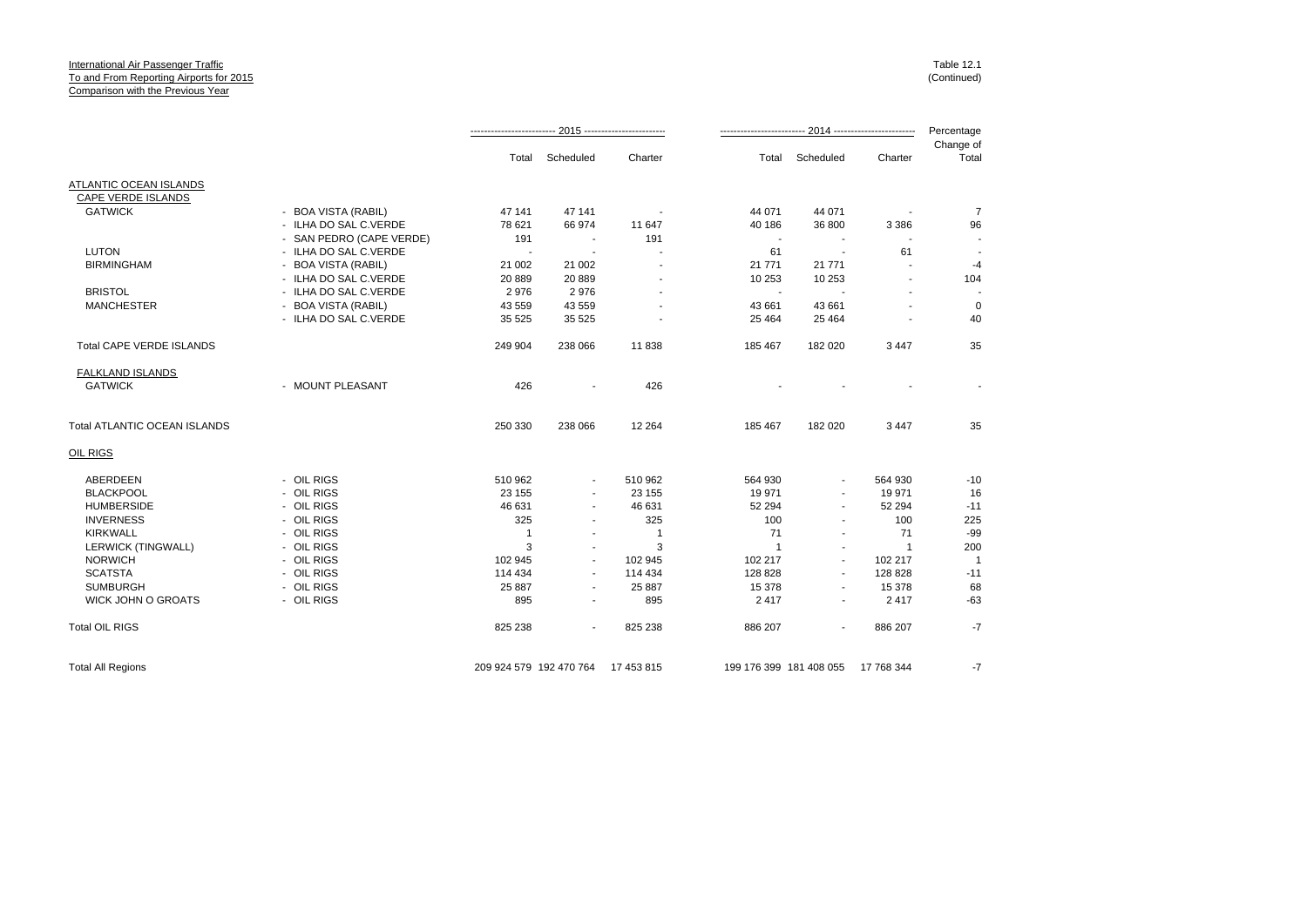## International Air Passenger Traffic **To and From Reporting Airports for 2015** Comparison with the Previous Year

Table 12.1 (Continued)

|                              |                          | Total                   | Scheduled                | Charter    | Total                   | Scheduled      | Charter    | Change of<br>Total |
|------------------------------|--------------------------|-------------------------|--------------------------|------------|-------------------------|----------------|------------|--------------------|
| ATLANTIC OCEAN ISLANDS       |                          |                         |                          |            |                         |                |            |                    |
| CAPE VERDE ISLANDS           |                          |                         |                          |            |                         |                |            |                    |
| <b>GATWICK</b>               | - BOA VISTA (RABIL)      | 47 141                  | 47 141                   |            | 44 071                  | 44 071         |            | $\overline{7}$     |
|                              | - ILHA DO SAL C.VERDE    | 78 621                  | 66 974                   | 11 647     | 40 186                  | 36 800         | 3 3 8 6    | 96                 |
|                              | - SAN PEDRO (CAPE VERDE) | 191                     | ٠                        | 191        | $\blacksquare$          |                |            |                    |
| <b>LUTON</b>                 | - ILHA DO SAL C.VERDE    |                         |                          |            | 61                      | ÷,             | 61         |                    |
| <b>BIRMINGHAM</b>            | <b>BOA VISTA (RABIL)</b> | 21 002                  | 21 002                   |            | 21 771                  | 21 771         |            | $-4$               |
|                              | - ILHA DO SAL C.VERDE    | 20 889                  | 20 889                   |            | 10 253                  | 10 253         |            | 104                |
| <b>BRISTOL</b>               | - ILHA DO SAL C.VERDE    | 2976                    | 2976                     |            |                         |                |            |                    |
| <b>MANCHESTER</b>            | <b>BOA VISTA (RABIL)</b> | 43 559                  | 43 559                   |            | 43 661                  | 43 661         |            | $\mathbf 0$        |
|                              | - ILHA DO SAL C.VERDE    | 35 5 25                 | 35 5 25                  |            | 25 4 64                 | 25 4 64        |            | 40                 |
| Total CAPE VERDE ISLANDS     |                          | 249 904                 | 238 066                  | 11838      | 185 467                 | 182 020        | 3 4 4 7    | 35                 |
| FALKLAND ISLANDS             |                          |                         |                          |            |                         |                |            |                    |
| <b>GATWICK</b>               | - MOUNT PLEASANT         | 426                     |                          | 426        |                         |                |            |                    |
| Total ATLANTIC OCEAN ISLANDS |                          | 250 330                 | 238 066                  | 12 2 64    | 185 467                 | 182 020        | 3 4 4 7    | 35                 |
| OIL RIGS                     |                          |                         |                          |            |                         |                |            |                    |
| ABERDEEN                     | - OIL RIGS               | 510 962                 | ٠                        | 510 962    | 564 930                 | $\blacksquare$ | 564 930    | $-10$              |
| <b>BLACKPOOL</b>             | - OIL RIGS               | 23 155                  | $\blacksquare$           | 23 155     | 19 971                  | $\blacksquare$ | 19 971     | 16                 |
| <b>HUMBERSIDE</b>            | - OIL RIGS               | 46 631                  | ٠                        | 46 631     | 52 294                  | $\blacksquare$ | 52 294     | $-11$              |
| <b>INVERNESS</b>             | - OIL RIGS               | 325                     |                          | 325        | 100                     | $\blacksquare$ | 100        | 225                |
| <b>KIRKWALL</b>              | - OIL RIGS               | $\mathbf{1}$            | $\blacksquare$           | 1          | 71                      | $\sim$         | 71         | $-99$              |
| <b>LERWICK (TINGWALL)</b>    | - OIL RIGS               | 3                       | $\blacksquare$           | 3          |                         | $\blacksquare$ | -1         | 200                |
| <b>NORWICH</b>               | - OIL RIGS               | 102 945                 | ٠                        | 102 945    | 102 217                 | $\blacksquare$ | 102 217    |                    |
| <b>SCATSTA</b>               | - OIL RIGS               | 114 434                 | $\overline{\phantom{a}}$ | 114 434    | 128 828                 | $\sim$         | 128 828    | $-11$              |
| <b>SUMBURGH</b>              | - OIL RIGS               | 25 887                  |                          | 25 887     | 15 378                  |                | 15 378     | 68                 |
| <b>WICK JOHN O GROATS</b>    | - OIL RIGS               | 895                     | ٠                        | 895        | 2417                    | $\blacksquare$ | 2417       | $-63$              |
| <b>Total OIL RIGS</b>        |                          | 825 238                 | $\sim$                   | 825 238    | 886 207                 | $\blacksquare$ | 886 207    | $-7$               |
| <b>Total All Regions</b>     |                          | 209 924 579 192 470 764 |                          | 17 453 815 | 199 176 399 181 408 055 |                | 17 768 344 | $-7$               |